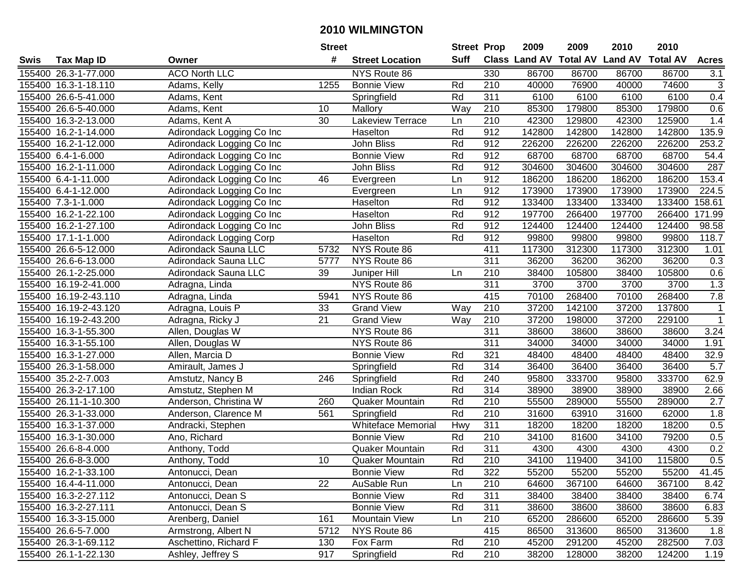|        |                       |                             | <b>Street</b> |                           |             | <b>Street Prop</b> | 2009                          | 2009   | 2010           | 2010            |                  |
|--------|-----------------------|-----------------------------|---------------|---------------------------|-------------|--------------------|-------------------------------|--------|----------------|-----------------|------------------|
| Swis   | <b>Tax Map ID</b>     | Owner                       | #             | <b>Street Location</b>    | <b>Suff</b> |                    | <b>Class Land AV Total AV</b> |        | <b>Land AV</b> | <b>Total AV</b> | <b>Acres</b>     |
|        | 155400 26.3-1-77.000  | <b>ACO North LLC</b>        |               | NYS Route 86              |             | 330                | 86700                         | 86700  | 86700          | 86700           | 3.1              |
|        | 155400 16.3-1-18.110  | Adams, Kelly                | 1255          | <b>Bonnie View</b>        | Rd          | 210                | 40000                         | 76900  | 40000          | 74600           | $\mathbf{3}$     |
|        | 155400 26.6-5-41.000  | Adams, Kent                 |               | Springfield               | Rd          | 311                | 6100                          | 6100   | 6100           | 6100            | 0.4              |
|        | 155400 26.6-5-40.000  | Adams, Kent                 | 10            | Mallory                   | Way         | 210                | 85300                         | 179800 | 85300          | 179800          | 0.6              |
|        | 155400 16.3-2-13.000  | Adams, Kent A               | 30            | Lakeview Terrace          | Ln          | 210                | 42300                         | 129800 | 42300          | 125900          | 1.4              |
|        | 155400 16.2-1-14.000  | Adirondack Logging Co Inc   |               | Haselton                  | Rd          | 912                | 142800                        | 142800 | 142800         | 142800          | 135.9            |
|        | 155400 16.2-1-12.000  | Adirondack Logging Co Inc   |               | John Bliss                | Rd          | 912                | 226200                        | 226200 | 226200         | 226200          | 253.2            |
|        | 155400 6.4-1-6.000    | Adirondack Logging Co Inc   |               | <b>Bonnie View</b>        | Rd          | 912                | 68700                         | 68700  | 68700          | 68700           | 54.4             |
|        | 155400 16.2-1-11.000  | Adirondack Logging Co Inc   |               | John Bliss                | Rd          | 912                | 304600                        | 304600 | 304600         | 304600          | 287              |
|        | 155400 6.4-1-11.000   | Adirondack Logging Co Inc   | 46            | Evergreen                 | Ln          | 912                | 186200                        | 186200 | 186200         | 186200          | 153.4            |
|        | 155400 6.4-1-12.000   | Adirondack Logging Co Inc   |               | Evergreen                 | Ln          | 912                | 173900                        | 173900 | 173900         | 173900          | 224.5            |
|        | 155400 7.3-1-1.000    | Adirondack Logging Co Inc   |               | Haselton                  | Rd          | 912                | 133400                        | 133400 | 133400         | 133400          | 158.61           |
|        | 155400 16.2-1-22.100  | Adirondack Logging Co Inc   |               | Haselton                  | Rd          | 912                | 197700                        | 266400 | 197700         | 266400          | 171.99           |
|        | 155400 16.2-1-27.100  | Adirondack Logging Co Inc   |               | John Bliss                | Rd          | 912                | 124400                        | 124400 | 124400         | 124400          | 98.58            |
|        | 155400 17.1-1-1.000   | Adirondack Logging Corp     |               | Haselton                  | Rd          | 912                | 99800                         | 99800  | 99800          | 99800           | 118.7            |
|        | 155400 26.6-5-12.000  | <b>Adirondack Sauna LLC</b> | 5732          | NYS Route 86              |             | 411                | 117300                        | 312300 | 117300         | 312300          | 1.01             |
|        | 155400 26.6-6-13.000  | Adirondack Sauna LLC        | 5777          | NYS Route 86              |             | 311                | 36200                         | 36200  | 36200          | 36200           | $\overline{0.3}$ |
|        | 155400 26.1-2-25.000  | Adirondack Sauna LLC        | 39            | Juniper Hill              | Ln          | $\overline{210}$   | 38400                         | 105800 | 38400          | 105800          | 0.6              |
|        | 155400 16.19-2-41.000 | Adragna, Linda              |               | NYS Route 86              |             | 311                | 3700                          | 3700   | 3700           | 3700            | 1.3              |
|        | 155400 16.19-2-43.110 | Adragna, Linda              | 5941          | NYS Route 86              |             | 415                | 70100                         | 268400 | 70100          | 268400          | 7.8              |
|        | 155400 16.19-2-43.120 | Adragna, Louis P            | 33            | <b>Grand View</b>         | Way         | 210                | 37200                         | 142100 | 37200          | 137800          | $\mathbf 1$      |
|        | 155400 16.19-2-43.200 | Adragna, Ricky J            | 21            | <b>Grand View</b>         | Way         | 210                | 37200                         | 198000 | 37200          | 229100          | $\mathbf{1}$     |
|        | 155400 16.3-1-55.300  | Allen, Douglas W            |               | NYS Route 86              |             | 311                | 38600                         | 38600  | 38600          | 38600           | 3.24             |
|        | 155400 16.3-1-55.100  | Allen, Douglas W            |               | NYS Route 86              |             | 311                | 34000                         | 34000  | 34000          | 34000           | 1.91             |
| 155400 | 16.3-1-27.000         | Allen, Marcia D             |               | <b>Bonnie View</b>        | Rd          | 321                | 48400                         | 48400  | 48400          | 48400           | 32.9             |
|        | 155400 26.3-1-58.000  | Amirault, James J           |               | Springfield               | Rd          | 314                | 36400                         | 36400  | 36400          | 36400           | 5.7              |
|        | 155400 35.2-2-7.003   | Amstutz, Nancy B            | 246           | Springfield               | Rd          | 240                | 95800                         | 333700 | 95800          | 333700          | 62.9             |
|        | 155400 26.3-2-17.100  | Amstutz, Stephen M          |               | <b>Indian Rock</b>        | Rd          | 314                | 38900                         | 38900  | 38900          | 38900           | 2.66             |
|        | 155400 26.11-1-10.300 | Anderson, Christina W       | 260           | Quaker Mountain           | Rd          | 210                | 55500                         | 289000 | 55500          | 289000          | 2.7              |
|        | 155400 26.3-1-33.000  | Anderson, Clarence M        | 561           | Springfield               | Rd          | 210                | 31600                         | 63910  | 31600          | 62000           | 1.8              |
|        | 155400 16.3-1-37.000  | Andracki, Stephen           |               | <b>Whiteface Memorial</b> | Hwy         | 311                | 18200                         | 18200  | 18200          | 18200           | 0.5              |
|        | 155400 16.3-1-30.000  | Ano, Richard                |               | <b>Bonnie View</b>        | Rd          | 210                | 34100                         | 81600  | 34100          | 79200           | 0.5              |
|        | 155400 26.6-8-4.000   | Anthony, Todd               |               | <b>Quaker Mountain</b>    | Rd          | 311                | 4300                          | 4300   | 4300           | 4300            | 0.2              |
|        | 155400 26.6-8-3.000   | Anthony, Todd               | 10            | <b>Quaker Mountain</b>    | Rd          | 210                | 34100                         | 119400 | 34100          | 115800          | 0.5              |
|        | 155400 16.2-1-33.100  | Antonucci, Dean             |               | <b>Bonnie View</b>        | Rd          | 322                | 55200                         | 55200  | 55200          | 55200           | 41.45            |
|        | 155400 16.4-4-11.000  | Antonucci, Dean             | 22            | AuSable Run               | Ln          | 210                | 64600                         | 367100 | 64600          | 367100          | 8.42             |
|        | 155400 16.3-2-27.112  | Antonucci, Dean S           |               | <b>Bonnie View</b>        | Rd          | 311                | 38400                         | 38400  | 38400          | 38400           | 6.74             |
|        | 155400 16.3-2-27.111  | Antonucci, Dean S           |               | <b>Bonnie View</b>        | Rd          | 311                | 38600                         | 38600  | 38600          | 38600           | 6.83             |
|        | 155400 16.3-3-15.000  | Arenberg, Daniel            | 161           | Mountain View             | Ln          | 210                | 65200                         | 286600 | 65200          | 286600          | 5.39             |
|        | 155400 26.6-5-7.000   | Armstrong, Albert N         | 5712          | NYS Route 86              |             | 415                | 86500                         | 313600 | 86500          | 313600          | 1.8              |
|        | 155400 26.3-1-69.112  | Aschettino, Richard F       | 130           | Fox Farm                  | Rd          | 210                | 45200                         | 291200 | 45200          | 282500          | 7.03             |
|        | 155400 26.1-1-22.130  | Ashley, Jeffrey S           | 917           | Springfield               | Rd          | $\overline{210}$   | 38200                         | 128000 | 38200          | 124200          | 1.19             |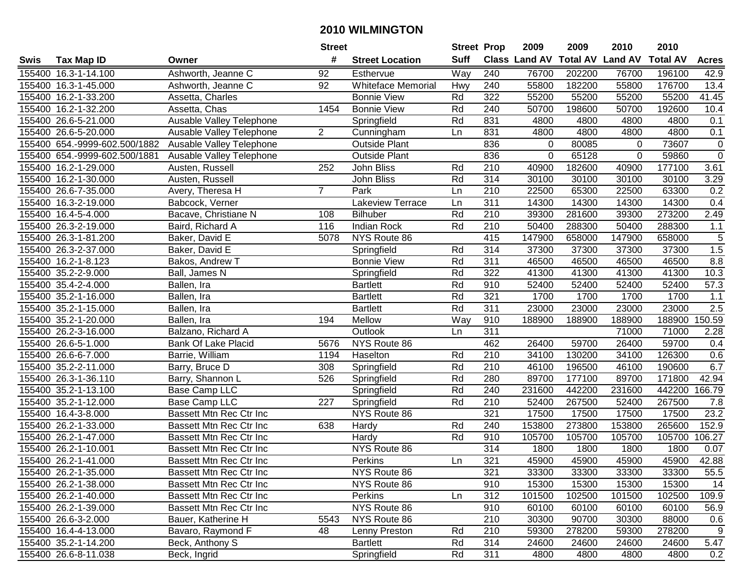| #<br><b>Suff</b><br><b>Class Land AV Total AV</b><br><b>Land AV</b><br><b>Total AV</b><br><b>Tax Map ID</b><br><b>Street Location</b><br><b>Acres</b><br>Swis<br>Owner<br>Way<br>155400 16.3-1-14.100<br>Ashworth, Jeanne C<br>92<br>Esthervue<br>240<br>76700<br>202200<br>76700<br>196100<br>42.9<br>155400 16.3-1-45.000<br>Ashworth, Jeanne C<br>92<br><b>Whiteface Memorial</b><br>240<br>55800<br>182200<br>55800<br>176700<br>13.4<br>Hwy<br>155400 16.2-1-33.200<br>Rd<br>322<br>55200<br>55200<br>55200<br>55200<br>41.45<br>Assetta, Charles<br><b>Bonnie View</b><br>Rd<br>240<br>198600<br>50700<br>192600<br>10.4<br>155400 16.2-1-32.200<br>Assetta, Chas<br>1454<br><b>Bonnie View</b><br>50700<br>155400 26.6-5-21.000<br>Ausable Valley Telephone<br>Rd<br>831<br>4800<br>4800<br>4800<br>0.1<br>Springfield<br>4800<br>$\overline{2}$<br>155400 26.6-5-20.000<br>Ausable Valley Telephone<br>831<br>4800<br>4800<br>4800<br>4800<br>0.1<br>Cunningham<br>Ln<br>155400 654.-9999-602.500/1882<br>Ausable Valley Telephone<br><b>Outside Plant</b><br>836<br>80085<br>73607<br>0<br>0<br>0<br>$\overline{0}$<br>836<br>Ausable Valley Telephone<br>$\mathbf 0$<br>65128<br>$\mathbf 0$<br>155400 654.-9999-602.500/1881<br><b>Outside Plant</b><br>59860<br>$\overline{210}$<br>3.61<br>155400 16.2-1-29.000<br>Austen, Russell<br>252<br>John Bliss<br>Rd<br>40900<br>182600<br>40900<br>177100<br>314<br>155400 16.2-1-30.000<br>John Bliss<br>Rd<br>30100<br>30100<br>30100<br>30100<br>3.29<br>Austen, Russell<br>$\overline{7}$<br>210<br>155400 26.6-7-35.000<br>Avery, Theresa H<br>Park<br>22500<br>65300<br>22500<br>63300<br>0.2<br>Ln<br>155400 16.3-2-19.000<br>Babcock, Verner<br><b>Lakeview Terrace</b><br>311<br>14300<br>14300<br>14300<br>14300<br>0.4<br>Ln<br>155400 16.4-5-4.000<br>Rd<br>210<br>39300<br>281600<br>39300<br>273200<br>2.49<br>Bacave, Christiane N<br>108<br><b>Bilhuber</b><br>210<br>155400 26.3-2-19.000<br>116<br><b>Indian Rock</b><br>Rd<br>50400<br>288300<br>50400<br>288300<br>$1.1$<br>Baird, Richard A<br>415<br>5<br>NYS Route 86<br>147900<br>658000<br>147900<br>658000<br>155400 26.3-1-81.200<br>Baker, David E<br>5078<br>1.5<br>155400 26.3-2-37.000<br>Rd<br>314<br>37300<br>37300<br>37300<br>37300<br>Baker, David E<br>Springfield<br>311<br>8.8<br>Rd<br>155400 16.2-1-8.123<br><b>Bonnie View</b><br>46500<br>46500<br>46500<br>46500<br>Bakos, Andrew T<br>Rd<br>155400 35.2-2-9.000<br>322<br>41300<br>41300<br>41300<br>41300<br>10.3<br>Ball, James N<br>Springfield<br>57.3<br>155400 35.4-2-4.000<br>Rd<br>910<br>52400<br>52400<br>52400<br>52400<br>Ballen, Ira<br><b>Bartlett</b><br>321<br>155400 35.2-1-16.000<br><b>Bartlett</b><br>Rd<br>1700<br>1700<br>1700<br>1700<br>1.1<br>Ballen, Ira<br>$\overline{2.5}$<br>Rd<br>311<br>23000<br>23000<br>23000<br>155400 35.2-1-15.000<br><b>Bartlett</b><br>23000<br>Ballen, Ira<br>155400 35.2-1-20.000<br>194<br>Mellow<br>Way<br>910<br>188900<br>188900<br>188900<br>188900<br>150.59<br>Ballen, Ira<br>311<br>Balzano, Richard A<br>Outlook<br>71000<br>71000<br>2.28<br>155400 26.2-3-16.000<br>Ln<br>5676<br>NYS Route 86<br>462<br>26400<br>59700<br>26400<br>59700<br>0.4<br>155400 26.6-5-1.000<br><b>Bank Of Lake Placid</b><br>Rd<br>210<br>34100<br>130200<br>34100<br>126300<br>0.6<br>155400 26.6-6-7.000<br>Barrie, William<br>1194<br>Haselton<br>Rd<br>210<br>6.7<br>155400 35.2-2-11.000<br>308<br>46100<br>196500<br>46100<br>190600<br>Barry, Bruce D<br>Springfield<br>Rd<br>280<br>177100<br>42.94<br>155400 26.3-1-36.110<br>Barry, Shannon L<br>526<br>Springfield<br>89700<br>89700<br>171800<br>Rd<br>240<br>442200<br>155400 35.2-1-13.100<br>Base Camp LLC<br>Springfield<br>231600<br>231600<br>442200<br>166.79<br>155400 35.2-1-12.000<br>227<br>Rd<br>210<br>52400<br>267500<br>52400<br>267500<br>Base Camp LLC<br>Springfield<br>7.8<br>321<br>17500<br>17500<br>17500<br>17500<br>23.2<br>155400 16.4-3-8.000<br>Bassett Mtn Rec Ctr Inc<br>NYS Route 86<br>638<br>Rd<br>240<br>153800<br>273800<br>153800<br>265600<br>152.9<br>155400 26.2-1-33.000<br><b>Bassett Mtn Rec Ctr Inc</b><br><b>Hardy</b><br>155400 26.2-1-47.000<br>Rd<br>910<br>105700<br>105700<br>105700<br>105700<br>106.27<br>Bassett Mtn Rec Ctr Inc<br>Hardy<br>314<br>NYS Route 86<br>1800<br>1800<br>155400 26.2-1-10.001<br>1800<br>1800<br>0.07<br>Bassett Mtn Rec Ctr Inc<br>321<br>42.88<br>155400 26.2-1-41.000<br>45900<br>45900<br>45900<br>45900<br>Bassett Mtn Rec Ctr Inc<br>Perkins<br>Ln<br>155400 26.2-1-35.000<br>Bassett Mtn Rec Ctr Inc<br>NYS Route 86<br>321<br>33300<br>33300<br>33300<br>33300<br>55.5<br>155400 26.2-1-38.000<br>NYS Route 86<br>910<br>15300<br>15300<br>15300<br>15300<br>14<br>Bassett Mtn Rec Ctr Inc<br>101500<br>155400 26.2-1-40.000<br>Bassett Mtn Rec Ctr Inc<br>Perkins<br>312<br>102500<br>101500<br>102500<br>109.9<br>Ln<br>155400 26.2-1-39.000<br>NYS Route 86<br>910<br>56.9<br>Bassett Mtn Rec Ctr Inc<br>60100<br>60100<br>60100<br>60100<br>NYS Route 86<br>210<br>155400 26.6-3-2.000<br>Bauer, Katherine H<br>5543<br>30300<br>90700<br>30300<br>88000<br>0.6<br>9<br>155400 16.4-4-13.000<br>Bavaro, Raymond F<br>48<br>Rd<br>210<br>59300<br>278200<br>59300<br>278200<br>Lenny Preston<br>155400 35.2-1-14.200<br>Beck, Anthony S<br>Rd<br>314<br>24600<br>24600<br>24600<br>5.47<br><b>Bartlett</b><br>24600<br>155400 26.6-8-11.038<br>Rd<br>311<br>Springfield<br>4800<br>4800<br>4800<br>4800<br>0.2<br>Beck, Ingrid |  | <b>Street</b> | <b>Street Prop</b> | 2009 | 2009 | 2010 | 2010 |  |
|----------------------------------------------------------------------------------------------------------------------------------------------------------------------------------------------------------------------------------------------------------------------------------------------------------------------------------------------------------------------------------------------------------------------------------------------------------------------------------------------------------------------------------------------------------------------------------------------------------------------------------------------------------------------------------------------------------------------------------------------------------------------------------------------------------------------------------------------------------------------------------------------------------------------------------------------------------------------------------------------------------------------------------------------------------------------------------------------------------------------------------------------------------------------------------------------------------------------------------------------------------------------------------------------------------------------------------------------------------------------------------------------------------------------------------------------------------------------------------------------------------------------------------------------------------------------------------------------------------------------------------------------------------------------------------------------------------------------------------------------------------------------------------------------------------------------------------------------------------------------------------------------------------------------------------------------------------------------------------------------------------------------------------------------------------------------------------------------------------------------------------------------------------------------------------------------------------------------------------------------------------------------------------------------------------------------------------------------------------------------------------------------------------------------------------------------------------------------------------------------------------------------------------------------------------------------------------------------------------------------------------------------------------------------------------------------------------------------------------------------------------------------------------------------------------------------------------------------------------------------------------------------------------------------------------------------------------------------------------------------------------------------------------------------------------------------------------------------------------------------------------------------------------------------------------------------------------------------------------------------------------------------------------------------------------------------------------------------------------------------------------------------------------------------------------------------------------------------------------------------------------------------------------------------------------------------------------------------------------------------------------------------------------------------------------------------------------------------------------------------------------------------------------------------------------------------------------------------------------------------------------------------------------------------------------------------------------------------------------------------------------------------------------------------------------------------------------------------------------------------------------------------------------------------------------------------------------------------------------------------------------------------------------------------------------------------------------------------------------------------------------------------------------------------------------------------------------------------------------------------------------------------------------------------------------------------------------------------------------------------------------------------------------------------------------------------------------------------------------------------------------------------------------------------------------------------------------------------------------------------------------------------------------------------------------------------------------------------------------------------------------------------------------------------------------------------------------------------------------------------------------------------------------------------------------------------------------------------------------------------------------------------------------------------------------------------------------------------------------------------------------------------------------------------------------------------------------------------------------------------------------------------------------------|--|---------------|--------------------|------|------|------|------|--|
|                                                                                                                                                                                                                                                                                                                                                                                                                                                                                                                                                                                                                                                                                                                                                                                                                                                                                                                                                                                                                                                                                                                                                                                                                                                                                                                                                                                                                                                                                                                                                                                                                                                                                                                                                                                                                                                                                                                                                                                                                                                                                                                                                                                                                                                                                                                                                                                                                                                                                                                                                                                                                                                                                                                                                                                                                                                                                                                                                                                                                                                                                                                                                                                                                                                                                                                                                                                                                                                                                                                                                                                                                                                                                                                                                                                                                                                                                                                                                                                                                                                                                                                                                                                                                                                                                                                                                                                                                                                                                                                                                                                                                                                                                                                                                                                                                                                                                                                                                                                                                                                                                                                                                                                                                                                                                                                                                                                                                                                                                                                                        |  |               |                    |      |      |      |      |  |
|                                                                                                                                                                                                                                                                                                                                                                                                                                                                                                                                                                                                                                                                                                                                                                                                                                                                                                                                                                                                                                                                                                                                                                                                                                                                                                                                                                                                                                                                                                                                                                                                                                                                                                                                                                                                                                                                                                                                                                                                                                                                                                                                                                                                                                                                                                                                                                                                                                                                                                                                                                                                                                                                                                                                                                                                                                                                                                                                                                                                                                                                                                                                                                                                                                                                                                                                                                                                                                                                                                                                                                                                                                                                                                                                                                                                                                                                                                                                                                                                                                                                                                                                                                                                                                                                                                                                                                                                                                                                                                                                                                                                                                                                                                                                                                                                                                                                                                                                                                                                                                                                                                                                                                                                                                                                                                                                                                                                                                                                                                                                        |  |               |                    |      |      |      |      |  |
|                                                                                                                                                                                                                                                                                                                                                                                                                                                                                                                                                                                                                                                                                                                                                                                                                                                                                                                                                                                                                                                                                                                                                                                                                                                                                                                                                                                                                                                                                                                                                                                                                                                                                                                                                                                                                                                                                                                                                                                                                                                                                                                                                                                                                                                                                                                                                                                                                                                                                                                                                                                                                                                                                                                                                                                                                                                                                                                                                                                                                                                                                                                                                                                                                                                                                                                                                                                                                                                                                                                                                                                                                                                                                                                                                                                                                                                                                                                                                                                                                                                                                                                                                                                                                                                                                                                                                                                                                                                                                                                                                                                                                                                                                                                                                                                                                                                                                                                                                                                                                                                                                                                                                                                                                                                                                                                                                                                                                                                                                                                                        |  |               |                    |      |      |      |      |  |
|                                                                                                                                                                                                                                                                                                                                                                                                                                                                                                                                                                                                                                                                                                                                                                                                                                                                                                                                                                                                                                                                                                                                                                                                                                                                                                                                                                                                                                                                                                                                                                                                                                                                                                                                                                                                                                                                                                                                                                                                                                                                                                                                                                                                                                                                                                                                                                                                                                                                                                                                                                                                                                                                                                                                                                                                                                                                                                                                                                                                                                                                                                                                                                                                                                                                                                                                                                                                                                                                                                                                                                                                                                                                                                                                                                                                                                                                                                                                                                                                                                                                                                                                                                                                                                                                                                                                                                                                                                                                                                                                                                                                                                                                                                                                                                                                                                                                                                                                                                                                                                                                                                                                                                                                                                                                                                                                                                                                                                                                                                                                        |  |               |                    |      |      |      |      |  |
|                                                                                                                                                                                                                                                                                                                                                                                                                                                                                                                                                                                                                                                                                                                                                                                                                                                                                                                                                                                                                                                                                                                                                                                                                                                                                                                                                                                                                                                                                                                                                                                                                                                                                                                                                                                                                                                                                                                                                                                                                                                                                                                                                                                                                                                                                                                                                                                                                                                                                                                                                                                                                                                                                                                                                                                                                                                                                                                                                                                                                                                                                                                                                                                                                                                                                                                                                                                                                                                                                                                                                                                                                                                                                                                                                                                                                                                                                                                                                                                                                                                                                                                                                                                                                                                                                                                                                                                                                                                                                                                                                                                                                                                                                                                                                                                                                                                                                                                                                                                                                                                                                                                                                                                                                                                                                                                                                                                                                                                                                                                                        |  |               |                    |      |      |      |      |  |
|                                                                                                                                                                                                                                                                                                                                                                                                                                                                                                                                                                                                                                                                                                                                                                                                                                                                                                                                                                                                                                                                                                                                                                                                                                                                                                                                                                                                                                                                                                                                                                                                                                                                                                                                                                                                                                                                                                                                                                                                                                                                                                                                                                                                                                                                                                                                                                                                                                                                                                                                                                                                                                                                                                                                                                                                                                                                                                                                                                                                                                                                                                                                                                                                                                                                                                                                                                                                                                                                                                                                                                                                                                                                                                                                                                                                                                                                                                                                                                                                                                                                                                                                                                                                                                                                                                                                                                                                                                                                                                                                                                                                                                                                                                                                                                                                                                                                                                                                                                                                                                                                                                                                                                                                                                                                                                                                                                                                                                                                                                                                        |  |               |                    |      |      |      |      |  |
|                                                                                                                                                                                                                                                                                                                                                                                                                                                                                                                                                                                                                                                                                                                                                                                                                                                                                                                                                                                                                                                                                                                                                                                                                                                                                                                                                                                                                                                                                                                                                                                                                                                                                                                                                                                                                                                                                                                                                                                                                                                                                                                                                                                                                                                                                                                                                                                                                                                                                                                                                                                                                                                                                                                                                                                                                                                                                                                                                                                                                                                                                                                                                                                                                                                                                                                                                                                                                                                                                                                                                                                                                                                                                                                                                                                                                                                                                                                                                                                                                                                                                                                                                                                                                                                                                                                                                                                                                                                                                                                                                                                                                                                                                                                                                                                                                                                                                                                                                                                                                                                                                                                                                                                                                                                                                                                                                                                                                                                                                                                                        |  |               |                    |      |      |      |      |  |
|                                                                                                                                                                                                                                                                                                                                                                                                                                                                                                                                                                                                                                                                                                                                                                                                                                                                                                                                                                                                                                                                                                                                                                                                                                                                                                                                                                                                                                                                                                                                                                                                                                                                                                                                                                                                                                                                                                                                                                                                                                                                                                                                                                                                                                                                                                                                                                                                                                                                                                                                                                                                                                                                                                                                                                                                                                                                                                                                                                                                                                                                                                                                                                                                                                                                                                                                                                                                                                                                                                                                                                                                                                                                                                                                                                                                                                                                                                                                                                                                                                                                                                                                                                                                                                                                                                                                                                                                                                                                                                                                                                                                                                                                                                                                                                                                                                                                                                                                                                                                                                                                                                                                                                                                                                                                                                                                                                                                                                                                                                                                        |  |               |                    |      |      |      |      |  |
|                                                                                                                                                                                                                                                                                                                                                                                                                                                                                                                                                                                                                                                                                                                                                                                                                                                                                                                                                                                                                                                                                                                                                                                                                                                                                                                                                                                                                                                                                                                                                                                                                                                                                                                                                                                                                                                                                                                                                                                                                                                                                                                                                                                                                                                                                                                                                                                                                                                                                                                                                                                                                                                                                                                                                                                                                                                                                                                                                                                                                                                                                                                                                                                                                                                                                                                                                                                                                                                                                                                                                                                                                                                                                                                                                                                                                                                                                                                                                                                                                                                                                                                                                                                                                                                                                                                                                                                                                                                                                                                                                                                                                                                                                                                                                                                                                                                                                                                                                                                                                                                                                                                                                                                                                                                                                                                                                                                                                                                                                                                                        |  |               |                    |      |      |      |      |  |
|                                                                                                                                                                                                                                                                                                                                                                                                                                                                                                                                                                                                                                                                                                                                                                                                                                                                                                                                                                                                                                                                                                                                                                                                                                                                                                                                                                                                                                                                                                                                                                                                                                                                                                                                                                                                                                                                                                                                                                                                                                                                                                                                                                                                                                                                                                                                                                                                                                                                                                                                                                                                                                                                                                                                                                                                                                                                                                                                                                                                                                                                                                                                                                                                                                                                                                                                                                                                                                                                                                                                                                                                                                                                                                                                                                                                                                                                                                                                                                                                                                                                                                                                                                                                                                                                                                                                                                                                                                                                                                                                                                                                                                                                                                                                                                                                                                                                                                                                                                                                                                                                                                                                                                                                                                                                                                                                                                                                                                                                                                                                        |  |               |                    |      |      |      |      |  |
|                                                                                                                                                                                                                                                                                                                                                                                                                                                                                                                                                                                                                                                                                                                                                                                                                                                                                                                                                                                                                                                                                                                                                                                                                                                                                                                                                                                                                                                                                                                                                                                                                                                                                                                                                                                                                                                                                                                                                                                                                                                                                                                                                                                                                                                                                                                                                                                                                                                                                                                                                                                                                                                                                                                                                                                                                                                                                                                                                                                                                                                                                                                                                                                                                                                                                                                                                                                                                                                                                                                                                                                                                                                                                                                                                                                                                                                                                                                                                                                                                                                                                                                                                                                                                                                                                                                                                                                                                                                                                                                                                                                                                                                                                                                                                                                                                                                                                                                                                                                                                                                                                                                                                                                                                                                                                                                                                                                                                                                                                                                                        |  |               |                    |      |      |      |      |  |
|                                                                                                                                                                                                                                                                                                                                                                                                                                                                                                                                                                                                                                                                                                                                                                                                                                                                                                                                                                                                                                                                                                                                                                                                                                                                                                                                                                                                                                                                                                                                                                                                                                                                                                                                                                                                                                                                                                                                                                                                                                                                                                                                                                                                                                                                                                                                                                                                                                                                                                                                                                                                                                                                                                                                                                                                                                                                                                                                                                                                                                                                                                                                                                                                                                                                                                                                                                                                                                                                                                                                                                                                                                                                                                                                                                                                                                                                                                                                                                                                                                                                                                                                                                                                                                                                                                                                                                                                                                                                                                                                                                                                                                                                                                                                                                                                                                                                                                                                                                                                                                                                                                                                                                                                                                                                                                                                                                                                                                                                                                                                        |  |               |                    |      |      |      |      |  |
|                                                                                                                                                                                                                                                                                                                                                                                                                                                                                                                                                                                                                                                                                                                                                                                                                                                                                                                                                                                                                                                                                                                                                                                                                                                                                                                                                                                                                                                                                                                                                                                                                                                                                                                                                                                                                                                                                                                                                                                                                                                                                                                                                                                                                                                                                                                                                                                                                                                                                                                                                                                                                                                                                                                                                                                                                                                                                                                                                                                                                                                                                                                                                                                                                                                                                                                                                                                                                                                                                                                                                                                                                                                                                                                                                                                                                                                                                                                                                                                                                                                                                                                                                                                                                                                                                                                                                                                                                                                                                                                                                                                                                                                                                                                                                                                                                                                                                                                                                                                                                                                                                                                                                                                                                                                                                                                                                                                                                                                                                                                                        |  |               |                    |      |      |      |      |  |
|                                                                                                                                                                                                                                                                                                                                                                                                                                                                                                                                                                                                                                                                                                                                                                                                                                                                                                                                                                                                                                                                                                                                                                                                                                                                                                                                                                                                                                                                                                                                                                                                                                                                                                                                                                                                                                                                                                                                                                                                                                                                                                                                                                                                                                                                                                                                                                                                                                                                                                                                                                                                                                                                                                                                                                                                                                                                                                                                                                                                                                                                                                                                                                                                                                                                                                                                                                                                                                                                                                                                                                                                                                                                                                                                                                                                                                                                                                                                                                                                                                                                                                                                                                                                                                                                                                                                                                                                                                                                                                                                                                                                                                                                                                                                                                                                                                                                                                                                                                                                                                                                                                                                                                                                                                                                                                                                                                                                                                                                                                                                        |  |               |                    |      |      |      |      |  |
|                                                                                                                                                                                                                                                                                                                                                                                                                                                                                                                                                                                                                                                                                                                                                                                                                                                                                                                                                                                                                                                                                                                                                                                                                                                                                                                                                                                                                                                                                                                                                                                                                                                                                                                                                                                                                                                                                                                                                                                                                                                                                                                                                                                                                                                                                                                                                                                                                                                                                                                                                                                                                                                                                                                                                                                                                                                                                                                                                                                                                                                                                                                                                                                                                                                                                                                                                                                                                                                                                                                                                                                                                                                                                                                                                                                                                                                                                                                                                                                                                                                                                                                                                                                                                                                                                                                                                                                                                                                                                                                                                                                                                                                                                                                                                                                                                                                                                                                                                                                                                                                                                                                                                                                                                                                                                                                                                                                                                                                                                                                                        |  |               |                    |      |      |      |      |  |
|                                                                                                                                                                                                                                                                                                                                                                                                                                                                                                                                                                                                                                                                                                                                                                                                                                                                                                                                                                                                                                                                                                                                                                                                                                                                                                                                                                                                                                                                                                                                                                                                                                                                                                                                                                                                                                                                                                                                                                                                                                                                                                                                                                                                                                                                                                                                                                                                                                                                                                                                                                                                                                                                                                                                                                                                                                                                                                                                                                                                                                                                                                                                                                                                                                                                                                                                                                                                                                                                                                                                                                                                                                                                                                                                                                                                                                                                                                                                                                                                                                                                                                                                                                                                                                                                                                                                                                                                                                                                                                                                                                                                                                                                                                                                                                                                                                                                                                                                                                                                                                                                                                                                                                                                                                                                                                                                                                                                                                                                                                                                        |  |               |                    |      |      |      |      |  |
|                                                                                                                                                                                                                                                                                                                                                                                                                                                                                                                                                                                                                                                                                                                                                                                                                                                                                                                                                                                                                                                                                                                                                                                                                                                                                                                                                                                                                                                                                                                                                                                                                                                                                                                                                                                                                                                                                                                                                                                                                                                                                                                                                                                                                                                                                                                                                                                                                                                                                                                                                                                                                                                                                                                                                                                                                                                                                                                                                                                                                                                                                                                                                                                                                                                                                                                                                                                                                                                                                                                                                                                                                                                                                                                                                                                                                                                                                                                                                                                                                                                                                                                                                                                                                                                                                                                                                                                                                                                                                                                                                                                                                                                                                                                                                                                                                                                                                                                                                                                                                                                                                                                                                                                                                                                                                                                                                                                                                                                                                                                                        |  |               |                    |      |      |      |      |  |
|                                                                                                                                                                                                                                                                                                                                                                                                                                                                                                                                                                                                                                                                                                                                                                                                                                                                                                                                                                                                                                                                                                                                                                                                                                                                                                                                                                                                                                                                                                                                                                                                                                                                                                                                                                                                                                                                                                                                                                                                                                                                                                                                                                                                                                                                                                                                                                                                                                                                                                                                                                                                                                                                                                                                                                                                                                                                                                                                                                                                                                                                                                                                                                                                                                                                                                                                                                                                                                                                                                                                                                                                                                                                                                                                                                                                                                                                                                                                                                                                                                                                                                                                                                                                                                                                                                                                                                                                                                                                                                                                                                                                                                                                                                                                                                                                                                                                                                                                                                                                                                                                                                                                                                                                                                                                                                                                                                                                                                                                                                                                        |  |               |                    |      |      |      |      |  |
|                                                                                                                                                                                                                                                                                                                                                                                                                                                                                                                                                                                                                                                                                                                                                                                                                                                                                                                                                                                                                                                                                                                                                                                                                                                                                                                                                                                                                                                                                                                                                                                                                                                                                                                                                                                                                                                                                                                                                                                                                                                                                                                                                                                                                                                                                                                                                                                                                                                                                                                                                                                                                                                                                                                                                                                                                                                                                                                                                                                                                                                                                                                                                                                                                                                                                                                                                                                                                                                                                                                                                                                                                                                                                                                                                                                                                                                                                                                                                                                                                                                                                                                                                                                                                                                                                                                                                                                                                                                                                                                                                                                                                                                                                                                                                                                                                                                                                                                                                                                                                                                                                                                                                                                                                                                                                                                                                                                                                                                                                                                                        |  |               |                    |      |      |      |      |  |
|                                                                                                                                                                                                                                                                                                                                                                                                                                                                                                                                                                                                                                                                                                                                                                                                                                                                                                                                                                                                                                                                                                                                                                                                                                                                                                                                                                                                                                                                                                                                                                                                                                                                                                                                                                                                                                                                                                                                                                                                                                                                                                                                                                                                                                                                                                                                                                                                                                                                                                                                                                                                                                                                                                                                                                                                                                                                                                                                                                                                                                                                                                                                                                                                                                                                                                                                                                                                                                                                                                                                                                                                                                                                                                                                                                                                                                                                                                                                                                                                                                                                                                                                                                                                                                                                                                                                                                                                                                                                                                                                                                                                                                                                                                                                                                                                                                                                                                                                                                                                                                                                                                                                                                                                                                                                                                                                                                                                                                                                                                                                        |  |               |                    |      |      |      |      |  |
|                                                                                                                                                                                                                                                                                                                                                                                                                                                                                                                                                                                                                                                                                                                                                                                                                                                                                                                                                                                                                                                                                                                                                                                                                                                                                                                                                                                                                                                                                                                                                                                                                                                                                                                                                                                                                                                                                                                                                                                                                                                                                                                                                                                                                                                                                                                                                                                                                                                                                                                                                                                                                                                                                                                                                                                                                                                                                                                                                                                                                                                                                                                                                                                                                                                                                                                                                                                                                                                                                                                                                                                                                                                                                                                                                                                                                                                                                                                                                                                                                                                                                                                                                                                                                                                                                                                                                                                                                                                                                                                                                                                                                                                                                                                                                                                                                                                                                                                                                                                                                                                                                                                                                                                                                                                                                                                                                                                                                                                                                                                                        |  |               |                    |      |      |      |      |  |
|                                                                                                                                                                                                                                                                                                                                                                                                                                                                                                                                                                                                                                                                                                                                                                                                                                                                                                                                                                                                                                                                                                                                                                                                                                                                                                                                                                                                                                                                                                                                                                                                                                                                                                                                                                                                                                                                                                                                                                                                                                                                                                                                                                                                                                                                                                                                                                                                                                                                                                                                                                                                                                                                                                                                                                                                                                                                                                                                                                                                                                                                                                                                                                                                                                                                                                                                                                                                                                                                                                                                                                                                                                                                                                                                                                                                                                                                                                                                                                                                                                                                                                                                                                                                                                                                                                                                                                                                                                                                                                                                                                                                                                                                                                                                                                                                                                                                                                                                                                                                                                                                                                                                                                                                                                                                                                                                                                                                                                                                                                                                        |  |               |                    |      |      |      |      |  |
|                                                                                                                                                                                                                                                                                                                                                                                                                                                                                                                                                                                                                                                                                                                                                                                                                                                                                                                                                                                                                                                                                                                                                                                                                                                                                                                                                                                                                                                                                                                                                                                                                                                                                                                                                                                                                                                                                                                                                                                                                                                                                                                                                                                                                                                                                                                                                                                                                                                                                                                                                                                                                                                                                                                                                                                                                                                                                                                                                                                                                                                                                                                                                                                                                                                                                                                                                                                                                                                                                                                                                                                                                                                                                                                                                                                                                                                                                                                                                                                                                                                                                                                                                                                                                                                                                                                                                                                                                                                                                                                                                                                                                                                                                                                                                                                                                                                                                                                                                                                                                                                                                                                                                                                                                                                                                                                                                                                                                                                                                                                                        |  |               |                    |      |      |      |      |  |
|                                                                                                                                                                                                                                                                                                                                                                                                                                                                                                                                                                                                                                                                                                                                                                                                                                                                                                                                                                                                                                                                                                                                                                                                                                                                                                                                                                                                                                                                                                                                                                                                                                                                                                                                                                                                                                                                                                                                                                                                                                                                                                                                                                                                                                                                                                                                                                                                                                                                                                                                                                                                                                                                                                                                                                                                                                                                                                                                                                                                                                                                                                                                                                                                                                                                                                                                                                                                                                                                                                                                                                                                                                                                                                                                                                                                                                                                                                                                                                                                                                                                                                                                                                                                                                                                                                                                                                                                                                                                                                                                                                                                                                                                                                                                                                                                                                                                                                                                                                                                                                                                                                                                                                                                                                                                                                                                                                                                                                                                                                                                        |  |               |                    |      |      |      |      |  |
|                                                                                                                                                                                                                                                                                                                                                                                                                                                                                                                                                                                                                                                                                                                                                                                                                                                                                                                                                                                                                                                                                                                                                                                                                                                                                                                                                                                                                                                                                                                                                                                                                                                                                                                                                                                                                                                                                                                                                                                                                                                                                                                                                                                                                                                                                                                                                                                                                                                                                                                                                                                                                                                                                                                                                                                                                                                                                                                                                                                                                                                                                                                                                                                                                                                                                                                                                                                                                                                                                                                                                                                                                                                                                                                                                                                                                                                                                                                                                                                                                                                                                                                                                                                                                                                                                                                                                                                                                                                                                                                                                                                                                                                                                                                                                                                                                                                                                                                                                                                                                                                                                                                                                                                                                                                                                                                                                                                                                                                                                                                                        |  |               |                    |      |      |      |      |  |
|                                                                                                                                                                                                                                                                                                                                                                                                                                                                                                                                                                                                                                                                                                                                                                                                                                                                                                                                                                                                                                                                                                                                                                                                                                                                                                                                                                                                                                                                                                                                                                                                                                                                                                                                                                                                                                                                                                                                                                                                                                                                                                                                                                                                                                                                                                                                                                                                                                                                                                                                                                                                                                                                                                                                                                                                                                                                                                                                                                                                                                                                                                                                                                                                                                                                                                                                                                                                                                                                                                                                                                                                                                                                                                                                                                                                                                                                                                                                                                                                                                                                                                                                                                                                                                                                                                                                                                                                                                                                                                                                                                                                                                                                                                                                                                                                                                                                                                                                                                                                                                                                                                                                                                                                                                                                                                                                                                                                                                                                                                                                        |  |               |                    |      |      |      |      |  |
|                                                                                                                                                                                                                                                                                                                                                                                                                                                                                                                                                                                                                                                                                                                                                                                                                                                                                                                                                                                                                                                                                                                                                                                                                                                                                                                                                                                                                                                                                                                                                                                                                                                                                                                                                                                                                                                                                                                                                                                                                                                                                                                                                                                                                                                                                                                                                                                                                                                                                                                                                                                                                                                                                                                                                                                                                                                                                                                                                                                                                                                                                                                                                                                                                                                                                                                                                                                                                                                                                                                                                                                                                                                                                                                                                                                                                                                                                                                                                                                                                                                                                                                                                                                                                                                                                                                                                                                                                                                                                                                                                                                                                                                                                                                                                                                                                                                                                                                                                                                                                                                                                                                                                                                                                                                                                                                                                                                                                                                                                                                                        |  |               |                    |      |      |      |      |  |
|                                                                                                                                                                                                                                                                                                                                                                                                                                                                                                                                                                                                                                                                                                                                                                                                                                                                                                                                                                                                                                                                                                                                                                                                                                                                                                                                                                                                                                                                                                                                                                                                                                                                                                                                                                                                                                                                                                                                                                                                                                                                                                                                                                                                                                                                                                                                                                                                                                                                                                                                                                                                                                                                                                                                                                                                                                                                                                                                                                                                                                                                                                                                                                                                                                                                                                                                                                                                                                                                                                                                                                                                                                                                                                                                                                                                                                                                                                                                                                                                                                                                                                                                                                                                                                                                                                                                                                                                                                                                                                                                                                                                                                                                                                                                                                                                                                                                                                                                                                                                                                                                                                                                                                                                                                                                                                                                                                                                                                                                                                                                        |  |               |                    |      |      |      |      |  |
|                                                                                                                                                                                                                                                                                                                                                                                                                                                                                                                                                                                                                                                                                                                                                                                                                                                                                                                                                                                                                                                                                                                                                                                                                                                                                                                                                                                                                                                                                                                                                                                                                                                                                                                                                                                                                                                                                                                                                                                                                                                                                                                                                                                                                                                                                                                                                                                                                                                                                                                                                                                                                                                                                                                                                                                                                                                                                                                                                                                                                                                                                                                                                                                                                                                                                                                                                                                                                                                                                                                                                                                                                                                                                                                                                                                                                                                                                                                                                                                                                                                                                                                                                                                                                                                                                                                                                                                                                                                                                                                                                                                                                                                                                                                                                                                                                                                                                                                                                                                                                                                                                                                                                                                                                                                                                                                                                                                                                                                                                                                                        |  |               |                    |      |      |      |      |  |
|                                                                                                                                                                                                                                                                                                                                                                                                                                                                                                                                                                                                                                                                                                                                                                                                                                                                                                                                                                                                                                                                                                                                                                                                                                                                                                                                                                                                                                                                                                                                                                                                                                                                                                                                                                                                                                                                                                                                                                                                                                                                                                                                                                                                                                                                                                                                                                                                                                                                                                                                                                                                                                                                                                                                                                                                                                                                                                                                                                                                                                                                                                                                                                                                                                                                                                                                                                                                                                                                                                                                                                                                                                                                                                                                                                                                                                                                                                                                                                                                                                                                                                                                                                                                                                                                                                                                                                                                                                                                                                                                                                                                                                                                                                                                                                                                                                                                                                                                                                                                                                                                                                                                                                                                                                                                                                                                                                                                                                                                                                                                        |  |               |                    |      |      |      |      |  |
|                                                                                                                                                                                                                                                                                                                                                                                                                                                                                                                                                                                                                                                                                                                                                                                                                                                                                                                                                                                                                                                                                                                                                                                                                                                                                                                                                                                                                                                                                                                                                                                                                                                                                                                                                                                                                                                                                                                                                                                                                                                                                                                                                                                                                                                                                                                                                                                                                                                                                                                                                                                                                                                                                                                                                                                                                                                                                                                                                                                                                                                                                                                                                                                                                                                                                                                                                                                                                                                                                                                                                                                                                                                                                                                                                                                                                                                                                                                                                                                                                                                                                                                                                                                                                                                                                                                                                                                                                                                                                                                                                                                                                                                                                                                                                                                                                                                                                                                                                                                                                                                                                                                                                                                                                                                                                                                                                                                                                                                                                                                                        |  |               |                    |      |      |      |      |  |
|                                                                                                                                                                                                                                                                                                                                                                                                                                                                                                                                                                                                                                                                                                                                                                                                                                                                                                                                                                                                                                                                                                                                                                                                                                                                                                                                                                                                                                                                                                                                                                                                                                                                                                                                                                                                                                                                                                                                                                                                                                                                                                                                                                                                                                                                                                                                                                                                                                                                                                                                                                                                                                                                                                                                                                                                                                                                                                                                                                                                                                                                                                                                                                                                                                                                                                                                                                                                                                                                                                                                                                                                                                                                                                                                                                                                                                                                                                                                                                                                                                                                                                                                                                                                                                                                                                                                                                                                                                                                                                                                                                                                                                                                                                                                                                                                                                                                                                                                                                                                                                                                                                                                                                                                                                                                                                                                                                                                                                                                                                                                        |  |               |                    |      |      |      |      |  |
|                                                                                                                                                                                                                                                                                                                                                                                                                                                                                                                                                                                                                                                                                                                                                                                                                                                                                                                                                                                                                                                                                                                                                                                                                                                                                                                                                                                                                                                                                                                                                                                                                                                                                                                                                                                                                                                                                                                                                                                                                                                                                                                                                                                                                                                                                                                                                                                                                                                                                                                                                                                                                                                                                                                                                                                                                                                                                                                                                                                                                                                                                                                                                                                                                                                                                                                                                                                                                                                                                                                                                                                                                                                                                                                                                                                                                                                                                                                                                                                                                                                                                                                                                                                                                                                                                                                                                                                                                                                                                                                                                                                                                                                                                                                                                                                                                                                                                                                                                                                                                                                                                                                                                                                                                                                                                                                                                                                                                                                                                                                                        |  |               |                    |      |      |      |      |  |
|                                                                                                                                                                                                                                                                                                                                                                                                                                                                                                                                                                                                                                                                                                                                                                                                                                                                                                                                                                                                                                                                                                                                                                                                                                                                                                                                                                                                                                                                                                                                                                                                                                                                                                                                                                                                                                                                                                                                                                                                                                                                                                                                                                                                                                                                                                                                                                                                                                                                                                                                                                                                                                                                                                                                                                                                                                                                                                                                                                                                                                                                                                                                                                                                                                                                                                                                                                                                                                                                                                                                                                                                                                                                                                                                                                                                                                                                                                                                                                                                                                                                                                                                                                                                                                                                                                                                                                                                                                                                                                                                                                                                                                                                                                                                                                                                                                                                                                                                                                                                                                                                                                                                                                                                                                                                                                                                                                                                                                                                                                                                        |  |               |                    |      |      |      |      |  |
|                                                                                                                                                                                                                                                                                                                                                                                                                                                                                                                                                                                                                                                                                                                                                                                                                                                                                                                                                                                                                                                                                                                                                                                                                                                                                                                                                                                                                                                                                                                                                                                                                                                                                                                                                                                                                                                                                                                                                                                                                                                                                                                                                                                                                                                                                                                                                                                                                                                                                                                                                                                                                                                                                                                                                                                                                                                                                                                                                                                                                                                                                                                                                                                                                                                                                                                                                                                                                                                                                                                                                                                                                                                                                                                                                                                                                                                                                                                                                                                                                                                                                                                                                                                                                                                                                                                                                                                                                                                                                                                                                                                                                                                                                                                                                                                                                                                                                                                                                                                                                                                                                                                                                                                                                                                                                                                                                                                                                                                                                                                                        |  |               |                    |      |      |      |      |  |
|                                                                                                                                                                                                                                                                                                                                                                                                                                                                                                                                                                                                                                                                                                                                                                                                                                                                                                                                                                                                                                                                                                                                                                                                                                                                                                                                                                                                                                                                                                                                                                                                                                                                                                                                                                                                                                                                                                                                                                                                                                                                                                                                                                                                                                                                                                                                                                                                                                                                                                                                                                                                                                                                                                                                                                                                                                                                                                                                                                                                                                                                                                                                                                                                                                                                                                                                                                                                                                                                                                                                                                                                                                                                                                                                                                                                                                                                                                                                                                                                                                                                                                                                                                                                                                                                                                                                                                                                                                                                                                                                                                                                                                                                                                                                                                                                                                                                                                                                                                                                                                                                                                                                                                                                                                                                                                                                                                                                                                                                                                                                        |  |               |                    |      |      |      |      |  |
|                                                                                                                                                                                                                                                                                                                                                                                                                                                                                                                                                                                                                                                                                                                                                                                                                                                                                                                                                                                                                                                                                                                                                                                                                                                                                                                                                                                                                                                                                                                                                                                                                                                                                                                                                                                                                                                                                                                                                                                                                                                                                                                                                                                                                                                                                                                                                                                                                                                                                                                                                                                                                                                                                                                                                                                                                                                                                                                                                                                                                                                                                                                                                                                                                                                                                                                                                                                                                                                                                                                                                                                                                                                                                                                                                                                                                                                                                                                                                                                                                                                                                                                                                                                                                                                                                                                                                                                                                                                                                                                                                                                                                                                                                                                                                                                                                                                                                                                                                                                                                                                                                                                                                                                                                                                                                                                                                                                                                                                                                                                                        |  |               |                    |      |      |      |      |  |
|                                                                                                                                                                                                                                                                                                                                                                                                                                                                                                                                                                                                                                                                                                                                                                                                                                                                                                                                                                                                                                                                                                                                                                                                                                                                                                                                                                                                                                                                                                                                                                                                                                                                                                                                                                                                                                                                                                                                                                                                                                                                                                                                                                                                                                                                                                                                                                                                                                                                                                                                                                                                                                                                                                                                                                                                                                                                                                                                                                                                                                                                                                                                                                                                                                                                                                                                                                                                                                                                                                                                                                                                                                                                                                                                                                                                                                                                                                                                                                                                                                                                                                                                                                                                                                                                                                                                                                                                                                                                                                                                                                                                                                                                                                                                                                                                                                                                                                                                                                                                                                                                                                                                                                                                                                                                                                                                                                                                                                                                                                                                        |  |               |                    |      |      |      |      |  |
|                                                                                                                                                                                                                                                                                                                                                                                                                                                                                                                                                                                                                                                                                                                                                                                                                                                                                                                                                                                                                                                                                                                                                                                                                                                                                                                                                                                                                                                                                                                                                                                                                                                                                                                                                                                                                                                                                                                                                                                                                                                                                                                                                                                                                                                                                                                                                                                                                                                                                                                                                                                                                                                                                                                                                                                                                                                                                                                                                                                                                                                                                                                                                                                                                                                                                                                                                                                                                                                                                                                                                                                                                                                                                                                                                                                                                                                                                                                                                                                                                                                                                                                                                                                                                                                                                                                                                                                                                                                                                                                                                                                                                                                                                                                                                                                                                                                                                                                                                                                                                                                                                                                                                                                                                                                                                                                                                                                                                                                                                                                                        |  |               |                    |      |      |      |      |  |
|                                                                                                                                                                                                                                                                                                                                                                                                                                                                                                                                                                                                                                                                                                                                                                                                                                                                                                                                                                                                                                                                                                                                                                                                                                                                                                                                                                                                                                                                                                                                                                                                                                                                                                                                                                                                                                                                                                                                                                                                                                                                                                                                                                                                                                                                                                                                                                                                                                                                                                                                                                                                                                                                                                                                                                                                                                                                                                                                                                                                                                                                                                                                                                                                                                                                                                                                                                                                                                                                                                                                                                                                                                                                                                                                                                                                                                                                                                                                                                                                                                                                                                                                                                                                                                                                                                                                                                                                                                                                                                                                                                                                                                                                                                                                                                                                                                                                                                                                                                                                                                                                                                                                                                                                                                                                                                                                                                                                                                                                                                                                        |  |               |                    |      |      |      |      |  |
|                                                                                                                                                                                                                                                                                                                                                                                                                                                                                                                                                                                                                                                                                                                                                                                                                                                                                                                                                                                                                                                                                                                                                                                                                                                                                                                                                                                                                                                                                                                                                                                                                                                                                                                                                                                                                                                                                                                                                                                                                                                                                                                                                                                                                                                                                                                                                                                                                                                                                                                                                                                                                                                                                                                                                                                                                                                                                                                                                                                                                                                                                                                                                                                                                                                                                                                                                                                                                                                                                                                                                                                                                                                                                                                                                                                                                                                                                                                                                                                                                                                                                                                                                                                                                                                                                                                                                                                                                                                                                                                                                                                                                                                                                                                                                                                                                                                                                                                                                                                                                                                                                                                                                                                                                                                                                                                                                                                                                                                                                                                                        |  |               |                    |      |      |      |      |  |
|                                                                                                                                                                                                                                                                                                                                                                                                                                                                                                                                                                                                                                                                                                                                                                                                                                                                                                                                                                                                                                                                                                                                                                                                                                                                                                                                                                                                                                                                                                                                                                                                                                                                                                                                                                                                                                                                                                                                                                                                                                                                                                                                                                                                                                                                                                                                                                                                                                                                                                                                                                                                                                                                                                                                                                                                                                                                                                                                                                                                                                                                                                                                                                                                                                                                                                                                                                                                                                                                                                                                                                                                                                                                                                                                                                                                                                                                                                                                                                                                                                                                                                                                                                                                                                                                                                                                                                                                                                                                                                                                                                                                                                                                                                                                                                                                                                                                                                                                                                                                                                                                                                                                                                                                                                                                                                                                                                                                                                                                                                                                        |  |               |                    |      |      |      |      |  |
|                                                                                                                                                                                                                                                                                                                                                                                                                                                                                                                                                                                                                                                                                                                                                                                                                                                                                                                                                                                                                                                                                                                                                                                                                                                                                                                                                                                                                                                                                                                                                                                                                                                                                                                                                                                                                                                                                                                                                                                                                                                                                                                                                                                                                                                                                                                                                                                                                                                                                                                                                                                                                                                                                                                                                                                                                                                                                                                                                                                                                                                                                                                                                                                                                                                                                                                                                                                                                                                                                                                                                                                                                                                                                                                                                                                                                                                                                                                                                                                                                                                                                                                                                                                                                                                                                                                                                                                                                                                                                                                                                                                                                                                                                                                                                                                                                                                                                                                                                                                                                                                                                                                                                                                                                                                                                                                                                                                                                                                                                                                                        |  |               |                    |      |      |      |      |  |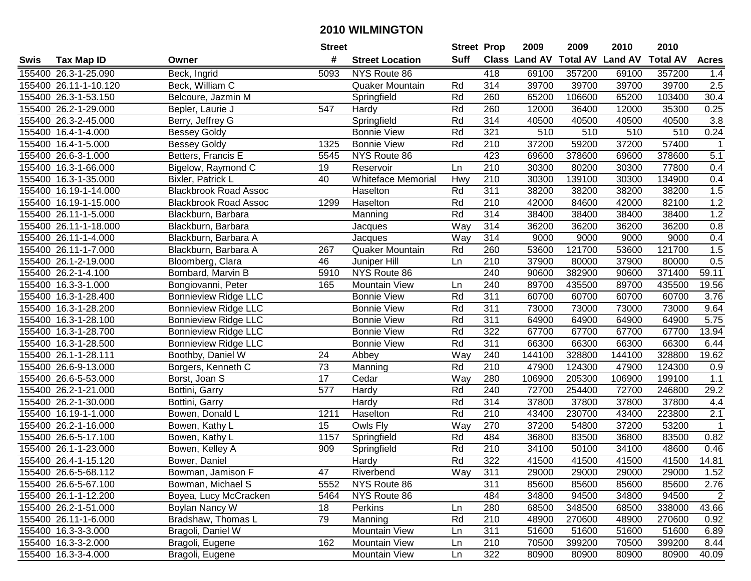| #<br>Suff<br><b>Class Land AV Total AV</b><br><b>Land AV</b><br><b>Total AV</b><br><b>Tax Map ID</b><br><b>Street Location</b><br><b>Acres</b><br>Swis<br>Owner<br>155400 26.3-1-25.090<br>Beck, Ingrid<br>5093<br>NYS Route 86<br>418<br>69100<br>357200<br>69100<br>357200<br>1.4<br>314<br>2.5<br>155400 26.11-1-10.120<br>Quaker Mountain<br>39700<br>39700<br>39700<br>39700<br>Beck, William C<br>Rd<br>155400 26.3-1-53.150<br>Belcoure, Jazmin M<br>Rd<br>260<br>65200<br>106600<br>65200<br>103400<br>30.4<br>Springfield<br>Rd<br>260<br>12000<br>12000<br>35300<br>0.25<br>155400 26.2-1-29.000<br>547<br>36400<br>Bepler, Laurie J<br>Hardy<br>155400 26.3-2-45.000<br>Rd<br>314<br>40500<br>40500<br>40500<br>3.8<br>Berry, Jeffrey G<br>Springfield<br>40500<br>321<br>0.24<br>155400 16.4-1-4.000<br>Rd<br>510<br>510<br>510<br>510<br><b>Bessey Goldy</b><br><b>Bonnie View</b><br>Rd<br>37200<br>59200<br>37200<br>57400<br>155400 16.4-1-5.000<br><b>Bessey Goldy</b><br>1325<br><b>Bonnie View</b><br>210<br>$\mathbf{1}$<br>423<br>5.1<br>69600<br>378600<br>378600<br>155400 26.6-3-1.000<br>Betters, Francis E<br>5545<br>NYS Route 86<br>69600<br>$\overline{210}$<br>155400 16.3-1-66.000<br>19<br>30300<br>80200<br>30300<br>77800<br>0.4<br>Bigelow, Raymond C<br>Reservoir<br>Ln<br>210<br>40<br><b>Whiteface Memorial</b><br>30300<br>139100<br>30300<br>134900<br>0.4<br>155400 16.3-1-35.000<br>Bixler, Patrick L<br>Hwy<br>311<br>38200<br>38200<br>1.5<br>155400 16.19-1-14.000<br><b>Blackbrook Road Assoc</b><br>Haselton<br>Rd<br>38200<br>38200<br>1.2<br>155400 16.19-1-15.000<br>Rd<br>210<br>42000<br>84600<br>42000<br>82100<br><b>Blackbrook Road Assoc</b><br>1299<br>Haselton<br>1.2<br>Rd<br>314<br>38400<br>38400<br>38400<br>155400 26.11-1-5.000<br>Blackburn, Barbara<br>38400<br>Manning<br>314<br>Way<br>36200<br>36200<br>36200<br>0.8<br>155400 26.11-1-18.000<br>Blackburn, Barbara<br>36200<br>Jacques<br>Way<br>0.4<br>155400 26.11-1-4.000<br>314<br>9000<br>9000<br>9000<br>9000<br>Blackburn, Barbara A<br>Jacques<br>1.5<br>Rd<br>260<br>53600<br>121700<br>53600<br>121700<br>155400 26.11-1-7.000<br>Blackburn, Barbara A<br>267<br><b>Quaker Mountain</b><br>46<br>210<br>0.5<br>155400 26.1-2-19.000<br>37900<br>80000<br>37900<br>80000<br>Bloomberg, Clara<br>Juniper Hill<br>Ln<br>240<br>5910<br>NYS Route 86<br>90600<br>90600<br>371400<br>59.11<br>155400 26.2-1-4.100<br>Bombard, Marvin B<br>382900<br>240<br>155400 16.3-3-1.000<br>89700<br>435500<br>89700<br>435500<br>19.56<br>Bongiovanni, Peter<br>165<br><b>Mountain View</b><br>Ln<br>155400 16.3-1-28.400<br><b>Bonnieview Ridge LLC</b><br>Rd<br>311<br>60700<br>60700<br>60700<br>60700<br>3.76<br><b>Bonnie View</b><br>Rd<br>311<br>73000<br>73000<br>9.64<br>155400 16.3-1-28.200<br><b>Bonnieview Ridge LLC</b><br><b>Bonnie View</b><br>73000<br>73000<br>5.75<br>155400 16.3-1-28.100<br><b>Bonnieview Ridge LLC</b><br><b>Bonnie View</b><br>Rd<br>311<br>64900<br>64900<br>64900<br>64900<br>322<br>13.94<br><b>Bonnieview Ridge LLC</b><br>Rd<br>67700<br>67700<br>67700<br>67700<br>155400<br>16.3-1-28.700<br><b>Bonnie View</b><br>16.3-1-28.500<br>Rd<br>311<br>66300<br>66300<br>66300<br>66300<br>6.44<br>155400<br><b>Bonnieview Ridge LLC</b><br><b>Bonnie View</b><br>Way<br>24<br>240<br>328800<br>144100<br>328800<br>19.62<br>155400 26.1-1-28.111<br>Boothby, Daniel W<br>Abbey<br>144100<br>73<br>Rd<br>210<br>47900<br>124300<br>155400 26.6-9-13.000<br>Borgers, Kenneth C<br>47900<br>124300<br>0.9<br>Manning<br>17<br>280<br>205300<br>1.1<br>155400 26.6-5-53.000<br>Cedar<br>Way<br>106900<br>106900<br>199100<br>Borst, Joan S<br>Rd<br>240<br>155400 26.2-1-21.000<br>577<br>Hardy<br>72700<br>254400<br>72700<br>246800<br>29.2<br>Bottini, Garry<br>Rd<br>314<br>155400 26.2-1-30.000<br>Hardy<br>37800<br>37800<br>37800<br>37800<br>4.4<br>Bottini, Garry<br>Rd<br>$\overline{210}$<br>2.1<br>155400 16.19-1-1.000<br>1211<br>43400<br>230700<br>43400<br>223800<br>Bowen, Donald L<br>Haselton<br>Way<br>270<br>37200<br>37200<br>53200<br>155400 26.2-1-16.000<br>15<br>Owls Fly<br>54800<br>$\overline{1}$<br>Bowen, Kathy L<br>155400 26.6-5-17.100<br>Rd<br>484<br>36800<br>36800<br>83500<br>0.82<br>Bowen, Kathy L<br>1157<br>83500<br>Springfield<br>Rd<br>$\overline{210}$<br>34100<br>48600<br>155400 26.1-1-23.000<br>Bowen, Kelley A<br>909<br>34100<br>50100<br>0.46<br>Springfield<br>Rd<br>322<br>14.81<br>155400 26.4-1-15.120<br>41500<br>41500<br>41500<br>41500<br>Bower, Daniel<br>Hardy<br>155400 26.6-5-68.112<br>Bowman, Jamison F<br>47<br>Riverbend<br>Way<br>311<br>29000<br>29000<br>29000<br>29000<br>1.52<br>2.76<br>155400 26.6-5-67.100<br>Bowman, Michael S<br>5552<br>NYS Route 86<br>311<br>85600<br>85600<br>85600<br>85600<br>NYS Route 86<br>484<br>34800<br>94500<br>155400 26.1-1-12.200<br>Boyea, Lucy McCracken<br>5464<br>94500<br>34800<br>2<br>155400 26.2-1-51.000<br>Boylan Nancy W<br>Perkins<br>280<br>68500<br>348500<br>68500<br>338000<br>43.66<br>18<br>Ln<br>155400 26.11-1-6.000<br>Bradshaw, Thomas L<br>Rd<br>210<br>79<br>Manning<br>48900<br>270600<br>48900<br>270600<br>0.92<br>Bragoli, Daniel W<br>Mountain View<br>311<br>155400 16.3-3-3.000<br>51600<br>51600<br>51600<br>51600<br>6.89<br>Ln<br>155400 16.3-3-2.000<br>Bragoli, Eugene<br>162<br>Mountain View<br>210<br>70500<br>399200<br>70500<br>399200<br>8.44<br>Ln<br>322<br>155400 16.3-3-4.000<br>Bragoli, Eugene<br>Mountain View<br>80900<br>80900<br>40.09<br>80900<br>80900<br>Ln |  | <b>Street</b> |  | <b>Street Prop</b> | 2009 | 2009 | 2010 | 2010 |  |
|------------------------------------------------------------------------------------------------------------------------------------------------------------------------------------------------------------------------------------------------------------------------------------------------------------------------------------------------------------------------------------------------------------------------------------------------------------------------------------------------------------------------------------------------------------------------------------------------------------------------------------------------------------------------------------------------------------------------------------------------------------------------------------------------------------------------------------------------------------------------------------------------------------------------------------------------------------------------------------------------------------------------------------------------------------------------------------------------------------------------------------------------------------------------------------------------------------------------------------------------------------------------------------------------------------------------------------------------------------------------------------------------------------------------------------------------------------------------------------------------------------------------------------------------------------------------------------------------------------------------------------------------------------------------------------------------------------------------------------------------------------------------------------------------------------------------------------------------------------------------------------------------------------------------------------------------------------------------------------------------------------------------------------------------------------------------------------------------------------------------------------------------------------------------------------------------------------------------------------------------------------------------------------------------------------------------------------------------------------------------------------------------------------------------------------------------------------------------------------------------------------------------------------------------------------------------------------------------------------------------------------------------------------------------------------------------------------------------------------------------------------------------------------------------------------------------------------------------------------------------------------------------------------------------------------------------------------------------------------------------------------------------------------------------------------------------------------------------------------------------------------------------------------------------------------------------------------------------------------------------------------------------------------------------------------------------------------------------------------------------------------------------------------------------------------------------------------------------------------------------------------------------------------------------------------------------------------------------------------------------------------------------------------------------------------------------------------------------------------------------------------------------------------------------------------------------------------------------------------------------------------------------------------------------------------------------------------------------------------------------------------------------------------------------------------------------------------------------------------------------------------------------------------------------------------------------------------------------------------------------------------------------------------------------------------------------------------------------------------------------------------------------------------------------------------------------------------------------------------------------------------------------------------------------------------------------------------------------------------------------------------------------------------------------------------------------------------------------------------------------------------------------------------------------------------------------------------------------------------------------------------------------------------------------------------------------------------------------------------------------------------------------------------------------------------------------------------------------------------------------------------------------------------------------------------------------------------------------------------------------------------------------------------------------------------------------------------------------------------------------------------------------------------------------------------------------------------------------------------------------------------------------------------------------------------------------------------------|--|---------------|--|--------------------|------|------|------|------|--|
|                                                                                                                                                                                                                                                                                                                                                                                                                                                                                                                                                                                                                                                                                                                                                                                                                                                                                                                                                                                                                                                                                                                                                                                                                                                                                                                                                                                                                                                                                                                                                                                                                                                                                                                                                                                                                                                                                                                                                                                                                                                                                                                                                                                                                                                                                                                                                                                                                                                                                                                                                                                                                                                                                                                                                                                                                                                                                                                                                                                                                                                                                                                                                                                                                                                                                                                                                                                                                                                                                                                                                                                                                                                                                                                                                                                                                                                                                                                                                                                                                                                                                                                                                                                                                                                                                                                                                                                                                                                                                                                                                                                                                                                                                                                                                                                                                                                                                                                                                                                                                                                                                                                                                                                                                                                                                                                                                                                                                                                                                                                                                                                          |  |               |  |                    |      |      |      |      |  |
|                                                                                                                                                                                                                                                                                                                                                                                                                                                                                                                                                                                                                                                                                                                                                                                                                                                                                                                                                                                                                                                                                                                                                                                                                                                                                                                                                                                                                                                                                                                                                                                                                                                                                                                                                                                                                                                                                                                                                                                                                                                                                                                                                                                                                                                                                                                                                                                                                                                                                                                                                                                                                                                                                                                                                                                                                                                                                                                                                                                                                                                                                                                                                                                                                                                                                                                                                                                                                                                                                                                                                                                                                                                                                                                                                                                                                                                                                                                                                                                                                                                                                                                                                                                                                                                                                                                                                                                                                                                                                                                                                                                                                                                                                                                                                                                                                                                                                                                                                                                                                                                                                                                                                                                                                                                                                                                                                                                                                                                                                                                                                                                          |  |               |  |                    |      |      |      |      |  |
|                                                                                                                                                                                                                                                                                                                                                                                                                                                                                                                                                                                                                                                                                                                                                                                                                                                                                                                                                                                                                                                                                                                                                                                                                                                                                                                                                                                                                                                                                                                                                                                                                                                                                                                                                                                                                                                                                                                                                                                                                                                                                                                                                                                                                                                                                                                                                                                                                                                                                                                                                                                                                                                                                                                                                                                                                                                                                                                                                                                                                                                                                                                                                                                                                                                                                                                                                                                                                                                                                                                                                                                                                                                                                                                                                                                                                                                                                                                                                                                                                                                                                                                                                                                                                                                                                                                                                                                                                                                                                                                                                                                                                                                                                                                                                                                                                                                                                                                                                                                                                                                                                                                                                                                                                                                                                                                                                                                                                                                                                                                                                                                          |  |               |  |                    |      |      |      |      |  |
|                                                                                                                                                                                                                                                                                                                                                                                                                                                                                                                                                                                                                                                                                                                                                                                                                                                                                                                                                                                                                                                                                                                                                                                                                                                                                                                                                                                                                                                                                                                                                                                                                                                                                                                                                                                                                                                                                                                                                                                                                                                                                                                                                                                                                                                                                                                                                                                                                                                                                                                                                                                                                                                                                                                                                                                                                                                                                                                                                                                                                                                                                                                                                                                                                                                                                                                                                                                                                                                                                                                                                                                                                                                                                                                                                                                                                                                                                                                                                                                                                                                                                                                                                                                                                                                                                                                                                                                                                                                                                                                                                                                                                                                                                                                                                                                                                                                                                                                                                                                                                                                                                                                                                                                                                                                                                                                                                                                                                                                                                                                                                                                          |  |               |  |                    |      |      |      |      |  |
|                                                                                                                                                                                                                                                                                                                                                                                                                                                                                                                                                                                                                                                                                                                                                                                                                                                                                                                                                                                                                                                                                                                                                                                                                                                                                                                                                                                                                                                                                                                                                                                                                                                                                                                                                                                                                                                                                                                                                                                                                                                                                                                                                                                                                                                                                                                                                                                                                                                                                                                                                                                                                                                                                                                                                                                                                                                                                                                                                                                                                                                                                                                                                                                                                                                                                                                                                                                                                                                                                                                                                                                                                                                                                                                                                                                                                                                                                                                                                                                                                                                                                                                                                                                                                                                                                                                                                                                                                                                                                                                                                                                                                                                                                                                                                                                                                                                                                                                                                                                                                                                                                                                                                                                                                                                                                                                                                                                                                                                                                                                                                                                          |  |               |  |                    |      |      |      |      |  |
|                                                                                                                                                                                                                                                                                                                                                                                                                                                                                                                                                                                                                                                                                                                                                                                                                                                                                                                                                                                                                                                                                                                                                                                                                                                                                                                                                                                                                                                                                                                                                                                                                                                                                                                                                                                                                                                                                                                                                                                                                                                                                                                                                                                                                                                                                                                                                                                                                                                                                                                                                                                                                                                                                                                                                                                                                                                                                                                                                                                                                                                                                                                                                                                                                                                                                                                                                                                                                                                                                                                                                                                                                                                                                                                                                                                                                                                                                                                                                                                                                                                                                                                                                                                                                                                                                                                                                                                                                                                                                                                                                                                                                                                                                                                                                                                                                                                                                                                                                                                                                                                                                                                                                                                                                                                                                                                                                                                                                                                                                                                                                                                          |  |               |  |                    |      |      |      |      |  |
|                                                                                                                                                                                                                                                                                                                                                                                                                                                                                                                                                                                                                                                                                                                                                                                                                                                                                                                                                                                                                                                                                                                                                                                                                                                                                                                                                                                                                                                                                                                                                                                                                                                                                                                                                                                                                                                                                                                                                                                                                                                                                                                                                                                                                                                                                                                                                                                                                                                                                                                                                                                                                                                                                                                                                                                                                                                                                                                                                                                                                                                                                                                                                                                                                                                                                                                                                                                                                                                                                                                                                                                                                                                                                                                                                                                                                                                                                                                                                                                                                                                                                                                                                                                                                                                                                                                                                                                                                                                                                                                                                                                                                                                                                                                                                                                                                                                                                                                                                                                                                                                                                                                                                                                                                                                                                                                                                                                                                                                                                                                                                                                          |  |               |  |                    |      |      |      |      |  |
|                                                                                                                                                                                                                                                                                                                                                                                                                                                                                                                                                                                                                                                                                                                                                                                                                                                                                                                                                                                                                                                                                                                                                                                                                                                                                                                                                                                                                                                                                                                                                                                                                                                                                                                                                                                                                                                                                                                                                                                                                                                                                                                                                                                                                                                                                                                                                                                                                                                                                                                                                                                                                                                                                                                                                                                                                                                                                                                                                                                                                                                                                                                                                                                                                                                                                                                                                                                                                                                                                                                                                                                                                                                                                                                                                                                                                                                                                                                                                                                                                                                                                                                                                                                                                                                                                                                                                                                                                                                                                                                                                                                                                                                                                                                                                                                                                                                                                                                                                                                                                                                                                                                                                                                                                                                                                                                                                                                                                                                                                                                                                                                          |  |               |  |                    |      |      |      |      |  |
|                                                                                                                                                                                                                                                                                                                                                                                                                                                                                                                                                                                                                                                                                                                                                                                                                                                                                                                                                                                                                                                                                                                                                                                                                                                                                                                                                                                                                                                                                                                                                                                                                                                                                                                                                                                                                                                                                                                                                                                                                                                                                                                                                                                                                                                                                                                                                                                                                                                                                                                                                                                                                                                                                                                                                                                                                                                                                                                                                                                                                                                                                                                                                                                                                                                                                                                                                                                                                                                                                                                                                                                                                                                                                                                                                                                                                                                                                                                                                                                                                                                                                                                                                                                                                                                                                                                                                                                                                                                                                                                                                                                                                                                                                                                                                                                                                                                                                                                                                                                                                                                                                                                                                                                                                                                                                                                                                                                                                                                                                                                                                                                          |  |               |  |                    |      |      |      |      |  |
|                                                                                                                                                                                                                                                                                                                                                                                                                                                                                                                                                                                                                                                                                                                                                                                                                                                                                                                                                                                                                                                                                                                                                                                                                                                                                                                                                                                                                                                                                                                                                                                                                                                                                                                                                                                                                                                                                                                                                                                                                                                                                                                                                                                                                                                                                                                                                                                                                                                                                                                                                                                                                                                                                                                                                                                                                                                                                                                                                                                                                                                                                                                                                                                                                                                                                                                                                                                                                                                                                                                                                                                                                                                                                                                                                                                                                                                                                                                                                                                                                                                                                                                                                                                                                                                                                                                                                                                                                                                                                                                                                                                                                                                                                                                                                                                                                                                                                                                                                                                                                                                                                                                                                                                                                                                                                                                                                                                                                                                                                                                                                                                          |  |               |  |                    |      |      |      |      |  |
|                                                                                                                                                                                                                                                                                                                                                                                                                                                                                                                                                                                                                                                                                                                                                                                                                                                                                                                                                                                                                                                                                                                                                                                                                                                                                                                                                                                                                                                                                                                                                                                                                                                                                                                                                                                                                                                                                                                                                                                                                                                                                                                                                                                                                                                                                                                                                                                                                                                                                                                                                                                                                                                                                                                                                                                                                                                                                                                                                                                                                                                                                                                                                                                                                                                                                                                                                                                                                                                                                                                                                                                                                                                                                                                                                                                                                                                                                                                                                                                                                                                                                                                                                                                                                                                                                                                                                                                                                                                                                                                                                                                                                                                                                                                                                                                                                                                                                                                                                                                                                                                                                                                                                                                                                                                                                                                                                                                                                                                                                                                                                                                          |  |               |  |                    |      |      |      |      |  |
|                                                                                                                                                                                                                                                                                                                                                                                                                                                                                                                                                                                                                                                                                                                                                                                                                                                                                                                                                                                                                                                                                                                                                                                                                                                                                                                                                                                                                                                                                                                                                                                                                                                                                                                                                                                                                                                                                                                                                                                                                                                                                                                                                                                                                                                                                                                                                                                                                                                                                                                                                                                                                                                                                                                                                                                                                                                                                                                                                                                                                                                                                                                                                                                                                                                                                                                                                                                                                                                                                                                                                                                                                                                                                                                                                                                                                                                                                                                                                                                                                                                                                                                                                                                                                                                                                                                                                                                                                                                                                                                                                                                                                                                                                                                                                                                                                                                                                                                                                                                                                                                                                                                                                                                                                                                                                                                                                                                                                                                                                                                                                                                          |  |               |  |                    |      |      |      |      |  |
|                                                                                                                                                                                                                                                                                                                                                                                                                                                                                                                                                                                                                                                                                                                                                                                                                                                                                                                                                                                                                                                                                                                                                                                                                                                                                                                                                                                                                                                                                                                                                                                                                                                                                                                                                                                                                                                                                                                                                                                                                                                                                                                                                                                                                                                                                                                                                                                                                                                                                                                                                                                                                                                                                                                                                                                                                                                                                                                                                                                                                                                                                                                                                                                                                                                                                                                                                                                                                                                                                                                                                                                                                                                                                                                                                                                                                                                                                                                                                                                                                                                                                                                                                                                                                                                                                                                                                                                                                                                                                                                                                                                                                                                                                                                                                                                                                                                                                                                                                                                                                                                                                                                                                                                                                                                                                                                                                                                                                                                                                                                                                                                          |  |               |  |                    |      |      |      |      |  |
|                                                                                                                                                                                                                                                                                                                                                                                                                                                                                                                                                                                                                                                                                                                                                                                                                                                                                                                                                                                                                                                                                                                                                                                                                                                                                                                                                                                                                                                                                                                                                                                                                                                                                                                                                                                                                                                                                                                                                                                                                                                                                                                                                                                                                                                                                                                                                                                                                                                                                                                                                                                                                                                                                                                                                                                                                                                                                                                                                                                                                                                                                                                                                                                                                                                                                                                                                                                                                                                                                                                                                                                                                                                                                                                                                                                                                                                                                                                                                                                                                                                                                                                                                                                                                                                                                                                                                                                                                                                                                                                                                                                                                                                                                                                                                                                                                                                                                                                                                                                                                                                                                                                                                                                                                                                                                                                                                                                                                                                                                                                                                                                          |  |               |  |                    |      |      |      |      |  |
|                                                                                                                                                                                                                                                                                                                                                                                                                                                                                                                                                                                                                                                                                                                                                                                                                                                                                                                                                                                                                                                                                                                                                                                                                                                                                                                                                                                                                                                                                                                                                                                                                                                                                                                                                                                                                                                                                                                                                                                                                                                                                                                                                                                                                                                                                                                                                                                                                                                                                                                                                                                                                                                                                                                                                                                                                                                                                                                                                                                                                                                                                                                                                                                                                                                                                                                                                                                                                                                                                                                                                                                                                                                                                                                                                                                                                                                                                                                                                                                                                                                                                                                                                                                                                                                                                                                                                                                                                                                                                                                                                                                                                                                                                                                                                                                                                                                                                                                                                                                                                                                                                                                                                                                                                                                                                                                                                                                                                                                                                                                                                                                          |  |               |  |                    |      |      |      |      |  |
|                                                                                                                                                                                                                                                                                                                                                                                                                                                                                                                                                                                                                                                                                                                                                                                                                                                                                                                                                                                                                                                                                                                                                                                                                                                                                                                                                                                                                                                                                                                                                                                                                                                                                                                                                                                                                                                                                                                                                                                                                                                                                                                                                                                                                                                                                                                                                                                                                                                                                                                                                                                                                                                                                                                                                                                                                                                                                                                                                                                                                                                                                                                                                                                                                                                                                                                                                                                                                                                                                                                                                                                                                                                                                                                                                                                                                                                                                                                                                                                                                                                                                                                                                                                                                                                                                                                                                                                                                                                                                                                                                                                                                                                                                                                                                                                                                                                                                                                                                                                                                                                                                                                                                                                                                                                                                                                                                                                                                                                                                                                                                                                          |  |               |  |                    |      |      |      |      |  |
|                                                                                                                                                                                                                                                                                                                                                                                                                                                                                                                                                                                                                                                                                                                                                                                                                                                                                                                                                                                                                                                                                                                                                                                                                                                                                                                                                                                                                                                                                                                                                                                                                                                                                                                                                                                                                                                                                                                                                                                                                                                                                                                                                                                                                                                                                                                                                                                                                                                                                                                                                                                                                                                                                                                                                                                                                                                                                                                                                                                                                                                                                                                                                                                                                                                                                                                                                                                                                                                                                                                                                                                                                                                                                                                                                                                                                                                                                                                                                                                                                                                                                                                                                                                                                                                                                                                                                                                                                                                                                                                                                                                                                                                                                                                                                                                                                                                                                                                                                                                                                                                                                                                                                                                                                                                                                                                                                                                                                                                                                                                                                                                          |  |               |  |                    |      |      |      |      |  |
|                                                                                                                                                                                                                                                                                                                                                                                                                                                                                                                                                                                                                                                                                                                                                                                                                                                                                                                                                                                                                                                                                                                                                                                                                                                                                                                                                                                                                                                                                                                                                                                                                                                                                                                                                                                                                                                                                                                                                                                                                                                                                                                                                                                                                                                                                                                                                                                                                                                                                                                                                                                                                                                                                                                                                                                                                                                                                                                                                                                                                                                                                                                                                                                                                                                                                                                                                                                                                                                                                                                                                                                                                                                                                                                                                                                                                                                                                                                                                                                                                                                                                                                                                                                                                                                                                                                                                                                                                                                                                                                                                                                                                                                                                                                                                                                                                                                                                                                                                                                                                                                                                                                                                                                                                                                                                                                                                                                                                                                                                                                                                                                          |  |               |  |                    |      |      |      |      |  |
|                                                                                                                                                                                                                                                                                                                                                                                                                                                                                                                                                                                                                                                                                                                                                                                                                                                                                                                                                                                                                                                                                                                                                                                                                                                                                                                                                                                                                                                                                                                                                                                                                                                                                                                                                                                                                                                                                                                                                                                                                                                                                                                                                                                                                                                                                                                                                                                                                                                                                                                                                                                                                                                                                                                                                                                                                                                                                                                                                                                                                                                                                                                                                                                                                                                                                                                                                                                                                                                                                                                                                                                                                                                                                                                                                                                                                                                                                                                                                                                                                                                                                                                                                                                                                                                                                                                                                                                                                                                                                                                                                                                                                                                                                                                                                                                                                                                                                                                                                                                                                                                                                                                                                                                                                                                                                                                                                                                                                                                                                                                                                                                          |  |               |  |                    |      |      |      |      |  |
|                                                                                                                                                                                                                                                                                                                                                                                                                                                                                                                                                                                                                                                                                                                                                                                                                                                                                                                                                                                                                                                                                                                                                                                                                                                                                                                                                                                                                                                                                                                                                                                                                                                                                                                                                                                                                                                                                                                                                                                                                                                                                                                                                                                                                                                                                                                                                                                                                                                                                                                                                                                                                                                                                                                                                                                                                                                                                                                                                                                                                                                                                                                                                                                                                                                                                                                                                                                                                                                                                                                                                                                                                                                                                                                                                                                                                                                                                                                                                                                                                                                                                                                                                                                                                                                                                                                                                                                                                                                                                                                                                                                                                                                                                                                                                                                                                                                                                                                                                                                                                                                                                                                                                                                                                                                                                                                                                                                                                                                                                                                                                                                          |  |               |  |                    |      |      |      |      |  |
|                                                                                                                                                                                                                                                                                                                                                                                                                                                                                                                                                                                                                                                                                                                                                                                                                                                                                                                                                                                                                                                                                                                                                                                                                                                                                                                                                                                                                                                                                                                                                                                                                                                                                                                                                                                                                                                                                                                                                                                                                                                                                                                                                                                                                                                                                                                                                                                                                                                                                                                                                                                                                                                                                                                                                                                                                                                                                                                                                                                                                                                                                                                                                                                                                                                                                                                                                                                                                                                                                                                                                                                                                                                                                                                                                                                                                                                                                                                                                                                                                                                                                                                                                                                                                                                                                                                                                                                                                                                                                                                                                                                                                                                                                                                                                                                                                                                                                                                                                                                                                                                                                                                                                                                                                                                                                                                                                                                                                                                                                                                                                                                          |  |               |  |                    |      |      |      |      |  |
|                                                                                                                                                                                                                                                                                                                                                                                                                                                                                                                                                                                                                                                                                                                                                                                                                                                                                                                                                                                                                                                                                                                                                                                                                                                                                                                                                                                                                                                                                                                                                                                                                                                                                                                                                                                                                                                                                                                                                                                                                                                                                                                                                                                                                                                                                                                                                                                                                                                                                                                                                                                                                                                                                                                                                                                                                                                                                                                                                                                                                                                                                                                                                                                                                                                                                                                                                                                                                                                                                                                                                                                                                                                                                                                                                                                                                                                                                                                                                                                                                                                                                                                                                                                                                                                                                                                                                                                                                                                                                                                                                                                                                                                                                                                                                                                                                                                                                                                                                                                                                                                                                                                                                                                                                                                                                                                                                                                                                                                                                                                                                                                          |  |               |  |                    |      |      |      |      |  |
|                                                                                                                                                                                                                                                                                                                                                                                                                                                                                                                                                                                                                                                                                                                                                                                                                                                                                                                                                                                                                                                                                                                                                                                                                                                                                                                                                                                                                                                                                                                                                                                                                                                                                                                                                                                                                                                                                                                                                                                                                                                                                                                                                                                                                                                                                                                                                                                                                                                                                                                                                                                                                                                                                                                                                                                                                                                                                                                                                                                                                                                                                                                                                                                                                                                                                                                                                                                                                                                                                                                                                                                                                                                                                                                                                                                                                                                                                                                                                                                                                                                                                                                                                                                                                                                                                                                                                                                                                                                                                                                                                                                                                                                                                                                                                                                                                                                                                                                                                                                                                                                                                                                                                                                                                                                                                                                                                                                                                                                                                                                                                                                          |  |               |  |                    |      |      |      |      |  |
|                                                                                                                                                                                                                                                                                                                                                                                                                                                                                                                                                                                                                                                                                                                                                                                                                                                                                                                                                                                                                                                                                                                                                                                                                                                                                                                                                                                                                                                                                                                                                                                                                                                                                                                                                                                                                                                                                                                                                                                                                                                                                                                                                                                                                                                                                                                                                                                                                                                                                                                                                                                                                                                                                                                                                                                                                                                                                                                                                                                                                                                                                                                                                                                                                                                                                                                                                                                                                                                                                                                                                                                                                                                                                                                                                                                                                                                                                                                                                                                                                                                                                                                                                                                                                                                                                                                                                                                                                                                                                                                                                                                                                                                                                                                                                                                                                                                                                                                                                                                                                                                                                                                                                                                                                                                                                                                                                                                                                                                                                                                                                                                          |  |               |  |                    |      |      |      |      |  |
|                                                                                                                                                                                                                                                                                                                                                                                                                                                                                                                                                                                                                                                                                                                                                                                                                                                                                                                                                                                                                                                                                                                                                                                                                                                                                                                                                                                                                                                                                                                                                                                                                                                                                                                                                                                                                                                                                                                                                                                                                                                                                                                                                                                                                                                                                                                                                                                                                                                                                                                                                                                                                                                                                                                                                                                                                                                                                                                                                                                                                                                                                                                                                                                                                                                                                                                                                                                                                                                                                                                                                                                                                                                                                                                                                                                                                                                                                                                                                                                                                                                                                                                                                                                                                                                                                                                                                                                                                                                                                                                                                                                                                                                                                                                                                                                                                                                                                                                                                                                                                                                                                                                                                                                                                                                                                                                                                                                                                                                                                                                                                                                          |  |               |  |                    |      |      |      |      |  |
|                                                                                                                                                                                                                                                                                                                                                                                                                                                                                                                                                                                                                                                                                                                                                                                                                                                                                                                                                                                                                                                                                                                                                                                                                                                                                                                                                                                                                                                                                                                                                                                                                                                                                                                                                                                                                                                                                                                                                                                                                                                                                                                                                                                                                                                                                                                                                                                                                                                                                                                                                                                                                                                                                                                                                                                                                                                                                                                                                                                                                                                                                                                                                                                                                                                                                                                                                                                                                                                                                                                                                                                                                                                                                                                                                                                                                                                                                                                                                                                                                                                                                                                                                                                                                                                                                                                                                                                                                                                                                                                                                                                                                                                                                                                                                                                                                                                                                                                                                                                                                                                                                                                                                                                                                                                                                                                                                                                                                                                                                                                                                                                          |  |               |  |                    |      |      |      |      |  |
|                                                                                                                                                                                                                                                                                                                                                                                                                                                                                                                                                                                                                                                                                                                                                                                                                                                                                                                                                                                                                                                                                                                                                                                                                                                                                                                                                                                                                                                                                                                                                                                                                                                                                                                                                                                                                                                                                                                                                                                                                                                                                                                                                                                                                                                                                                                                                                                                                                                                                                                                                                                                                                                                                                                                                                                                                                                                                                                                                                                                                                                                                                                                                                                                                                                                                                                                                                                                                                                                                                                                                                                                                                                                                                                                                                                                                                                                                                                                                                                                                                                                                                                                                                                                                                                                                                                                                                                                                                                                                                                                                                                                                                                                                                                                                                                                                                                                                                                                                                                                                                                                                                                                                                                                                                                                                                                                                                                                                                                                                                                                                                                          |  |               |  |                    |      |      |      |      |  |
|                                                                                                                                                                                                                                                                                                                                                                                                                                                                                                                                                                                                                                                                                                                                                                                                                                                                                                                                                                                                                                                                                                                                                                                                                                                                                                                                                                                                                                                                                                                                                                                                                                                                                                                                                                                                                                                                                                                                                                                                                                                                                                                                                                                                                                                                                                                                                                                                                                                                                                                                                                                                                                                                                                                                                                                                                                                                                                                                                                                                                                                                                                                                                                                                                                                                                                                                                                                                                                                                                                                                                                                                                                                                                                                                                                                                                                                                                                                                                                                                                                                                                                                                                                                                                                                                                                                                                                                                                                                                                                                                                                                                                                                                                                                                                                                                                                                                                                                                                                                                                                                                                                                                                                                                                                                                                                                                                                                                                                                                                                                                                                                          |  |               |  |                    |      |      |      |      |  |
|                                                                                                                                                                                                                                                                                                                                                                                                                                                                                                                                                                                                                                                                                                                                                                                                                                                                                                                                                                                                                                                                                                                                                                                                                                                                                                                                                                                                                                                                                                                                                                                                                                                                                                                                                                                                                                                                                                                                                                                                                                                                                                                                                                                                                                                                                                                                                                                                                                                                                                                                                                                                                                                                                                                                                                                                                                                                                                                                                                                                                                                                                                                                                                                                                                                                                                                                                                                                                                                                                                                                                                                                                                                                                                                                                                                                                                                                                                                                                                                                                                                                                                                                                                                                                                                                                                                                                                                                                                                                                                                                                                                                                                                                                                                                                                                                                                                                                                                                                                                                                                                                                                                                                                                                                                                                                                                                                                                                                                                                                                                                                                                          |  |               |  |                    |      |      |      |      |  |
|                                                                                                                                                                                                                                                                                                                                                                                                                                                                                                                                                                                                                                                                                                                                                                                                                                                                                                                                                                                                                                                                                                                                                                                                                                                                                                                                                                                                                                                                                                                                                                                                                                                                                                                                                                                                                                                                                                                                                                                                                                                                                                                                                                                                                                                                                                                                                                                                                                                                                                                                                                                                                                                                                                                                                                                                                                                                                                                                                                                                                                                                                                                                                                                                                                                                                                                                                                                                                                                                                                                                                                                                                                                                                                                                                                                                                                                                                                                                                                                                                                                                                                                                                                                                                                                                                                                                                                                                                                                                                                                                                                                                                                                                                                                                                                                                                                                                                                                                                                                                                                                                                                                                                                                                                                                                                                                                                                                                                                                                                                                                                                                          |  |               |  |                    |      |      |      |      |  |
|                                                                                                                                                                                                                                                                                                                                                                                                                                                                                                                                                                                                                                                                                                                                                                                                                                                                                                                                                                                                                                                                                                                                                                                                                                                                                                                                                                                                                                                                                                                                                                                                                                                                                                                                                                                                                                                                                                                                                                                                                                                                                                                                                                                                                                                                                                                                                                                                                                                                                                                                                                                                                                                                                                                                                                                                                                                                                                                                                                                                                                                                                                                                                                                                                                                                                                                                                                                                                                                                                                                                                                                                                                                                                                                                                                                                                                                                                                                                                                                                                                                                                                                                                                                                                                                                                                                                                                                                                                                                                                                                                                                                                                                                                                                                                                                                                                                                                                                                                                                                                                                                                                                                                                                                                                                                                                                                                                                                                                                                                                                                                                                          |  |               |  |                    |      |      |      |      |  |
|                                                                                                                                                                                                                                                                                                                                                                                                                                                                                                                                                                                                                                                                                                                                                                                                                                                                                                                                                                                                                                                                                                                                                                                                                                                                                                                                                                                                                                                                                                                                                                                                                                                                                                                                                                                                                                                                                                                                                                                                                                                                                                                                                                                                                                                                                                                                                                                                                                                                                                                                                                                                                                                                                                                                                                                                                                                                                                                                                                                                                                                                                                                                                                                                                                                                                                                                                                                                                                                                                                                                                                                                                                                                                                                                                                                                                                                                                                                                                                                                                                                                                                                                                                                                                                                                                                                                                                                                                                                                                                                                                                                                                                                                                                                                                                                                                                                                                                                                                                                                                                                                                                                                                                                                                                                                                                                                                                                                                                                                                                                                                                                          |  |               |  |                    |      |      |      |      |  |
|                                                                                                                                                                                                                                                                                                                                                                                                                                                                                                                                                                                                                                                                                                                                                                                                                                                                                                                                                                                                                                                                                                                                                                                                                                                                                                                                                                                                                                                                                                                                                                                                                                                                                                                                                                                                                                                                                                                                                                                                                                                                                                                                                                                                                                                                                                                                                                                                                                                                                                                                                                                                                                                                                                                                                                                                                                                                                                                                                                                                                                                                                                                                                                                                                                                                                                                                                                                                                                                                                                                                                                                                                                                                                                                                                                                                                                                                                                                                                                                                                                                                                                                                                                                                                                                                                                                                                                                                                                                                                                                                                                                                                                                                                                                                                                                                                                                                                                                                                                                                                                                                                                                                                                                                                                                                                                                                                                                                                                                                                                                                                                                          |  |               |  |                    |      |      |      |      |  |
|                                                                                                                                                                                                                                                                                                                                                                                                                                                                                                                                                                                                                                                                                                                                                                                                                                                                                                                                                                                                                                                                                                                                                                                                                                                                                                                                                                                                                                                                                                                                                                                                                                                                                                                                                                                                                                                                                                                                                                                                                                                                                                                                                                                                                                                                                                                                                                                                                                                                                                                                                                                                                                                                                                                                                                                                                                                                                                                                                                                                                                                                                                                                                                                                                                                                                                                                                                                                                                                                                                                                                                                                                                                                                                                                                                                                                                                                                                                                                                                                                                                                                                                                                                                                                                                                                                                                                                                                                                                                                                                                                                                                                                                                                                                                                                                                                                                                                                                                                                                                                                                                                                                                                                                                                                                                                                                                                                                                                                                                                                                                                                                          |  |               |  |                    |      |      |      |      |  |
|                                                                                                                                                                                                                                                                                                                                                                                                                                                                                                                                                                                                                                                                                                                                                                                                                                                                                                                                                                                                                                                                                                                                                                                                                                                                                                                                                                                                                                                                                                                                                                                                                                                                                                                                                                                                                                                                                                                                                                                                                                                                                                                                                                                                                                                                                                                                                                                                                                                                                                                                                                                                                                                                                                                                                                                                                                                                                                                                                                                                                                                                                                                                                                                                                                                                                                                                                                                                                                                                                                                                                                                                                                                                                                                                                                                                                                                                                                                                                                                                                                                                                                                                                                                                                                                                                                                                                                                                                                                                                                                                                                                                                                                                                                                                                                                                                                                                                                                                                                                                                                                                                                                                                                                                                                                                                                                                                                                                                                                                                                                                                                                          |  |               |  |                    |      |      |      |      |  |
|                                                                                                                                                                                                                                                                                                                                                                                                                                                                                                                                                                                                                                                                                                                                                                                                                                                                                                                                                                                                                                                                                                                                                                                                                                                                                                                                                                                                                                                                                                                                                                                                                                                                                                                                                                                                                                                                                                                                                                                                                                                                                                                                                                                                                                                                                                                                                                                                                                                                                                                                                                                                                                                                                                                                                                                                                                                                                                                                                                                                                                                                                                                                                                                                                                                                                                                                                                                                                                                                                                                                                                                                                                                                                                                                                                                                                                                                                                                                                                                                                                                                                                                                                                                                                                                                                                                                                                                                                                                                                                                                                                                                                                                                                                                                                                                                                                                                                                                                                                                                                                                                                                                                                                                                                                                                                                                                                                                                                                                                                                                                                                                          |  |               |  |                    |      |      |      |      |  |
|                                                                                                                                                                                                                                                                                                                                                                                                                                                                                                                                                                                                                                                                                                                                                                                                                                                                                                                                                                                                                                                                                                                                                                                                                                                                                                                                                                                                                                                                                                                                                                                                                                                                                                                                                                                                                                                                                                                                                                                                                                                                                                                                                                                                                                                                                                                                                                                                                                                                                                                                                                                                                                                                                                                                                                                                                                                                                                                                                                                                                                                                                                                                                                                                                                                                                                                                                                                                                                                                                                                                                                                                                                                                                                                                                                                                                                                                                                                                                                                                                                                                                                                                                                                                                                                                                                                                                                                                                                                                                                                                                                                                                                                                                                                                                                                                                                                                                                                                                                                                                                                                                                                                                                                                                                                                                                                                                                                                                                                                                                                                                                                          |  |               |  |                    |      |      |      |      |  |
|                                                                                                                                                                                                                                                                                                                                                                                                                                                                                                                                                                                                                                                                                                                                                                                                                                                                                                                                                                                                                                                                                                                                                                                                                                                                                                                                                                                                                                                                                                                                                                                                                                                                                                                                                                                                                                                                                                                                                                                                                                                                                                                                                                                                                                                                                                                                                                                                                                                                                                                                                                                                                                                                                                                                                                                                                                                                                                                                                                                                                                                                                                                                                                                                                                                                                                                                                                                                                                                                                                                                                                                                                                                                                                                                                                                                                                                                                                                                                                                                                                                                                                                                                                                                                                                                                                                                                                                                                                                                                                                                                                                                                                                                                                                                                                                                                                                                                                                                                                                                                                                                                                                                                                                                                                                                                                                                                                                                                                                                                                                                                                                          |  |               |  |                    |      |      |      |      |  |
|                                                                                                                                                                                                                                                                                                                                                                                                                                                                                                                                                                                                                                                                                                                                                                                                                                                                                                                                                                                                                                                                                                                                                                                                                                                                                                                                                                                                                                                                                                                                                                                                                                                                                                                                                                                                                                                                                                                                                                                                                                                                                                                                                                                                                                                                                                                                                                                                                                                                                                                                                                                                                                                                                                                                                                                                                                                                                                                                                                                                                                                                                                                                                                                                                                                                                                                                                                                                                                                                                                                                                                                                                                                                                                                                                                                                                                                                                                                                                                                                                                                                                                                                                                                                                                                                                                                                                                                                                                                                                                                                                                                                                                                                                                                                                                                                                                                                                                                                                                                                                                                                                                                                                                                                                                                                                                                                                                                                                                                                                                                                                                                          |  |               |  |                    |      |      |      |      |  |
|                                                                                                                                                                                                                                                                                                                                                                                                                                                                                                                                                                                                                                                                                                                                                                                                                                                                                                                                                                                                                                                                                                                                                                                                                                                                                                                                                                                                                                                                                                                                                                                                                                                                                                                                                                                                                                                                                                                                                                                                                                                                                                                                                                                                                                                                                                                                                                                                                                                                                                                                                                                                                                                                                                                                                                                                                                                                                                                                                                                                                                                                                                                                                                                                                                                                                                                                                                                                                                                                                                                                                                                                                                                                                                                                                                                                                                                                                                                                                                                                                                                                                                                                                                                                                                                                                                                                                                                                                                                                                                                                                                                                                                                                                                                                                                                                                                                                                                                                                                                                                                                                                                                                                                                                                                                                                                                                                                                                                                                                                                                                                                                          |  |               |  |                    |      |      |      |      |  |
|                                                                                                                                                                                                                                                                                                                                                                                                                                                                                                                                                                                                                                                                                                                                                                                                                                                                                                                                                                                                                                                                                                                                                                                                                                                                                                                                                                                                                                                                                                                                                                                                                                                                                                                                                                                                                                                                                                                                                                                                                                                                                                                                                                                                                                                                                                                                                                                                                                                                                                                                                                                                                                                                                                                                                                                                                                                                                                                                                                                                                                                                                                                                                                                                                                                                                                                                                                                                                                                                                                                                                                                                                                                                                                                                                                                                                                                                                                                                                                                                                                                                                                                                                                                                                                                                                                                                                                                                                                                                                                                                                                                                                                                                                                                                                                                                                                                                                                                                                                                                                                                                                                                                                                                                                                                                                                                                                                                                                                                                                                                                                                                          |  |               |  |                    |      |      |      |      |  |
|                                                                                                                                                                                                                                                                                                                                                                                                                                                                                                                                                                                                                                                                                                                                                                                                                                                                                                                                                                                                                                                                                                                                                                                                                                                                                                                                                                                                                                                                                                                                                                                                                                                                                                                                                                                                                                                                                                                                                                                                                                                                                                                                                                                                                                                                                                                                                                                                                                                                                                                                                                                                                                                                                                                                                                                                                                                                                                                                                                                                                                                                                                                                                                                                                                                                                                                                                                                                                                                                                                                                                                                                                                                                                                                                                                                                                                                                                                                                                                                                                                                                                                                                                                                                                                                                                                                                                                                                                                                                                                                                                                                                                                                                                                                                                                                                                                                                                                                                                                                                                                                                                                                                                                                                                                                                                                                                                                                                                                                                                                                                                                                          |  |               |  |                    |      |      |      |      |  |
|                                                                                                                                                                                                                                                                                                                                                                                                                                                                                                                                                                                                                                                                                                                                                                                                                                                                                                                                                                                                                                                                                                                                                                                                                                                                                                                                                                                                                                                                                                                                                                                                                                                                                                                                                                                                                                                                                                                                                                                                                                                                                                                                                                                                                                                                                                                                                                                                                                                                                                                                                                                                                                                                                                                                                                                                                                                                                                                                                                                                                                                                                                                                                                                                                                                                                                                                                                                                                                                                                                                                                                                                                                                                                                                                                                                                                                                                                                                                                                                                                                                                                                                                                                                                                                                                                                                                                                                                                                                                                                                                                                                                                                                                                                                                                                                                                                                                                                                                                                                                                                                                                                                                                                                                                                                                                                                                                                                                                                                                                                                                                                                          |  |               |  |                    |      |      |      |      |  |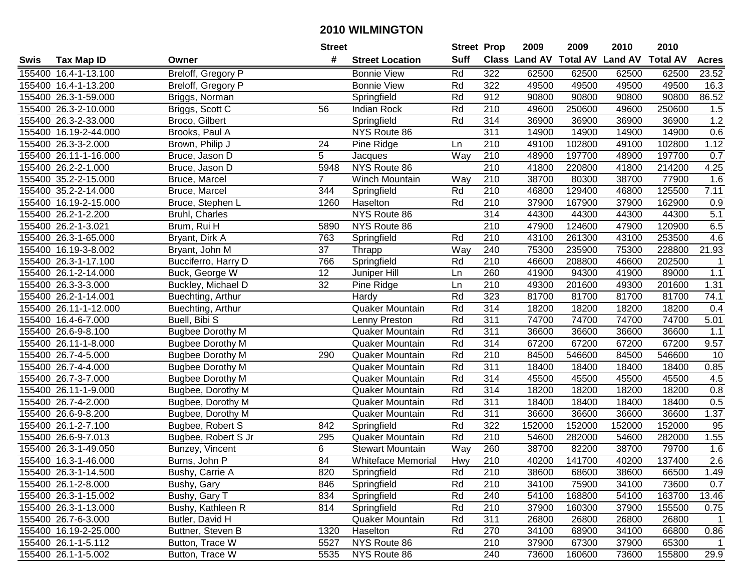| #<br><b>Suff</b><br><b>Class Land AV Total AV</b><br><b>Land AV</b><br><b>Total AV</b><br>Tax Map ID<br><b>Street Location</b><br><b>Acres</b><br>Swis<br>Owner<br>Breloff, Gregory P<br>Rd<br>322<br>155400 16.4-1-13.100<br><b>Bonnie View</b><br>62500<br>62500<br>62500<br>62500<br>23.52<br>49500<br>155400 16.4-1-13.200<br><b>Bonnie View</b><br>Rd<br>322<br>49500<br>49500<br>49500<br>16.3<br>Breloff, Gregory P<br>155400 26.3-1-59.000<br>Rd<br>912<br>90800<br>90800<br>90800<br>90800<br>86.52<br>Briggs, Norman<br>Springfield<br>Rd<br>210<br>49600<br>250600<br>1.5<br>155400 26.3-2-10.000<br>Briggs, Scott C<br>56<br>250600<br>49600<br><b>Indian Rock</b><br>Rd<br>1.2<br>155400 26.3-2-33.000<br>314<br>36900<br>36900<br>36900<br>36900<br>Broco, Gilbert<br>Springfield<br>311<br>0.6<br>155400 16.19-2-44.000<br>Brooks, Paul A<br>NYS Route 86<br>14900<br>14900<br>14900<br>14900<br>1.12<br>210<br>49100<br>102800<br>49100<br>102800<br>155400 26.3-3-2.000<br>Brown, Philip J<br>24<br>Pine Ridge<br>Ln<br>Way<br>210<br>0.7<br>5<br>48900<br>197700<br>48900<br>197700<br>155400 26.11-1-16.000<br>Bruce, Jason D<br>Jacques<br>210<br>NYS Route 86<br>214200<br>155400 26.2-2-1.000<br>5948<br>41800<br>220800<br>41800<br>4.25<br>Bruce, Jason D<br>$\overline{7}$<br>210<br>38700<br>38700<br>77900<br>1.6<br>155400 35.2-2-15.000<br>Winch Mountain<br>80300<br>Bruce, Marcel<br>Way<br>210<br>125500<br>7.11<br>155400 35.2-2-14.000<br>344<br>Rd<br>46800<br>129400<br>46800<br>Bruce, Marcel<br>Springfield<br>1260<br>Haselton<br>Rd<br>210<br>37900<br>167900<br>37900<br>162900<br>0.9<br>155400 16.19-2-15.000<br>Bruce, Stephen L<br>5.1<br>NYS Route 86<br>314<br>44300<br>44300<br>44300<br>44300<br>155400 26.2-1-2.200<br>Bruhl, Charles<br>210<br>6.5<br>155400 26.2-1-3.021<br>Brum, Rui H<br>5890<br>NYS Route 86<br>47900<br>124600<br>47900<br>120900<br>210<br>4.6<br>155400 26.3-1-65.000<br>Bryant, Dirk A<br>763<br>Rd<br>43100<br>261300<br>43100<br>253500<br>Springfield<br>$\overline{21.93}$<br>37<br>Way<br>240<br>75300<br>235900<br>75300<br>228800<br>155400 16.19-3-8.002<br>Thrapp<br>Bryant, John M<br>766<br>Rd<br>210<br>46600<br>155400 26.3-1-17.100<br>208800<br>46600<br>202500<br>Bucciferro, Harry D<br>Springfield<br>-1<br>12<br>260<br>1.1<br>155400 26.1-2-14.000<br>41900<br>94300<br>41900<br>89000<br>Buck, George W<br>Juniper Hill<br>Ln<br>32<br>210<br>201600<br>155400 26.3-3-3.000<br>Buckley, Michael D<br>Ln<br>49300<br>201600<br>49300<br>1.31<br>Pine Ridge<br>Rd<br>155400 26.2-1-14.001<br>323<br>81700<br>81700<br>81700<br>81700<br>74.1<br>Buechting, Arthur<br>Hardy<br>Rd<br>$\overline{314}$<br>155400 26.11-1-12.000<br>Quaker Mountain<br>18200<br>18200<br>18200<br>0.4<br>18200<br>Buechting, Arthur<br>Rd<br>311<br>74700<br>155400 16.4-6-7.000<br>Buell, Bibi S<br>74700<br>74700<br>74700<br>5.01<br>Lenny Preston<br>Rd<br>311<br>1.1<br>155400 26.6-9-8.100<br>Quaker Mountain<br>36600<br>36600<br>36600<br><b>Bugbee Dorothy M</b><br>36600<br>Rd<br>314<br>9.57<br>155400 26.11-1-8.000<br>67200<br>67200<br>67200<br>67200<br>Quaker Mountain<br><b>Bugbee Dorothy M</b><br>Rd<br>$\overline{210}$<br>155400 26.7-4-5.000<br>84500<br>546600<br>546600<br>10<br>290<br>84500<br><b>Bugbee Dorothy M</b><br>Quaker Mountain<br>Rd<br>311<br>18400<br>155400 26.7-4-4.000<br>18400<br>18400<br>18400<br>0.85<br><b>Bugbee Dorothy M</b><br>Quaker Mountain<br>155400 26.7-3-7.000<br>Rd<br>314<br>45500<br>45500<br>45500<br>45500<br>4.5<br><b>Bugbee Dorothy M</b><br>Quaker Mountain<br>Rd<br>314<br>18200<br>155400 26.11-1-9.000<br>18200<br>18200<br>18200<br>0.8<br>Quaker Mountain<br>Bugbee, Dorothy M<br>Rd<br>311<br>0.5<br>155400 26.7-4-2.000<br>18400<br>18400<br>18400<br>18400<br>Bugbee, Dorothy M<br>Quaker Mountain<br>Rd<br>$\overline{311}$<br>36600<br>1.37<br>155400 26.6-9-8.200<br>36600<br>36600<br>36600<br>Quaker Mountain<br>Bugbee, Dorothy M<br>155400 26.1-2-7.100<br>Rd<br>$\overline{322}$<br>152000<br>152000<br>95<br>842<br>152000<br>152000<br>Bugbee, Robert S<br>Springfield<br>Rd<br>$\overline{210}$<br>1.55<br>155400 26.6-9-7.013<br>54600<br>282000<br>Bugbee, Robert S Jr<br>295<br>Quaker Mountain<br>54600<br>282000<br>Way<br>260<br>38700<br>79700<br>155400 26.3-1-49.050<br>Bunzey, Vincent<br>6<br><b>Stewart Mountain</b><br>82200<br>38700<br>1.6<br>2.6<br>$\overline{84}$<br>155400 16.3-1-46.000<br>210<br>40200<br>141700<br>40200<br>137400<br>Burns, John P<br><b>Whiteface Memorial</b><br>Hwy<br>155400 26.3-1-14.500<br>Bushy, Carrie A<br>820<br>Springfield<br>Rd<br>210<br>38600<br>68600<br>38600<br>66500<br>1.49<br>0.7<br>155400 26.1-2-8.000<br>846<br>Springfield<br>Rd<br>210<br>34100<br>75900<br>34100<br>73600<br>Bushy, Gary<br>Rd<br>163700<br>155400 26.3-1-15.002<br>Bushy, Gary T<br>834<br>Springfield<br>240<br>54100<br>168800<br>54100<br>13.46<br>814<br>Rd<br>210<br>37900<br>37900<br>155500<br>155400 26.3-1-13.000<br>Bushy, Kathleen R<br>Springfield<br>160300<br>0.75<br>Rd<br>311<br>155400 26.7-6-3.000<br>Butler, David H<br>Quaker Mountain<br>26800<br>26800<br>26800<br>$\overline{1}$<br>26800<br>Rd<br>155400 16.19-2-25.000<br>Buttner, Steven B<br>1320<br>Haselton<br>270<br>34100<br>68900<br>34100<br>66800<br>0.86<br>NYS Route 86<br>155400 26.1-1-5.112<br>Button, Trace W<br>5527<br>210<br>37900<br>67300<br>37900<br>65300<br>1<br>155400 26.1-1-5.002<br>NYS Route 86<br>Button, Trace W<br>240<br>73600<br>160600<br>73600<br>155800<br>5535 |  | <b>Street</b> |  | <b>Street Prop</b> | 2009 | 2009 | 2010 | 2010 |      |
|-----------------------------------------------------------------------------------------------------------------------------------------------------------------------------------------------------------------------------------------------------------------------------------------------------------------------------------------------------------------------------------------------------------------------------------------------------------------------------------------------------------------------------------------------------------------------------------------------------------------------------------------------------------------------------------------------------------------------------------------------------------------------------------------------------------------------------------------------------------------------------------------------------------------------------------------------------------------------------------------------------------------------------------------------------------------------------------------------------------------------------------------------------------------------------------------------------------------------------------------------------------------------------------------------------------------------------------------------------------------------------------------------------------------------------------------------------------------------------------------------------------------------------------------------------------------------------------------------------------------------------------------------------------------------------------------------------------------------------------------------------------------------------------------------------------------------------------------------------------------------------------------------------------------------------------------------------------------------------------------------------------------------------------------------------------------------------------------------------------------------------------------------------------------------------------------------------------------------------------------------------------------------------------------------------------------------------------------------------------------------------------------------------------------------------------------------------------------------------------------------------------------------------------------------------------------------------------------------------------------------------------------------------------------------------------------------------------------------------------------------------------------------------------------------------------------------------------------------------------------------------------------------------------------------------------------------------------------------------------------------------------------------------------------------------------------------------------------------------------------------------------------------------------------------------------------------------------------------------------------------------------------------------------------------------------------------------------------------------------------------------------------------------------------------------------------------------------------------------------------------------------------------------------------------------------------------------------------------------------------------------------------------------------------------------------------------------------------------------------------------------------------------------------------------------------------------------------------------------------------------------------------------------------------------------------------------------------------------------------------------------------------------------------------------------------------------------------------------------------------------------------------------------------------------------------------------------------------------------------------------------------------------------------------------------------------------------------------------------------------------------------------------------------------------------------------------------------------------------------------------------------------------------------------------------------------------------------------------------------------------------------------------------------------------------------------------------------------------------------------------------------------------------------------------------------------------------------------------------------------------------------------------------------------------------------------------------------------------------------------------------------------------------------------------------------------------------------------------------------------------------------------------------------------------------------------------------------------------------------------------------------------------------------------------------------------------------------------------------------------------------------------------------------------------------------------------------------------------------------------------------------------------------------------------------------------------------------|--|---------------|--|--------------------|------|------|------|------|------|
|                                                                                                                                                                                                                                                                                                                                                                                                                                                                                                                                                                                                                                                                                                                                                                                                                                                                                                                                                                                                                                                                                                                                                                                                                                                                                                                                                                                                                                                                                                                                                                                                                                                                                                                                                                                                                                                                                                                                                                                                                                                                                                                                                                                                                                                                                                                                                                                                                                                                                                                                                                                                                                                                                                                                                                                                                                                                                                                                                                                                                                                                                                                                                                                                                                                                                                                                                                                                                                                                                                                                                                                                                                                                                                                                                                                                                                                                                                                                                                                                                                                                                                                                                                                                                                                                                                                                                                                                                                                                                                                                                                                                                                                                                                                                                                                                                                                                                                                                                                                                                                                                                                                                                                                                                                                                                                                                                                                                                                                                                                                                                                                   |  |               |  |                    |      |      |      |      |      |
|                                                                                                                                                                                                                                                                                                                                                                                                                                                                                                                                                                                                                                                                                                                                                                                                                                                                                                                                                                                                                                                                                                                                                                                                                                                                                                                                                                                                                                                                                                                                                                                                                                                                                                                                                                                                                                                                                                                                                                                                                                                                                                                                                                                                                                                                                                                                                                                                                                                                                                                                                                                                                                                                                                                                                                                                                                                                                                                                                                                                                                                                                                                                                                                                                                                                                                                                                                                                                                                                                                                                                                                                                                                                                                                                                                                                                                                                                                                                                                                                                                                                                                                                                                                                                                                                                                                                                                                                                                                                                                                                                                                                                                                                                                                                                                                                                                                                                                                                                                                                                                                                                                                                                                                                                                                                                                                                                                                                                                                                                                                                                                                   |  |               |  |                    |      |      |      |      |      |
|                                                                                                                                                                                                                                                                                                                                                                                                                                                                                                                                                                                                                                                                                                                                                                                                                                                                                                                                                                                                                                                                                                                                                                                                                                                                                                                                                                                                                                                                                                                                                                                                                                                                                                                                                                                                                                                                                                                                                                                                                                                                                                                                                                                                                                                                                                                                                                                                                                                                                                                                                                                                                                                                                                                                                                                                                                                                                                                                                                                                                                                                                                                                                                                                                                                                                                                                                                                                                                                                                                                                                                                                                                                                                                                                                                                                                                                                                                                                                                                                                                                                                                                                                                                                                                                                                                                                                                                                                                                                                                                                                                                                                                                                                                                                                                                                                                                                                                                                                                                                                                                                                                                                                                                                                                                                                                                                                                                                                                                                                                                                                                                   |  |               |  |                    |      |      |      |      |      |
|                                                                                                                                                                                                                                                                                                                                                                                                                                                                                                                                                                                                                                                                                                                                                                                                                                                                                                                                                                                                                                                                                                                                                                                                                                                                                                                                                                                                                                                                                                                                                                                                                                                                                                                                                                                                                                                                                                                                                                                                                                                                                                                                                                                                                                                                                                                                                                                                                                                                                                                                                                                                                                                                                                                                                                                                                                                                                                                                                                                                                                                                                                                                                                                                                                                                                                                                                                                                                                                                                                                                                                                                                                                                                                                                                                                                                                                                                                                                                                                                                                                                                                                                                                                                                                                                                                                                                                                                                                                                                                                                                                                                                                                                                                                                                                                                                                                                                                                                                                                                                                                                                                                                                                                                                                                                                                                                                                                                                                                                                                                                                                                   |  |               |  |                    |      |      |      |      |      |
|                                                                                                                                                                                                                                                                                                                                                                                                                                                                                                                                                                                                                                                                                                                                                                                                                                                                                                                                                                                                                                                                                                                                                                                                                                                                                                                                                                                                                                                                                                                                                                                                                                                                                                                                                                                                                                                                                                                                                                                                                                                                                                                                                                                                                                                                                                                                                                                                                                                                                                                                                                                                                                                                                                                                                                                                                                                                                                                                                                                                                                                                                                                                                                                                                                                                                                                                                                                                                                                                                                                                                                                                                                                                                                                                                                                                                                                                                                                                                                                                                                                                                                                                                                                                                                                                                                                                                                                                                                                                                                                                                                                                                                                                                                                                                                                                                                                                                                                                                                                                                                                                                                                                                                                                                                                                                                                                                                                                                                                                                                                                                                                   |  |               |  |                    |      |      |      |      |      |
|                                                                                                                                                                                                                                                                                                                                                                                                                                                                                                                                                                                                                                                                                                                                                                                                                                                                                                                                                                                                                                                                                                                                                                                                                                                                                                                                                                                                                                                                                                                                                                                                                                                                                                                                                                                                                                                                                                                                                                                                                                                                                                                                                                                                                                                                                                                                                                                                                                                                                                                                                                                                                                                                                                                                                                                                                                                                                                                                                                                                                                                                                                                                                                                                                                                                                                                                                                                                                                                                                                                                                                                                                                                                                                                                                                                                                                                                                                                                                                                                                                                                                                                                                                                                                                                                                                                                                                                                                                                                                                                                                                                                                                                                                                                                                                                                                                                                                                                                                                                                                                                                                                                                                                                                                                                                                                                                                                                                                                                                                                                                                                                   |  |               |  |                    |      |      |      |      |      |
|                                                                                                                                                                                                                                                                                                                                                                                                                                                                                                                                                                                                                                                                                                                                                                                                                                                                                                                                                                                                                                                                                                                                                                                                                                                                                                                                                                                                                                                                                                                                                                                                                                                                                                                                                                                                                                                                                                                                                                                                                                                                                                                                                                                                                                                                                                                                                                                                                                                                                                                                                                                                                                                                                                                                                                                                                                                                                                                                                                                                                                                                                                                                                                                                                                                                                                                                                                                                                                                                                                                                                                                                                                                                                                                                                                                                                                                                                                                                                                                                                                                                                                                                                                                                                                                                                                                                                                                                                                                                                                                                                                                                                                                                                                                                                                                                                                                                                                                                                                                                                                                                                                                                                                                                                                                                                                                                                                                                                                                                                                                                                                                   |  |               |  |                    |      |      |      |      |      |
|                                                                                                                                                                                                                                                                                                                                                                                                                                                                                                                                                                                                                                                                                                                                                                                                                                                                                                                                                                                                                                                                                                                                                                                                                                                                                                                                                                                                                                                                                                                                                                                                                                                                                                                                                                                                                                                                                                                                                                                                                                                                                                                                                                                                                                                                                                                                                                                                                                                                                                                                                                                                                                                                                                                                                                                                                                                                                                                                                                                                                                                                                                                                                                                                                                                                                                                                                                                                                                                                                                                                                                                                                                                                                                                                                                                                                                                                                                                                                                                                                                                                                                                                                                                                                                                                                                                                                                                                                                                                                                                                                                                                                                                                                                                                                                                                                                                                                                                                                                                                                                                                                                                                                                                                                                                                                                                                                                                                                                                                                                                                                                                   |  |               |  |                    |      |      |      |      |      |
|                                                                                                                                                                                                                                                                                                                                                                                                                                                                                                                                                                                                                                                                                                                                                                                                                                                                                                                                                                                                                                                                                                                                                                                                                                                                                                                                                                                                                                                                                                                                                                                                                                                                                                                                                                                                                                                                                                                                                                                                                                                                                                                                                                                                                                                                                                                                                                                                                                                                                                                                                                                                                                                                                                                                                                                                                                                                                                                                                                                                                                                                                                                                                                                                                                                                                                                                                                                                                                                                                                                                                                                                                                                                                                                                                                                                                                                                                                                                                                                                                                                                                                                                                                                                                                                                                                                                                                                                                                                                                                                                                                                                                                                                                                                                                                                                                                                                                                                                                                                                                                                                                                                                                                                                                                                                                                                                                                                                                                                                                                                                                                                   |  |               |  |                    |      |      |      |      |      |
|                                                                                                                                                                                                                                                                                                                                                                                                                                                                                                                                                                                                                                                                                                                                                                                                                                                                                                                                                                                                                                                                                                                                                                                                                                                                                                                                                                                                                                                                                                                                                                                                                                                                                                                                                                                                                                                                                                                                                                                                                                                                                                                                                                                                                                                                                                                                                                                                                                                                                                                                                                                                                                                                                                                                                                                                                                                                                                                                                                                                                                                                                                                                                                                                                                                                                                                                                                                                                                                                                                                                                                                                                                                                                                                                                                                                                                                                                                                                                                                                                                                                                                                                                                                                                                                                                                                                                                                                                                                                                                                                                                                                                                                                                                                                                                                                                                                                                                                                                                                                                                                                                                                                                                                                                                                                                                                                                                                                                                                                                                                                                                                   |  |               |  |                    |      |      |      |      |      |
|                                                                                                                                                                                                                                                                                                                                                                                                                                                                                                                                                                                                                                                                                                                                                                                                                                                                                                                                                                                                                                                                                                                                                                                                                                                                                                                                                                                                                                                                                                                                                                                                                                                                                                                                                                                                                                                                                                                                                                                                                                                                                                                                                                                                                                                                                                                                                                                                                                                                                                                                                                                                                                                                                                                                                                                                                                                                                                                                                                                                                                                                                                                                                                                                                                                                                                                                                                                                                                                                                                                                                                                                                                                                                                                                                                                                                                                                                                                                                                                                                                                                                                                                                                                                                                                                                                                                                                                                                                                                                                                                                                                                                                                                                                                                                                                                                                                                                                                                                                                                                                                                                                                                                                                                                                                                                                                                                                                                                                                                                                                                                                                   |  |               |  |                    |      |      |      |      |      |
|                                                                                                                                                                                                                                                                                                                                                                                                                                                                                                                                                                                                                                                                                                                                                                                                                                                                                                                                                                                                                                                                                                                                                                                                                                                                                                                                                                                                                                                                                                                                                                                                                                                                                                                                                                                                                                                                                                                                                                                                                                                                                                                                                                                                                                                                                                                                                                                                                                                                                                                                                                                                                                                                                                                                                                                                                                                                                                                                                                                                                                                                                                                                                                                                                                                                                                                                                                                                                                                                                                                                                                                                                                                                                                                                                                                                                                                                                                                                                                                                                                                                                                                                                                                                                                                                                                                                                                                                                                                                                                                                                                                                                                                                                                                                                                                                                                                                                                                                                                                                                                                                                                                                                                                                                                                                                                                                                                                                                                                                                                                                                                                   |  |               |  |                    |      |      |      |      |      |
|                                                                                                                                                                                                                                                                                                                                                                                                                                                                                                                                                                                                                                                                                                                                                                                                                                                                                                                                                                                                                                                                                                                                                                                                                                                                                                                                                                                                                                                                                                                                                                                                                                                                                                                                                                                                                                                                                                                                                                                                                                                                                                                                                                                                                                                                                                                                                                                                                                                                                                                                                                                                                                                                                                                                                                                                                                                                                                                                                                                                                                                                                                                                                                                                                                                                                                                                                                                                                                                                                                                                                                                                                                                                                                                                                                                                                                                                                                                                                                                                                                                                                                                                                                                                                                                                                                                                                                                                                                                                                                                                                                                                                                                                                                                                                                                                                                                                                                                                                                                                                                                                                                                                                                                                                                                                                                                                                                                                                                                                                                                                                                                   |  |               |  |                    |      |      |      |      |      |
|                                                                                                                                                                                                                                                                                                                                                                                                                                                                                                                                                                                                                                                                                                                                                                                                                                                                                                                                                                                                                                                                                                                                                                                                                                                                                                                                                                                                                                                                                                                                                                                                                                                                                                                                                                                                                                                                                                                                                                                                                                                                                                                                                                                                                                                                                                                                                                                                                                                                                                                                                                                                                                                                                                                                                                                                                                                                                                                                                                                                                                                                                                                                                                                                                                                                                                                                                                                                                                                                                                                                                                                                                                                                                                                                                                                                                                                                                                                                                                                                                                                                                                                                                                                                                                                                                                                                                                                                                                                                                                                                                                                                                                                                                                                                                                                                                                                                                                                                                                                                                                                                                                                                                                                                                                                                                                                                                                                                                                                                                                                                                                                   |  |               |  |                    |      |      |      |      |      |
|                                                                                                                                                                                                                                                                                                                                                                                                                                                                                                                                                                                                                                                                                                                                                                                                                                                                                                                                                                                                                                                                                                                                                                                                                                                                                                                                                                                                                                                                                                                                                                                                                                                                                                                                                                                                                                                                                                                                                                                                                                                                                                                                                                                                                                                                                                                                                                                                                                                                                                                                                                                                                                                                                                                                                                                                                                                                                                                                                                                                                                                                                                                                                                                                                                                                                                                                                                                                                                                                                                                                                                                                                                                                                                                                                                                                                                                                                                                                                                                                                                                                                                                                                                                                                                                                                                                                                                                                                                                                                                                                                                                                                                                                                                                                                                                                                                                                                                                                                                                                                                                                                                                                                                                                                                                                                                                                                                                                                                                                                                                                                                                   |  |               |  |                    |      |      |      |      |      |
|                                                                                                                                                                                                                                                                                                                                                                                                                                                                                                                                                                                                                                                                                                                                                                                                                                                                                                                                                                                                                                                                                                                                                                                                                                                                                                                                                                                                                                                                                                                                                                                                                                                                                                                                                                                                                                                                                                                                                                                                                                                                                                                                                                                                                                                                                                                                                                                                                                                                                                                                                                                                                                                                                                                                                                                                                                                                                                                                                                                                                                                                                                                                                                                                                                                                                                                                                                                                                                                                                                                                                                                                                                                                                                                                                                                                                                                                                                                                                                                                                                                                                                                                                                                                                                                                                                                                                                                                                                                                                                                                                                                                                                                                                                                                                                                                                                                                                                                                                                                                                                                                                                                                                                                                                                                                                                                                                                                                                                                                                                                                                                                   |  |               |  |                    |      |      |      |      |      |
|                                                                                                                                                                                                                                                                                                                                                                                                                                                                                                                                                                                                                                                                                                                                                                                                                                                                                                                                                                                                                                                                                                                                                                                                                                                                                                                                                                                                                                                                                                                                                                                                                                                                                                                                                                                                                                                                                                                                                                                                                                                                                                                                                                                                                                                                                                                                                                                                                                                                                                                                                                                                                                                                                                                                                                                                                                                                                                                                                                                                                                                                                                                                                                                                                                                                                                                                                                                                                                                                                                                                                                                                                                                                                                                                                                                                                                                                                                                                                                                                                                                                                                                                                                                                                                                                                                                                                                                                                                                                                                                                                                                                                                                                                                                                                                                                                                                                                                                                                                                                                                                                                                                                                                                                                                                                                                                                                                                                                                                                                                                                                                                   |  |               |  |                    |      |      |      |      |      |
|                                                                                                                                                                                                                                                                                                                                                                                                                                                                                                                                                                                                                                                                                                                                                                                                                                                                                                                                                                                                                                                                                                                                                                                                                                                                                                                                                                                                                                                                                                                                                                                                                                                                                                                                                                                                                                                                                                                                                                                                                                                                                                                                                                                                                                                                                                                                                                                                                                                                                                                                                                                                                                                                                                                                                                                                                                                                                                                                                                                                                                                                                                                                                                                                                                                                                                                                                                                                                                                                                                                                                                                                                                                                                                                                                                                                                                                                                                                                                                                                                                                                                                                                                                                                                                                                                                                                                                                                                                                                                                                                                                                                                                                                                                                                                                                                                                                                                                                                                                                                                                                                                                                                                                                                                                                                                                                                                                                                                                                                                                                                                                                   |  |               |  |                    |      |      |      |      |      |
|                                                                                                                                                                                                                                                                                                                                                                                                                                                                                                                                                                                                                                                                                                                                                                                                                                                                                                                                                                                                                                                                                                                                                                                                                                                                                                                                                                                                                                                                                                                                                                                                                                                                                                                                                                                                                                                                                                                                                                                                                                                                                                                                                                                                                                                                                                                                                                                                                                                                                                                                                                                                                                                                                                                                                                                                                                                                                                                                                                                                                                                                                                                                                                                                                                                                                                                                                                                                                                                                                                                                                                                                                                                                                                                                                                                                                                                                                                                                                                                                                                                                                                                                                                                                                                                                                                                                                                                                                                                                                                                                                                                                                                                                                                                                                                                                                                                                                                                                                                                                                                                                                                                                                                                                                                                                                                                                                                                                                                                                                                                                                                                   |  |               |  |                    |      |      |      |      |      |
|                                                                                                                                                                                                                                                                                                                                                                                                                                                                                                                                                                                                                                                                                                                                                                                                                                                                                                                                                                                                                                                                                                                                                                                                                                                                                                                                                                                                                                                                                                                                                                                                                                                                                                                                                                                                                                                                                                                                                                                                                                                                                                                                                                                                                                                                                                                                                                                                                                                                                                                                                                                                                                                                                                                                                                                                                                                                                                                                                                                                                                                                                                                                                                                                                                                                                                                                                                                                                                                                                                                                                                                                                                                                                                                                                                                                                                                                                                                                                                                                                                                                                                                                                                                                                                                                                                                                                                                                                                                                                                                                                                                                                                                                                                                                                                                                                                                                                                                                                                                                                                                                                                                                                                                                                                                                                                                                                                                                                                                                                                                                                                                   |  |               |  |                    |      |      |      |      |      |
|                                                                                                                                                                                                                                                                                                                                                                                                                                                                                                                                                                                                                                                                                                                                                                                                                                                                                                                                                                                                                                                                                                                                                                                                                                                                                                                                                                                                                                                                                                                                                                                                                                                                                                                                                                                                                                                                                                                                                                                                                                                                                                                                                                                                                                                                                                                                                                                                                                                                                                                                                                                                                                                                                                                                                                                                                                                                                                                                                                                                                                                                                                                                                                                                                                                                                                                                                                                                                                                                                                                                                                                                                                                                                                                                                                                                                                                                                                                                                                                                                                                                                                                                                                                                                                                                                                                                                                                                                                                                                                                                                                                                                                                                                                                                                                                                                                                                                                                                                                                                                                                                                                                                                                                                                                                                                                                                                                                                                                                                                                                                                                                   |  |               |  |                    |      |      |      |      |      |
|                                                                                                                                                                                                                                                                                                                                                                                                                                                                                                                                                                                                                                                                                                                                                                                                                                                                                                                                                                                                                                                                                                                                                                                                                                                                                                                                                                                                                                                                                                                                                                                                                                                                                                                                                                                                                                                                                                                                                                                                                                                                                                                                                                                                                                                                                                                                                                                                                                                                                                                                                                                                                                                                                                                                                                                                                                                                                                                                                                                                                                                                                                                                                                                                                                                                                                                                                                                                                                                                                                                                                                                                                                                                                                                                                                                                                                                                                                                                                                                                                                                                                                                                                                                                                                                                                                                                                                                                                                                                                                                                                                                                                                                                                                                                                                                                                                                                                                                                                                                                                                                                                                                                                                                                                                                                                                                                                                                                                                                                                                                                                                                   |  |               |  |                    |      |      |      |      |      |
|                                                                                                                                                                                                                                                                                                                                                                                                                                                                                                                                                                                                                                                                                                                                                                                                                                                                                                                                                                                                                                                                                                                                                                                                                                                                                                                                                                                                                                                                                                                                                                                                                                                                                                                                                                                                                                                                                                                                                                                                                                                                                                                                                                                                                                                                                                                                                                                                                                                                                                                                                                                                                                                                                                                                                                                                                                                                                                                                                                                                                                                                                                                                                                                                                                                                                                                                                                                                                                                                                                                                                                                                                                                                                                                                                                                                                                                                                                                                                                                                                                                                                                                                                                                                                                                                                                                                                                                                                                                                                                                                                                                                                                                                                                                                                                                                                                                                                                                                                                                                                                                                                                                                                                                                                                                                                                                                                                                                                                                                                                                                                                                   |  |               |  |                    |      |      |      |      |      |
|                                                                                                                                                                                                                                                                                                                                                                                                                                                                                                                                                                                                                                                                                                                                                                                                                                                                                                                                                                                                                                                                                                                                                                                                                                                                                                                                                                                                                                                                                                                                                                                                                                                                                                                                                                                                                                                                                                                                                                                                                                                                                                                                                                                                                                                                                                                                                                                                                                                                                                                                                                                                                                                                                                                                                                                                                                                                                                                                                                                                                                                                                                                                                                                                                                                                                                                                                                                                                                                                                                                                                                                                                                                                                                                                                                                                                                                                                                                                                                                                                                                                                                                                                                                                                                                                                                                                                                                                                                                                                                                                                                                                                                                                                                                                                                                                                                                                                                                                                                                                                                                                                                                                                                                                                                                                                                                                                                                                                                                                                                                                                                                   |  |               |  |                    |      |      |      |      |      |
|                                                                                                                                                                                                                                                                                                                                                                                                                                                                                                                                                                                                                                                                                                                                                                                                                                                                                                                                                                                                                                                                                                                                                                                                                                                                                                                                                                                                                                                                                                                                                                                                                                                                                                                                                                                                                                                                                                                                                                                                                                                                                                                                                                                                                                                                                                                                                                                                                                                                                                                                                                                                                                                                                                                                                                                                                                                                                                                                                                                                                                                                                                                                                                                                                                                                                                                                                                                                                                                                                                                                                                                                                                                                                                                                                                                                                                                                                                                                                                                                                                                                                                                                                                                                                                                                                                                                                                                                                                                                                                                                                                                                                                                                                                                                                                                                                                                                                                                                                                                                                                                                                                                                                                                                                                                                                                                                                                                                                                                                                                                                                                                   |  |               |  |                    |      |      |      |      |      |
|                                                                                                                                                                                                                                                                                                                                                                                                                                                                                                                                                                                                                                                                                                                                                                                                                                                                                                                                                                                                                                                                                                                                                                                                                                                                                                                                                                                                                                                                                                                                                                                                                                                                                                                                                                                                                                                                                                                                                                                                                                                                                                                                                                                                                                                                                                                                                                                                                                                                                                                                                                                                                                                                                                                                                                                                                                                                                                                                                                                                                                                                                                                                                                                                                                                                                                                                                                                                                                                                                                                                                                                                                                                                                                                                                                                                                                                                                                                                                                                                                                                                                                                                                                                                                                                                                                                                                                                                                                                                                                                                                                                                                                                                                                                                                                                                                                                                                                                                                                                                                                                                                                                                                                                                                                                                                                                                                                                                                                                                                                                                                                                   |  |               |  |                    |      |      |      |      |      |
|                                                                                                                                                                                                                                                                                                                                                                                                                                                                                                                                                                                                                                                                                                                                                                                                                                                                                                                                                                                                                                                                                                                                                                                                                                                                                                                                                                                                                                                                                                                                                                                                                                                                                                                                                                                                                                                                                                                                                                                                                                                                                                                                                                                                                                                                                                                                                                                                                                                                                                                                                                                                                                                                                                                                                                                                                                                                                                                                                                                                                                                                                                                                                                                                                                                                                                                                                                                                                                                                                                                                                                                                                                                                                                                                                                                                                                                                                                                                                                                                                                                                                                                                                                                                                                                                                                                                                                                                                                                                                                                                                                                                                                                                                                                                                                                                                                                                                                                                                                                                                                                                                                                                                                                                                                                                                                                                                                                                                                                                                                                                                                                   |  |               |  |                    |      |      |      |      |      |
|                                                                                                                                                                                                                                                                                                                                                                                                                                                                                                                                                                                                                                                                                                                                                                                                                                                                                                                                                                                                                                                                                                                                                                                                                                                                                                                                                                                                                                                                                                                                                                                                                                                                                                                                                                                                                                                                                                                                                                                                                                                                                                                                                                                                                                                                                                                                                                                                                                                                                                                                                                                                                                                                                                                                                                                                                                                                                                                                                                                                                                                                                                                                                                                                                                                                                                                                                                                                                                                                                                                                                                                                                                                                                                                                                                                                                                                                                                                                                                                                                                                                                                                                                                                                                                                                                                                                                                                                                                                                                                                                                                                                                                                                                                                                                                                                                                                                                                                                                                                                                                                                                                                                                                                                                                                                                                                                                                                                                                                                                                                                                                                   |  |               |  |                    |      |      |      |      |      |
|                                                                                                                                                                                                                                                                                                                                                                                                                                                                                                                                                                                                                                                                                                                                                                                                                                                                                                                                                                                                                                                                                                                                                                                                                                                                                                                                                                                                                                                                                                                                                                                                                                                                                                                                                                                                                                                                                                                                                                                                                                                                                                                                                                                                                                                                                                                                                                                                                                                                                                                                                                                                                                                                                                                                                                                                                                                                                                                                                                                                                                                                                                                                                                                                                                                                                                                                                                                                                                                                                                                                                                                                                                                                                                                                                                                                                                                                                                                                                                                                                                                                                                                                                                                                                                                                                                                                                                                                                                                                                                                                                                                                                                                                                                                                                                                                                                                                                                                                                                                                                                                                                                                                                                                                                                                                                                                                                                                                                                                                                                                                                                                   |  |               |  |                    |      |      |      |      |      |
|                                                                                                                                                                                                                                                                                                                                                                                                                                                                                                                                                                                                                                                                                                                                                                                                                                                                                                                                                                                                                                                                                                                                                                                                                                                                                                                                                                                                                                                                                                                                                                                                                                                                                                                                                                                                                                                                                                                                                                                                                                                                                                                                                                                                                                                                                                                                                                                                                                                                                                                                                                                                                                                                                                                                                                                                                                                                                                                                                                                                                                                                                                                                                                                                                                                                                                                                                                                                                                                                                                                                                                                                                                                                                                                                                                                                                                                                                                                                                                                                                                                                                                                                                                                                                                                                                                                                                                                                                                                                                                                                                                                                                                                                                                                                                                                                                                                                                                                                                                                                                                                                                                                                                                                                                                                                                                                                                                                                                                                                                                                                                                                   |  |               |  |                    |      |      |      |      |      |
|                                                                                                                                                                                                                                                                                                                                                                                                                                                                                                                                                                                                                                                                                                                                                                                                                                                                                                                                                                                                                                                                                                                                                                                                                                                                                                                                                                                                                                                                                                                                                                                                                                                                                                                                                                                                                                                                                                                                                                                                                                                                                                                                                                                                                                                                                                                                                                                                                                                                                                                                                                                                                                                                                                                                                                                                                                                                                                                                                                                                                                                                                                                                                                                                                                                                                                                                                                                                                                                                                                                                                                                                                                                                                                                                                                                                                                                                                                                                                                                                                                                                                                                                                                                                                                                                                                                                                                                                                                                                                                                                                                                                                                                                                                                                                                                                                                                                                                                                                                                                                                                                                                                                                                                                                                                                                                                                                                                                                                                                                                                                                                                   |  |               |  |                    |      |      |      |      |      |
|                                                                                                                                                                                                                                                                                                                                                                                                                                                                                                                                                                                                                                                                                                                                                                                                                                                                                                                                                                                                                                                                                                                                                                                                                                                                                                                                                                                                                                                                                                                                                                                                                                                                                                                                                                                                                                                                                                                                                                                                                                                                                                                                                                                                                                                                                                                                                                                                                                                                                                                                                                                                                                                                                                                                                                                                                                                                                                                                                                                                                                                                                                                                                                                                                                                                                                                                                                                                                                                                                                                                                                                                                                                                                                                                                                                                                                                                                                                                                                                                                                                                                                                                                                                                                                                                                                                                                                                                                                                                                                                                                                                                                                                                                                                                                                                                                                                                                                                                                                                                                                                                                                                                                                                                                                                                                                                                                                                                                                                                                                                                                                                   |  |               |  |                    |      |      |      |      |      |
|                                                                                                                                                                                                                                                                                                                                                                                                                                                                                                                                                                                                                                                                                                                                                                                                                                                                                                                                                                                                                                                                                                                                                                                                                                                                                                                                                                                                                                                                                                                                                                                                                                                                                                                                                                                                                                                                                                                                                                                                                                                                                                                                                                                                                                                                                                                                                                                                                                                                                                                                                                                                                                                                                                                                                                                                                                                                                                                                                                                                                                                                                                                                                                                                                                                                                                                                                                                                                                                                                                                                                                                                                                                                                                                                                                                                                                                                                                                                                                                                                                                                                                                                                                                                                                                                                                                                                                                                                                                                                                                                                                                                                                                                                                                                                                                                                                                                                                                                                                                                                                                                                                                                                                                                                                                                                                                                                                                                                                                                                                                                                                                   |  |               |  |                    |      |      |      |      |      |
|                                                                                                                                                                                                                                                                                                                                                                                                                                                                                                                                                                                                                                                                                                                                                                                                                                                                                                                                                                                                                                                                                                                                                                                                                                                                                                                                                                                                                                                                                                                                                                                                                                                                                                                                                                                                                                                                                                                                                                                                                                                                                                                                                                                                                                                                                                                                                                                                                                                                                                                                                                                                                                                                                                                                                                                                                                                                                                                                                                                                                                                                                                                                                                                                                                                                                                                                                                                                                                                                                                                                                                                                                                                                                                                                                                                                                                                                                                                                                                                                                                                                                                                                                                                                                                                                                                                                                                                                                                                                                                                                                                                                                                                                                                                                                                                                                                                                                                                                                                                                                                                                                                                                                                                                                                                                                                                                                                                                                                                                                                                                                                                   |  |               |  |                    |      |      |      |      |      |
|                                                                                                                                                                                                                                                                                                                                                                                                                                                                                                                                                                                                                                                                                                                                                                                                                                                                                                                                                                                                                                                                                                                                                                                                                                                                                                                                                                                                                                                                                                                                                                                                                                                                                                                                                                                                                                                                                                                                                                                                                                                                                                                                                                                                                                                                                                                                                                                                                                                                                                                                                                                                                                                                                                                                                                                                                                                                                                                                                                                                                                                                                                                                                                                                                                                                                                                                                                                                                                                                                                                                                                                                                                                                                                                                                                                                                                                                                                                                                                                                                                                                                                                                                                                                                                                                                                                                                                                                                                                                                                                                                                                                                                                                                                                                                                                                                                                                                                                                                                                                                                                                                                                                                                                                                                                                                                                                                                                                                                                                                                                                                                                   |  |               |  |                    |      |      |      |      |      |
|                                                                                                                                                                                                                                                                                                                                                                                                                                                                                                                                                                                                                                                                                                                                                                                                                                                                                                                                                                                                                                                                                                                                                                                                                                                                                                                                                                                                                                                                                                                                                                                                                                                                                                                                                                                                                                                                                                                                                                                                                                                                                                                                                                                                                                                                                                                                                                                                                                                                                                                                                                                                                                                                                                                                                                                                                                                                                                                                                                                                                                                                                                                                                                                                                                                                                                                                                                                                                                                                                                                                                                                                                                                                                                                                                                                                                                                                                                                                                                                                                                                                                                                                                                                                                                                                                                                                                                                                                                                                                                                                                                                                                                                                                                                                                                                                                                                                                                                                                                                                                                                                                                                                                                                                                                                                                                                                                                                                                                                                                                                                                                                   |  |               |  |                    |      |      |      |      |      |
|                                                                                                                                                                                                                                                                                                                                                                                                                                                                                                                                                                                                                                                                                                                                                                                                                                                                                                                                                                                                                                                                                                                                                                                                                                                                                                                                                                                                                                                                                                                                                                                                                                                                                                                                                                                                                                                                                                                                                                                                                                                                                                                                                                                                                                                                                                                                                                                                                                                                                                                                                                                                                                                                                                                                                                                                                                                                                                                                                                                                                                                                                                                                                                                                                                                                                                                                                                                                                                                                                                                                                                                                                                                                                                                                                                                                                                                                                                                                                                                                                                                                                                                                                                                                                                                                                                                                                                                                                                                                                                                                                                                                                                                                                                                                                                                                                                                                                                                                                                                                                                                                                                                                                                                                                                                                                                                                                                                                                                                                                                                                                                                   |  |               |  |                    |      |      |      |      |      |
|                                                                                                                                                                                                                                                                                                                                                                                                                                                                                                                                                                                                                                                                                                                                                                                                                                                                                                                                                                                                                                                                                                                                                                                                                                                                                                                                                                                                                                                                                                                                                                                                                                                                                                                                                                                                                                                                                                                                                                                                                                                                                                                                                                                                                                                                                                                                                                                                                                                                                                                                                                                                                                                                                                                                                                                                                                                                                                                                                                                                                                                                                                                                                                                                                                                                                                                                                                                                                                                                                                                                                                                                                                                                                                                                                                                                                                                                                                                                                                                                                                                                                                                                                                                                                                                                                                                                                                                                                                                                                                                                                                                                                                                                                                                                                                                                                                                                                                                                                                                                                                                                                                                                                                                                                                                                                                                                                                                                                                                                                                                                                                                   |  |               |  |                    |      |      |      |      |      |
|                                                                                                                                                                                                                                                                                                                                                                                                                                                                                                                                                                                                                                                                                                                                                                                                                                                                                                                                                                                                                                                                                                                                                                                                                                                                                                                                                                                                                                                                                                                                                                                                                                                                                                                                                                                                                                                                                                                                                                                                                                                                                                                                                                                                                                                                                                                                                                                                                                                                                                                                                                                                                                                                                                                                                                                                                                                                                                                                                                                                                                                                                                                                                                                                                                                                                                                                                                                                                                                                                                                                                                                                                                                                                                                                                                                                                                                                                                                                                                                                                                                                                                                                                                                                                                                                                                                                                                                                                                                                                                                                                                                                                                                                                                                                                                                                                                                                                                                                                                                                                                                                                                                                                                                                                                                                                                                                                                                                                                                                                                                                                                                   |  |               |  |                    |      |      |      |      |      |
|                                                                                                                                                                                                                                                                                                                                                                                                                                                                                                                                                                                                                                                                                                                                                                                                                                                                                                                                                                                                                                                                                                                                                                                                                                                                                                                                                                                                                                                                                                                                                                                                                                                                                                                                                                                                                                                                                                                                                                                                                                                                                                                                                                                                                                                                                                                                                                                                                                                                                                                                                                                                                                                                                                                                                                                                                                                                                                                                                                                                                                                                                                                                                                                                                                                                                                                                                                                                                                                                                                                                                                                                                                                                                                                                                                                                                                                                                                                                                                                                                                                                                                                                                                                                                                                                                                                                                                                                                                                                                                                                                                                                                                                                                                                                                                                                                                                                                                                                                                                                                                                                                                                                                                                                                                                                                                                                                                                                                                                                                                                                                                                   |  |               |  |                    |      |      |      |      |      |
|                                                                                                                                                                                                                                                                                                                                                                                                                                                                                                                                                                                                                                                                                                                                                                                                                                                                                                                                                                                                                                                                                                                                                                                                                                                                                                                                                                                                                                                                                                                                                                                                                                                                                                                                                                                                                                                                                                                                                                                                                                                                                                                                                                                                                                                                                                                                                                                                                                                                                                                                                                                                                                                                                                                                                                                                                                                                                                                                                                                                                                                                                                                                                                                                                                                                                                                                                                                                                                                                                                                                                                                                                                                                                                                                                                                                                                                                                                                                                                                                                                                                                                                                                                                                                                                                                                                                                                                                                                                                                                                                                                                                                                                                                                                                                                                                                                                                                                                                                                                                                                                                                                                                                                                                                                                                                                                                                                                                                                                                                                                                                                                   |  |               |  |                    |      |      |      |      |      |
|                                                                                                                                                                                                                                                                                                                                                                                                                                                                                                                                                                                                                                                                                                                                                                                                                                                                                                                                                                                                                                                                                                                                                                                                                                                                                                                                                                                                                                                                                                                                                                                                                                                                                                                                                                                                                                                                                                                                                                                                                                                                                                                                                                                                                                                                                                                                                                                                                                                                                                                                                                                                                                                                                                                                                                                                                                                                                                                                                                                                                                                                                                                                                                                                                                                                                                                                                                                                                                                                                                                                                                                                                                                                                                                                                                                                                                                                                                                                                                                                                                                                                                                                                                                                                                                                                                                                                                                                                                                                                                                                                                                                                                                                                                                                                                                                                                                                                                                                                                                                                                                                                                                                                                                                                                                                                                                                                                                                                                                                                                                                                                                   |  |               |  |                    |      |      |      |      |      |
|                                                                                                                                                                                                                                                                                                                                                                                                                                                                                                                                                                                                                                                                                                                                                                                                                                                                                                                                                                                                                                                                                                                                                                                                                                                                                                                                                                                                                                                                                                                                                                                                                                                                                                                                                                                                                                                                                                                                                                                                                                                                                                                                                                                                                                                                                                                                                                                                                                                                                                                                                                                                                                                                                                                                                                                                                                                                                                                                                                                                                                                                                                                                                                                                                                                                                                                                                                                                                                                                                                                                                                                                                                                                                                                                                                                                                                                                                                                                                                                                                                                                                                                                                                                                                                                                                                                                                                                                                                                                                                                                                                                                                                                                                                                                                                                                                                                                                                                                                                                                                                                                                                                                                                                                                                                                                                                                                                                                                                                                                                                                                                                   |  |               |  |                    |      |      |      |      | 29.9 |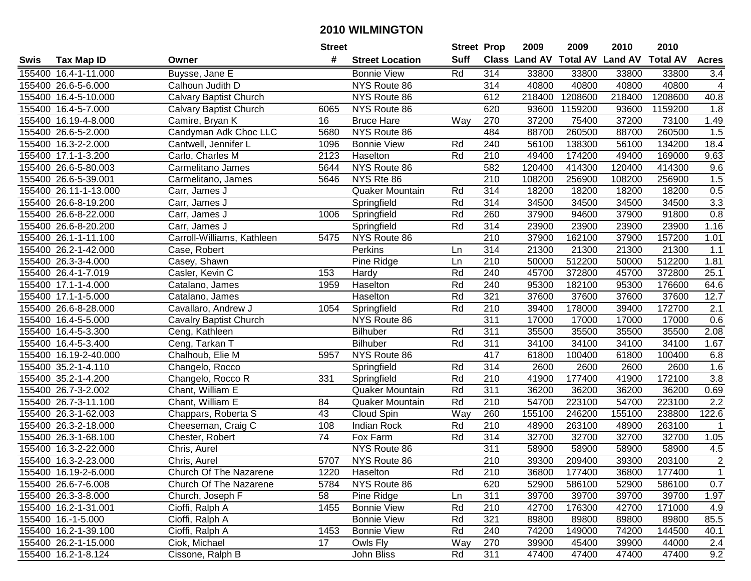|      |                       |                               | <b>Street</b>   |                        | <b>Street Prop</b> |                  | 2009                          | 2009    | 2010           | 2010            |                  |
|------|-----------------------|-------------------------------|-----------------|------------------------|--------------------|------------------|-------------------------------|---------|----------------|-----------------|------------------|
| Swis | <b>Tax Map ID</b>     | Owner                         | #               | <b>Street Location</b> | <b>Suff</b>        |                  | <b>Class Land AV Total AV</b> |         | <b>Land AV</b> | <b>Total AV</b> | <b>Acres</b>     |
|      | 155400 16.4-1-11.000  | Buysse, Jane E                |                 | <b>Bonnie View</b>     | Rd                 | 314              | 33800                         | 33800   | 33800          | 33800           | 3.4              |
|      | 155400 26.6-5-6.000   | Calhoun Judith D              |                 | NYS Route 86           |                    | 314              | 40800                         | 40800   | 40800          | 40800           | 4                |
|      | 155400 16.4-5-10.000  | Calvary Baptist Church        |                 | NYS Route 86           |                    | 612              | 218400                        | 1208600 | 218400         | 1208600         | 40.8             |
|      | 155400 16.4-5-7.000   | <b>Calvary Baptist Church</b> | 6065            | NYS Route 86           |                    | 620              | 93600                         | 1159200 | 93600          | 1159200         | 1.8              |
|      | 155400 16.19-4-8.000  | Camire, Bryan K               | 16              | <b>Bruce Hare</b>      | Way                | 270              | 37200                         | 75400   | 37200          | 73100           | 1.49             |
|      | 155400 26.6-5-2.000   | Candyman Adk Choc LLC         | 5680            | NYS Route 86           |                    | 484              | 88700                         | 260500  | 88700          | 260500          | 1.5              |
|      | 155400 16.3-2-2.000   | Cantwell, Jennifer L          | 1096            | <b>Bonnie View</b>     | Rd                 | 240              | 56100                         | 138300  | 56100          | 134200          | 18.4             |
|      | 155400 17.1-1-3.200   | Carlo, Charles M              | 2123            | Haselton               | Rd                 | $\overline{210}$ | 49400                         | 174200  | 49400          | 169000          | 9.63             |
|      | 155400 26.6-5-80.003  | Carmelitano James             | 5644            | NYS Route 86           |                    | 582              | 120400                        | 414300  | 120400         | 414300          | 9.6              |
|      | 155400 26.6-5-39.001  | Carmelitano, James            | 5646            | NYS Rte 86             |                    | 210              | 108200                        | 256900  | 108200         | 256900          | 1.5              |
|      | 155400 26.11-1-13.000 | Carr, James J                 |                 | <b>Quaker Mountain</b> | Rd                 | 314              | 18200                         | 18200   | 18200          | 18200           | 0.5              |
|      | 155400 26.6-8-19.200  | Carr, James J                 |                 | Springfield            | Rd                 | 314              | 34500                         | 34500   | 34500          | 34500           | 3.3              |
|      | 155400 26.6-8-22.000  | Carr, James J                 | 1006            | Springfield            | Rd                 | 260              | 37900                         | 94600   | 37900          | 91800           | 0.8              |
|      | 155400 26.6-8-20.200  | Carr, James J                 |                 | Springfield            | Rd                 | 314              | 23900                         | 23900   | 23900          | 23900           | 1.16             |
|      | 155400 26.1-1-11.100  | Carroll-Williams, Kathleen    | 5475            | NYS Route 86           |                    | 210              | 37900                         | 162100  | 37900          | 157200          | 1.01             |
|      | 155400 26.2-1-42.000  | Case, Robert                  |                 | Perkins                | Ln                 | 314              | 21300                         | 21300   | 21300          | 21300           | 1.1              |
|      | 155400 26.3-3-4.000   | Casey, Shawn                  |                 | Pine Ridge             | Ln                 | $\overline{210}$ | 50000                         | 512200  | 50000          | 512200          | 1.81             |
|      | 155400 26.4-1-7.019   | Casler, Kevin C               | 153             | Hardy                  | Rd                 | 240              | 45700                         | 372800  | 45700          | 372800          | 25.1             |
|      | 155400 17.1-1-4.000   | Catalano, James               | 1959            | Haselton               | Rd                 | 240              | 95300                         | 182100  | 95300          | 176600          | 64.6             |
|      | 155400 17.1-1-5.000   | Catalano, James               |                 | Haselton               | Rd                 | 321              | 37600                         | 37600   | 37600          | 37600           | 12.7             |
|      | 155400 26.6-8-28.000  | Cavallaro, Andrew J           | 1054            | Springfield            | Rd                 | 210              | 39400                         | 178000  | 39400          | 172700          | 2.1              |
|      | 155400 16.4-5-5.000   | <b>Cavalry Baptist Church</b> |                 | NYS Route 86           |                    | 311              | 17000                         | 17000   | 17000          | 17000           | 0.6              |
|      | 155400 16.4-5-3.300   | Ceng, Kathleen                |                 | Bilhuber               | Rd                 | 311              | 35500                         | 35500   | 35500          | 35500           | 2.08             |
|      | 155400 16.4-5-3.400   | Ceng, Tarkan T                |                 | <b>Bilhuber</b>        | Rd                 | 311              | 34100                         | 34100   | 34100          | 34100           | 1.67             |
|      | 155400 16.19-2-40.000 | Chalhoub, Elie M              | 5957            | NYS Route 86           |                    | 417              | 61800                         | 100400  | 61800          | 100400          | 6.8              |
|      | 155400 35.2-1-4.110   | Changelo, Rocco               |                 | Springfield            | Rd                 | 314              | 2600                          | 2600    | 2600           | 2600            | 1.6              |
|      | 155400 35.2-1-4.200   | Changelo, Rocco R             | 331             | Springfield            | Rd                 | 210              | 41900                         | 177400  | 41900          | 172100          | 3.8              |
|      | 155400 26.7-3-2.002   | Chant, William E              |                 | Quaker Mountain        | Rd                 | 311              | 36200                         | 36200   | 36200          | 36200           | 0.69             |
|      | 155400 26.7-3-11.100  | Chant, William E              | 84              | Quaker Mountain        | Rd                 | $\overline{210}$ | 54700                         | 223100  | 54700          | 223100          | $\overline{2.2}$ |
|      | 155400 26.3-1-62.003  | Chappars, Roberta S           | 43              | Cloud Spin             | Way                | 260              | 155100                        | 246200  | 155100         | 238800          | 122.6            |
|      | 155400 26.3-2-18.000  | Cheeseman, Craig C            | 108             | <b>Indian Rock</b>     | Rd                 | $\overline{210}$ | 48900                         | 263100  | 48900          | 263100          | $\mathbf 1$      |
|      | 155400 26.3-1-68.100  | Chester, Robert               | $\overline{74}$ | Fox Farm               | Rd                 | 314              | 32700                         | 32700   | 32700          | 32700           | 1.05             |
|      | 155400 16.3-2-22.000  | Chris, Aurel                  |                 | NYS Route 86           |                    | 311              | 58900                         | 58900   | 58900          | 58900           | 4.5              |
|      | 155400 16.3-2-23.000  | Chris, Aurel                  | 5707            | NYS Route 86           |                    | $\overline{210}$ | 39300                         | 209400  | 39300          | 203100          | $\overline{2}$   |
|      | 155400 16.19-2-6.000  | Church Of The Nazarene        | 1220            | Haselton               | Rd                 | 210              | 36800                         | 177400  | 36800          | 177400          | 1                |
|      | 155400 26.6-7-6.008   | Church Of The Nazarene        | 5784            | NYS Route 86           |                    | 620              | 52900                         | 586100  | 52900          | 586100          | 0.7              |
|      | 155400 26.3-3-8.000   | Church, Joseph F              | 58              | Pine Ridge             | Ln                 | 311              | 39700                         | 39700   | 39700          | 39700           | 1.97             |
|      | 155400 16.2-1-31.001  | Cioffi, Ralph A               | 1455            | <b>Bonnie View</b>     | Rd                 | 210              | 42700                         | 176300  | 42700          | 171000          | 4.9              |
|      | 155400 16.-1-5.000    | Cioffi, Ralph A               |                 | <b>Bonnie View</b>     | Rd                 | 321              | 89800                         | 89800   | 89800          | 89800           | 85.5             |
|      | 155400 16.2-1-39.100  | Cioffi, Ralph A               | 1453            | <b>Bonnie View</b>     | Rd                 | 240              | 74200                         | 149000  | 74200          | 144500          | 40.1             |
|      | 155400 26.2-1-15.000  | Ciok, Michael                 | 17              | Owls Fly               | Way                | 270              | 39900                         | 45400   | 39900          | 44000           | 2.4              |
|      | 155400 16.2-1-8.124   | Cissone, Ralph B              |                 | John Bliss             | Rd                 | 311              | 47400                         | 47400   | 47400          | 47400           | 9.2              |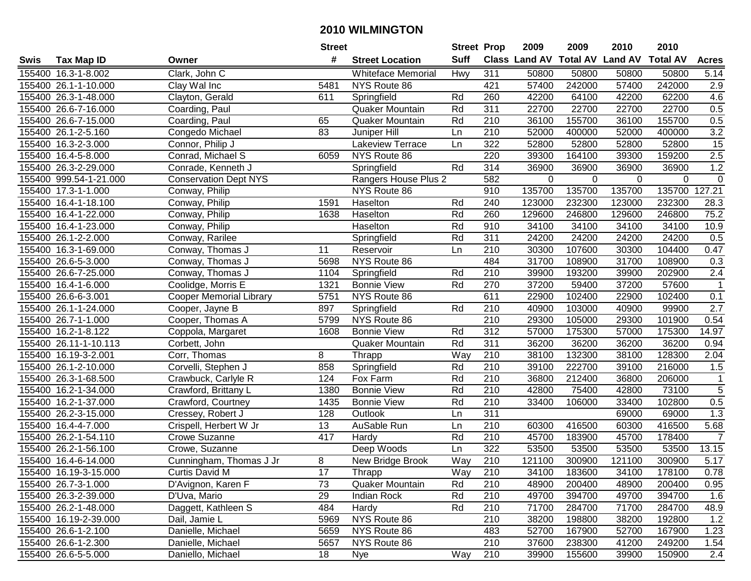|      |                        |                                | <b>Street</b> |                           | <b>Street Prop</b> |                  | 2009                          | 2009     | 2010           | 2010            |                |
|------|------------------------|--------------------------------|---------------|---------------------------|--------------------|------------------|-------------------------------|----------|----------------|-----------------|----------------|
| Swis | <b>Tax Map ID</b>      | Owner                          | #             | <b>Street Location</b>    | <b>Suff</b>        |                  | <b>Class Land AV Total AV</b> |          | <b>Land AV</b> | <b>Total AV</b> | <b>Acres</b>   |
|      | 155400 16.3-1-8.002    | Clark, John C                  |               | <b>Whiteface Memorial</b> | Hwy                | 311              | 50800                         | 50800    | 50800          | 50800           | 5.14           |
|      | 155400 26.1-1-10.000   | Clay Wal Inc                   | 5481          | NYS Route 86              |                    | 421              | 57400                         | 242000   | 57400          | 242000          | 2.9            |
|      | 155400 26.3-1-48.000   | Clayton, Gerald                | 611           | Springfield               | Rd                 | 260              | 42200                         | 64100    | 42200          | 62200           | 4.6            |
|      | 155400 26.6-7-16.000   | Coarding, Paul                 |               | Quaker Mountain           | Rd                 | 311              | 22700                         | 22700    | 22700          | 22700           | 0.5            |
|      | 155400 26.6-7-15.000   | Coarding, Paul                 | 65            | Quaker Mountain           | Rd                 | 210              | 36100                         | 155700   | 36100          | 155700          | 0.5            |
|      | 155400 26.1-2-5.160    | Congedo Michael                | 83            | Juniper Hill              | Ln                 | $\overline{210}$ | 52000                         | 400000   | 52000          | 400000          | 3.2            |
|      | 155400 16.3-2-3.000    | Connor, Philip J               |               | Lakeview Terrace          | Ln                 | 322              | 52800                         | 52800    | 52800          | 52800           | 15             |
|      | 155400 16.4-5-8.000    | Conrad, Michael S              | 6059          | NYS Route 86              |                    | 220              | 39300                         | 164100   | 39300          | 159200          | 2.5            |
|      | 155400 26.3-2-29.000   | Conrade, Kenneth J             |               | Springfield               | Rd                 | 314              | 36900                         | 36900    | 36900          | 36900           | 1.2            |
|      | 155400 999.54-1-21.000 | <b>Conservation Dept NYS</b>   |               | Rangers House Plus 2      |                    | 582              | 0                             | $\Omega$ | 0              | 0               | $\pmb{0}$      |
|      | 155400 17.3-1-1.000    | Conway, Philip                 |               | NYS Route 86              |                    | 910              | 135700                        | 135700   | 135700         | 135700          | 127.21         |
|      | 155400 16.4-1-18.100   | Conway, Philip                 | 1591          | Haselton                  | Rd                 | 240              | 123000                        | 232300   | 123000         | 232300          | 28.3           |
|      | 155400 16.4-1-22.000   | Conway, Philip                 | 1638          | Haselton                  | Rd                 | 260              | 129600                        | 246800   | 129600         | 246800          | 75.2           |
|      | 155400 16.4-1-23.000   | Conway, Philip                 |               | Haselton                  | Rd                 | 910              | 34100                         | 34100    | 34100          | 34100           | 10.9           |
|      | 155400 26.1-2-2.000    | Conway, Rarilee                |               | Springfield               | Rd                 | 311              | 24200                         | 24200    | 24200          | 24200           | 0.5            |
|      | 155400 16.3-1-69.000   | Conway, Thomas J               | 11            | Reservoir                 | Ln                 | 210              | 30300                         | 107600   | 30300          | 104400          | 0.47           |
|      | 155400 26.6-5-3.000    | Conway, Thomas J               | 5698          | NYS Route 86              |                    | 484              | 31700                         | 108900   | 31700          | 108900          | 0.3            |
|      | 155400 26.6-7-25.000   | Conway, Thomas J               | 1104          | Springfield               | Rd                 | 210              | 39900                         | 193200   | 39900          | 202900          | 2.4            |
|      | 155400 16.4-1-6.000    | Coolidge, Morris E             | 1321          | <b>Bonnie View</b>        | Rd                 | 270              | 37200                         | 59400    | 37200          | 57600           | $\mathbf{1}$   |
|      | 155400 26.6-6-3.001    | <b>Cooper Memorial Library</b> | 5751          | NYS Route 86              |                    | 611              | 22900                         | 102400   | 22900          | 102400          | 0.1            |
|      | 155400 26.1-1-24.000   | Cooper, Jayne B                | 897           | Springfield               | Rd                 | 210              | 40900                         | 103000   | 40900          | 99900           | 2.7            |
|      | 155400 26.7-1-1.000    | Cooper, Thomas A               | 5799          | NYS Route 86              |                    | 210              | 29300                         | 105000   | 29300          | 101900          | 0.54           |
|      | 155400 16.2-1-8.122    | Coppola, Margaret              | 1608          | <b>Bonnie View</b>        | Rd                 | 312              | 57000                         | 175300   | 57000          | 175300          | 14.97          |
|      | 155400 26.11-1-10.113  | Corbett, John                  |               | Quaker Mountain           | Rd                 | 311              | 36200                         | 36200    | 36200          | 36200           | 0.94           |
|      | 155400 16.19-3-2.001   | Corr, Thomas                   | 8             | Thrapp                    | Way                | 210              | 38100                         | 132300   | 38100          | 128300          | 2.04           |
|      | 155400 26.1-2-10.000   | Corvelli, Stephen J            | 858           | Springfield               | Rd                 | 210              | 39100                         | 222700   | 39100          | 216000          | 1.5            |
|      | 155400 26.3-1-68.500   | Crawbuck, Carlyle R            | 124           | Fox Farm                  | Rd                 | 210              | 36800                         | 212400   | 36800          | 206000          | $\mathbf{1}$   |
|      | 155400 16.2-1-34.000   | Crawford, Brittany L           | 1380          | <b>Bonnie View</b>        | Rd                 | 210              | 42800                         | 75400    | 42800          | 73100           | $\overline{5}$ |
|      | 155400 16.2-1-37.000   | Crawford, Courtney             | 1435          | <b>Bonnie View</b>        | Rd                 | $\overline{210}$ | 33400                         | 106000   | 33400          | 102800          | 0.5            |
|      | 155400 26.2-3-15.000   | Cressey, Robert J              | 128           | Outlook                   | Ln                 | $\overline{311}$ |                               |          | 69000          | 69000           | 1.3            |
|      | 155400 16.4-4-7.000    | Crispell, Herbert W Jr         | 13            | <b>AuSable Run</b>        | Ln                 | 210              | 60300                         | 416500   | 60300          | 416500          | 5.68           |
|      | 155400 26.2-1-54.110   | Crowe Suzanne                  | 417           | Hardy                     | Rd                 | $\overline{210}$ | 45700                         | 183900   | 45700          | 178400          | $\overline{7}$ |
|      | 155400 26.2-1-56.100   | Crowe, Suzanne                 |               | Deep Woods                | Ln                 | 322              | 53500                         | 53500    | 53500          | 53500           | 13.15          |
|      | 155400 16.4-6-14.000   | Cunningham, Thomas J Jr        | 8             | New Bridge Brook          | Way                | $\overline{210}$ | 121100                        | 300900   | 121100         | 300900          | 5.17           |
|      | 155400 16.19-3-15.000  | Curtis David M                 | 17            | Thrapp                    | Way                | 210              | 34100                         | 183600   | 34100          | 178100          | 0.78           |
|      | 155400 26.7-3-1.000    | D'Avignon, Karen F             | 73            | Quaker Mountain           | Rd                 | 210              | 48900                         | 200400   | 48900          | 200400          | 0.95           |
|      | 155400 26.3-2-39.000   | D'Uva, Mario                   | 29            | Indian Rock               | Rd                 | 210              | 49700                         | 394700   | 49700          | 394700          | 1.6            |
|      | 155400 26.2-1-48.000   | Daggett, Kathleen S            | 484           | Hardy                     | Rd                 | 210              | 71700                         | 284700   | 71700          | 284700          | 48.9           |
|      | 155400 16.19-2-39.000  | Dail, Jamie L                  | 5969          | NYS Route 86              |                    | 210              | 38200                         | 198800   | 38200          | 192800          | 1.2            |
|      | 155400 26.6-1-2.100    | Danielle, Michael              | 5659          | NYS Route 86              |                    | 483              | 52700                         | 167900   | 52700          | 167900          | 1.23           |
|      | 155400 26.6-1-2.300    | Danielle, Michael              | 5657          | NYS Route 86              |                    | 210              | 37600                         | 238300   | 41200          | 249200          | 1.54           |
|      | 155400 26.6-5-5.000    | Daniello, Michael              | 18            | <b>Nye</b>                | Way                | 210              | 39900                         | 155600   | 39900          | 150900          | 2.4            |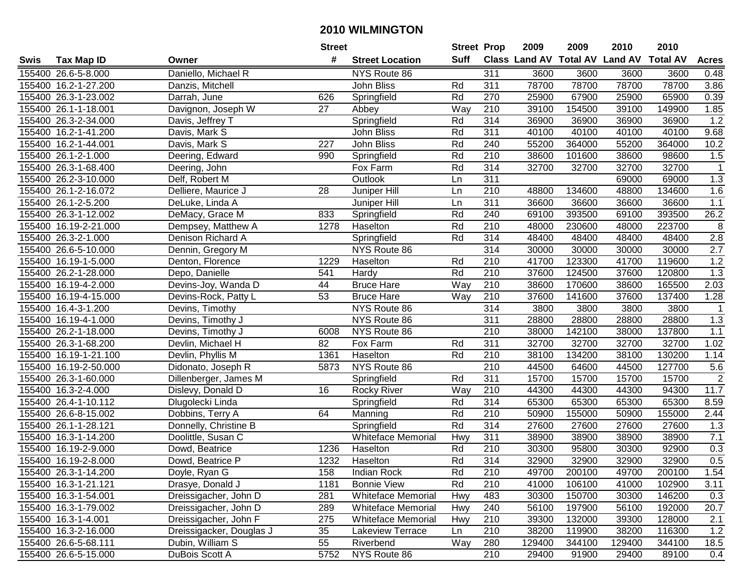|      |                       |                          | <b>Street</b> |                           |             | <b>Street Prop</b> | 2009                          | 2009   | 2010           | 2010            |                  |
|------|-----------------------|--------------------------|---------------|---------------------------|-------------|--------------------|-------------------------------|--------|----------------|-----------------|------------------|
| Swis | <b>Tax Map ID</b>     | Owner                    | #             | <b>Street Location</b>    | <b>Suff</b> |                    | <b>Class Land AV Total AV</b> |        | <b>Land AV</b> | <b>Total AV</b> | <b>Acres</b>     |
|      | 155400 26.6-5-8.000   | Daniello, Michael R      |               | NYS Route 86              |             | 311                | 3600                          | 3600   | 3600           | 3600            | 0.48             |
|      | 155400 16.2-1-27.200  | Danzis, Mitchell         |               | John Bliss                | Rd          | 311                | 78700                         | 78700  | 78700          | 78700           | 3.86             |
|      | 155400 26.3-1-23.002  | Darrah, June             | 626           | Springfield               | Rd          | 270                | 25900                         | 67900  | 25900          | 65900           | 0.39             |
|      | 155400 26.1-1-18.001  | Davignon, Joseph W       | 27            | Abbey                     | Way         | 210                | 39100                         | 154500 | 39100          | 149900          | 1.85             |
|      | 155400 26.3-2-34.000  | Davis, Jeffrey T         |               | Springfield               | Rd          | 314                | 36900                         | 36900  | 36900          | 36900           | 1.2              |
|      | 155400 16.2-1-41.200  | Davis, Mark S            |               | John Bliss                | Rd          | 311                | 40100                         | 40100  | 40100          | 40100           | 9.68             |
|      | 155400 16.2-1-44.001  | Davis, Mark S            | 227           | John Bliss                | Rd          | 240                | 55200                         | 364000 | 55200          | 364000          | 10.2             |
|      | 155400 26.1-2-1.000   | Deering, Edward          | 990           | Springfield               | Rd          | 210                | 38600                         | 101600 | 38600          | 98600           | 1.5              |
|      | 155400 26.3-1-68.400  | Deering, John            |               | Fox Farm                  | Rd          | 314                | 32700                         | 32700  | 32700          | 32700           | $\mathbf 1$      |
|      | 155400 26.2-3-10.000  | Delf, Robert M           |               | Outlook                   | Ln          | 311                |                               |        | 69000          | 69000           | 1.3              |
|      | 155400 26.1-2-16.072  | Delliere, Maurice J      | 28            | Juniper Hill              | Ln          | 210                | 48800                         | 134600 | 48800          | 134600          | 1.6              |
|      | 155400 26.1-2-5.200   | DeLuke, Linda A          |               | Juniper Hill              | Ln          | 311                | 36600                         | 36600  | 36600          | 36600           | 1.1              |
|      | 155400 26.3-1-12.002  | DeMacy, Grace M          | 833           | Springfield               | Rd          | 240                | 69100                         | 393500 | 69100          | 393500          | 26.2             |
|      | 155400 16.19-2-21.000 | Dempsey, Matthew A       | 1278          | Haselton                  | Rd          | 210                | 48000                         | 230600 | 48000          | 223700          | 8                |
|      | 155400 26.3-2-1.000   | Denison Richard A        |               | Springfield               | Rd          | 314                | 48400                         | 48400  | 48400          | 48400           | 2.8              |
|      | 155400 26.6-5-10.000  | Dennin, Gregory M        |               | NYS Route 86              |             | 314                | 30000                         | 30000  | 30000          | 30000           | 2.7              |
|      | 155400 16.19-1-5.000  | Denton, Florence         | 1229          | Haselton                  | Rd          | 210                | 41700                         | 123300 | 41700          | 119600          | 1.2              |
|      | 155400 26.2-1-28.000  | Depo, Danielle           | 541           | Hardy                     | Rd          | 210                | 37600                         | 124500 | 37600          | 120800          | 1.3              |
|      | 155400 16.19-4-2.000  | Devins-Joy, Wanda D      | 44            | <b>Bruce Hare</b>         | Way         | 210                | 38600                         | 170600 | 38600          | 165500          | 2.03             |
|      | 155400 16.19-4-15.000 | Devins-Rock, Patty L     | 53            | <b>Bruce Hare</b>         | Way         | 210                | 37600                         | 141600 | 37600          | 137400          | 1.28             |
|      | 155400 16.4-3-1.200   | Devins, Timothy          |               | NYS Route 86              |             | 314                | 3800                          | 3800   | 3800           | 3800            | $\mathbf 1$      |
|      | 155400 16.19-4-1.000  | Devins, Timothy J        |               | NYS Route 86              |             | 311                | 28800                         | 28800  | 28800          | 28800           | 1.3              |
|      | 155400 26.2-1-18.000  | Devins, Timothy J        | 6008          | NYS Route 86              |             | 210                | 38000                         | 142100 | 38000          | 137800          | $1.1$            |
|      | 155400 26.3-1-68.200  | Devlin, Michael H        | 82            | Fox Farm                  | Rd          | 311                | 32700                         | 32700  | 32700          | 32700           | 1.02             |
|      | 155400 16.19-1-21.100 | Devlin, Phyllis M        | 1361          | Haselton                  | Rd          | 210                | 38100                         | 134200 | 38100          | 130200          | 1.14             |
|      | 155400 16.19-2-50.000 | Didonato, Joseph R       | 5873          | NYS Route 86              |             | 210                | 44500                         | 64600  | 44500          | 127700          | 5.6              |
|      | 155400 26.3-1-60.000  | Dillenberger, James M    |               | Springfield               | Rd          | 311                | 15700                         | 15700  | 15700          | 15700           | $\boldsymbol{2}$ |
|      | 155400 16.3-2-4.000   | Dislevy, Donald D        | 16            | <b>Rocky River</b>        | Way         | 210                | 44300                         | 44300  | 44300          | 94300           | 11.7             |
|      | 155400 26.4-1-10.112  | Dlugolecki Linda         |               | Springfield               | Rd          | 314                | 65300                         | 65300  | 65300          | 65300           | 8.59             |
|      | 155400 26.6-8-15.002  | Dobbins, Terry A         | 64            | Manning                   | Rd          | $\overline{210}$   | 50900                         | 155000 | 50900          | 155000          | 2.44             |
|      | 155400 26.1-1-28.121  | Donnelly, Christine B    |               | Springfield               | Rd          | 314                | 27600                         | 27600  | 27600          | 27600           | 1.3              |
|      | 155400 16.3-1-14.200  | Doolittle, Susan C       |               | <b>Whiteface Memorial</b> | Hwy         | 311                | 38900                         | 38900  | 38900          | 38900           | 7.1              |
|      | 155400 16.19-2-9.000  | Dowd, Beatrice           | 1236          | Haselton                  | Rd          | $\overline{210}$   | 30300                         | 95800  | 30300          | 92900           | 0.3              |
|      | 155400 16.19-2-8.000  | Dowd, Beatrice P         | 1232          | Haselton                  | Rd          | 314                | 32900                         | 32900  | 32900          | 32900           | 0.5              |
|      | 155400 26.3-1-14.200  | Doyle, Ryan G            | 158           | Indian Rock               | Rd          | 210                | 49700                         | 200100 | 49700          | 200100          | 1.54             |
|      | 155400 16.3-1-21.121  | Drasye, Donald J         | 1181          | <b>Bonnie View</b>        | Rd          | 210                | 41000                         | 106100 | 41000          | 102900          | 3.11             |
|      | 155400 16.3-1-54.001  | Dreissigacher, John D    | 281           | <b>Whiteface Memorial</b> | Hwy         | 483                | 30300                         | 150700 | 30300          | 146200          | 0.3              |
|      | 155400 16.3-1-79.002  | Dreissigacher, John D    | 289           | <b>Whiteface Memorial</b> | Hwy         | 240                | 56100                         | 197900 | 56100          | 192000          | 20.7             |
|      | 155400 16.3-1-4.001   | Dreissigacher, John F    | 275           | <b>Whiteface Memorial</b> | Hwy         | 210                | 39300                         | 132000 | 39300          | 128000          | 2.1              |
|      | 155400 16.3-2-16.000  | Dreissigacker, Douglas J | 35            | Lakeview Terrace          | Ln          | 210                | 38200                         | 119900 | 38200          | 116300          | 1.2              |
|      | 155400 26.6-5-68.111  | Dubin, William S         | 55            | Riverbend                 | Way         | 280                | 129400                        | 344100 | 129400         | 344100          | 18.5             |
|      | 155400 26.6-5-15.000  | DuBois Scott A           | 5752          | NYS Route 86              |             | 210                | 29400                         | 91900  | 29400          | 89100           | 0.4              |
|      |                       |                          |               |                           |             |                    |                               |        |                |                 |                  |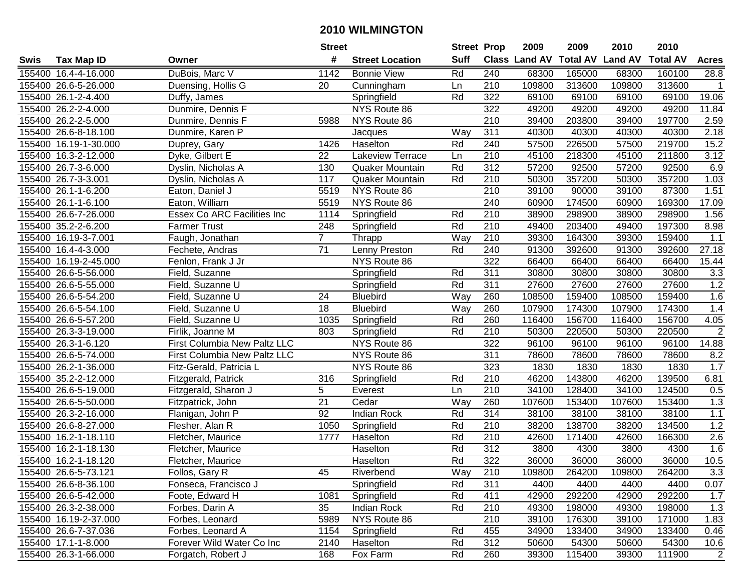|      |                       |                              | <b>Street</b>   |                        | <b>Street Prop</b> |                  | 2009          | 2009            | 2010           | 2010            |                |
|------|-----------------------|------------------------------|-----------------|------------------------|--------------------|------------------|---------------|-----------------|----------------|-----------------|----------------|
| Swis | <b>Tax Map ID</b>     | Owner                        | #               | <b>Street Location</b> | <b>Suff</b>        |                  | Class Land AV | <b>Total AV</b> | <b>Land AV</b> | <b>Total AV</b> | <b>Acres</b>   |
|      | 155400 16.4-4-16.000  | DuBois, Marc V               | 1142            | <b>Bonnie View</b>     | Rd                 | 240              | 68300         | 165000          | 68300          | 160100          | 28.8           |
|      | 155400 26.6-5-26.000  | Duensing, Hollis G           | 20              | Cunningham             | Ln                 | 210              | 109800        | 313600          | 109800         | 313600          | 1              |
|      | 155400 26.1-2-4.400   | Duffy, James                 |                 | Springfield            | Rd                 | 322              | 69100         | 69100           | 69100          | 69100           | 19.06          |
|      | 155400 26.2-2-4.000   | Dunmire, Dennis F            |                 | NYS Route 86           |                    | 322              | 49200         | 49200           | 49200          | 49200           | 11.84          |
|      | 155400 26.2-2-5.000   | Dunmire, Dennis F            | 5988            | NYS Route 86           |                    | 210              | 39400         | 203800          | 39400          | 197700          | 2.59           |
|      | 155400 26.6-8-18.100  | Dunmire, Karen P             |                 | Jacques                | Way                | 311              | 40300         | 40300           | 40300          | 40300           | 2.18           |
|      | 155400 16.19-1-30.000 | Duprey, Gary                 | 1426            | Haselton               | Rd                 | 240              | 57500         | 226500          | 57500          | 219700          | 15.2           |
|      | 155400 16.3-2-12.000  | Dyke, Gilbert E              | $\overline{22}$ | Lakeview Terrace       | Ln                 | 210              | 45100         | 218300          | 45100          | 211800          | 3.12           |
|      | 155400 26.7-3-6.000   | Dyslin, Nicholas A           | 130             | Quaker Mountain        | Rd                 | $\overline{312}$ | 57200         | 92500           | 57200          | 92500           | 6.9            |
|      | 155400 26.7-3-3.001   | Dyslin, Nicholas A           | 117             | Quaker Mountain        | Rd                 | 210              | 50300         | 357200          | 50300          | 357200          | 1.03           |
|      | 155400 26.1-1-6.200   | Eaton, Daniel J              | 5519            | NYS Route 86           |                    | 210              | 39100         | 90000           | 39100          | 87300           | 1.51           |
|      | 155400 26.1-1-6.100   | Eaton, William               | 5519            | NYS Route 86           |                    | 240              | 60900         | 174500          | 60900          | 169300          | 17.09          |
|      | 155400 26.6-7-26.000  | Essex Co ARC Facilities Inc  | 1114            | Springfield            | Rd                 | 210              | 38900         | 298900          | 38900          | 298900          | 1.56           |
|      | 155400 35.2-2-6.200   | <b>Farmer Trust</b>          | 248             | Springfield            | Rd                 | 210              | 49400         | 203400          | 49400          | 197300          | 8.98           |
|      | 155400 16.19-3-7.001  | Faugh, Jonathan              | $\overline{7}$  | Thrapp                 | Way                | 210              | 39300         | 164300          | 39300          | 159400          | 1.1            |
|      | 155400 16.4-4-3.000   | Fechete, Andras              | 71              | Lenny Preston          | Rd                 | 240              | 91300         | 392600          | 91300          | 392600          | 27.18          |
|      | 155400 16.19-2-45.000 | Fenlon, Frank J Jr           |                 | NYS Route 86           |                    | 322              | 66400         | 66400           | 66400          | 66400           | 15.44          |
|      | 155400 26.6-5-56.000  | Field, Suzanne               |                 | Springfield            | Rd                 | 311              | 30800         | 30800           | 30800          | 30800           | 3.3            |
|      | 155400 26.6-5-55.000  | Field, Suzanne U             |                 | Springfield            | Rd                 | 311              | 27600         | 27600           | 27600          | 27600           | 1.2            |
|      | 155400 26.6-5-54.200  | Field, Suzanne U             | 24              | <b>Bluebird</b>        | Way                | 260              | 108500        | 159400          | 108500         | 159400          | 1.6            |
|      | 155400 26.6-5-54.100  | Field, Suzanne U             | 18              | <b>Bluebird</b>        | Way                | 260              | 107900        | 174300          | 107900         | 174300          | 1.4            |
|      | 155400 26.6-5-57.200  | Field, Suzanne U             | 1035            | Springfield            | Rd                 | 260              | 116400        | 156700          | 116400         | 156700          | 4.05           |
|      | 155400 26.3-3-19.000  | Firlik, Joanne M             | 803             | Springfield            | Rd                 | 210              | 50300         | 220500          | 50300          | 220500          | $\mathbf 2$    |
|      | 155400 26.3-1-6.120   | First Columbia New Paltz LLC |                 | NYS Route 86           |                    | 322              | 96100         | 96100           | 96100          | 96100           | 14.88          |
|      | 155400 26.6-5-74.000  | First Columbia New Paltz LLC |                 | NYS Route 86           |                    | $\overline{311}$ | 78600         | 78600           | 78600          | 78600           | 8.2            |
|      | 155400 26.2-1-36.000  | Fitz-Gerald, Patricia L      |                 | NYS Route 86           |                    | 323              | 1830          | 1830            | 1830           | 1830            | 1.7            |
|      | 155400 35.2-2-12.000  | Fitzgerald, Patrick          | 316             | Springfield            | Rd                 | 210              | 46200         | 143800          | 46200          | 139500          | 6.81           |
|      | 155400 26.6-5-19.000  | Fitzgerald, Sharon J         | 5               | Everest                | Ln                 | 210              | 34100         | 128400          | 34100          | 124500          | 0.5            |
|      | 155400 26.6-5-50.000  | Fitzpatrick, John            | 21              | Cedar                  | Way                | 260              | 107600        | 153400          | 107600         | 153400          | 1.3            |
|      | 155400 26.3-2-16.000  | Flanigan, John P             | 92              | <b>Indian Rock</b>     | Rd                 | 314              | 38100         | 38100           | 38100          | 38100           | 1.1            |
|      | 155400 26.6-8-27.000  | Flesher, Alan R              | 1050            | Springfield            | Rd                 | $\overline{210}$ | 38200         | 138700          | 38200          | 134500          | 1.2            |
|      | 155400 16.2-1-18.110  | Fletcher, Maurice            | 1777            | Haselton               | Rd                 | 210              | 42600         | 171400          | 42600          | 166300          | 2.6            |
|      | 155400 16.2-1-18.130  | Fletcher, Maurice            |                 | Haselton               | Rd                 | $\overline{312}$ | 3800          | 4300            | 3800           | 4300            | 1.6            |
|      | 155400 16.2-1-18.120  | Fletcher, Maurice            |                 | Haselton               | Rd                 | 322              | 36000         | 36000           | 36000          | 36000           | 10.5           |
|      | 155400 26.6-5-73.121  | Follos, Gary R               | 45              | Riverbend              | Way                | 210              | 109800        | 264200          | 109800         | 264200          | 3.3            |
|      | 155400 26.6-8-36.100  | Fonseca, Francisco J         |                 | Springfield            | Rd                 | 311              | 4400          | 4400            | 4400           | 4400            | 0.07           |
|      | 155400 26.6-5-42.000  | Foote, Edward H              | 1081            | Springfield            | Rd                 | 411              | 42900         | 292200          | 42900          | 292200          | 1.7            |
|      | 155400 26.3-2-38.000  | Forbes, Darin A              | 35              | Indian Rock            | Rd                 | 210              | 49300         | 198000          | 49300          | 198000          | 1.3            |
|      | 155400 16.19-2-37.000 | Forbes, Leonard              | 5989            | NYS Route 86           |                    | 210              | 39100         | 176300          | 39100          | 171000          | 1.83           |
|      | 155400 26.6-7-37.036  | Forbes, Leonard A            | 1154            | Springfield            | Rd                 | 455              | 34900         | 133400          | 34900          | 133400          | 0.46           |
|      | 155400 17.1-1-8.000   | Forever Wild Water Co Inc    | 2140            | Haselton               | Rd                 | 312              | 50600         | 54300           | 50600          | 54300           | 10.6           |
|      | 155400 26.3-1-66.000  | Forgatch, Robert J           | 168             | Fox Farm               | Rd                 | 260              | 39300         | 115400          | 39300          | 111900          | $\overline{2}$ |
|      |                       |                              |                 |                        |                    |                  |               |                 |                |                 |                |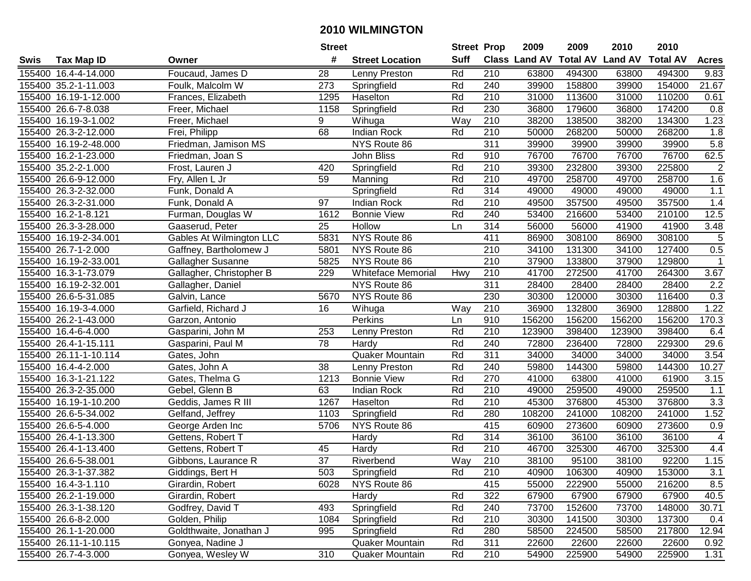|      |                       |                          | <b>Street</b>   |                           |                   | <b>Street Prop</b> | 2009                 | 2009            | 2010           | 2010            |                |
|------|-----------------------|--------------------------|-----------------|---------------------------|-------------------|--------------------|----------------------|-----------------|----------------|-----------------|----------------|
| Swis | <b>Tax Map ID</b>     | Owner                    | #               | <b>Street Location</b>    | <b>Suff</b>       |                    | <b>Class Land AV</b> | <b>Total AV</b> | <b>Land AV</b> | <b>Total AV</b> | <b>Acres</b>   |
|      | 155400 16.4-4-14.000  | Foucaud, James D         | 28              | Lenny Preston             | Rd                | 210                | 63800                | 494300          | 63800          | 494300          | 9.83           |
|      | 155400 35.2-1-11.003  | Foulk, Malcolm W         | 273             | Springfield               | Rd                | 240                | 39900                | 158800          | 39900          | 154000          | 21.67          |
|      | 155400 16.19-1-12.000 | Frances, Elizabeth       | 1295            | Haselton                  | Rd                | 210                | 31000                | 113600          | 31000          | 110200          | 0.61           |
|      | 155400 26.6-7-8.038   | Freer, Michael           | 1158            | Springfield               | Rd                | 230                | 36800                | 179600          | 36800          | 174200          | 0.8            |
|      | 155400 16.19-3-1.002  | Freer, Michael           | 9               | Wihuga                    | Way               | 210                | 38200                | 138500          | 38200          | 134300          | 1.23           |
|      | 155400 26.3-2-12.000  | Frei, Philipp            | 68              | <b>Indian Rock</b>        | Rd                | 210                | 50000                | 268200          | 50000          | 268200          | 1.8            |
|      | 155400 16.19-2-48.000 | Friedman, Jamison MS     |                 | NYS Route 86              |                   | 311                | 39900                | 39900           | 39900          | 39900           | 5.8            |
|      | 155400 16.2-1-23.000  | Friedman, Joan S         |                 | John Bliss                | Rd                | 910                | 76700                | 76700           | 76700          | 76700           | 62.5           |
|      | 155400 35.2-2-1.000   | Frost, Lauren J          | 420             | Springfield               | Rd                | $\overline{210}$   | 39300                | 232800          | 39300          | 225800          | $\overline{2}$ |
|      | 155400 26.6-9-12.000  | Fry, Allen L Jr          | 59              | Manning                   | Rd                | 210                | 49700                | 258700          | 49700          | 258700          | 1.6            |
|      | 155400 26.3-2-32.000  | Funk, Donald A           |                 | Springfield               | Rd                | 314                | 49000                | 49000           | 49000          | 49000           | 1.1            |
|      | 155400 26.3-2-31.000  | Funk, Donald A           | 97              | <b>Indian Rock</b>        | Rd                | 210                | 49500                | 357500          | 49500          | 357500          | 1.4            |
|      | 155400 16.2-1-8.121   | Furman, Douglas W        | 1612            | <b>Bonnie View</b>        | Rd                | 240                | 53400                | 216600          | 53400          | 210100          | 12.5           |
|      | 155400 26.3-3-28.000  | Gaaserud, Peter          | 25              | Hollow                    | Ln                | 314                | 56000                | 56000           | 41900          | 41900           | 3.48           |
|      | 155400 16.19-2-34.001 | Gables At Wilmington LLC | 5831            | NYS Route 86              |                   | 411                | 86900                | 308100          | 86900          | 308100          | 5              |
|      | 155400 26.7-1-2.000   | Gaffney, Bartholomew J   | 5801            | NYS Route 86              |                   | 210                | 34100                | 131300          | 34100          | 127400          | 0.5            |
|      | 155400 16.19-2-33.001 | Gallagher Susanne        | 5825            | NYS Route 86              |                   | 210                | 37900                | 133800          | 37900          | 129800          | $\mathbf 1$    |
|      | 155400 16.3-1-73.079  | Gallagher, Christopher B | 229             | <b>Whiteface Memorial</b> | Hwy               | 210                | 41700                | 272500          | 41700          | 264300          | 3.67           |
|      | 155400 16.19-2-32.001 | Gallagher, Daniel        |                 | NYS Route 86              |                   | 311                | 28400                | 28400           | 28400          | 28400           | 2.2            |
|      | 155400 26.6-5-31.085  | Galvin, Lance            | 5670            | NYS Route 86              |                   | 230                | 30300                | 120000          | 30300          | 116400          | 0.3            |
|      | 155400 16.19-3-4.000  | Garfield, Richard J      | 16              | Wihuga                    | Way               | 210                | 36900                | 132800          | 36900          | 128800          | 1.22           |
|      | 155400 26.2-1-43.000  | Garzon, Antonio          |                 | Perkins                   | Ln                | 910                | 156200               | 156200          | 156200         | 156200          | 170.3          |
|      | 155400 16.4-6-4.000   | Gasparini, John M        | 253             | Lenny Preston             | Rd                | 210                | 123900               | 398400          | 123900         | 398400          | 6.4            |
|      | 155400 26.4-1-15.111  | Gasparini, Paul M        | 78              | Hardy                     | Rd                | 240                | 72800                | 236400          | 72800          | 229300          | 29.6           |
|      | 155400 26.11-1-10.114 | Gates, John              |                 | Quaker Mountain           | Rd                | $\overline{311}$   | 34000                | 34000           | 34000          | 34000           | 3.54           |
|      | 155400 16.4-4-2.000   | Gates, John A            | 38              | Lenny Preston             | Rd                | 240                | 59800                | 144300          | 59800          | 144300          | 10.27          |
|      | 155400 16.3-1-21.122  | Gates, Thelma G          | 1213            | <b>Bonnie View</b>        | Rd                | 270                | 41000                | 63800           | 41000          | 61900           | 3.15           |
|      | 155400 26.3-2-35.000  | Gebel, Glenn B           | 63              | <b>Indian Rock</b>        | Rd                | 210                | 49000                | 259500          | 49000          | 259500          | 1.1            |
|      | 155400 16.19-1-10.200 | Geddis, James R III      | 1267            | Haselton                  | Rd                | 210                | 45300                | 376800          | 45300          | 376800          | 3.3            |
|      | 155400 26.6-5-34.002  | Gelfand, Jeffrey         | 1103            | Springfield               | Rd                | 280                | 108200               | 241000          | 108200         | 241000          | 1.52           |
|      | 155400 26.6-5-4.000   | George Arden Inc         | 5706            | NYS Route 86              |                   | 415                | 60900                | 273600          | 60900          | 273600          | 0.9            |
|      | 155400 26.4-1-13.300  | Gettens, Robert T        |                 | Hardy                     | Rd                | 314                | 36100                | 36100           | 36100          | 36100           | $\overline{4}$ |
|      | 155400 26.4-1-13.400  | Gettens, Robert T        | 45              | Hardy                     | Rd                | $\overline{210}$   | 46700                | 325300          | 46700          | 325300          | 4.4            |
|      | 155400 26.6-5-38.001  | Gibbons, Laurance R      | $\overline{37}$ | Riverbend                 | $\overline{W}$ ay | $\overline{210}$   | 38100                | 95100           | 38100          | 92200           | 1.15           |
|      | 155400 26.3-1-37.382  | Giddings, Bert H         | 503             | Springfield               | Rd                | 210                | 40900                | 106300          | 40900          | 153000          | 3.1            |
|      | 155400 16.4-3-1.110   | Girardin, Robert         | 6028            | NYS Route 86              |                   | 415                | 55000                | 222900          | 55000          | 216200          | 8.5            |
|      | 155400 26.2-1-19.000  | Girardin, Robert         |                 | Hardy                     | Rd                | 322                | 67900                | 67900           | 67900          | 67900           | 40.5           |
|      | 155400 26.3-1-38.120  | Godfrey, David T         | 493             | Springfield               | Rd                | 240                | 73700                | 152600          | 73700          | 148000          | 30.71          |
|      | 155400 26.6-8-2.000   | Golden, Philip           | 1084            | Springfield               | Rd                | 210                | 30300                | 141500          | 30300          | 137300          | 0.4            |
|      | 155400 26.1-1-20.000  | Goldthwaite, Jonathan J  | 995             | Springfield               | Rd                | 280                | 58500                | 224500          | 58500          | 217800          | 12.94          |
|      | 155400 26.11-1-10.115 | Gonyea, Nadine J         |                 | Quaker Mountain           | Rd                | 311                | 22600                | 22600           | 22600          | 22600           | 0.92           |
|      | 155400 26.7-4-3.000   | Gonyea, Wesley W         | 310             | Quaker Mountain           | Rd                | 210                | 54900                | 225900          | 54900          | 225900          | 1.31           |
|      |                       |                          |                 |                           |                   |                    |                      |                 |                |                 |                |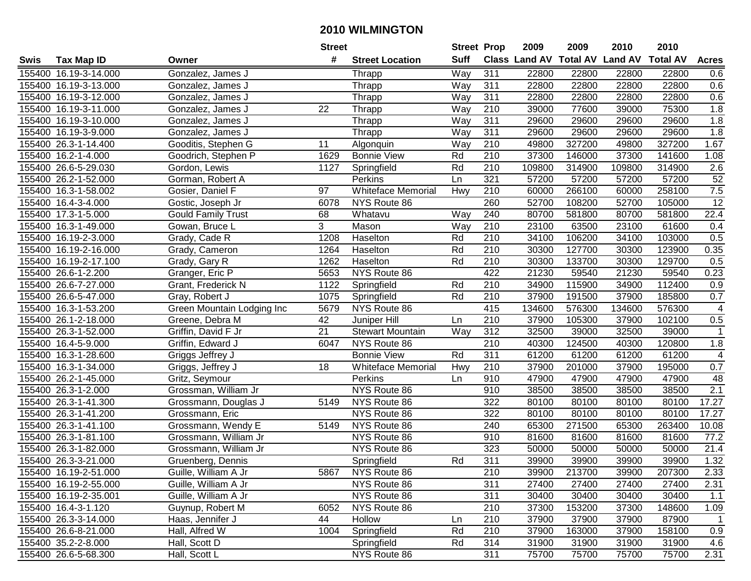|      |                       |                            | <b>Street</b> |                           | <b>Street Prop</b> |                  | 2009   | 2009   | 2010                                    | 2010   |                  |
|------|-----------------------|----------------------------|---------------|---------------------------|--------------------|------------------|--------|--------|-----------------------------------------|--------|------------------|
| Swis | <b>Tax Map ID</b>     | Owner                      | #             | <b>Street Location</b>    | <b>Suff</b>        |                  |        |        | Class Land AV Total AV Land AV Total AV |        | <b>Acres</b>     |
|      | 155400 16.19-3-14.000 | Gonzalez, James J          |               | Thrapp                    | Way                | 311              | 22800  | 22800  | 22800                                   | 22800  | 0.6              |
|      | 155400 16.19-3-13.000 | Gonzalez, James J          |               | Thrapp                    | Way                | 311              | 22800  | 22800  | 22800                                   | 22800  | 0.6              |
|      | 155400 16.19-3-12.000 | Gonzalez, James J          |               | Thrapp                    | Way                | 311              | 22800  | 22800  | 22800                                   | 22800  | 0.6              |
|      | 155400 16.19-3-11.000 | Gonzalez, James J          | 22            | Thrapp                    | Way                | 210              | 39000  | 77600  | 39000                                   | 75300  | 1.8              |
|      | 155400 16.19-3-10.000 | Gonzalez, James J          |               | Thrapp                    | Way                | 311              | 29600  | 29600  | 29600                                   | 29600  | 1.8              |
|      | 155400 16.19-3-9.000  | Gonzalez, James J          |               | Thrapp                    | Way                | 311              | 29600  | 29600  | 29600                                   | 29600  | 1.8              |
|      | 155400 26.3-1-14.400  | Gooditis, Stephen G        | 11            | Algonquin                 | Way                | 210              | 49800  | 327200 | 49800                                   | 327200 | 1.67             |
|      | 155400 16.2-1-4.000   | Goodrich, Stephen P        | 1629          | <b>Bonnie View</b>        | Rd                 | 210              | 37300  | 146000 | 37300                                   | 141600 | 1.08             |
|      | 155400 26.6-5-29.030  | Gordon, Lewis              | 1127          | Springfield               | Rd                 | $\overline{210}$ | 109800 | 314900 | 109800                                  | 314900 | 2.6              |
|      | 155400 26.2-1-52.000  | Gorman, Robert A           |               | Perkins                   | Ln                 | 321              | 57200  | 57200  | 57200                                   | 57200  | 52               |
|      | 155400 16.3-1-58.002  | Gosier, Daniel F           | 97            | <b>Whiteface Memorial</b> | Hwy                | 210              | 60000  | 266100 | 60000                                   | 258100 | 7.5              |
|      | 155400 16.4-3-4.000   | Gostic, Joseph Jr          | 6078          | NYS Route 86              |                    | 260              | 52700  | 108200 | 52700                                   | 105000 | $\overline{12}$  |
|      | 155400 17.3-1-5.000   | <b>Gould Family Trust</b>  | 68            | Whatavu                   | Way                | 240              | 80700  | 581800 | 80700                                   | 581800 | 22.4             |
|      | 155400 16.3-1-49.000  | Gowan, Bruce L             | 3             | Mason                     | Way                | 210              | 23100  | 63500  | 23100                                   | 61600  | 0.4              |
|      | 155400 16.19-2-3.000  | Grady, Cade R              | 1208          | Haselton                  | Rd                 | 210              | 34100  | 106200 | 34100                                   | 103000 | 0.5              |
|      | 155400 16.19-2-16.000 | Grady, Cameron             | 1264          | Haselton                  | Rd                 | 210              | 30300  | 127700 | 30300                                   | 123900 | 0.35             |
|      | 155400 16.19-2-17.100 | Grady, Gary R              | 1262          | Haselton                  | Rd                 | 210              | 30300  | 133700 | 30300                                   | 129700 | 0.5              |
|      | 155400 26.6-1-2.200   | Granger, Eric P            | 5653          | NYS Route 86              |                    | 422              | 21230  | 59540  | 21230                                   | 59540  | 0.23             |
|      | 155400 26.6-7-27.000  | Grant, Frederick N         | 1122          | Springfield               | Rd                 | 210              | 34900  | 115900 | 34900                                   | 112400 | 0.9              |
|      | 155400 26.6-5-47.000  | Gray, Robert J             | 1075          | Springfield               | Rd                 | 210              | 37900  | 191500 | 37900                                   | 185800 | 0.7              |
|      | 155400 16.3-1-53.200  | Green Mountain Lodging Inc | 5679          | NYS Route 86              |                    | 415              | 134600 | 576300 | 134600                                  | 576300 | 4                |
|      | 155400 26.1-2-18.000  | Greene, Debra M            | 42            | Juniper Hill              | Ln                 | 210              | 37900  | 105300 | 37900                                   | 102100 | 0.5              |
|      | 155400 26.3-1-52.000  | Griffin, David F Jr        | 21            | <b>Stewart Mountain</b>   | Way                | 312              | 32500  | 39000  | 32500                                   | 39000  | $\mathbf 1$      |
|      | 155400 16.4-5-9.000   | Griffin, Edward J          | 6047          | NYS Route 86              |                    | 210              | 40300  | 124500 | 40300                                   | 120800 | 1.8              |
|      | 155400 16.3-1-28.600  | Griggs Jeffrey J           |               | <b>Bonnie View</b>        | Rd                 | 311              | 61200  | 61200  | 61200                                   | 61200  | 4                |
|      | 155400 16.3-1-34.000  | Griggs, Jeffrey J          | 18            | <b>Whiteface Memorial</b> | Hwy                | 210              | 37900  | 201000 | 37900                                   | 195000 | 0.7              |
|      | 155400 26.2-1-45.000  | Gritz, Seymour             |               | Perkins                   | Ln                 | 910              | 47900  | 47900  | 47900                                   | 47900  | 48               |
|      | 155400 26.3-1-2.000   | Grossman, William Jr       |               | NYS Route 86              |                    | 910              | 38500  | 38500  | 38500                                   | 38500  | $\overline{2.1}$ |
|      | 155400 26.3-1-41.300  | Grossmann, Douglas J       | 5149          | NYS Route 86              |                    | 322              | 80100  | 80100  | 80100                                   | 80100  | 17.27            |
|      | 155400 26.3-1-41.200  | Grossmann, Eric            |               | NYS Route 86              |                    | 322              | 80100  | 80100  | 80100                                   | 80100  | 17.27            |
|      | 155400 26.3-1-41.100  | Grossmann, Wendy E         | 5149          | NYS Route 86              |                    | 240              | 65300  | 271500 | 65300                                   | 263400 | 10.08            |
|      | 155400 26.3-1-81.100  | Grossmann, William Jr      |               | <b>NYS Route 86</b>       |                    | 910              | 81600  | 81600  | 81600                                   | 81600  | 77.2             |
|      | 155400 26.3-1-82.000  | Grossmann, William Jr      |               | NYS Route 86              |                    | 323              | 50000  | 50000  | 50000                                   | 50000  | 21.4             |
|      | 155400 26.3-3-21.000  | Gruenberg, Dennis          |               | Springfield               | Rd                 | 311              | 39900  | 39900  | 39900                                   | 39900  | 1.32             |
|      | 155400 16.19-2-51.000 | Guille, William A Jr       | 5867          | NYS Route 86              |                    | 210              | 39900  | 213700 | 39900                                   | 207300 | 2.33             |
|      | 155400 16.19-2-55.000 | Guille, William A Jr       |               | NYS Route 86              |                    | 311              | 27400  | 27400  | 27400                                   | 27400  | 2.31             |
|      | 155400 16.19-2-35.001 | Guille, William A Jr       |               | NYS Route 86              |                    | 311              | 30400  | 30400  | 30400                                   | 30400  | 1.1              |
|      | 155400 16.4-3-1.120   | Guynup, Robert M           | 6052          | NYS Route 86              |                    | 210              | 37300  | 153200 | 37300                                   | 148600 | 1.09             |
|      | 155400 26.3-3-14.000  | Haas, Jennifer J           | 44            | Hollow                    | Ln                 | 210              | 37900  | 37900  | 37900                                   | 87900  | $\mathbf{1}$     |
|      | 155400 26.6-8-21.000  | Hall, Alfred W             | 1004          | Springfield               | Rd                 | 210              | 37900  | 163000 | 37900                                   | 158100 | 0.9              |
|      | 155400 35.2-2-8.000   | Hall, Scott D              |               | Springfield               | Rd                 | 314              | 31900  | 31900  | 31900                                   | 31900  | 4.6              |
|      | 155400 26.6-5-68.300  | Hall, Scott L              |               | NYS Route 86              |                    | 311              | 75700  | 75700  | 75700                                   | 75700  | 2.31             |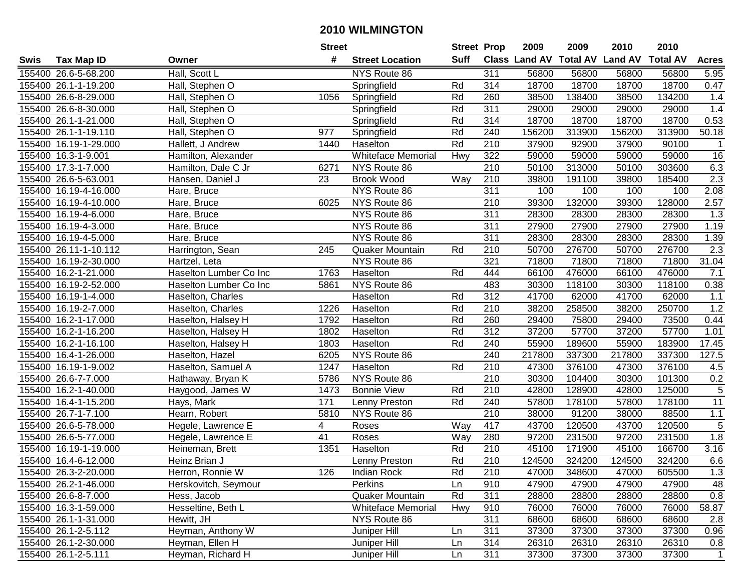|      |                       |                        | <b>Street</b>    |                           | <b>Street Prop</b> |                  | 2009                          | 2009   | 2010           | 2010            |                 |
|------|-----------------------|------------------------|------------------|---------------------------|--------------------|------------------|-------------------------------|--------|----------------|-----------------|-----------------|
| Swis | <b>Tax Map ID</b>     | Owner                  | #                | <b>Street Location</b>    | <b>Suff</b>        |                  | <b>Class Land AV Total AV</b> |        | <b>Land AV</b> | <b>Total AV</b> | <b>Acres</b>    |
|      | 155400 26.6-5-68.200  | Hall, Scott L          |                  | NYS Route 86              |                    | 311              | 56800                         | 56800  | 56800          | 56800           | 5.95            |
|      | 155400 26.1-1-19.200  | Hall, Stephen O        |                  | Springfield               | Rd                 | 314              | 18700                         | 18700  | 18700          | 18700           | 0.47            |
|      | 155400 26.6-8-29.000  | Hall, Stephen O        | 1056             | Springfield               | Rd                 | 260              | 38500                         | 138400 | 38500          | 134200          | 1.4             |
|      | 155400 26.6-8-30.000  | Hall, Stephen O        |                  | Springfield               | Rd                 | 311              | 29000                         | 29000  | 29000          | 29000           | 1.4             |
|      | 155400 26.1-1-21.000  | Hall, Stephen O        |                  | Springfield               | Rd                 | 314              | 18700                         | 18700  | 18700          | 18700           | 0.53            |
|      | 155400 26.1-1-19.110  | Hall, Stephen O        | $\overline{977}$ | Springfield               | Rd                 | 240              | 156200                        | 313900 | 156200         | 313900          | 50.18           |
|      | 155400 16.19-1-29.000 | Hallett, J Andrew      | 1440             | Haselton                  | Rd                 | 210              | 37900                         | 92900  | 37900          | 90100           | -1              |
|      | 155400 16.3-1-9.001   | Hamilton, Alexander    |                  | <b>Whiteface Memorial</b> | <b>Hwy</b>         | 322              | 59000                         | 59000  | 59000          | 59000           | 16              |
|      | 155400 17.3-1-7.000   | Hamilton, Dale C Jr    | 6271             | NYS Route 86              |                    | $\overline{210}$ | 50100                         | 313000 | 50100          | 303600          | 6.3             |
|      | 155400 26.6-5-63.001  | Hansen, Daniel J       | 23               | <b>Brook Wood</b>         | Way                | 210              | 39800                         | 191100 | 39800          | 185400          | 2.3             |
|      | 155400 16.19-4-16.000 | Hare, Bruce            |                  | NYS Route 86              |                    | $\overline{311}$ | 100                           | 100    | 100            | 100             | 2.08            |
|      | 155400 16.19-4-10.000 | Hare, Bruce            | 6025             | NYS Route 86              |                    | 210              | 39300                         | 132000 | 39300          | 128000          | 2.57            |
|      | 155400 16.19-4-6.000  | Hare, Bruce            |                  | NYS Route 86              |                    | 311              | 28300                         | 28300  | 28300          | 28300           | 1.3             |
|      | 155400 16.19-4-3.000  | Hare, Bruce            |                  | NYS Route 86              |                    | 311              | 27900                         | 27900  | 27900          | 27900           | 1.19            |
|      | 155400 16.19-4-5.000  | Hare, Bruce            |                  | NYS Route 86              |                    | 311              | 28300                         | 28300  | 28300          | 28300           | 1.39            |
|      | 155400 26.11-1-10.112 | Harrington, Sean       | 245              | Quaker Mountain           | Rd                 | 210              | 50700                         | 276700 | 50700          | 276700          | 2.3             |
|      | 155400 16.19-2-30.000 | Hartzel, Leta          |                  | NYS Route 86              |                    | 321              | 71800                         | 71800  | 71800          | 71800           | 31.04           |
|      | 155400 16.2-1-21.000  | Haselton Lumber Co Inc | 1763             | Haselton                  | Rd                 | 444              | 66100                         | 476000 | 66100          | 476000          | 7.1             |
|      | 155400 16.19-2-52.000 | Haselton Lumber Co Inc | 5861             | NYS Route 86              |                    | 483              | 30300                         | 118100 | 30300          | 118100          | 0.38            |
|      | 155400 16.19-1-4.000  | Haselton, Charles      |                  | Haselton                  | Rd                 | 312              | 41700                         | 62000  | 41700          | 62000           | $1.1$           |
|      | 155400 16.19-2-7.000  | Haselton, Charles      | 1226             | Haselton                  | Rd                 | 210              | 38200                         | 258500 | 38200          | 250700          | 1.2             |
|      | 155400 16.2-1-17.000  | Haselton, Halsey H     | 1792             | Haselton                  | Rd                 | 260              | 29400                         | 75800  | 29400          | 73500           | 0.44            |
|      | 155400 16.2-1-16.200  | Haselton, Halsey H     | 1802             | Haselton                  | Rd                 | 312              | 37200                         | 57700  | 37200          | 57700           | 1.01            |
|      | 155400 16.2-1-16.100  | Haselton, Halsey H     | 1803             | Haselton                  | Rd                 | 240              | 55900                         | 189600 | 55900          | 183900          | 17.45           |
|      | 155400 16.4-1-26.000  | Haselton, Hazel        | 6205             | NYS Route 86              |                    | 240              | 217800                        | 337300 | 217800         | 337300          | 127.5           |
|      | 155400 16.19-1-9.002  | Haselton, Samuel A     | 1247             | Haselton                  | Rd                 | 210              | 47300                         | 376100 | 47300          | 376100          | 4.5             |
|      | 155400 26.6-7-7.000   | Hathaway, Bryan K      | 5786             | NYS Route 86              |                    | 210              | 30300                         | 104400 | 30300          | 101300          | 0.2             |
|      | 155400 16.2-1-40.000  | Haygood, James W       | 1473             | <b>Bonnie View</b>        | Rd                 | 210              | 42800                         | 128900 | 42800          | 125000          | $\sqrt{5}$      |
|      | 155400 16.4-1-15.200  | Hays, Mark             | 171              | Lenny Preston             | Rd                 | 240              | 57800                         | 178100 | 57800          | 178100          | $\overline{11}$ |
|      | 155400 26.7-1-7.100   | Hearn, Robert          | 5810             | NYS Route 86              |                    | $\overline{210}$ | 38000                         | 91200  | 38000          | 88500           | 1.1             |
|      | 155400 26.6-5-78.000  | Hegele, Lawrence E     | 4                | Roses                     | Way                | 417              | 43700                         | 120500 | 43700          | 120500          | $\overline{5}$  |
|      | 155400 26.6-5-77.000  | Hegele, Lawrence E     | 41               | Roses                     | Way                | 280              | 97200                         | 231500 | 97200          | 231500          | 1.8             |
|      | 155400 16.19-1-19.000 | Heineman, Brett        | 1351             | Haselton                  | Rd                 | $\overline{210}$ | 45100                         | 171900 | 45100          | 166700          | 3.16            |
|      | 155400 16.4-6-12.000  | Heinz Brian J          |                  | Lenny Preston             | Rd                 | $\overline{210}$ | 124500                        | 324200 | 124500         | 324200          | 6.6             |
|      | 155400 26.3-2-20.000  | Herron, Ronnie W       | 126              | Indian Rock               | Rd                 | 210              | 47000                         | 348600 | 47000          | 605500          | 1.3             |
|      | 155400 26.2-1-46.000  | Herskovitch, Seymour   |                  | Perkins                   | Ln                 | 910              | 47900                         | 47900  | 47900          | 47900           | 48              |
|      | 155400 26.6-8-7.000   | Hess, Jacob            |                  | Quaker Mountain           | Rd                 | 311              | 28800                         | 28800  | 28800          | 28800           | 0.8             |
|      | 155400 16.3-1-59.000  | Hesseltine, Beth L     |                  | <b>Whiteface Memorial</b> | Hwy                | 910              | 76000                         | 76000  | 76000          | 76000           | 58.87           |
|      | 155400 26.1-1-31.000  | Hewitt, JH             |                  | NYS Route 86              |                    | 311              | 68600                         | 68600  | 68600          | 68600           | 2.8             |
|      | 155400 26.1-2-5.112   | Heyman, Anthony W      |                  | Juniper Hill              | Ln                 | 311              | 37300                         | 37300  | 37300          | 37300           | 0.96            |
|      | 155400 26.1-2-30.000  | Heyman, Ellen H        |                  | Juniper Hill              | Ln                 | 314              | 26310                         | 26310  | 26310          | 26310           | 0.8             |
|      | 155400 26.1-2-5.111   | Heyman, Richard H      |                  | Juniper Hill              | Ln                 | 311              | 37300                         | 37300  | 37300          | 37300           | $\mathbf{1}$    |
|      |                       |                        |                  |                           |                    |                  |                               |        |                |                 |                 |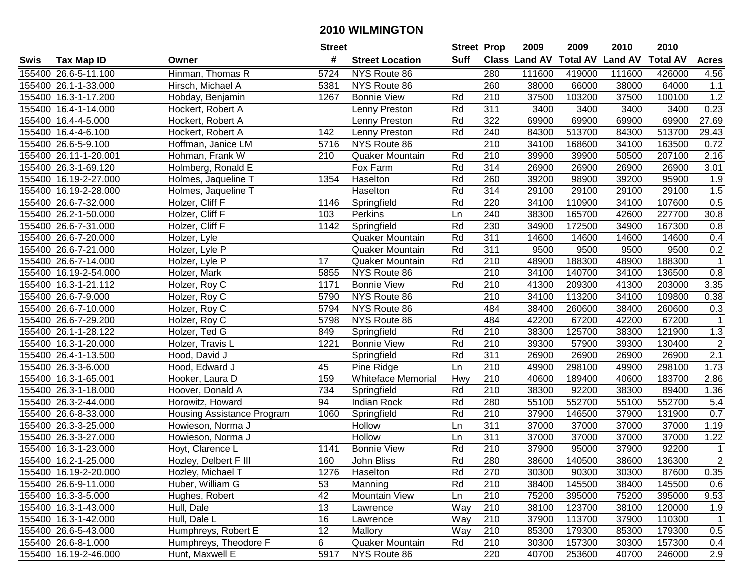|      |                       |                            | <b>Street</b>    |                           |             | <b>Street Prop</b> | 2009          | 2009            | 2010           | 2010            |                |
|------|-----------------------|----------------------------|------------------|---------------------------|-------------|--------------------|---------------|-----------------|----------------|-----------------|----------------|
| Swis | <b>Tax Map ID</b>     | Owner                      | #                | <b>Street Location</b>    | <b>Suff</b> |                    | Class Land AV | <b>Total AV</b> | <b>Land AV</b> | <b>Total AV</b> | <b>Acres</b>   |
|      | 155400 26.6-5-11.100  | Hinman, Thomas R           | 5724             | NYS Route 86              |             | 280                | 111600        | 419000          | 111600         | 426000          | 4.56           |
|      | 155400 26.1-1-33.000  | Hirsch, Michael A          | 5381             | NYS Route 86              |             | 260                | 38000         | 66000           | 38000          | 64000           | 1.1            |
|      | 155400 16.3-1-17.200  | Hobday, Benjamin           | 1267             | <b>Bonnie View</b>        | Rd          | 210                | 37500         | 103200          | 37500          | 100100          | 1.2            |
|      | 155400 16.4-1-14.000  | Hockert, Robert A          |                  | Lenny Preston             | Rd          | 311                | 3400          | 3400            | 3400           | 3400            | 0.23           |
|      | 155400 16.4-4-5.000   | Hockert, Robert A          |                  | Lenny Preston             | Rd          | 322                | 69900         | 69900           | 69900          | 69900           | 27.69          |
|      | 155400 16.4-4-6.100   | Hockert, Robert A          | 142              | Lenny Preston             | Rd          | 240                | 84300         | 513700          | 84300          | 513700          | 29.43          |
|      | 155400 26.6-5-9.100   | Hoffman, Janice LM         | 5716             | NYS Route 86              |             | 210                | 34100         | 168600          | 34100          | 163500          | 0.72           |
|      | 155400 26.11-1-20.001 | Hohman, Frank W            | $\overline{210}$ | Quaker Mountain           | Rd          | $\overline{210}$   | 39900         | 39900           | 50500          | 207100          | 2.16           |
|      | 155400 26.3-1-69.120  | Holmberg, Ronald E         |                  | Fox Farm                  | Rd          | 314                | 26900         | 26900           | 26900          | 26900           | 3.01           |
|      | 155400 16.19-2-27.000 | Holmes, Jaqueline T        | 1354             | Haselton                  | Rd          | 260                | 39200         | 98900           | 39200          | 95900           | 1.9            |
|      | 155400 16.19-2-28.000 | Holmes, Jaqueline T        |                  | Haselton                  | Rd          | 314                | 29100         | 29100           | 29100          | 29100           | 1.5            |
|      | 155400 26.6-7-32.000  | Holzer, Cliff F            | 1146             | Springfield               | Rd          | 220                | 34100         | 110900          | 34100          | 107600          | 0.5            |
|      | 155400 26.2-1-50.000  | Holzer, Cliff F            | 103              | Perkins                   | Ln          | 240                | 38300         | 165700          | 42600          | 227700          | 30.8           |
|      | 155400 26.6-7-31.000  | Holzer, Cliff F            | 1142             | Springfield               | Rd          | 230                | 34900         | 172500          | 34900          | 167300          | 0.8            |
|      | 155400 26.6-7-20.000  | Holzer, Lyle               |                  | Quaker Mountain           | Rd          | 311                | 14600         | 14600           | 14600          | 14600           | 0.4            |
|      | 155400 26.6-7-21.000  | Holzer, Lyle P             |                  | <b>Quaker Mountain</b>    | Rd          | 311                | 9500          | 9500            | 9500           | 9500            | 0.2            |
|      | 155400 26.6-7-14.000  | Holzer, Lyle P             | 17               | <b>Quaker Mountain</b>    | Rd          | 210                | 48900         | 188300          | 48900          | 188300          |                |
|      | 155400 16.19-2-54.000 | Holzer, Mark               | 5855             | NYS Route 86              |             | 210                | 34100         | 140700          | 34100          | 136500          | 0.8            |
|      | 155400 16.3-1-21.112  | Holzer, Roy C              | 1171             | <b>Bonnie View</b>        | Rd          | 210                | 41300         | 209300          | 41300          | 203000          | 3.35           |
|      | 155400 26.6-7-9.000   | Holzer, Roy C              | 5790             | NYS Route 86              |             | 210                | 34100         | 113200          | 34100          | 109800          | 0.38           |
|      | 155400 26.6-7-10.000  | Holzer, Roy C              | 5794             | NYS Route 86              |             | 484                | 38400         | 260600          | 38400          | 260600          | 0.3            |
|      | 155400 26.6-7-29.200  | Holzer, Roy C              | 5798             | NYS Route 86              |             | 484                | 42200         | 67200           | 42200          | 67200           | $\mathbf 1$    |
|      | 155400 26.1-1-28.122  | Holzer, Ted G              | 849              | Springfield               | Rd          | 210                | 38300         | 125700          | 38300          | 121900          | 1.3            |
|      | 155400 16.3-1-20.000  | Holzer, Travis L           | 1221             | <b>Bonnie View</b>        | Rd          | 210                | 39300         | 57900           | 39300          | 130400          | $\overline{c}$ |
|      | 155400 26.4-1-13.500  | Hood, David J              |                  | Springfield               | Rd          | 311                | 26900         | 26900           | 26900          | 26900           | 2.1            |
|      | 155400 26.3-3-6.000   | Hood, Edward J             | 45               | Pine Ridge                | Ln          | 210                | 49900         | 298100          | 49900          | 298100          | 1.73           |
|      | 155400 16.3-1-65.001  | Hooker, Laura D            | 159              | <b>Whiteface Memorial</b> | Hwy         | 210                | 40600         | 189400          | 40600          | 183700          | 2.86           |
|      | 155400 26.3-1-18.000  | Hoover, Donald A           | 734              | Springfield               | Rd          | 210                | 38300         | 92200           | 38300          | 89400           | 1.36           |
|      | 155400 26.3-2-44.000  | Horowitz, Howard           | 94               | Indian Rock               | Rd          | 280                | 55100         | 552700          | 55100          | 552700          | 5.4            |
|      | 155400 26.6-8-33.000  | Housing Assistance Program | 1060             | Springfield               | Rd          | $\overline{210}$   | 37900         | 146500          | 37900          | 131900          | 0.7            |
|      | 155400 26.3-3-25.000  | Howieson, Norma J          |                  | Hollow                    | Ln          | 311                | 37000         | 37000           | 37000          | 37000           | 1.19           |
|      | 155400 26.3-3-27.000  | Howieson, Norma J          |                  | Hollow                    | Ln          | 311                | 37000         | 37000           | 37000          | 37000           | 1.22           |
|      | 155400 16.3-1-23.000  | Hoyt, Clarence L           | 1141             | <b>Bonnie View</b>        | Rd          | $\overline{210}$   | 37900         | 95000           | 37900          | 92200           | $\mathbf{1}$   |
|      | 155400 16.2-1-25.000  | Hozley, Delbert F III      | 160              | John Bliss                | Rd          | 280                | 38600         | 140500          | 38600          | 136300          | $\overline{2}$ |
|      | 155400 16.19-2-20.000 | Hozley, Michael T          | 1276             | Haselton                  | Rd          | 270                | 30300         | 90300           | 30300          | 87600           | 0.35           |
|      | 155400 26.6-9-11.000  | Huber, William G           | 53               | Manning                   | Rd          | 210                | 38400         | 145500          | 38400          | 145500          | 0.6            |
|      | 155400 16.3-3-5.000   | Hughes, Robert             | 42               | Mountain View             | Ln          | 210                | 75200         | 395000          | 75200          | 395000          | 9.53           |
|      | 155400 16.3-1-43.000  | Hull, Dale                 | 13               | Lawrence                  | Way         | 210                | 38100         | 123700          | 38100          | 120000          | 1.9            |
|      | 155400 16.3-1-42.000  | Hull, Dale L               | 16               | Lawrence                  | Way         | 210                | 37900         | 113700          | 37900          | 110300          | $\mathbf{1}$   |
|      | 155400 26.6-5-43.000  | Humphreys, Robert E        | 12               | Mallory                   | Way         | 210                | 85300         | 179300          | 85300          | 179300          | 0.5            |
|      | 155400 26.6-8-1.000   | Humphreys, Theodore F      | 6                | Quaker Mountain           | Rd          | 210                | 30300         | 157300          | 30300          | 157300          | 0.4            |
|      | 155400 16.19-2-46.000 | Hunt, Maxwell E            | 5917             | NYS Route 86              |             | 220                | 40700         | 253600          | 40700          | 246000          | 2.9            |
|      |                       |                            |                  |                           |             |                    |               |                 |                |                 |                |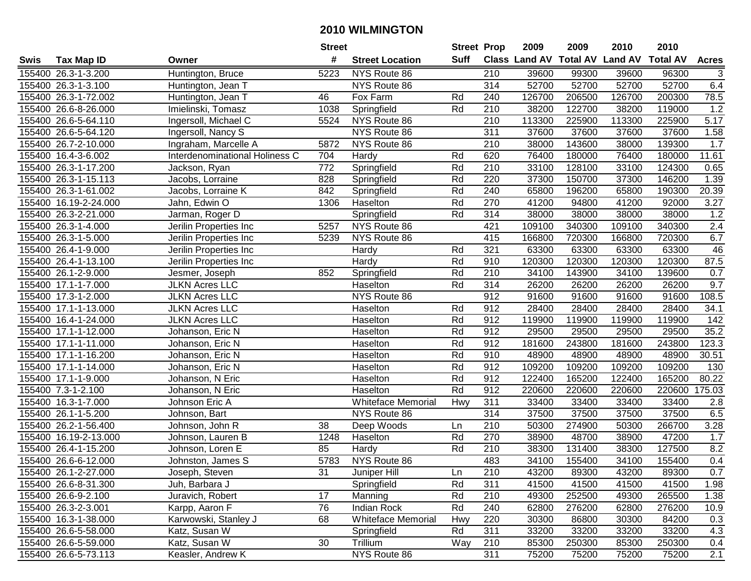| #<br><b>Suff</b><br><b>Class Land AV Total AV</b><br><b>Land AV</b><br><b>Total AV</b><br><b>Tax Map ID</b><br><b>Street Location</b><br><b>Acres</b><br>Swis<br>Owner<br>96300<br>155400 26.3-1-3.200<br>Huntington, Bruce<br>5223<br>NYS Route 86<br>210<br>39600<br>99300<br>39600<br>3<br>314<br>155400 26.3-1-3.100<br>NYS Route 86<br>52700<br>52700<br>52700<br>52700<br>6.4<br>Huntington, Jean T<br>155400 26.3-1-72.002<br>Huntington, Jean T<br>Fox Farm<br>126700<br>206500<br>126700<br>200300<br>78.5<br>46<br>Rd<br>240<br>Springfield<br>Rd<br>210<br>38200<br>122700<br>38200<br>119000<br>1.2<br>155400 26.6-8-26.000<br>Imielinski, Tomasz<br>1038<br>155400 26.6-5-64.110<br>NYS Route 86<br>210<br>113300<br>225900<br>113300<br>225900<br>5.17<br>Ingersoll, Michael C<br>5524<br><b>NYS Route 86</b><br>37600<br>37600<br>1.58<br>Ingersoll, Nancy S<br>311<br>37600<br>37600<br>155400 26.6-5-64.120<br>155400 26.7-2-10.000<br>Ingraham, Marcelle A<br>5872<br>NYS Route 86<br>210<br>38000<br>143600<br>38000<br>1.7<br>139300<br>Interdenominational Holiness C<br>704<br>Rd<br>620<br>76400<br>76400<br>180000<br>11.61<br>155400 16.4-3-6.002<br>180000<br>Hardy<br>$\overline{772}$<br>$\overline{210}$<br>155400 26.3-1-17.200<br>Springfield<br>Rd<br>33100<br>128100<br>33100<br>124300<br>0.65<br>Jackson, Ryan<br>220<br>37300<br>146200<br>155400 26.3-1-15.113<br>828<br>Rd<br>37300<br>150700<br>1.39<br>Springfield<br>Jacobs, Lorraine<br>240<br>155400 26.3-1-61.002<br>842<br>Springfield<br>Rd<br>65800<br>196200<br>65800<br>190300<br>20.39<br>Jacobs, Lorraine K<br>155400 16.19-2-24.000<br>1306<br>Haselton<br>Rd<br>270<br>41200<br>94800<br>41200<br>92000<br>3.27<br>Jahn, Edwin O<br>Rd<br>1.2<br>155400 26.3-2-21.000<br>314<br>38000<br>38000<br>38000<br>38000<br>Jarman, Roger D<br>Springfield<br>421<br>2.4<br>155400 26.3-1-4.000<br>5257<br>NYS Route 86<br>109100<br>340300<br>109100<br>340300<br>Jerilin Properties Inc<br>6.7<br>415<br>155400 26.3-1-5.000<br>5239<br>NYS Route 86<br>720300<br>166800<br>720300<br>Jerilin Properties Inc<br>166800<br>321<br>63300<br>63300<br>63300<br>63300<br>46<br>155400 26.4-1-9.000<br>Jerilin Properties Inc<br>Rd<br>Hardy<br>87.5<br>Rd<br>910<br>155400 26.4-1-13.100<br>120300<br>120300<br>120300<br>120300<br>Jerilin Properties Inc<br>Hardy<br>Rd<br>210<br>0.7<br>155400 26.1-2-9.000<br>852<br>34100<br>143900<br>34100<br>139600<br>Jesmer, Joseph<br>Springfield<br>9.7<br>155400 17.1-1-7.000<br><b>JLKN Acres LLC</b><br>Haselton<br>Rd<br>314<br>26200<br>26200<br>26200<br>26200<br>155400 17.3-1-2.000<br><b>JLKN Acres LLC</b><br>NYS Route 86<br>912<br>91600<br>91600<br>91600<br>91600<br>108.5<br>912<br>28400<br>28400<br>34.1<br>155400 17.1-1-13.000<br><b>JLKN Acres LLC</b><br>Haselton<br>Rd<br>28400<br>28400<br>912<br>155400 16.4-1-24.000<br><b>JLKN Acres LLC</b><br>Haselton<br>Rd<br>119900<br>119900<br>119900<br>119900<br>142<br>912<br>35.2<br>155400 17.1-1-12.000<br>Haselton<br>Rd<br>29500<br>29500<br>29500<br>29500<br>Johanson, Eric N<br>123.3<br>155400 17.1-1-11.000<br>Rd<br>912<br>181600<br>243800<br>181600<br>243800<br>Haselton<br>Johanson, Eric N<br>155400 17.1-1-16.200<br>Rd<br>910<br>48900<br>48900<br>30.51<br>Haselton<br>48900<br>48900<br>Johanson, Eric N<br>Rd<br>912<br>109200<br>155400 17.1-1-14.000<br>109200<br>109200<br>109200<br>130<br>Johanson, Eric N<br>Haselton<br>Rd<br>912<br>165200<br>80.22<br>155400 17.1-1-9.000<br>Haselton<br>122400<br>122400<br>165200<br>Johanson, N Eric<br>Rd<br>912<br>220600<br>175.03<br>155400 7.3-1-2.100<br>220600<br>220600<br>220600<br>Johanson, N Eric<br>Haselton<br>311<br>155400 16.3-1-7.000<br>Whiteface Memorial<br>33400<br>33400<br>33400<br>33400<br>Johnson Eric A<br>Hwy<br>2.8<br>314<br>37500<br>37500<br>37500<br>6.5<br>155400 26.1-1-5.200<br>Johnson, Bart<br>NYS Route 86<br>37500<br>155400 26.2-1-56.400<br>$\overline{38}$<br>Deep Woods<br>$\overline{210}$<br>274900<br>266700<br>3.28<br>50300<br>50300<br>Johnson, John R<br>Ln<br>270<br>155400 16.19-2-13.000<br>Haselton<br>38900<br>48700<br>38900<br>47200<br>1.7<br>1248<br>Rd<br>Johnson, Lauren B<br>155400 26.4-1-15.200<br>85<br>Rd<br>$\overline{210}$<br>8.2<br>38300<br>131400<br>38300<br>127500<br>Johnson, Loren E<br>Hardy<br>5783<br>NYS Route 86<br>483<br>0.4<br>155400 26.6-6-12.000<br>34100<br>155400<br>34100<br>155400<br>Johnston, James S<br>155400 26.1-2-27.000<br>Joseph, Steven<br>31<br>Juniper Hill<br>Ln<br>210<br>43200<br>89300<br>43200<br>89300<br>0.7<br>155400 26.6-8-31.300<br>Juh, Barbara J<br>Springfield<br>Rd<br>311<br>41500<br>41500<br>41500<br>41500<br>1.98<br>Rd<br>49300<br>265500<br>1.38<br>155400 26.6-9-2.100<br>Juravich, Robert<br>17<br>Manning<br>210<br>252500<br>49300<br>155400 26.3-2-3.001<br>Karpp, Aaron F<br>76<br><b>Indian Rock</b><br>Rd<br>240<br>62800<br>276200<br>62800<br>276200<br>10.9<br>Karwowski, Stanley J<br>68<br><b>Whiteface Memorial</b><br>220<br>84200<br>0.3<br>155400 16.3-1-38.000<br>Hwy<br>30300<br>86800<br>30300<br>Rd<br>311<br>4.3<br>155400 26.6-5-58.000<br>Katz, Susan W<br>Springfield<br>33200<br>33200<br>33200<br>33200<br>30<br>155400 26.6-5-59.000<br>Katz, Susan W<br>Trillium<br>Way<br>210<br>85300<br>250300<br>85300<br>250300<br>0.4<br>NYS Route 86<br>311<br>2.1<br>155400 26.6-5-73.113<br>Keasler, Andrew K<br>75200<br>75200<br>75200<br>75200 |  | <b>Street</b> | <b>Street Prop</b> | 2009 | 2009 | 2010 | 2010 |  |
|------------------------------------------------------------------------------------------------------------------------------------------------------------------------------------------------------------------------------------------------------------------------------------------------------------------------------------------------------------------------------------------------------------------------------------------------------------------------------------------------------------------------------------------------------------------------------------------------------------------------------------------------------------------------------------------------------------------------------------------------------------------------------------------------------------------------------------------------------------------------------------------------------------------------------------------------------------------------------------------------------------------------------------------------------------------------------------------------------------------------------------------------------------------------------------------------------------------------------------------------------------------------------------------------------------------------------------------------------------------------------------------------------------------------------------------------------------------------------------------------------------------------------------------------------------------------------------------------------------------------------------------------------------------------------------------------------------------------------------------------------------------------------------------------------------------------------------------------------------------------------------------------------------------------------------------------------------------------------------------------------------------------------------------------------------------------------------------------------------------------------------------------------------------------------------------------------------------------------------------------------------------------------------------------------------------------------------------------------------------------------------------------------------------------------------------------------------------------------------------------------------------------------------------------------------------------------------------------------------------------------------------------------------------------------------------------------------------------------------------------------------------------------------------------------------------------------------------------------------------------------------------------------------------------------------------------------------------------------------------------------------------------------------------------------------------------------------------------------------------------------------------------------------------------------------------------------------------------------------------------------------------------------------------------------------------------------------------------------------------------------------------------------------------------------------------------------------------------------------------------------------------------------------------------------------------------------------------------------------------------------------------------------------------------------------------------------------------------------------------------------------------------------------------------------------------------------------------------------------------------------------------------------------------------------------------------------------------------------------------------------------------------------------------------------------------------------------------------------------------------------------------------------------------------------------------------------------------------------------------------------------------------------------------------------------------------------------------------------------------------------------------------------------------------------------------------------------------------------------------------------------------------------------------------------------------------------------------------------------------------------------------------------------------------------------------------------------------------------------------------------------------------------------------------------------------------------------------------------------------------------------------------------------------------------------------------------------------------------------------------------------------------------------------------------------------------------------------------------------------------------------------------------------------------------------------------------------------------------------------------------------------------------------------------------------------------------------------------------------------------------------------------------------------------------------------------------------------------------------|--|---------------|--------------------|------|------|------|------|--|
|                                                                                                                                                                                                                                                                                                                                                                                                                                                                                                                                                                                                                                                                                                                                                                                                                                                                                                                                                                                                                                                                                                                                                                                                                                                                                                                                                                                                                                                                                                                                                                                                                                                                                                                                                                                                                                                                                                                                                                                                                                                                                                                                                                                                                                                                                                                                                                                                                                                                                                                                                                                                                                                                                                                                                                                                                                                                                                                                                                                                                                                                                                                                                                                                                                                                                                                                                                                                                                                                                                                                                                                                                                                                                                                                                                                                                                                                                                                                                                                                                                                                                                                                                                                                                                                                                                                                                                                                                                                                                                                                                                                                                                                                                                                                                                                                                                                                                                                                                                                                                                                                                                                                                                                                                                                                                                                                                                                                                                                                                    |  |               |                    |      |      |      |      |  |
|                                                                                                                                                                                                                                                                                                                                                                                                                                                                                                                                                                                                                                                                                                                                                                                                                                                                                                                                                                                                                                                                                                                                                                                                                                                                                                                                                                                                                                                                                                                                                                                                                                                                                                                                                                                                                                                                                                                                                                                                                                                                                                                                                                                                                                                                                                                                                                                                                                                                                                                                                                                                                                                                                                                                                                                                                                                                                                                                                                                                                                                                                                                                                                                                                                                                                                                                                                                                                                                                                                                                                                                                                                                                                                                                                                                                                                                                                                                                                                                                                                                                                                                                                                                                                                                                                                                                                                                                                                                                                                                                                                                                                                                                                                                                                                                                                                                                                                                                                                                                                                                                                                                                                                                                                                                                                                                                                                                                                                                                                    |  |               |                    |      |      |      |      |  |
|                                                                                                                                                                                                                                                                                                                                                                                                                                                                                                                                                                                                                                                                                                                                                                                                                                                                                                                                                                                                                                                                                                                                                                                                                                                                                                                                                                                                                                                                                                                                                                                                                                                                                                                                                                                                                                                                                                                                                                                                                                                                                                                                                                                                                                                                                                                                                                                                                                                                                                                                                                                                                                                                                                                                                                                                                                                                                                                                                                                                                                                                                                                                                                                                                                                                                                                                                                                                                                                                                                                                                                                                                                                                                                                                                                                                                                                                                                                                                                                                                                                                                                                                                                                                                                                                                                                                                                                                                                                                                                                                                                                                                                                                                                                                                                                                                                                                                                                                                                                                                                                                                                                                                                                                                                                                                                                                                                                                                                                                                    |  |               |                    |      |      |      |      |  |
|                                                                                                                                                                                                                                                                                                                                                                                                                                                                                                                                                                                                                                                                                                                                                                                                                                                                                                                                                                                                                                                                                                                                                                                                                                                                                                                                                                                                                                                                                                                                                                                                                                                                                                                                                                                                                                                                                                                                                                                                                                                                                                                                                                                                                                                                                                                                                                                                                                                                                                                                                                                                                                                                                                                                                                                                                                                                                                                                                                                                                                                                                                                                                                                                                                                                                                                                                                                                                                                                                                                                                                                                                                                                                                                                                                                                                                                                                                                                                                                                                                                                                                                                                                                                                                                                                                                                                                                                                                                                                                                                                                                                                                                                                                                                                                                                                                                                                                                                                                                                                                                                                                                                                                                                                                                                                                                                                                                                                                                                                    |  |               |                    |      |      |      |      |  |
|                                                                                                                                                                                                                                                                                                                                                                                                                                                                                                                                                                                                                                                                                                                                                                                                                                                                                                                                                                                                                                                                                                                                                                                                                                                                                                                                                                                                                                                                                                                                                                                                                                                                                                                                                                                                                                                                                                                                                                                                                                                                                                                                                                                                                                                                                                                                                                                                                                                                                                                                                                                                                                                                                                                                                                                                                                                                                                                                                                                                                                                                                                                                                                                                                                                                                                                                                                                                                                                                                                                                                                                                                                                                                                                                                                                                                                                                                                                                                                                                                                                                                                                                                                                                                                                                                                                                                                                                                                                                                                                                                                                                                                                                                                                                                                                                                                                                                                                                                                                                                                                                                                                                                                                                                                                                                                                                                                                                                                                                                    |  |               |                    |      |      |      |      |  |
|                                                                                                                                                                                                                                                                                                                                                                                                                                                                                                                                                                                                                                                                                                                                                                                                                                                                                                                                                                                                                                                                                                                                                                                                                                                                                                                                                                                                                                                                                                                                                                                                                                                                                                                                                                                                                                                                                                                                                                                                                                                                                                                                                                                                                                                                                                                                                                                                                                                                                                                                                                                                                                                                                                                                                                                                                                                                                                                                                                                                                                                                                                                                                                                                                                                                                                                                                                                                                                                                                                                                                                                                                                                                                                                                                                                                                                                                                                                                                                                                                                                                                                                                                                                                                                                                                                                                                                                                                                                                                                                                                                                                                                                                                                                                                                                                                                                                                                                                                                                                                                                                                                                                                                                                                                                                                                                                                                                                                                                                                    |  |               |                    |      |      |      |      |  |
|                                                                                                                                                                                                                                                                                                                                                                                                                                                                                                                                                                                                                                                                                                                                                                                                                                                                                                                                                                                                                                                                                                                                                                                                                                                                                                                                                                                                                                                                                                                                                                                                                                                                                                                                                                                                                                                                                                                                                                                                                                                                                                                                                                                                                                                                                                                                                                                                                                                                                                                                                                                                                                                                                                                                                                                                                                                                                                                                                                                                                                                                                                                                                                                                                                                                                                                                                                                                                                                                                                                                                                                                                                                                                                                                                                                                                                                                                                                                                                                                                                                                                                                                                                                                                                                                                                                                                                                                                                                                                                                                                                                                                                                                                                                                                                                                                                                                                                                                                                                                                                                                                                                                                                                                                                                                                                                                                                                                                                                                                    |  |               |                    |      |      |      |      |  |
|                                                                                                                                                                                                                                                                                                                                                                                                                                                                                                                                                                                                                                                                                                                                                                                                                                                                                                                                                                                                                                                                                                                                                                                                                                                                                                                                                                                                                                                                                                                                                                                                                                                                                                                                                                                                                                                                                                                                                                                                                                                                                                                                                                                                                                                                                                                                                                                                                                                                                                                                                                                                                                                                                                                                                                                                                                                                                                                                                                                                                                                                                                                                                                                                                                                                                                                                                                                                                                                                                                                                                                                                                                                                                                                                                                                                                                                                                                                                                                                                                                                                                                                                                                                                                                                                                                                                                                                                                                                                                                                                                                                                                                                                                                                                                                                                                                                                                                                                                                                                                                                                                                                                                                                                                                                                                                                                                                                                                                                                                    |  |               |                    |      |      |      |      |  |
|                                                                                                                                                                                                                                                                                                                                                                                                                                                                                                                                                                                                                                                                                                                                                                                                                                                                                                                                                                                                                                                                                                                                                                                                                                                                                                                                                                                                                                                                                                                                                                                                                                                                                                                                                                                                                                                                                                                                                                                                                                                                                                                                                                                                                                                                                                                                                                                                                                                                                                                                                                                                                                                                                                                                                                                                                                                                                                                                                                                                                                                                                                                                                                                                                                                                                                                                                                                                                                                                                                                                                                                                                                                                                                                                                                                                                                                                                                                                                                                                                                                                                                                                                                                                                                                                                                                                                                                                                                                                                                                                                                                                                                                                                                                                                                                                                                                                                                                                                                                                                                                                                                                                                                                                                                                                                                                                                                                                                                                                                    |  |               |                    |      |      |      |      |  |
|                                                                                                                                                                                                                                                                                                                                                                                                                                                                                                                                                                                                                                                                                                                                                                                                                                                                                                                                                                                                                                                                                                                                                                                                                                                                                                                                                                                                                                                                                                                                                                                                                                                                                                                                                                                                                                                                                                                                                                                                                                                                                                                                                                                                                                                                                                                                                                                                                                                                                                                                                                                                                                                                                                                                                                                                                                                                                                                                                                                                                                                                                                                                                                                                                                                                                                                                                                                                                                                                                                                                                                                                                                                                                                                                                                                                                                                                                                                                                                                                                                                                                                                                                                                                                                                                                                                                                                                                                                                                                                                                                                                                                                                                                                                                                                                                                                                                                                                                                                                                                                                                                                                                                                                                                                                                                                                                                                                                                                                                                    |  |               |                    |      |      |      |      |  |
|                                                                                                                                                                                                                                                                                                                                                                                                                                                                                                                                                                                                                                                                                                                                                                                                                                                                                                                                                                                                                                                                                                                                                                                                                                                                                                                                                                                                                                                                                                                                                                                                                                                                                                                                                                                                                                                                                                                                                                                                                                                                                                                                                                                                                                                                                                                                                                                                                                                                                                                                                                                                                                                                                                                                                                                                                                                                                                                                                                                                                                                                                                                                                                                                                                                                                                                                                                                                                                                                                                                                                                                                                                                                                                                                                                                                                                                                                                                                                                                                                                                                                                                                                                                                                                                                                                                                                                                                                                                                                                                                                                                                                                                                                                                                                                                                                                                                                                                                                                                                                                                                                                                                                                                                                                                                                                                                                                                                                                                                                    |  |               |                    |      |      |      |      |  |
|                                                                                                                                                                                                                                                                                                                                                                                                                                                                                                                                                                                                                                                                                                                                                                                                                                                                                                                                                                                                                                                                                                                                                                                                                                                                                                                                                                                                                                                                                                                                                                                                                                                                                                                                                                                                                                                                                                                                                                                                                                                                                                                                                                                                                                                                                                                                                                                                                                                                                                                                                                                                                                                                                                                                                                                                                                                                                                                                                                                                                                                                                                                                                                                                                                                                                                                                                                                                                                                                                                                                                                                                                                                                                                                                                                                                                                                                                                                                                                                                                                                                                                                                                                                                                                                                                                                                                                                                                                                                                                                                                                                                                                                                                                                                                                                                                                                                                                                                                                                                                                                                                                                                                                                                                                                                                                                                                                                                                                                                                    |  |               |                    |      |      |      |      |  |
|                                                                                                                                                                                                                                                                                                                                                                                                                                                                                                                                                                                                                                                                                                                                                                                                                                                                                                                                                                                                                                                                                                                                                                                                                                                                                                                                                                                                                                                                                                                                                                                                                                                                                                                                                                                                                                                                                                                                                                                                                                                                                                                                                                                                                                                                                                                                                                                                                                                                                                                                                                                                                                                                                                                                                                                                                                                                                                                                                                                                                                                                                                                                                                                                                                                                                                                                                                                                                                                                                                                                                                                                                                                                                                                                                                                                                                                                                                                                                                                                                                                                                                                                                                                                                                                                                                                                                                                                                                                                                                                                                                                                                                                                                                                                                                                                                                                                                                                                                                                                                                                                                                                                                                                                                                                                                                                                                                                                                                                                                    |  |               |                    |      |      |      |      |  |
|                                                                                                                                                                                                                                                                                                                                                                                                                                                                                                                                                                                                                                                                                                                                                                                                                                                                                                                                                                                                                                                                                                                                                                                                                                                                                                                                                                                                                                                                                                                                                                                                                                                                                                                                                                                                                                                                                                                                                                                                                                                                                                                                                                                                                                                                                                                                                                                                                                                                                                                                                                                                                                                                                                                                                                                                                                                                                                                                                                                                                                                                                                                                                                                                                                                                                                                                                                                                                                                                                                                                                                                                                                                                                                                                                                                                                                                                                                                                                                                                                                                                                                                                                                                                                                                                                                                                                                                                                                                                                                                                                                                                                                                                                                                                                                                                                                                                                                                                                                                                                                                                                                                                                                                                                                                                                                                                                                                                                                                                                    |  |               |                    |      |      |      |      |  |
|                                                                                                                                                                                                                                                                                                                                                                                                                                                                                                                                                                                                                                                                                                                                                                                                                                                                                                                                                                                                                                                                                                                                                                                                                                                                                                                                                                                                                                                                                                                                                                                                                                                                                                                                                                                                                                                                                                                                                                                                                                                                                                                                                                                                                                                                                                                                                                                                                                                                                                                                                                                                                                                                                                                                                                                                                                                                                                                                                                                                                                                                                                                                                                                                                                                                                                                                                                                                                                                                                                                                                                                                                                                                                                                                                                                                                                                                                                                                                                                                                                                                                                                                                                                                                                                                                                                                                                                                                                                                                                                                                                                                                                                                                                                                                                                                                                                                                                                                                                                                                                                                                                                                                                                                                                                                                                                                                                                                                                                                                    |  |               |                    |      |      |      |      |  |
|                                                                                                                                                                                                                                                                                                                                                                                                                                                                                                                                                                                                                                                                                                                                                                                                                                                                                                                                                                                                                                                                                                                                                                                                                                                                                                                                                                                                                                                                                                                                                                                                                                                                                                                                                                                                                                                                                                                                                                                                                                                                                                                                                                                                                                                                                                                                                                                                                                                                                                                                                                                                                                                                                                                                                                                                                                                                                                                                                                                                                                                                                                                                                                                                                                                                                                                                                                                                                                                                                                                                                                                                                                                                                                                                                                                                                                                                                                                                                                                                                                                                                                                                                                                                                                                                                                                                                                                                                                                                                                                                                                                                                                                                                                                                                                                                                                                                                                                                                                                                                                                                                                                                                                                                                                                                                                                                                                                                                                                                                    |  |               |                    |      |      |      |      |  |
|                                                                                                                                                                                                                                                                                                                                                                                                                                                                                                                                                                                                                                                                                                                                                                                                                                                                                                                                                                                                                                                                                                                                                                                                                                                                                                                                                                                                                                                                                                                                                                                                                                                                                                                                                                                                                                                                                                                                                                                                                                                                                                                                                                                                                                                                                                                                                                                                                                                                                                                                                                                                                                                                                                                                                                                                                                                                                                                                                                                                                                                                                                                                                                                                                                                                                                                                                                                                                                                                                                                                                                                                                                                                                                                                                                                                                                                                                                                                                                                                                                                                                                                                                                                                                                                                                                                                                                                                                                                                                                                                                                                                                                                                                                                                                                                                                                                                                                                                                                                                                                                                                                                                                                                                                                                                                                                                                                                                                                                                                    |  |               |                    |      |      |      |      |  |
|                                                                                                                                                                                                                                                                                                                                                                                                                                                                                                                                                                                                                                                                                                                                                                                                                                                                                                                                                                                                                                                                                                                                                                                                                                                                                                                                                                                                                                                                                                                                                                                                                                                                                                                                                                                                                                                                                                                                                                                                                                                                                                                                                                                                                                                                                                                                                                                                                                                                                                                                                                                                                                                                                                                                                                                                                                                                                                                                                                                                                                                                                                                                                                                                                                                                                                                                                                                                                                                                                                                                                                                                                                                                                                                                                                                                                                                                                                                                                                                                                                                                                                                                                                                                                                                                                                                                                                                                                                                                                                                                                                                                                                                                                                                                                                                                                                                                                                                                                                                                                                                                                                                                                                                                                                                                                                                                                                                                                                                                                    |  |               |                    |      |      |      |      |  |
|                                                                                                                                                                                                                                                                                                                                                                                                                                                                                                                                                                                                                                                                                                                                                                                                                                                                                                                                                                                                                                                                                                                                                                                                                                                                                                                                                                                                                                                                                                                                                                                                                                                                                                                                                                                                                                                                                                                                                                                                                                                                                                                                                                                                                                                                                                                                                                                                                                                                                                                                                                                                                                                                                                                                                                                                                                                                                                                                                                                                                                                                                                                                                                                                                                                                                                                                                                                                                                                                                                                                                                                                                                                                                                                                                                                                                                                                                                                                                                                                                                                                                                                                                                                                                                                                                                                                                                                                                                                                                                                                                                                                                                                                                                                                                                                                                                                                                                                                                                                                                                                                                                                                                                                                                                                                                                                                                                                                                                                                                    |  |               |                    |      |      |      |      |  |
|                                                                                                                                                                                                                                                                                                                                                                                                                                                                                                                                                                                                                                                                                                                                                                                                                                                                                                                                                                                                                                                                                                                                                                                                                                                                                                                                                                                                                                                                                                                                                                                                                                                                                                                                                                                                                                                                                                                                                                                                                                                                                                                                                                                                                                                                                                                                                                                                                                                                                                                                                                                                                                                                                                                                                                                                                                                                                                                                                                                                                                                                                                                                                                                                                                                                                                                                                                                                                                                                                                                                                                                                                                                                                                                                                                                                                                                                                                                                                                                                                                                                                                                                                                                                                                                                                                                                                                                                                                                                                                                                                                                                                                                                                                                                                                                                                                                                                                                                                                                                                                                                                                                                                                                                                                                                                                                                                                                                                                                                                    |  |               |                    |      |      |      |      |  |
|                                                                                                                                                                                                                                                                                                                                                                                                                                                                                                                                                                                                                                                                                                                                                                                                                                                                                                                                                                                                                                                                                                                                                                                                                                                                                                                                                                                                                                                                                                                                                                                                                                                                                                                                                                                                                                                                                                                                                                                                                                                                                                                                                                                                                                                                                                                                                                                                                                                                                                                                                                                                                                                                                                                                                                                                                                                                                                                                                                                                                                                                                                                                                                                                                                                                                                                                                                                                                                                                                                                                                                                                                                                                                                                                                                                                                                                                                                                                                                                                                                                                                                                                                                                                                                                                                                                                                                                                                                                                                                                                                                                                                                                                                                                                                                                                                                                                                                                                                                                                                                                                                                                                                                                                                                                                                                                                                                                                                                                                                    |  |               |                    |      |      |      |      |  |
|                                                                                                                                                                                                                                                                                                                                                                                                                                                                                                                                                                                                                                                                                                                                                                                                                                                                                                                                                                                                                                                                                                                                                                                                                                                                                                                                                                                                                                                                                                                                                                                                                                                                                                                                                                                                                                                                                                                                                                                                                                                                                                                                                                                                                                                                                                                                                                                                                                                                                                                                                                                                                                                                                                                                                                                                                                                                                                                                                                                                                                                                                                                                                                                                                                                                                                                                                                                                                                                                                                                                                                                                                                                                                                                                                                                                                                                                                                                                                                                                                                                                                                                                                                                                                                                                                                                                                                                                                                                                                                                                                                                                                                                                                                                                                                                                                                                                                                                                                                                                                                                                                                                                                                                                                                                                                                                                                                                                                                                                                    |  |               |                    |      |      |      |      |  |
|                                                                                                                                                                                                                                                                                                                                                                                                                                                                                                                                                                                                                                                                                                                                                                                                                                                                                                                                                                                                                                                                                                                                                                                                                                                                                                                                                                                                                                                                                                                                                                                                                                                                                                                                                                                                                                                                                                                                                                                                                                                                                                                                                                                                                                                                                                                                                                                                                                                                                                                                                                                                                                                                                                                                                                                                                                                                                                                                                                                                                                                                                                                                                                                                                                                                                                                                                                                                                                                                                                                                                                                                                                                                                                                                                                                                                                                                                                                                                                                                                                                                                                                                                                                                                                                                                                                                                                                                                                                                                                                                                                                                                                                                                                                                                                                                                                                                                                                                                                                                                                                                                                                                                                                                                                                                                                                                                                                                                                                                                    |  |               |                    |      |      |      |      |  |
|                                                                                                                                                                                                                                                                                                                                                                                                                                                                                                                                                                                                                                                                                                                                                                                                                                                                                                                                                                                                                                                                                                                                                                                                                                                                                                                                                                                                                                                                                                                                                                                                                                                                                                                                                                                                                                                                                                                                                                                                                                                                                                                                                                                                                                                                                                                                                                                                                                                                                                                                                                                                                                                                                                                                                                                                                                                                                                                                                                                                                                                                                                                                                                                                                                                                                                                                                                                                                                                                                                                                                                                                                                                                                                                                                                                                                                                                                                                                                                                                                                                                                                                                                                                                                                                                                                                                                                                                                                                                                                                                                                                                                                                                                                                                                                                                                                                                                                                                                                                                                                                                                                                                                                                                                                                                                                                                                                                                                                                                                    |  |               |                    |      |      |      |      |  |
|                                                                                                                                                                                                                                                                                                                                                                                                                                                                                                                                                                                                                                                                                                                                                                                                                                                                                                                                                                                                                                                                                                                                                                                                                                                                                                                                                                                                                                                                                                                                                                                                                                                                                                                                                                                                                                                                                                                                                                                                                                                                                                                                                                                                                                                                                                                                                                                                                                                                                                                                                                                                                                                                                                                                                                                                                                                                                                                                                                                                                                                                                                                                                                                                                                                                                                                                                                                                                                                                                                                                                                                                                                                                                                                                                                                                                                                                                                                                                                                                                                                                                                                                                                                                                                                                                                                                                                                                                                                                                                                                                                                                                                                                                                                                                                                                                                                                                                                                                                                                                                                                                                                                                                                                                                                                                                                                                                                                                                                                                    |  |               |                    |      |      |      |      |  |
|                                                                                                                                                                                                                                                                                                                                                                                                                                                                                                                                                                                                                                                                                                                                                                                                                                                                                                                                                                                                                                                                                                                                                                                                                                                                                                                                                                                                                                                                                                                                                                                                                                                                                                                                                                                                                                                                                                                                                                                                                                                                                                                                                                                                                                                                                                                                                                                                                                                                                                                                                                                                                                                                                                                                                                                                                                                                                                                                                                                                                                                                                                                                                                                                                                                                                                                                                                                                                                                                                                                                                                                                                                                                                                                                                                                                                                                                                                                                                                                                                                                                                                                                                                                                                                                                                                                                                                                                                                                                                                                                                                                                                                                                                                                                                                                                                                                                                                                                                                                                                                                                                                                                                                                                                                                                                                                                                                                                                                                                                    |  |               |                    |      |      |      |      |  |
|                                                                                                                                                                                                                                                                                                                                                                                                                                                                                                                                                                                                                                                                                                                                                                                                                                                                                                                                                                                                                                                                                                                                                                                                                                                                                                                                                                                                                                                                                                                                                                                                                                                                                                                                                                                                                                                                                                                                                                                                                                                                                                                                                                                                                                                                                                                                                                                                                                                                                                                                                                                                                                                                                                                                                                                                                                                                                                                                                                                                                                                                                                                                                                                                                                                                                                                                                                                                                                                                                                                                                                                                                                                                                                                                                                                                                                                                                                                                                                                                                                                                                                                                                                                                                                                                                                                                                                                                                                                                                                                                                                                                                                                                                                                                                                                                                                                                                                                                                                                                                                                                                                                                                                                                                                                                                                                                                                                                                                                                                    |  |               |                    |      |      |      |      |  |
|                                                                                                                                                                                                                                                                                                                                                                                                                                                                                                                                                                                                                                                                                                                                                                                                                                                                                                                                                                                                                                                                                                                                                                                                                                                                                                                                                                                                                                                                                                                                                                                                                                                                                                                                                                                                                                                                                                                                                                                                                                                                                                                                                                                                                                                                                                                                                                                                                                                                                                                                                                                                                                                                                                                                                                                                                                                                                                                                                                                                                                                                                                                                                                                                                                                                                                                                                                                                                                                                                                                                                                                                                                                                                                                                                                                                                                                                                                                                                                                                                                                                                                                                                                                                                                                                                                                                                                                                                                                                                                                                                                                                                                                                                                                                                                                                                                                                                                                                                                                                                                                                                                                                                                                                                                                                                                                                                                                                                                                                                    |  |               |                    |      |      |      |      |  |
|                                                                                                                                                                                                                                                                                                                                                                                                                                                                                                                                                                                                                                                                                                                                                                                                                                                                                                                                                                                                                                                                                                                                                                                                                                                                                                                                                                                                                                                                                                                                                                                                                                                                                                                                                                                                                                                                                                                                                                                                                                                                                                                                                                                                                                                                                                                                                                                                                                                                                                                                                                                                                                                                                                                                                                                                                                                                                                                                                                                                                                                                                                                                                                                                                                                                                                                                                                                                                                                                                                                                                                                                                                                                                                                                                                                                                                                                                                                                                                                                                                                                                                                                                                                                                                                                                                                                                                                                                                                                                                                                                                                                                                                                                                                                                                                                                                                                                                                                                                                                                                                                                                                                                                                                                                                                                                                                                                                                                                                                                    |  |               |                    |      |      |      |      |  |
|                                                                                                                                                                                                                                                                                                                                                                                                                                                                                                                                                                                                                                                                                                                                                                                                                                                                                                                                                                                                                                                                                                                                                                                                                                                                                                                                                                                                                                                                                                                                                                                                                                                                                                                                                                                                                                                                                                                                                                                                                                                                                                                                                                                                                                                                                                                                                                                                                                                                                                                                                                                                                                                                                                                                                                                                                                                                                                                                                                                                                                                                                                                                                                                                                                                                                                                                                                                                                                                                                                                                                                                                                                                                                                                                                                                                                                                                                                                                                                                                                                                                                                                                                                                                                                                                                                                                                                                                                                                                                                                                                                                                                                                                                                                                                                                                                                                                                                                                                                                                                                                                                                                                                                                                                                                                                                                                                                                                                                                                                    |  |               |                    |      |      |      |      |  |
|                                                                                                                                                                                                                                                                                                                                                                                                                                                                                                                                                                                                                                                                                                                                                                                                                                                                                                                                                                                                                                                                                                                                                                                                                                                                                                                                                                                                                                                                                                                                                                                                                                                                                                                                                                                                                                                                                                                                                                                                                                                                                                                                                                                                                                                                                                                                                                                                                                                                                                                                                                                                                                                                                                                                                                                                                                                                                                                                                                                                                                                                                                                                                                                                                                                                                                                                                                                                                                                                                                                                                                                                                                                                                                                                                                                                                                                                                                                                                                                                                                                                                                                                                                                                                                                                                                                                                                                                                                                                                                                                                                                                                                                                                                                                                                                                                                                                                                                                                                                                                                                                                                                                                                                                                                                                                                                                                                                                                                                                                    |  |               |                    |      |      |      |      |  |
|                                                                                                                                                                                                                                                                                                                                                                                                                                                                                                                                                                                                                                                                                                                                                                                                                                                                                                                                                                                                                                                                                                                                                                                                                                                                                                                                                                                                                                                                                                                                                                                                                                                                                                                                                                                                                                                                                                                                                                                                                                                                                                                                                                                                                                                                                                                                                                                                                                                                                                                                                                                                                                                                                                                                                                                                                                                                                                                                                                                                                                                                                                                                                                                                                                                                                                                                                                                                                                                                                                                                                                                                                                                                                                                                                                                                                                                                                                                                                                                                                                                                                                                                                                                                                                                                                                                                                                                                                                                                                                                                                                                                                                                                                                                                                                                                                                                                                                                                                                                                                                                                                                                                                                                                                                                                                                                                                                                                                                                                                    |  |               |                    |      |      |      |      |  |
|                                                                                                                                                                                                                                                                                                                                                                                                                                                                                                                                                                                                                                                                                                                                                                                                                                                                                                                                                                                                                                                                                                                                                                                                                                                                                                                                                                                                                                                                                                                                                                                                                                                                                                                                                                                                                                                                                                                                                                                                                                                                                                                                                                                                                                                                                                                                                                                                                                                                                                                                                                                                                                                                                                                                                                                                                                                                                                                                                                                                                                                                                                                                                                                                                                                                                                                                                                                                                                                                                                                                                                                                                                                                                                                                                                                                                                                                                                                                                                                                                                                                                                                                                                                                                                                                                                                                                                                                                                                                                                                                                                                                                                                                                                                                                                                                                                                                                                                                                                                                                                                                                                                                                                                                                                                                                                                                                                                                                                                                                    |  |               |                    |      |      |      |      |  |
|                                                                                                                                                                                                                                                                                                                                                                                                                                                                                                                                                                                                                                                                                                                                                                                                                                                                                                                                                                                                                                                                                                                                                                                                                                                                                                                                                                                                                                                                                                                                                                                                                                                                                                                                                                                                                                                                                                                                                                                                                                                                                                                                                                                                                                                                                                                                                                                                                                                                                                                                                                                                                                                                                                                                                                                                                                                                                                                                                                                                                                                                                                                                                                                                                                                                                                                                                                                                                                                                                                                                                                                                                                                                                                                                                                                                                                                                                                                                                                                                                                                                                                                                                                                                                                                                                                                                                                                                                                                                                                                                                                                                                                                                                                                                                                                                                                                                                                                                                                                                                                                                                                                                                                                                                                                                                                                                                                                                                                                                                    |  |               |                    |      |      |      |      |  |
|                                                                                                                                                                                                                                                                                                                                                                                                                                                                                                                                                                                                                                                                                                                                                                                                                                                                                                                                                                                                                                                                                                                                                                                                                                                                                                                                                                                                                                                                                                                                                                                                                                                                                                                                                                                                                                                                                                                                                                                                                                                                                                                                                                                                                                                                                                                                                                                                                                                                                                                                                                                                                                                                                                                                                                                                                                                                                                                                                                                                                                                                                                                                                                                                                                                                                                                                                                                                                                                                                                                                                                                                                                                                                                                                                                                                                                                                                                                                                                                                                                                                                                                                                                                                                                                                                                                                                                                                                                                                                                                                                                                                                                                                                                                                                                                                                                                                                                                                                                                                                                                                                                                                                                                                                                                                                                                                                                                                                                                                                    |  |               |                    |      |      |      |      |  |
|                                                                                                                                                                                                                                                                                                                                                                                                                                                                                                                                                                                                                                                                                                                                                                                                                                                                                                                                                                                                                                                                                                                                                                                                                                                                                                                                                                                                                                                                                                                                                                                                                                                                                                                                                                                                                                                                                                                                                                                                                                                                                                                                                                                                                                                                                                                                                                                                                                                                                                                                                                                                                                                                                                                                                                                                                                                                                                                                                                                                                                                                                                                                                                                                                                                                                                                                                                                                                                                                                                                                                                                                                                                                                                                                                                                                                                                                                                                                                                                                                                                                                                                                                                                                                                                                                                                                                                                                                                                                                                                                                                                                                                                                                                                                                                                                                                                                                                                                                                                                                                                                                                                                                                                                                                                                                                                                                                                                                                                                                    |  |               |                    |      |      |      |      |  |
|                                                                                                                                                                                                                                                                                                                                                                                                                                                                                                                                                                                                                                                                                                                                                                                                                                                                                                                                                                                                                                                                                                                                                                                                                                                                                                                                                                                                                                                                                                                                                                                                                                                                                                                                                                                                                                                                                                                                                                                                                                                                                                                                                                                                                                                                                                                                                                                                                                                                                                                                                                                                                                                                                                                                                                                                                                                                                                                                                                                                                                                                                                                                                                                                                                                                                                                                                                                                                                                                                                                                                                                                                                                                                                                                                                                                                                                                                                                                                                                                                                                                                                                                                                                                                                                                                                                                                                                                                                                                                                                                                                                                                                                                                                                                                                                                                                                                                                                                                                                                                                                                                                                                                                                                                                                                                                                                                                                                                                                                                    |  |               |                    |      |      |      |      |  |
|                                                                                                                                                                                                                                                                                                                                                                                                                                                                                                                                                                                                                                                                                                                                                                                                                                                                                                                                                                                                                                                                                                                                                                                                                                                                                                                                                                                                                                                                                                                                                                                                                                                                                                                                                                                                                                                                                                                                                                                                                                                                                                                                                                                                                                                                                                                                                                                                                                                                                                                                                                                                                                                                                                                                                                                                                                                                                                                                                                                                                                                                                                                                                                                                                                                                                                                                                                                                                                                                                                                                                                                                                                                                                                                                                                                                                                                                                                                                                                                                                                                                                                                                                                                                                                                                                                                                                                                                                                                                                                                                                                                                                                                                                                                                                                                                                                                                                                                                                                                                                                                                                                                                                                                                                                                                                                                                                                                                                                                                                    |  |               |                    |      |      |      |      |  |
|                                                                                                                                                                                                                                                                                                                                                                                                                                                                                                                                                                                                                                                                                                                                                                                                                                                                                                                                                                                                                                                                                                                                                                                                                                                                                                                                                                                                                                                                                                                                                                                                                                                                                                                                                                                                                                                                                                                                                                                                                                                                                                                                                                                                                                                                                                                                                                                                                                                                                                                                                                                                                                                                                                                                                                                                                                                                                                                                                                                                                                                                                                                                                                                                                                                                                                                                                                                                                                                                                                                                                                                                                                                                                                                                                                                                                                                                                                                                                                                                                                                                                                                                                                                                                                                                                                                                                                                                                                                                                                                                                                                                                                                                                                                                                                                                                                                                                                                                                                                                                                                                                                                                                                                                                                                                                                                                                                                                                                                                                    |  |               |                    |      |      |      |      |  |
|                                                                                                                                                                                                                                                                                                                                                                                                                                                                                                                                                                                                                                                                                                                                                                                                                                                                                                                                                                                                                                                                                                                                                                                                                                                                                                                                                                                                                                                                                                                                                                                                                                                                                                                                                                                                                                                                                                                                                                                                                                                                                                                                                                                                                                                                                                                                                                                                                                                                                                                                                                                                                                                                                                                                                                                                                                                                                                                                                                                                                                                                                                                                                                                                                                                                                                                                                                                                                                                                                                                                                                                                                                                                                                                                                                                                                                                                                                                                                                                                                                                                                                                                                                                                                                                                                                                                                                                                                                                                                                                                                                                                                                                                                                                                                                                                                                                                                                                                                                                                                                                                                                                                                                                                                                                                                                                                                                                                                                                                                    |  |               |                    |      |      |      |      |  |
|                                                                                                                                                                                                                                                                                                                                                                                                                                                                                                                                                                                                                                                                                                                                                                                                                                                                                                                                                                                                                                                                                                                                                                                                                                                                                                                                                                                                                                                                                                                                                                                                                                                                                                                                                                                                                                                                                                                                                                                                                                                                                                                                                                                                                                                                                                                                                                                                                                                                                                                                                                                                                                                                                                                                                                                                                                                                                                                                                                                                                                                                                                                                                                                                                                                                                                                                                                                                                                                                                                                                                                                                                                                                                                                                                                                                                                                                                                                                                                                                                                                                                                                                                                                                                                                                                                                                                                                                                                                                                                                                                                                                                                                                                                                                                                                                                                                                                                                                                                                                                                                                                                                                                                                                                                                                                                                                                                                                                                                                                    |  |               |                    |      |      |      |      |  |
|                                                                                                                                                                                                                                                                                                                                                                                                                                                                                                                                                                                                                                                                                                                                                                                                                                                                                                                                                                                                                                                                                                                                                                                                                                                                                                                                                                                                                                                                                                                                                                                                                                                                                                                                                                                                                                                                                                                                                                                                                                                                                                                                                                                                                                                                                                                                                                                                                                                                                                                                                                                                                                                                                                                                                                                                                                                                                                                                                                                                                                                                                                                                                                                                                                                                                                                                                                                                                                                                                                                                                                                                                                                                                                                                                                                                                                                                                                                                                                                                                                                                                                                                                                                                                                                                                                                                                                                                                                                                                                                                                                                                                                                                                                                                                                                                                                                                                                                                                                                                                                                                                                                                                                                                                                                                                                                                                                                                                                                                                    |  |               |                    |      |      |      |      |  |
|                                                                                                                                                                                                                                                                                                                                                                                                                                                                                                                                                                                                                                                                                                                                                                                                                                                                                                                                                                                                                                                                                                                                                                                                                                                                                                                                                                                                                                                                                                                                                                                                                                                                                                                                                                                                                                                                                                                                                                                                                                                                                                                                                                                                                                                                                                                                                                                                                                                                                                                                                                                                                                                                                                                                                                                                                                                                                                                                                                                                                                                                                                                                                                                                                                                                                                                                                                                                                                                                                                                                                                                                                                                                                                                                                                                                                                                                                                                                                                                                                                                                                                                                                                                                                                                                                                                                                                                                                                                                                                                                                                                                                                                                                                                                                                                                                                                                                                                                                                                                                                                                                                                                                                                                                                                                                                                                                                                                                                                                                    |  |               |                    |      |      |      |      |  |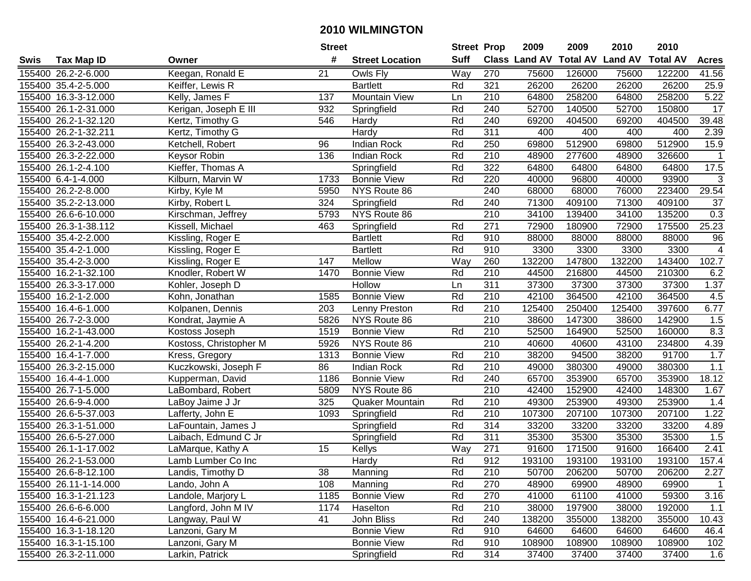|      |                       |                        | <b>Street</b> |                        | <b>Street Prop</b> |                  | 2009          | 2009            | 2010           | 2010            |                   |
|------|-----------------------|------------------------|---------------|------------------------|--------------------|------------------|---------------|-----------------|----------------|-----------------|-------------------|
| Swis | <b>Tax Map ID</b>     | Owner                  | #             | <b>Street Location</b> | <b>Suff</b>        |                  | Class Land AV | <b>Total AV</b> | <b>Land AV</b> | <b>Total AV</b> | <b>Acres</b>      |
|      | 155400 26.2-2-6.000   | Keegan, Ronald E       | 21            | Owls Fly               | Way                | 270              | 75600         | 126000          | 75600          | 122200          | 41.56             |
|      | 155400 35.4-2-5.000   | Keiffer, Lewis R       |               | <b>Bartlett</b>        | Rd                 | 321              | 26200         | 26200           | 26200          | 26200           | 25.9              |
|      | 155400 16.3-3-12.000  | Kelly, James F         | 137           | <b>Mountain View</b>   | Ln                 | 210              | 64800         | 258200          | 64800          | 258200          | $\overline{5.22}$ |
|      | 155400 26.1-2-31.000  | Kerigan, Joseph E III  | 932           | Springfield            | Rd                 | 240              | 52700         | 140500          | 52700          | 150800          | 17                |
|      | 155400 26.2-1-32.120  | Kertz, Timothy G       | 546           | Hardy                  | Rd                 | 240              | 69200         | 404500          | 69200          | 404500          | 39.48             |
|      | 155400 26.2-1-32.211  | Kertz, Timothy G       |               | Hardy                  | Rd                 | 311              | 400           | 400             | 400            | 400             | 2.39              |
|      | 155400 26.3-2-43.000  | Ketchell, Robert       | 96            | <b>Indian Rock</b>     | Rd                 | 250              | 69800         | 512900          | 69800          | 512900          | 15.9              |
|      | 155400 26.3-2-22.000  | Keysor Robin           | 136           | <b>Indian Rock</b>     | Rd                 | 210              | 48900         | 277600          | 48900          | 326600          | $\mathbf{1}$      |
|      | 155400 26.1-2-4.100   | Kieffer, Thomas A      |               | Springfield            | Rd                 | 322              | 64800         | 64800           | 64800          | 64800           | 17.5              |
|      | 155400 6.4-1-4.000    | Kilburn, Marvin W      | 1733          | <b>Bonnie View</b>     | Rd                 | 220              | 40000         | 96800           | 40000          | 93900           | 3                 |
|      | 155400 26.2-2-8.000   | Kirby, Kyle M          | 5950          | NYS Route 86           |                    | 240              | 68000         | 68000           | 76000          | 223400          | 29.54             |
|      | 155400 35.2-2-13.000  | Kirby, Robert L        | 324           | Springfield            | Rd                 | 240              | 71300         | 409100          | 71300          | 409100          | 37                |
|      | 155400 26.6-6-10.000  | Kirschman, Jeffrey     | 5793          | NYS Route 86           |                    | 210              | 34100         | 139400          | 34100          | 135200          | 0.3               |
|      | 155400 26.3-1-38.112  | Kissell, Michael       | 463           | Springfield            | Rd                 | 271              | 72900         | 180900          | 72900          | 175500          | 25.23             |
|      | 155400 35.4-2-2.000   | Kissling, Roger E      |               | <b>Bartlett</b>        | Rd                 | 910              | 88000         | 88000           | 88000          | 88000           | 96                |
|      | 155400 35.4-2-1.000   | Kissling, Roger E      |               | <b>Bartlett</b>        | Rd                 | 910              | 3300          | 3300            | 3300           | 3300            | $\overline{4}$    |
|      | 155400 35.4-2-3.000   | Kissling, Roger E      | 147           | Mellow                 | Way                | 260              | 132200        | 147800          | 132200         | 143400          | 102.7             |
|      | 155400 16.2-1-32.100  | Knodler, Robert W      | 1470          | <b>Bonnie View</b>     | Rd                 | 210              | 44500         | 216800          | 44500          | 210300          | 6.2               |
|      | 155400 26.3-3-17.000  | Kohler, Joseph D       |               | Hollow                 | Ln                 | 311              | 37300         | 37300           | 37300          | 37300           | 1.37              |
|      | 155400 16.2-1-2.000   | Kohn, Jonathan         | 1585          | <b>Bonnie View</b>     | Rd                 | 210              | 42100         | 364500          | 42100          | 364500          | 4.5               |
|      | 155400 16.4-6-1.000   | Kolpanen, Dennis       | 203           | Lenny Preston          | Rd                 | 210              | 125400        | 250400          | 125400         | 397600          | 6.77              |
|      | 155400 26.7-2-3.000   | Kondrat, Jaymie A      | 5826          | NYS Route 86           |                    | 210              | 38600         | 147300          | 38600          | 142900          | 1.5               |
|      | 155400 16.2-1-43.000  | Kostoss Joseph         | 1519          | <b>Bonnie View</b>     | Rd                 | 210              | 52500         | 164900          | 52500          | 160000          | 8.3               |
|      | 155400 26.2-1-4.200   | Kostoss, Christopher M | 5926          | NYS Route 86           |                    | 210              | 40600         | 40600           | 43100          | 234800          | 4.39              |
|      | 155400 16.4-1-7.000   | Kress, Gregory         | 1313          | <b>Bonnie View</b>     | Rd                 | 210              | 38200         | 94500           | 38200          | 91700           | 1.7               |
|      | 155400 26.3-2-15.000  | Kuczkowski, Joseph F   | 86            | <b>Indian Rock</b>     | Rd                 | 210              | 49000         | 380300          | 49000          | 380300          | $1.1$             |
|      | 155400 16.4-4-1.000   | Kupperman, David       | 1186          | <b>Bonnie View</b>     | Rd                 | 240              | 65700         | 353900          | 65700          | 353900          | 18.12             |
|      | 155400 26.7-1-5.000   | LaBombard, Robert      | 5809          | NYS Route 86           |                    | 210              | 42400         | 152900          | 42400          | 148300          | 1.67              |
|      | 155400 26.6-9-4.000   | LaBoy Jaime J Jr       | 325           | Quaker Mountain        | Rd                 | 210              | 49300         | 253900          | 49300          | 253900          | 1.4               |
|      | 155400 26.6-5-37.003  | Lafferty, John E       | 1093          | Springfield            | Rd                 | $\overline{210}$ | 107300        | 207100          | 107300         | 207100          | 1.22              |
|      | 155400 26.3-1-51.000  | LaFountain, James J    |               | Springfield            | Rd                 | 314              | 33200         | 33200           | 33200          | 33200           | 4.89              |
|      | 155400 26.6-5-27.000  | Laibach, Edmund C Jr   |               | Springfield            | Rd                 | 311              | 35300         | 35300           | 35300          | 35300           | 1.5               |
|      | 155400 26.1-1-17.002  | LaMarque, Kathy A      | 15            | Kellys                 | Way                | 271              | 91600         | 171500          | 91600          | 166400          | 2.41              |
|      | 155400 26.2-1-53.000  | Lamb Lumber Co Inc     |               | Hardy                  | Rd                 | 912              | 193100        | 193100          | 193100         | 193100          | 157.4             |
|      | 155400 26.6-8-12.100  | Landis, Timothy D      | 38            | Manning                | Rd                 | 210              | 50700         | 206200          | 50700          | 206200          | 2.27              |
|      | 155400 26.11-1-14.000 | Lando, John A          | 108           | Manning                | Rd                 | 270              | 48900         | 69900           | 48900          | 69900           | $\mathbf{1}$      |
|      | 155400 16.3-1-21.123  | Landole, Marjory L     | 1185          | <b>Bonnie View</b>     | Rd                 | 270              | 41000         | 61100           | 41000          | 59300           | 3.16              |
|      | 155400 26.6-6-6.000   | Langford, John M IV    | 1174          | Haselton               | Rd                 | 210              | 38000         | 197900          | 38000          | 192000          | 1.1               |
|      | 155400 16.4-6-21.000  | Langway, Paul W        | 41            | John Bliss             | Rd                 | 240              | 138200        | 355000          | 138200         | 355000          | 10.43             |
|      | 155400 16.3-1-18.120  | Lanzoni, Gary M        |               | <b>Bonnie View</b>     | Rd                 | 910              | 64600         | 64600           | 64600          | 64600           | 46.4              |
|      | 155400 16.3-1-15.100  | Lanzoni, Gary M        |               | <b>Bonnie View</b>     | Rd                 | 910              | 108900        | 108900          | 108900         | 108900          | 102               |
|      | 155400 26.3-2-11.000  | Larkin, Patrick        |               | Springfield            | Rd                 | 314              | 37400         | 37400           | 37400          | 37400           | 1.6               |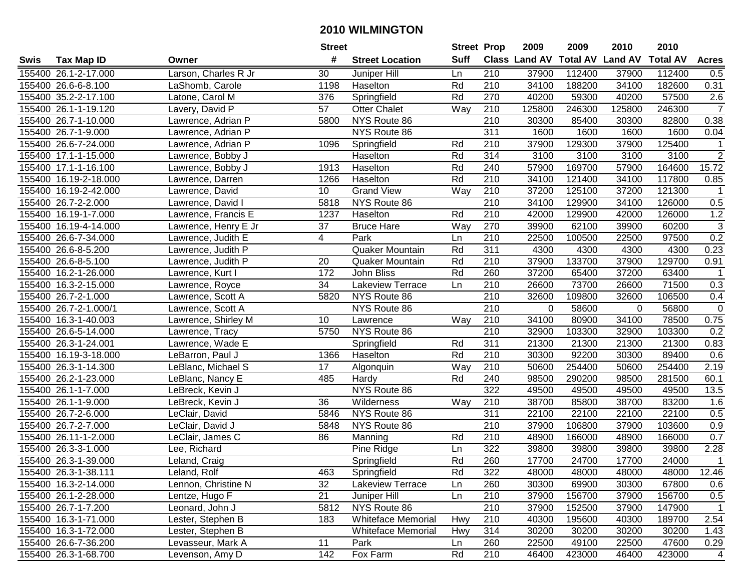|      |                       |                      | <b>Street</b> |                           | <b>Street Prop</b> |                  | 2009                          | 2009   | 2010           | 2010            |                |
|------|-----------------------|----------------------|---------------|---------------------------|--------------------|------------------|-------------------------------|--------|----------------|-----------------|----------------|
| Swis | <b>Tax Map ID</b>     | Owner                | #             | <b>Street Location</b>    | <b>Suff</b>        |                  | <b>Class Land AV Total AV</b> |        | <b>Land AV</b> | <b>Total AV</b> | <b>Acres</b>   |
|      | 155400 26.1-2-17.000  | Larson, Charles R Jr | 30            | Juniper Hill              | Ln                 | 210              | 37900                         | 112400 | 37900          | 112400          | 0.5            |
|      | 155400 26.6-6-8.100   | LaShomb, Carole      | 1198          | Haselton                  | Rd                 | 210              | 34100                         | 188200 | 34100          | 182600          | 0.31           |
|      | 155400 35.2-2-17.100  | Latone, Carol M      | 376           | Springfield               | Rd                 | 270              | 40200                         | 59300  | 40200          | 57500           | 2.6            |
|      | 155400 26.1-1-19.120  | Lavery, David P      | 57            | <b>Otter Chalet</b>       | Way                | 210              | 125800                        | 246300 | 125800         | 246300          | $\overline{7}$ |
|      | 155400 26.7-1-10.000  | Lawrence, Adrian P   | 5800          | NYS Route 86              |                    | 210              | 30300                         | 85400  | 30300          | 82800           | 0.38           |
|      | 155400 26.7-1-9.000   | Lawrence, Adrian P   |               | NYS Route 86              |                    | 311              | 1600                          | 1600   | 1600           | 1600            | 0.04           |
|      | 155400 26.6-7-24.000  | Lawrence, Adrian P   | 1096          | Springfield               | Rd                 | 210              | 37900                         | 129300 | 37900          | 125400          | -1             |
|      | 155400 17.1-1-15.000  | Lawrence, Bobby J    |               | Haselton                  | Rd                 | 314              | 3100                          | 3100   | 3100           | 3100            | $\overline{2}$ |
|      | 155400 17.1-1-16.100  | Lawrence, Bobby J    | 1913          | Haselton                  | Rd                 | 240              | 57900                         | 169700 | 57900          | 164600          | 15.72          |
|      | 155400 16.19-2-18.000 | Lawrence, Darren     | 1266          | Haselton                  | Rd                 | 210              | 34100                         | 121400 | 34100          | 117800          | 0.85           |
|      | 155400 16.19-2-42.000 | Lawrence, David      | 10            | <b>Grand View</b>         | Way                | 210              | 37200                         | 125100 | 37200          | 121300          | $\mathbf 1$    |
|      | 155400 26.7-2-2.000   | Lawrence, David I    | 5818          | NYS Route 86              |                    | 210              | 34100                         | 129900 | 34100          | 126000          | 0.5            |
|      | 155400 16.19-1-7.000  | Lawrence, Francis E  | 1237          | Haselton                  | Rd                 | 210              | 42000                         | 129900 | 42000          | 126000          | 1.2            |
|      | 155400 16.19-4-14.000 | Lawrence, Henry E Jr | 37            | <b>Bruce Hare</b>         | Way                | 270              | 39900                         | 62100  | 39900          | 60200           | 3              |
|      | 155400 26.6-7-34.000  | Lawrence, Judith E   | 4             | Park                      | Ln                 | 210              | 22500                         | 100500 | 22500          | 97500           | 0.2            |
|      | 155400 26.6-8-5.200   | Lawrence, Judith P   |               | <b>Quaker Mountain</b>    | Rd                 | 311              | 4300                          | 4300   | 4300           | 4300            | 0.23           |
|      | 155400 26.6-8-5.100   | Lawrence, Judith P   | 20            | <b>Quaker Mountain</b>    | Rd                 | 210              | 37900                         | 133700 | 37900          | 129700          | 0.91           |
|      | 155400 16.2-1-26.000  | Lawrence, Kurt I     | 172           | John Bliss                | Rd                 | 260              | 37200                         | 65400  | 37200          | 63400           | $\mathbf 1$    |
|      | 155400 16.3-2-15.000  | Lawrence, Royce      | 34            | Lakeview Terrace          | Ln                 | 210              | 26600                         | 73700  | 26600          | 71500           | 0.3            |
|      | 155400 26.7-2-1.000   | Lawrence, Scott A    | 5820          | NYS Route 86              |                    | 210              | 32600                         | 109800 | 32600          | 106500          | 0.4            |
|      | 155400 26.7-2-1.000/1 | Lawrence, Scott A    |               | NYS Route 86              |                    | 210              | $\Omega$                      | 58600  | 0              | 56800           | $\pmb{0}$      |
|      | 155400 16.3-1-40.003  | Lawrence, Shirley M  | 10            | Lawrence                  | Way                | 210              | 34100                         | 80900  | 34100          | 78500           | 0.75           |
|      | 155400 26.6-5-14.000  | Lawrence, Tracy      | 5750          | NYS Route 86              |                    | 210              | 32900                         | 103300 | 32900          | 103300          | 0.2            |
|      | 155400 26.3-1-24.001  | Lawrence, Wade E     |               | Springfield               | Rd                 | 311              | 21300                         | 21300  | 21300          | 21300           | 0.83           |
|      | 155400 16.19-3-18.000 | LeBarron, Paul J     | 1366          | Haselton                  | Rd                 | 210              | 30300                         | 92200  | 30300          | 89400           | 0.6            |
|      | 155400 26.3-1-14.300  | LeBlanc, Michael S   | 17            | Algonquin                 | Way                | 210              | 50600                         | 254400 | 50600          | 254400          | 2.19           |
|      | 155400 26.2-1-23.000  | LeBlanc, Nancy E     | 485           | Hardy                     | Rd                 | 240              | 98500                         | 290200 | 98500          | 281500          | 60.1           |
|      | 155400 26.1-1-7.000   | LeBreck, Kevin J     |               | NYS Route 86              |                    | 322              | 49500                         | 49500  | 49500          | 49500           | 13.5           |
|      | 155400 26.1-1-9.000   | LeBreck, Kevin J     | 36            | Wilderness                | Way                | 210              | 38700                         | 85800  | 38700          | 83200           | 1.6            |
|      | 155400 26.7-2-6.000   | LeClair, David       | 5846          | NYS Route 86              |                    | $\overline{311}$ | 22100                         | 22100  | 22100          | 22100           | 0.5            |
|      | 155400 26.7-2-7.000   | LeClair, David J     | 5848          | NYS Route 86              |                    | $\overline{210}$ | 37900                         | 106800 | 37900          | 103600          | 0.9            |
|      | 155400 26.11-1-2.000  | LeClair, James C     | 86            | Manning                   | Rd                 | 210              | 48900                         | 166000 | 48900          | 166000          | 0.7            |
|      | 155400 26.3-3-1.000   | Lee, Richard         |               | Pine Ridge                | Ln                 | 322              | 39800                         | 39800  | 39800          | 39800           | 2.28           |
|      | 155400 26.3-1-39.000  | Leland, Craig        |               | Springfield               | Rd                 | 260              | 17700                         | 24700  | 17700          | 24000           | $\mathbf{1}$   |
|      | 155400 26.3-1-38.111  | Leland, Rolf         | 463           | Springfield               | Rd                 | 322              | 48000                         | 48000  | 48000          | 48000           | 12.46          |
|      | 155400 16.3-2-14.000  | Lennon, Christine N  | 32            | Lakeview Terrace          | Ln                 | 260              | 30300                         | 69900  | 30300          | 67800           | 0.6            |
|      | 155400 26.1-2-28.000  | Lentze, Hugo F       | 21            | Juniper Hill              | Ln                 | 210              | 37900                         | 156700 | 37900          | 156700          | 0.5            |
|      | 155400 26.7-1-7.200   | Leonard, John J      | 5812          | NYS Route 86              |                    | 210              | 37900                         | 152500 | 37900          | 147900          | $\mathbf{1}$   |
|      | 155400 16.3-1-71.000  | Lester, Stephen B    | 183           | <b>Whiteface Memorial</b> | Hwy                | 210              | 40300                         | 195600 | 40300          | 189700          | 2.54           |
|      | 155400 16.3-1-72.000  | Lester, Stephen B    |               | <b>Whiteface Memorial</b> | Hwy                | 314              | 30200                         | 30200  | 30200          | 30200           | 1.43           |
|      | 155400 26.6-7-36.200  | Levasseur, Mark A    | 11            | Park                      | Ln                 | 260              | 22500                         | 49100  | 22500          | 47600           | 0.29           |
|      | 155400 26.3-1-68.700  | Levenson, Amy D      | 142           | Fox Farm                  | Rd                 | 210              | 46400                         | 423000 | 46400          | 423000          | $\overline{4}$ |
|      |                       |                      |               |                           |                    |                  |                               |        |                |                 |                |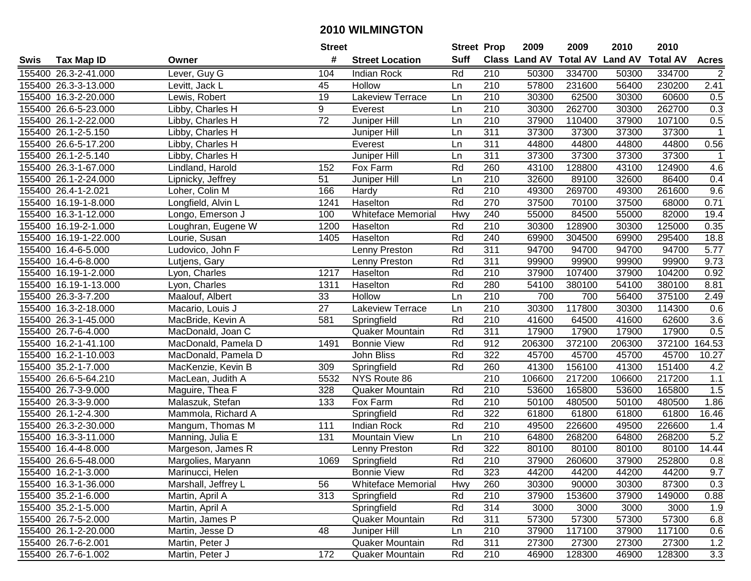|      |                       |                     | <b>Street</b>   |                           | <b>Street Prop</b> |                  | 2009                          | 2009   | 2010           | 2010            |                |
|------|-----------------------|---------------------|-----------------|---------------------------|--------------------|------------------|-------------------------------|--------|----------------|-----------------|----------------|
| Swis | <b>Tax Map ID</b>     | Owner               | #               | <b>Street Location</b>    | <b>Suff</b>        |                  | <b>Class Land AV Total AV</b> |        | <b>Land AV</b> | <b>Total AV</b> | <b>Acres</b>   |
|      | 155400 26.3-2-41.000  | Lever, Guy G        | 104             | <b>Indian Rock</b>        | Rd                 | 210              | 50300                         | 334700 | 50300          | 334700          | $\overline{2}$ |
|      | 155400 26.3-3-13.000  | Levitt, Jack L      | 45              | Hollow                    | Ln                 | 210              | 57800                         | 231600 | 56400          | 230200          | 2.41           |
|      | 155400 16.3-2-20.000  | Lewis, Robert       | 19              | Lakeview Terrace          | Ln                 | 210              | 30300                         | 62500  | 30300          | 60600           | 0.5            |
|      | 155400 26.6-5-23.000  | Libby, Charles H    | 9               | Everest                   | Ln                 | 210              | 30300                         | 262700 | 30300          | 262700          | 0.3            |
|      | 155400 26.1-2-22.000  | Libby, Charles H    | $\overline{72}$ | Juniper Hill              | Ln                 | 210              | 37900                         | 110400 | 37900          | 107100          | 0.5            |
|      | 155400 26.1-2-5.150   | Libby, Charles H    |                 | Juniper Hill              | Ln                 | 311              | 37300                         | 37300  | 37300          | 37300           | $\mathbf{1}$   |
|      | 155400 26.6-5-17.200  | Libby, Charles H    |                 | Everest                   | Ln                 | 311              | 44800                         | 44800  | 44800          | 44800           | 0.56           |
|      | 155400 26.1-2-5.140   | Libby, Charles H    |                 | Juniper Hill              | Ln                 | 311              | 37300                         | 37300  | 37300          | 37300           | $\mathbf 1$    |
|      | 155400 26.3-1-67.000  | Lindland, Harold    | 152             | Fox Farm                  | Rd                 | 260              | 43100                         | 128800 | 43100          | 124900          | 4.6            |
|      | 155400 26.1-2-24.000  | Lipnicky, Jeffrey   | 51              | Juniper Hill              | Ln                 | 210              | 32600                         | 89100  | 32600          | 86400           | 0.4            |
|      | 155400 26.4-1-2.021   | Loher, Colin M      | 166             | Hardy                     | Rd                 | 210              | 49300                         | 269700 | 49300          | 261600          | 9.6            |
|      | 155400 16.19-1-8.000  | Longfield, Alvin L  | 1241            | Haselton                  | Rd                 | 270              | 37500                         | 70100  | 37500          | 68000           | 0.71           |
|      | 155400 16.3-1-12.000  | Longo, Emerson J    | 100             | <b>Whiteface Memorial</b> | Hwy                | 240              | 55000                         | 84500  | 55000          | 82000           | 19.4           |
|      | 155400 16.19-2-1.000  | Loughran, Eugene W  | 1200            | Haselton                  | Rd                 | 210              | 30300                         | 128900 | 30300          | 125000          | 0.35           |
|      | 155400 16.19-1-22.000 | Lourie, Susan       | 1405            | Haselton                  | Rd                 | 240              | 69900                         | 304500 | 69900          | 295400          | 18.8           |
|      | 155400 16.4-6-5.000   | Ludovico, John F    |                 | Lenny Preston             | Rd                 | 311              | 94700                         | 94700  | 94700          | 94700           | 5.77           |
|      | 155400 16.4-6-8.000   | Lutjens, Gary       |                 | Lenny Preston             | Rd                 | 311              | 99900                         | 99900  | 99900          | 99900           | 9.73           |
|      | 155400 16.19-1-2.000  | Lyon, Charles       | 1217            | Haselton                  | Rd                 | 210              | 37900                         | 107400 | 37900          | 104200          | 0.92           |
|      | 155400 16.19-1-13.000 | Lyon, Charles       | 1311            | Haselton                  | Rd                 | 280              | 54100                         | 380100 | 54100          | 380100          | 8.81           |
|      | 155400 26.3-3-7.200   | Maalouf, Albert     | 33              | Hollow                    | Ln                 | 210              | 700                           | 700    | 56400          | 375100          | 2.49           |
|      | 155400 16.3-2-18.000  | Macario, Louis J    | 27              | Lakeview Terrace          | Ln                 | 210              | 30300                         | 117800 | 30300          | 114300          | 0.6            |
|      | 155400 26.3-1-45.000  | MacBride, Kevin A   | 581             | Springfield               | Rd                 | 210              | 41600                         | 64500  | 41600          | 62600           | 3.6            |
|      | 155400 26.7-6-4.000   | MacDonald, Joan C   |                 | <b>Quaker Mountain</b>    | Rd                 | 311              | 17900                         | 17900  | 17900          | 17900           | 0.5            |
|      | 155400 16.2-1-41.100  | MacDonald, Pamela D | 1491            | <b>Bonnie View</b>        | Rd                 | 912              | 206300                        | 372100 | 206300         | 372100          | 164.53         |
|      | 155400 16.2-1-10.003  | MacDonald, Pamela D |                 | John Bliss                | Rd                 | 322              | 45700                         | 45700  | 45700          | 45700           | 10.27          |
|      | 155400 35.2-1-7.000   | MacKenzie, Kevin B  | 309             | Springfield               | Rd                 | 260              | 41300                         | 156100 | 41300          | 151400          | 4.2            |
|      | 155400 26.6-5-64.210  | MacLean, Judith A   | 5532            | NYS Route 86              |                    | $\overline{210}$ | 106600                        | 217200 | 106600         | 217200          | 1.1            |
|      | 155400 26.7-3-9.000   | Maguire, Thea F     | 328             | Quaker Mountain           | Rd                 | 210              | 53600                         | 165800 | 53600          | 165800          | 1.5            |
|      | 155400 26.3-3-9.000   | Malaszuk, Stefan    | 133             | Fox Farm                  | Rd                 | 210              | 50100                         | 480500 | 50100          | 480500          | 1.86           |
|      | 155400 26.1-2-4.300   | Mammola, Richard A  |                 | Springfield               | Rd                 | 322              | 61800                         | 61800  | 61800          | 61800           | 16.46          |
|      | 155400 26.3-2-30.000  | Mangum, Thomas M    | 111             | <b>Indian Rock</b>        | Rd                 | $\overline{210}$ | 49500                         | 226600 | 49500          | 226600          | 1.4            |
|      | 155400 16.3-3-11.000  | Manning, Julia E    | 131             | Mountain View             | Ln                 | 210              | 64800                         | 268200 | 64800          | 268200          | 5.2            |
|      | 155400 16.4-4-8.000   | Margeson, James R   |                 | Lenny Preston             | Rd                 | 322              | 80100                         | 80100  | 80100          | 80100           | 14.44          |
|      | 155400 26.6-5-48.000  | Margolies, Maryann  | 1069            | Springfield               | Rd                 | $\overline{210}$ | 37900                         | 260600 | 37900          | 252800          | 0.8            |
|      | 155400 16.2-1-3.000   | Marinucci, Helen    |                 | <b>Bonnie View</b>        | Rd                 | 323              | 44200                         | 44200  | 44200          | 44200           | 9.7            |
|      | 155400 16.3-1-36.000  | Marshall, Jeffrey L | 56              | <b>Whiteface Memorial</b> | Hwy                | 260              | 30300                         | 90000  | 30300          | 87300           | 0.3            |
|      | 155400 35.2-1-6.000   | Martin, April A     | 313             | Springfield               | Rd                 | 210              | 37900                         | 153600 | 37900          | 149000          | 0.88           |
|      | 155400 35.2-1-5.000   | Martin, April A     |                 | Springfield               | Rd                 | 314              | 3000                          | 3000   | 3000           | 3000            | 1.9            |
|      | 155400 26.7-5-2.000   | Martin, James P     |                 | <b>Quaker Mountain</b>    | Rd                 | 311              | 57300                         | 57300  | 57300          | 57300           | 6.8            |
|      | 155400 26.1-2-20.000  | Martin, Jesse D     | 48              | Juniper Hill              | Ln                 | 210              | 37900                         | 117100 | 37900          | 117100          | 0.6            |
|      | 155400 26.7-6-2.001   | Martin, Peter J     |                 | <b>Quaker Mountain</b>    | Rd                 | 311              | 27300                         | 27300  | 27300          | 27300           | 1.2            |
|      | 155400 26.7-6-1.002   | Martin, Peter J     | 172             | Quaker Mountain           | Rd                 | 210              | 46900                         | 128300 | 46900          | 128300          | 3.3            |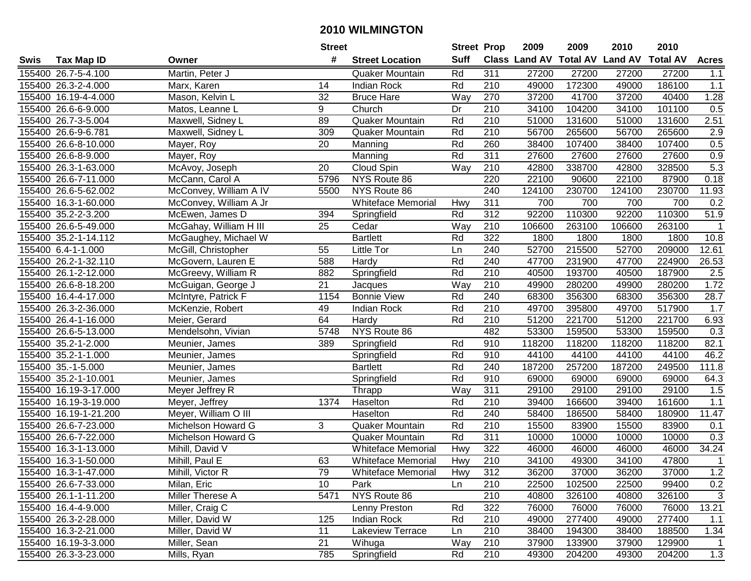|      |                       |                        | <b>Street</b> |                           |             | <b>Street Prop</b> | 2009                          | 2009   | 2010           | 2010            |                  |
|------|-----------------------|------------------------|---------------|---------------------------|-------------|--------------------|-------------------------------|--------|----------------|-----------------|------------------|
| Swis | <b>Tax Map ID</b>     | Owner                  | #             | <b>Street Location</b>    | <b>Suff</b> |                    | <b>Class Land AV Total AV</b> |        | <b>Land AV</b> | <b>Total AV</b> | <b>Acres</b>     |
|      | 155400 26.7-5-4.100   | Martin, Peter J        |               | Quaker Mountain           | Rd          | 311                | 27200                         | 27200  | 27200          | 27200           | 1.1              |
|      | 155400 26.3-2-4.000   | Marx, Karen            | 14            | <b>Indian Rock</b>        | Rd          | 210                | 49000                         | 172300 | 49000          | 186100          | $1.1$            |
|      | 155400 16.19-4-4.000  | Mason, Kelvin L        | 32            | <b>Bruce Hare</b>         | Way         | 270                | 37200                         | 41700  | 37200          | 40400           | 1.28             |
|      | 155400 26.6-6-9.000   | Matos, Leanne L        | 9             | Church                    | Dr          | 210                | 34100                         | 104200 | 34100          | 101100          | 0.5              |
|      | 155400 26.7-3-5.004   | Maxwell, Sidney L      | 89            | Quaker Mountain           | Rd          | 210                | 51000                         | 131600 | 51000          | 131600          | 2.51             |
|      | 155400 26.6-9-6.781   | Maxwell, Sidney L      | 309           | Quaker Mountain           | Rd          | 210                | 56700                         | 265600 | 56700          | 265600          | $\overline{2.9}$ |
|      | 155400 26.6-8-10.000  | Mayer, Roy             | 20            | Manning                   | Rd          | 260                | 38400                         | 107400 | 38400          | 107400          | 0.5              |
|      | 155400 26.6-8-9.000   | Mayer, Roy             |               | Manning                   | Rd          | 311                | 27600                         | 27600  | 27600          | 27600           | 0.9              |
|      | 155400 26.3-1-63.000  | McAvoy, Joseph         | 20            | Cloud Spin                | Way         | $\overline{210}$   | 42800                         | 338700 | 42800          | 328500          | 5.3              |
|      | 155400 26.6-7-11.000  | McCann, Carol A        | 5796          | NYS Route 86              |             | 220                | 22100                         | 90600  | 22100          | 87900           | 0.18             |
|      | 155400 26.6-5-62.002  | McConvey, William A IV | 5500          | NYS Route 86              |             | 240                | 124100                        | 230700 | 124100         | 230700          | 11.93            |
|      | 155400 16.3-1-60.000  | McConvey, William A Jr |               | <b>Whiteface Memorial</b> | Hwy         | 311                | 700                           | 700    | 700            | 700             | 0.2              |
|      | 155400 35.2-2-3.200   | McEwen, James D        | 394           | Springfield               | Rd          | 312                | 92200                         | 110300 | 92200          | 110300          | 51.9             |
|      | 155400 26.6-5-49.000  | McGahay, William H III | 25            | Cedar                     | Way         | 210                | 106600                        | 263100 | 106600         | 263100          | $\mathbf 1$      |
|      | 155400 35.2-1-14.112  | McGaughey, Michael W   |               | <b>Bartlett</b>           | Rd          | 322                | 1800                          | 1800   | 1800           | 1800            | 10.8             |
|      | 155400 6.4-1-1.000    | McGill, Christopher    | 55            | Little Tor                | Ln          | 240                | 52700                         | 215500 | 52700          | 209000          | 12.61            |
|      | 155400 26.2-1-32.110  | McGovern, Lauren E     | 588           | Hardy                     | Rd          | 240                | 47700                         | 231900 | 47700          | 224900          | 26.53            |
|      | 155400 26.1-2-12.000  | McGreevy, William R    | 882           | Springfield               | Rd          | 210                | 40500                         | 193700 | 40500          | 187900          | 2.5              |
|      | 155400 26.6-8-18.200  | McGuigan, George J     | 21            | Jacques                   | Way         | 210                | 49900                         | 280200 | 49900          | 280200          | 1.72             |
|      | 155400 16.4-4-17.000  | McIntyre, Patrick F    | 1154          | <b>Bonnie View</b>        | Rd          | 240                | 68300                         | 356300 | 68300          | 356300          | 28.7             |
|      | 155400 26.3-2-36.000  | McKenzie, Robert       | 49            | <b>Indian Rock</b>        | Rd          | 210                | 49700                         | 395800 | 49700          | 517900          | 1.7              |
|      | 155400 26.4-1-16.000  | Meier, Gerard          | 64            | Hardy                     | Rd          | 210                | 51200                         | 221700 | 51200          | 221700          | 6.93             |
|      | 155400 26.6-5-13.000  | Mendelsohn, Vivian     | 5748          | NYS Route 86              |             | 482                | 53300                         | 159500 | 53300          | 159500          | 0.3              |
|      | 155400 35.2-1-2.000   | Meunier, James         | 389           | Springfield               | Rd          | 910                | 118200                        | 118200 | 118200         | 118200          | 82.1             |
|      | 155400 35.2-1-1.000   | Meunier, James         |               | Springfield               | Rd          | 910                | 44100                         | 44100  | 44100          | 44100           | 46.2             |
|      | 155400 35.-1-5.000    | Meunier, James         |               | <b>Bartlett</b>           | Rd          | 240                | 187200                        | 257200 | 187200         | 249500          | 111.8            |
|      | 155400 35.2-1-10.001  | Meunier, James         |               | Springfield               | Rd          | 910                | 69000                         | 69000  | 69000          | 69000           | 64.3             |
|      | 155400 16.19-3-17.000 | Meyer Jeffrey R        |               | Thrapp                    | Way         | 311                | 29100                         | 29100  | 29100          | 29100           | 1.5              |
|      | 155400 16.19-3-19.000 | Meyer, Jeffrey         | 1374          | Haselton                  | Rd          | 210                | 39400                         | 166600 | 39400          | 161600          | 1.1              |
|      | 155400 16.19-1-21.200 | Meyer, William O III   |               | Haselton                  | Rd          | 240                | 58400                         | 186500 | 58400          | 180900          | 11.47            |
|      | 155400 26.6-7-23.000  | Michelson Howard G     | 3             | <b>Quaker Mountain</b>    | Rd          | $\overline{210}$   | 15500                         | 83900  | 15500          | 83900           | 0.1              |
|      | 155400 26.6-7-22.000  | Michelson Howard G     |               | <b>Quaker Mountain</b>    | Rd          | 311                | 10000                         | 10000  | 10000          | 10000           | 0.3              |
|      | 155400 16.3-1-13.000  | Mihill, David V        |               | <b>Whiteface Memorial</b> | Hwy         | 322                | 46000                         | 46000  | 46000          | 46000           | 34.24            |
|      | 155400 16.3-1-50.000  | Mihill, Paul E         | 63            | <b>Whiteface Memorial</b> | Hwy         | 210                | 34100                         | 49300  | 34100          | 47800           | $\mathbf{1}$     |
|      | 155400 16.3-1-47.000  | Mihill, Victor R       | 79            | <b>Whiteface Memorial</b> | Hwy         | 312                | 36200                         | 37000  | 36200          | 37000           | 1.2              |
|      | 155400 26.6-7-33.000  | Milan, Eric            | 10            | Park                      | Ln          | 210                | 22500                         | 102500 | 22500          | 99400           | 0.2              |
|      | 155400 26.1-1-11.200  | Miller Therese A       | 5471          | NYS Route 86              |             | 210                | 40800                         | 326100 | 40800          | 326100          | 3                |
|      | 155400 16.4-4-9.000   | Miller, Craig C        |               | Lenny Preston             | Rd          | 322                | 76000                         | 76000  | 76000          | 76000           | 13.21            |
|      | 155400 26.3-2-28.000  | Miller, David W        | 125           | <b>Indian Rock</b>        | Rd          | 210                | 49000                         | 277400 | 49000          | 277400          | 1.1              |
|      | 155400 16.3-2-21.000  | Miller, David W        | 11            | Lakeview Terrace          | Ln          | 210                | 38400                         | 194300 | 38400          | 188500          | 1.34             |
|      | 155400 16.19-3-3.000  | Miller, Sean           | 21            | Wihuga                    | Way         | 210                | 37900                         | 133900 | 37900          | 129900          | -1               |
|      | 155400 26.3-3-23.000  | Mills, Ryan            | 785           | Springfield               | Rd          | 210                | 49300                         | 204200 | 49300          | 204200          | 1.3              |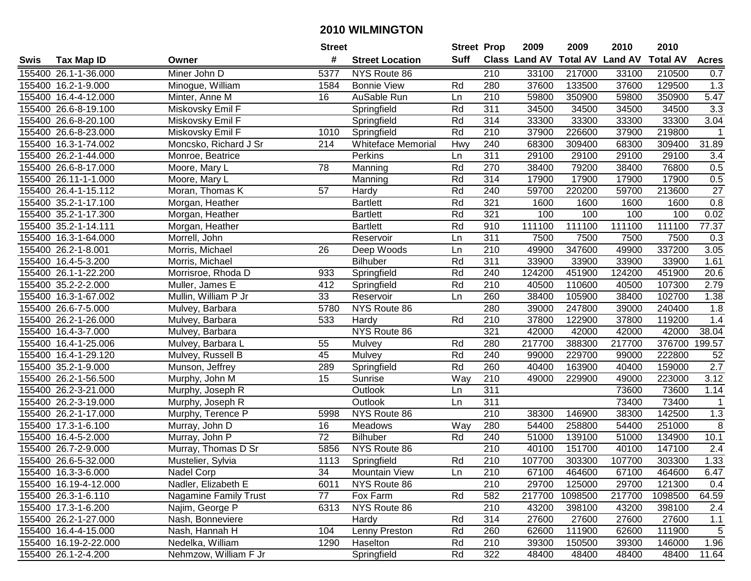|      |                       |                              | <b>Street</b>   |                           | <b>Street Prop</b> |                  | 2009                          | 2009    | 2010           | 2010            |                  |
|------|-----------------------|------------------------------|-----------------|---------------------------|--------------------|------------------|-------------------------------|---------|----------------|-----------------|------------------|
| Swis | <b>Tax Map ID</b>     | Owner                        | #               | <b>Street Location</b>    | Suff               |                  | <b>Class Land AV Total AV</b> |         | <b>Land AV</b> | <b>Total AV</b> | <b>Acres</b>     |
|      | 155400 26.1-1-36.000  | Miner John D                 | 5377            | NYS Route 86              |                    | 210              | 33100                         | 217000  | 33100          | 210500          | 0.7              |
|      | 155400 16.2-1-9.000   | Minogue, William             | 1584            | <b>Bonnie View</b>        | Rd                 | 280              | 37600                         | 133500  | 37600          | 129500          | 1.3              |
|      | 155400 16.4-4-12.000  | Minter, Anne M               | 16              | AuSable Run               | Ln                 | 210              | 59800                         | 350900  | 59800          | 350900          | 5.47             |
|      | 155400 26.6-8-19.100  | Miskovsky Emil F             |                 | Springfield               | Rd                 | 311              | 34500                         | 34500   | 34500          | 34500           | $\overline{3.3}$ |
|      | 155400 26.6-8-20.100  | Miskovsky Emil F             |                 | Springfield               | Rd                 | 314              | 33300                         | 33300   | 33300          | 33300           | 3.04             |
|      | 155400 26.6-8-23.000  | Miskovsky Emil F             | 1010            | Springfield               | Rd                 | 210              | 37900                         | 226600  | 37900          | 219800          | $\mathbf{1}$     |
|      | 155400 16.3-1-74.002  | Moncsko, Richard J Sr        | 214             | <b>Whiteface Memorial</b> | Hwy                | 240              | 68300                         | 309400  | 68300          | 309400          | 31.89            |
|      | 155400 26.2-1-44.000  | Monroe, Beatrice             |                 | Perkins                   | Ln                 | 311              | 29100                         | 29100   | 29100          | 29100           | $\overline{3.4}$ |
|      | 155400 26.6-8-17.000  | Moore, Mary L                | 78              | Manning                   | Rd                 | 270              | 38400                         | 79200   | 38400          | 76800           | 0.5              |
|      | 155400 26.11-1-1.000  | Moore, Mary L                |                 | Manning                   | Rd                 | 314              | 17900                         | 17900   | 17900          | 17900           | 0.5              |
|      | 155400 26.4-1-15.112  | Moran, Thomas K              | 57              | Hardy                     | Rd                 | 240              | 59700                         | 220200  | 59700          | 213600          | 27               |
|      | 155400 35.2-1-17.100  | Morgan, Heather              |                 | <b>Bartlett</b>           | Rd                 | 321              | 1600                          | 1600    | 1600           | 1600            | 0.8              |
|      | 155400 35.2-1-17.300  | Morgan, Heather              |                 | <b>Bartlett</b>           | Rd                 | 321              | 100                           | 100     | 100            | 100             | 0.02             |
|      | 155400 35.2-1-14.111  | Morgan, Heather              |                 | <b>Bartlett</b>           | Rd                 | 910              | 111100                        | 111100  | 111100         | 111100          | 77.37            |
|      | 155400 16.3-1-64.000  | Morrell, John                |                 | Reservoir                 | Ln                 | 311              | 7500                          | 7500    | 7500           | 7500            | 0.3              |
|      | 155400 26.2-1-8.001   | Morris, Michael              | 26              | Deep Woods                | Ln                 | 210              | 49900                         | 347600  | 49900          | 337200          | 3.05             |
|      | 155400 16.4-5-3.200   | Morris, Michael              |                 | <b>Bilhuber</b>           | Rd                 | 311              | 33900                         | 33900   | 33900          | 33900           | 1.61             |
|      | 155400 26.1-1-22.200  | Morrisroe, Rhoda D           | 933             | Springfield               | Rd                 | 240              | 124200                        | 451900  | 124200         | 451900          | 20.6             |
|      | 155400 35.2-2-2.000   | Muller, James E              | 412             | Springfield               | Rd                 | 210              | 40500                         | 110600  | 40500          | 107300          | 2.79             |
|      | 155400 16.3-1-67.002  | Mullin, William P Jr         | 33              | Reservoir                 | Ln                 | 260              | 38400                         | 105900  | 38400          | 102700          | 1.38             |
|      | 155400 26.6-7-5.000   | Mulvey, Barbara              | 5780            | NYS Route 86              |                    | 280              | 39000                         | 247800  | 39000          | 240400          | 1.8              |
|      | 155400 26.2-1-26.000  | Mulvey, Barbara              | 533             | Hardy                     | Rd                 | 210              | 37800                         | 122900  | 37800          | 119200          | 1.4              |
|      | 155400 16.4-3-7.000   | Mulvey, Barbara              |                 | NYS Route 86              |                    | 321              | 42000                         | 42000   | 42000          | 42000           | 38.04            |
|      | 155400 16.4-1-25.006  | Mulvey, Barbara L            | 55              | Mulvey                    | Rd                 | 280              | 217700                        | 388300  | 217700         | 376700          | 199.57           |
|      | 155400 16.4-1-29.120  | Mulvey, Russell B            | 45              | Mulvey                    | Rd                 | 240              | 99000                         | 229700  | 99000          | 222800          | 52               |
|      | 155400 35.2-1-9.000   | Munson, Jeffrey              | 289             | Springfield               | Rd                 | 260              | 40400                         | 163900  | 40400          | 159000          | 2.7              |
|      | 155400 26.2-1-56.500  | Murphy, John M               | 15              | Sunrise                   | Way                | 210              | 49000                         | 229900  | 49000          | 223000          | 3.12             |
|      | 155400 26.2-3-21.000  | Murphy, Joseph R             |                 | Outlook                   | Ln                 | 311              |                               |         | 73600          | 73600           | 1.14             |
|      | 155400 26.2-3-19.000  | Murphy, Joseph R             |                 | Outlook                   | Ln                 | 311              |                               |         | 73400          | 73400           |                  |
|      | 155400 26.2-1-17.000  | Murphy, Terence P            | 5998            | NYS Route 86              |                    | $\overline{210}$ | 38300                         | 146900  | 38300          | 142500          | 1.3              |
|      | 155400 17.3-1-6.100   | Murray, John D               | 16              | Meadows                   | Way                | 280              | 54400                         | 258800  | 54400          | 251000          | 8                |
|      | 155400 16.4-5-2.000   | Murray, John P               | $\overline{72}$ | <b>Bilhuber</b>           | Rd                 | 240              | 51000                         | 139100  | 51000          | 134900          | 10.1             |
|      | 155400 26.7-2-9.000   | Murray, Thomas D Sr          | 5856            | NYS Route 86              |                    | 210              | 40100                         | 151700  | 40100          | 147100          | $\overline{2.4}$ |
|      | 155400 26.6-5-32.000  | Mustelier, Sylvia            | 1113            | Springfield               | Rd                 | $\overline{210}$ | 107700                        | 303300  | 107700         | 303300          | 1.33             |
|      | 155400 16.3-3-6.000   | Nadel Corp                   | 34              | <b>Mountain View</b>      | Ln                 | 210              | 67100                         | 464600  | 67100          | 464600          | 6.47             |
|      | 155400 16.19-4-12.000 | Nadler, Elizabeth E          | 6011            | NYS Route 86              |                    | 210              | 29700                         | 125000  | 29700          | 121300          | 0.4              |
|      | 155400 26.3-1-6.110   | <b>Nagamine Family Trust</b> | 77              | Fox Farm                  | Rd                 | 582              | 217700                        | 1098500 | 217700         | 1098500         | 64.59            |
|      | 155400 17.3-1-6.200   | Najim, George P              | 6313            | NYS Route 86              |                    | 210              | 43200                         | 398100  | 43200          | 398100          | 2.4              |
|      | 155400 26.2-1-27.000  | Nash, Bonneviere             |                 | Hardy                     | Rd                 | 314              | 27600                         | 27600   | 27600          | 27600           | 1.1              |
|      | 155400 16.4-4-15.000  | Nash, Hannah H               | 104             | Lenny Preston             | Rd                 | 260              | 62600                         | 111900  | 62600          | 111900          | 5                |
|      | 155400 16.19-2-22.000 | Nedelka, William             | 1290            | Haselton                  | Rd                 | 210              | 39300                         | 150500  | 39300          | 146000          | 1.96             |
|      | 155400 26.1-2-4.200   | Nehmzow, William F Jr        |                 | Springfield               | Rd                 | 322              | 48400                         | 48400   | 48400          | 48400           | 11.64            |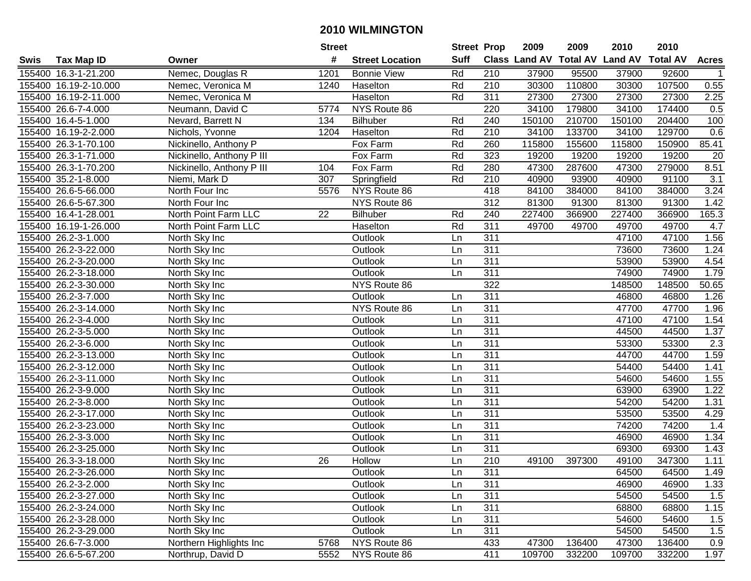|             |                       |                           | <b>Street</b> |                        | <b>Street Prop</b> |                  | 2009                          | 2009   | 2010           | 2010            |                 |
|-------------|-----------------------|---------------------------|---------------|------------------------|--------------------|------------------|-------------------------------|--------|----------------|-----------------|-----------------|
| <b>Swis</b> | Tax Map ID            | Owner                     | #             | <b>Street Location</b> | <b>Suff</b>        |                  | <b>Class Land AV Total AV</b> |        | <b>Land AV</b> | <b>Total AV</b> | <b>Acres</b>    |
|             | 155400 16.3-1-21.200  | Nemec, Douglas R          | 1201          | <b>Bonnie View</b>     | Rd                 | 210              | 37900                         | 95500  | 37900          | 92600           |                 |
|             | 155400 16.19-2-10.000 | Nemec, Veronica M         | 1240          | Haselton               | Rd                 | 210              | 30300                         | 110800 | 30300          | 107500          | 0.55            |
|             | 155400 16.19-2-11.000 | Nemec, Veronica M         |               | Haselton               | Rd                 | 311              | 27300                         | 27300  | 27300          | 27300           | 2.25            |
|             | 155400 26.6-7-4.000   | Neumann, David C          | 5774          | NYS Route 86           |                    | 220              | 34100                         | 179800 | 34100          | 174400          | 0.5             |
|             | 155400 16.4-5-1.000   | Nevard, Barrett N         | 134           | <b>Bilhuber</b>        | Rd                 | 240              | 150100                        | 210700 | 150100         | 204400          | 100             |
|             | 155400 16.19-2-2.000  | Nichols, Yvonne           | 1204          | Haselton               | Rd                 | 210              | 34100                         | 133700 | 34100          | 129700          | 0.6             |
|             | 155400 26.3-1-70.100  | Nickinello, Anthony P     |               | Fox Farm               | Rd                 | 260              | 115800                        | 155600 | 115800         | 150900          | 85.41           |
|             | 155400 26.3-1-71.000  | Nickinello, Anthony P III |               | Fox Farm               | Rd                 | 323              | 19200                         | 19200  | 19200          | 19200           | $\overline{20}$ |
|             | 155400 26.3-1-70.200  | Nickinello, Anthony P III | 104           | Fox Farm               | Rd                 | 280              | 47300                         | 287600 | 47300          | 279000          | 8.51            |
|             | 155400 35.2-1-8.000   | Niemi, Mark D             | 307           | Springfield            | Rd                 | 210              | 40900                         | 93900  | 40900          | 91100           | 3.1             |
|             | 155400 26.6-5-66.000  | North Four Inc            | 5576          | NYS Route 86           |                    | 418              | 84100                         | 384000 | 84100          | 384000          | 3.24            |
|             | 155400 26.6-5-67.300  | North Four Inc            |               | NYS Route 86           |                    | 312              | 81300                         | 91300  | 81300          | 91300           | 1.42            |
|             | 155400 16.4-1-28.001  | North Point Farm LLC      | 22            | Bilhuber               | Rd                 | 240              | 227400                        | 366900 | 227400         | 366900          | 165.3           |
|             | 155400 16.19-1-26.000 | North Point Farm LLC      |               | Haselton               | Rd                 | 311              | 49700                         | 49700  | 49700          | 49700           | 4.7             |
|             | 155400 26.2-3-1.000   | North Sky Inc             |               | Outlook                | Ln                 | 311              |                               |        | 47100          | 47100           | 1.56            |
|             | 155400 26.2-3-22.000  | North Sky Inc             |               | Outlook                | Ln                 | 311              |                               |        | 73600          | 73600           | 1.24            |
|             | 155400 26.2-3-20.000  | North Sky Inc             |               | Outlook                | Ln                 | $\overline{311}$ |                               |        | 53900          | 53900           | 4.54            |
|             | 155400 26.2-3-18.000  | North Sky Inc             |               | Outlook                | Ln                 | 311              |                               |        | 74900          | 74900           | 1.79            |
|             | 155400 26.2-3-30.000  | North Sky Inc             |               | NYS Route 86           |                    | 322              |                               |        | 148500         | 148500          | 50.65           |
|             | 155400 26.2-3-7.000   | North Sky Inc             |               | Outlook                | Ln                 | 311              |                               |        | 46800          | 46800           | 1.26            |
|             | 155400 26.2-3-14.000  | North Sky Inc             |               | NYS Route 86           | Ln                 | $\overline{311}$ |                               |        | 47700          | 47700           | 1.96            |
|             | 155400 26.2-3-4.000   | North Sky Inc             |               | Outlook                | Ln                 | 311              |                               |        | 47100          | 47100           | 1.54            |
|             | 155400 26.2-3-5.000   | North Sky Inc             |               | Outlook                | Ln                 | 311              |                               |        | 44500          | 44500           | 1.37            |
|             | 155400 26.2-3-6.000   | North Sky Inc             |               | Outlook                | Ln                 | 311              |                               |        | 53300          | 53300           | 2.3             |
|             | 155400 26.2-3-13.000  | North Sky Inc             |               | Outlook                | Ln                 | $\overline{311}$ |                               |        | 44700          | 44700           | 1.59            |
|             | 155400 26.2-3-12.000  | North Sky Inc             |               | Outlook                | Ln                 | $\overline{311}$ |                               |        | 54400          | 54400           | 1.41            |
|             | 155400 26.2-3-11.000  | North Sky Inc             |               | Outlook                | Ln                 | 311              |                               |        | 54600          | 54600           | 1.55            |
|             | 155400 26.2-3-9.000   | North Sky Inc             |               | Outlook                | Ln                 | 311              |                               |        | 63900          | 63900           | 1.22            |
|             | 155400 26.2-3-8.000   | North Sky Inc             |               | Outlook                | Ln                 | 311              |                               |        | 54200          | 54200           | 1.31            |
|             | 155400 26.2-3-17.000  | North Sky Inc             |               | Outlook                | Ln                 | 311              |                               |        | 53500          | 53500           | 4.29            |
|             | 155400 26.2-3-23.000  | North Sky Inc             |               | Outlook                | Ln                 | 311              |                               |        | 74200          | 74200           | 1.4             |
|             | 155400 26.2-3-3.000   | North Sky Inc             |               | Outlook                | Ln                 | 311              |                               |        | 46900          | 46900           | 1.34            |
|             | 155400 26.2-3-25.000  | North Sky Inc             |               | Outlook                | Ln                 | 311              |                               |        | 69300          | 69300           | 1.43            |
|             | 155400 26.3-3-18.000  | North Sky Inc             | 26            | <b>Hollow</b>          | Ln                 | $\overline{210}$ | 49100                         | 397300 | 49100          | 347300          | 1.11            |
|             | 155400 26.2-3-26.000  | North Sky Inc             |               | Outlook                | Ln                 | 311              |                               |        | 64500          | 64500           | 1.49            |
|             | 155400 26.2-3-2.000   | North Sky Inc             |               | Outlook                | Ln                 | 311              |                               |        | 46900          | 46900           | 1.33            |
|             | 155400 26.2-3-27.000  | North Sky Inc             |               | Outlook                | Ln                 | 311              |                               |        | 54500          | 54500           | 1.5             |
|             | 155400 26.2-3-24.000  | North Sky Inc             |               | Outlook                | Ln                 | 311              |                               |        | 68800          | 68800           | 1.15            |
|             | 155400 26.2-3-28.000  | North Sky Inc             |               | Outlook                | Ln                 | 311              |                               |        | 54600          | 54600           | 1.5             |
|             | 155400 26.2-3-29.000  | North Sky Inc             |               | Outlook                | Ln                 | 311              |                               |        | 54500          | 54500           | 1.5             |
|             | 155400 26.6-7-3.000   | Northern Highlights Inc   | 5768          | NYS Route 86           |                    | 433              | 47300                         | 136400 | 47300          | 136400          | 0.9             |
|             | 155400 26.6-5-67.200  | Northrup, David D         | 5552          | NYS Route 86           |                    | 411              | 109700                        | 332200 | 109700         | 332200          | 1.97            |
|             |                       |                           |               |                        |                    |                  |                               |        |                |                 |                 |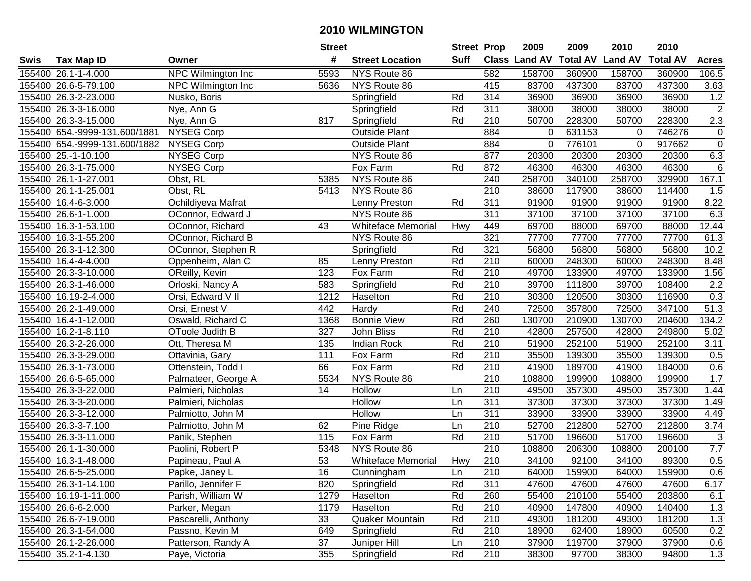|      |                               |                     | <b>Street</b> |                           | <b>Street Prop</b> |                  | 2009                          | 2009   | 2010           | 2010            |                  |
|------|-------------------------------|---------------------|---------------|---------------------------|--------------------|------------------|-------------------------------|--------|----------------|-----------------|------------------|
| Swis | Tax Map ID                    | Owner               | #             | <b>Street Location</b>    | Suff               |                  | <b>Class Land AV Total AV</b> |        | <b>Land AV</b> | <b>Total AV</b> | <b>Acres</b>     |
|      | 155400 26.1-1-4.000           | NPC Wilmington Inc  | 5593          | NYS Route 86              |                    | 582              | 158700                        | 360900 | 158700         | 360900          | 106.5            |
|      | 155400 26.6-5-79.100          | NPC Wilmington Inc  | 5636          | NYS Route 86              |                    | 415              | 83700                         | 437300 | 83700          | 437300          | 3.63             |
|      | 155400 26.3-2-23.000          | Nusko, Boris        |               | Springfield               | Rd                 | 314              | 36900                         | 36900  | 36900          | 36900           | 1.2              |
|      | 155400 26.3-3-16.000          | Nye, Ann G          |               | Springfield               | Rd                 | 311              | 38000                         | 38000  | 38000          | 38000           | $\overline{2}$   |
|      | 155400 26.3-3-15.000          | Nye, Ann G          | 817           | Springfield               | Rd                 | 210              | 50700                         | 228300 | 50700          | 228300          | 2.3              |
|      | 155400 654.-9999-131.600/1881 | <b>NYSEG Corp</b>   |               | <b>Outside Plant</b>      |                    | 884              | 0                             | 631153 | $\mathbf 0$    | 746276          | $\boldsymbol{0}$ |
|      | 155400 654.-9999-131.600/1882 | <b>NYSEG Corp</b>   |               | <b>Outside Plant</b>      |                    | 884              | 0                             | 776101 | $\mathbf 0$    | 917662          | $\overline{0}$   |
|      | 155400 25.-1-10.100           | <b>NYSEG Corp</b>   |               | NYS Route 86              |                    | 877              | 20300                         | 20300  | 20300          | 20300           | 6.3              |
|      | 155400 26.3-1-75.000          | <b>NYSEG Corp</b>   |               | Fox Farm                  | Rd                 | 872              | 46300                         | 46300  | 46300          | 46300           | 6                |
|      | 155400 26.1-1-27.001          | Obst, RL            | 5385          | NYS Route 86              |                    | 240              | 258700                        | 340100 | 258700         | 329900          | 167.1            |
|      | 155400 26.1-1-25.001          | Obst, RL            | 5413          | NYS Route 86              |                    | 210              | 38600                         | 117900 | 38600          | 114400          | 1.5              |
|      | 155400 16.4-6-3.000           | Ochildiyeva Mafrat  |               | Lenny Preston             | Rd                 | 311              | 91900                         | 91900  | 91900          | 91900           | 8.22             |
|      | 155400 26.6-1-1.000           | OConnor, Edward J   |               | NYS Route 86              |                    | 311              | 37100                         | 37100  | 37100          | 37100           | 6.3              |
|      | 155400 16.3-1-53.100          | OConnor, Richard    | 43            | <b>Whiteface Memorial</b> | Hwy                | 449              | 69700                         | 88000  | 69700          | 88000           | 12.44            |
|      | 155400 16.3-1-55.200          | OConnor, Richard B  |               | NYS Route 86              |                    | 321              | 77700                         | 77700  | 77700          | 77700           | 61.3             |
|      | 155400 26.3-1-12.300          | OConnor, Stephen R  |               | Springfield               | Rd                 | 321              | 56800                         | 56800  | 56800          | 56800           | 10.2             |
|      | 155400 16.4-4-4.000           | Oppenheim, Alan C   | 85            | Lenny Preston             | Rd                 | $\overline{210}$ | 60000                         | 248300 | 60000          | 248300          | 8.48             |
|      | 155400 26.3-3-10.000          | OReilly, Kevin      | 123           | Fox Farm                  | Rd                 | 210              | 49700                         | 133900 | 49700          | 133900          | 1.56             |
|      | 155400 26.3-1-46.000          | Orloski, Nancy A    | 583           | Springfield               | Rd                 | 210              | 39700                         | 111800 | 39700          | 108400          | 2.2              |
|      | 155400 16.19-2-4.000          | Orsi, Edward V II   | 1212          | Haselton                  | Rd                 | 210              | 30300                         | 120500 | 30300          | 116900          | 0.3              |
|      | 155400 26.2-1-49.000          | Orsi, Ernest V      | 442           | Hardy                     | Rd                 | 240              | 72500                         | 357800 | 72500          | 347100          | 51.3             |
|      | 155400 16.4-1-12.000          | Oswald, Richard C   | 1368          | <b>Bonnie View</b>        | Rd                 | 260              | 130700                        | 210900 | 130700         | 204600          | 134.2            |
|      | 155400 16.2-1-8.110           | OToole Judith B     | 327           | John Bliss                | Rd                 | 210              | 42800                         | 257500 | 42800          | 249800          | 5.02             |
|      | 155400 26.3-2-26.000          | Ott, Theresa M      | 135           | <b>Indian Rock</b>        | Rd                 | 210              | 51900                         | 252100 | 51900          | 252100          | 3.11             |
|      | 155400 26.3-3-29.000          | Ottavinia, Gary     | 111           | Fox Farm                  | Rd                 | 210              | 35500                         | 139300 | 35500          | 139300          | 0.5              |
|      | 155400 26.3-1-73.000          | Ottenstein, Todd I  | 66            | Fox Farm                  | Rd                 | 210              | 41900                         | 189700 | 41900          | 184000          | 0.6              |
|      | 155400 26.6-5-65.000          | Palmateer, George A | 5534          | NYS Route 86              |                    | $\overline{210}$ | 108800                        | 199900 | 108800         | 199900          | 1.7              |
|      | 155400 26.3-3-22.000          | Palmieri, Nicholas  | 14            | Hollow                    | Ln                 | 210              | 49500                         | 357300 | 49500          | 357300          | 1.44             |
|      | 155400 26.3-3-20.000          | Palmieri, Nicholas  |               | Hollow                    | Ln                 | 311              | 37300                         | 37300  | 37300          | 37300           | 1.49             |
|      | 155400 26.3-3-12.000          | Palmiotto, John M   |               | Hollow                    | Ln                 | 311              | 33900                         | 33900  | 33900          | 33900           | 4.49             |
|      | 155400 26.3-3-7.100           | Palmiotto, John M   | 62            | Pine Ridge                | Ln                 | 210              | 52700                         | 212800 | 52700          | 212800          | 3.74             |
|      | 155400 26.3-3-11.000          | Panik, Stephen      | 115           | Fox Farm                  | Rd                 | 210              | 51700                         | 196600 | 51700          | 196600          | $\sqrt{3}$       |
|      | 155400 26.1-1-30.000          | Paolini, Robert P   | 5348          | NYS Route 86              |                    | 210              | 108800                        | 206300 | 108800         | 200100          | 7.7              |
|      | 155400 16.3-1-48.000          | Papineau, Paul A    | 53            | <b>Whiteface Memorial</b> | Hwy                | $\overline{210}$ | 34100                         | 92100  | 34100          | 89300           | 0.5              |
|      | 155400 26.6-5-25.000          | Papke, Janey L      | 16            | Cunningham                | Ln                 | 210              | 64000                         | 159900 | 64000          | 159900          | 0.6              |
|      | 155400 26.3-1-14.100          | Parillo, Jennifer F | 820           | Springfield               | Rd                 | 311              | 47600                         | 47600  | 47600          | 47600           | 6.17             |
|      | 155400 16.19-1-11.000         | Parish, William W   | 1279          | Haselton                  | Rd                 | 260              | 55400                         | 210100 | 55400          | 203800          | 6.1              |
|      | 155400 26.6-6-2.000           | Parker, Megan       | 1179          | Haselton                  | Rd                 | 210              | 40900                         | 147800 | 40900          | 140400          | 1.3              |
|      | 155400 26.6-7-19.000          | Pascarelli, Anthony | 33            | Quaker Mountain           | Rd                 | 210              | 49300                         | 181200 | 49300          | 181200          | 1.3              |
|      | 155400 26.3-1-54.000          | Passno, Kevin M     | 649           | Springfield               | Rd                 | 210              | 18900                         | 62400  | 18900          | 60500           | 0.2              |
|      | 155400 26.1-2-26.000          | Patterson, Randy A  | 37            | Juniper Hill              | Ln                 | 210              | 37900                         | 119700 | 37900          | 37900           | 0.6              |
|      | 155400 35.2-1-4.130           | Paye, Victoria      | 355           | Springfield               | Rd                 | 210              | 38300                         | 97700  | 38300          | 94800           | 1.3              |
|      |                               |                     |               |                           |                    |                  |                               |        |                |                 |                  |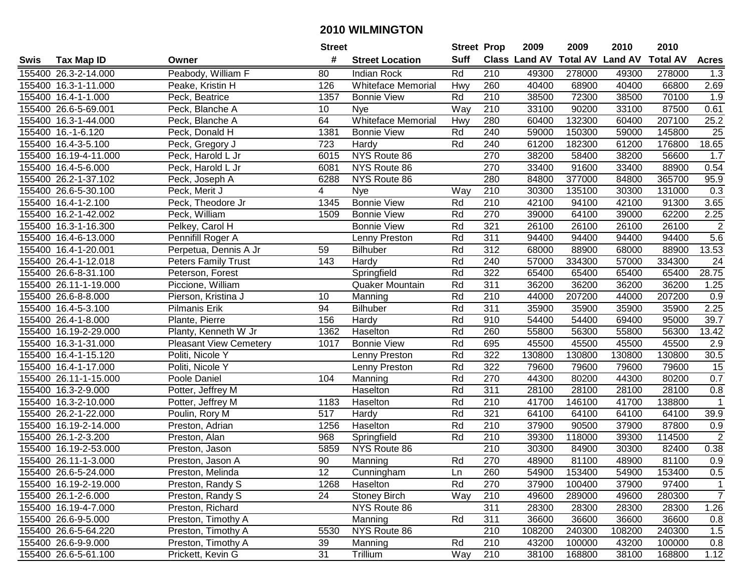|      |                       |                               | <b>Street</b> |                           |             | <b>Street Prop</b> | 2009                          | 2009   | 2010           | 2010            |                  |
|------|-----------------------|-------------------------------|---------------|---------------------------|-------------|--------------------|-------------------------------|--------|----------------|-----------------|------------------|
| Swis | <b>Tax Map ID</b>     | Owner                         | #             | <b>Street Location</b>    | <b>Suff</b> |                    | <b>Class Land AV Total AV</b> |        | <b>Land AV</b> | <b>Total AV</b> | <b>Acres</b>     |
|      | 155400 26.3-2-14.000  | Peabody, William F            | 80            | <b>Indian Rock</b>        | Rd          | 210                | 49300                         | 278000 | 49300          | 278000          | 1.3              |
|      | 155400 16.3-1-11.000  | Peake, Kristin H              | 126           | <b>Whiteface Memorial</b> | Hwy         | 260                | 40400                         | 68900  | 40400          | 66800           | 2.69             |
|      | 155400 16.4-1-1.000   | Peck, Beatrice                | 1357          | <b>Bonnie View</b>        | Rd          | 210                | 38500                         | 72300  | 38500          | 70100           | 1.9              |
|      | 155400 26.6-5-69.001  | Peck, Blanche A               | 10            | Nye                       | Way         | 210                | 33100                         | 90200  | 33100          | 87500           | 0.61             |
|      | 155400 16.3-1-44.000  | Peck, Blanche A               | 64            | <b>Whiteface Memorial</b> | Hwy         | 280                | 60400                         | 132300 | 60400          | 207100          | 25.2             |
|      | 155400 16.-1-6.120    | Peck, Donald H                | 1381          | <b>Bonnie View</b>        | Rd          | 240                | 59000                         | 150300 | 59000          | 145800          | $\overline{25}$  |
|      | 155400 16.4-3-5.100   | Peck, Gregory J               | 723           | Hardy                     | Rd          | 240                | 61200                         | 182300 | 61200          | 176800          | 18.65            |
|      | 155400 16.19-4-11.000 | Peck, Harold L Jr             | 6015          | NYS Route 86              |             | 270                | 38200                         | 58400  | 38200          | 56600           | $\overline{1.7}$ |
|      | 155400 16.4-5-6.000   | Peck, Harold L Jr             | 6081          | NYS Route 86              |             | 270                | 33400                         | 91600  | 33400          | 88900           | 0.54             |
|      | 155400 26.2-1-37.102  | Peck, Joseph A                | 6288          | NYS Route 86              |             | 280                | 84800                         | 377000 | 84800          | 365700          | 95.9             |
|      | 155400 26.6-5-30.100  | Peck, Merit J                 | 4             | Nye                       | Way         | 210                | 30300                         | 135100 | 30300          | 131000          | 0.3              |
|      | 155400 16.4-1-2.100   | Peck, Theodore Jr             | 1345          | <b>Bonnie View</b>        | Rd          | 210                | 42100                         | 94100  | 42100          | 91300           | 3.65             |
|      | 155400 16.2-1-42.002  | Peck, William                 | 1509          | <b>Bonnie View</b>        | Rd          | 270                | 39000                         | 64100  | 39000          | 62200           | 2.25             |
|      | 155400 16.3-1-16.300  | Pelkey, Carol H               |               | <b>Bonnie View</b>        | Rd          | 321                | 26100                         | 26100  | 26100          | 26100           | $\overline{2}$   |
|      | 155400 16.4-6-13.000  | Pennifill Roger A             |               | Lenny Preston             | Rd          | 311                | 94400                         | 94400  | 94400          | 94400           | 5.6              |
|      | 155400 16.4-1-20.001  | Perpetua, Dennis A Jr         | 59            | <b>Bilhuber</b>           | Rd          | 312                | 68000                         | 88900  | 68000          | 88900           | 13.53            |
|      | 155400 26.4-1-12.018  | <b>Peters Family Trust</b>    | 143           | Hardy                     | Rd          | 240                | 57000                         | 334300 | 57000          | 334300          | 24               |
|      | 155400 26.6-8-31.100  | Peterson, Forest              |               | Springfield               | Rd          | 322                | 65400                         | 65400  | 65400          | 65400           | 28.75            |
|      | 155400 26.11-1-19.000 | Piccione, William             |               | Quaker Mountain           | Rd          | 311                | 36200                         | 36200  | 36200          | 36200           | 1.25             |
|      | 155400 26.6-8-8.000   | Pierson, Kristina J           | 10            | Manning                   | Rd          | 210                | 44000                         | 207200 | 44000          | 207200          | 0.9              |
|      | 155400 16.4-5-3.100   | Pilmanis Erik                 | 94            | <b>Bilhuber</b>           | Rd          | 311                | 35900                         | 35900  | 35900          | 35900           | 2.25             |
|      | 155400 26.4-1-8.000   | Plante, Pierre                | 156           | Hardy                     | Rd          | 910                | 54400                         | 54400  | 69400          | 95000           | 39.7             |
|      | 155400 16.19-2-29.000 | Planty, Kenneth W Jr          | 1362          | Haselton                  | Rd          | 260                | 55800                         | 56300  | 55800          | 56300           | 13.42            |
|      | 155400 16.3-1-31.000  | <b>Pleasant View Cemetery</b> | 1017          | <b>Bonnie View</b>        | Rd          | 695                | 45500                         | 45500  | 45500          | 45500           | 2.9              |
|      | 155400 16.4-1-15.120  | Politi, Nicole Y              |               | Lenny Preston             | Rd          | 322                | 130800                        | 130800 | 130800         | 130800          | 30.5             |
|      | 155400 16.4-1-17.000  | Politi, Nicole Y              |               | Lenny Preston             | Rd          | 322                | 79600                         | 79600  | 79600          | 79600           | 15               |
|      | 155400 26.11-1-15.000 | Poole Daniel                  | 104           | Manning                   | Rd          | 270                | 44300                         | 80200  | 44300          | 80200           | 0.7              |
|      | 155400 16.3-2-9.000   | Potter, Jeffrey M             |               | Haselton                  | Rd          | 311                | 28100                         | 28100  | 28100          | 28100           | 0.8              |
|      | 155400 16.3-2-10.000  | Potter, Jeffrey M             | 1183          | Haselton                  | Rd          | 210                | 41700                         | 146100 | 41700          | 138800          | $\overline{1}$   |
|      | 155400 26.2-1-22.000  | Poulin, Rory M                | 517           | Hardy                     | Rd          | 321                | 64100                         | 64100  | 64100          | 64100           | 39.9             |
|      | 155400 16.19-2-14.000 | Preston, Adrian               | 1256          | Haselton                  | Rd          | $\overline{210}$   | 37900                         | 90500  | 37900          | 87800           | 0.9              |
|      | 155400 26.1-2-3.200   | Preston, Alan                 | 968           | Springfield               | Rd          | 210                | 39300                         | 118000 | 39300          | 114500          | $\overline{2}$   |
|      | 155400 16.19-2-53.000 | Preston, Jason                | 5859          | NYS Route 86              |             | $\overline{210}$   | 30300                         | 84900  | 30300          | 82400           | 0.38             |
|      | 155400 26.11-1-3.000  | Preston, Jason A              | 90            | Manning                   | Rd          | 270                | 48900                         | 81100  | 48900          | 81100           | 0.9              |
|      | 155400 26.6-5-24.000  | Preston, Melinda              | 12            | Cunningham                | Ln          | 260                | 54900                         | 153400 | 54900          | 153400          | 0.5              |
|      | 155400 16.19-2-19.000 | Preston, Randy S              | 1268          | Haselton                  | Rd          | 270                | 37900                         | 100400 | 37900          | 97400           | $\mathbf 1$      |
|      | 155400 26.1-2-6.000   | Preston, Randy S              | 24            | Stoney Birch              | Way         | 210                | 49600                         | 289000 | 49600          | 280300          | $\overline{7}$   |
|      | 155400 16.19-4-7.000  | Preston, Richard              |               | NYS Route 86              |             | 311                | 28300                         | 28300  | 28300          | 28300           | 1.26             |
|      | 155400 26.6-9-5.000   | Preston, Timothy A            |               | Manning                   | Rd          | 311                | 36600                         | 36600  | 36600          | 36600           | 0.8              |
|      | 155400 26.6-5-64.220  | Preston, Timothy A            | 5530          | NYS Route 86              |             | 210                | 108200                        | 240300 | 108200         | 240300          | 1.5              |
|      | 155400 26.6-9-9.000   | Preston, Timothy A            | 39            | Manning                   | Rd          | 210                | 43200                         | 100000 | 43200          | 100000          | 0.8              |
|      | 155400 26.6-5-61.100  | Prickett, Kevin G             | 31            | Trillium                  | Way         | 210                | 38100                         | 168800 | 38100          | 168800          | 1.12             |
|      |                       |                               |               |                           |             |                    |                               |        |                |                 |                  |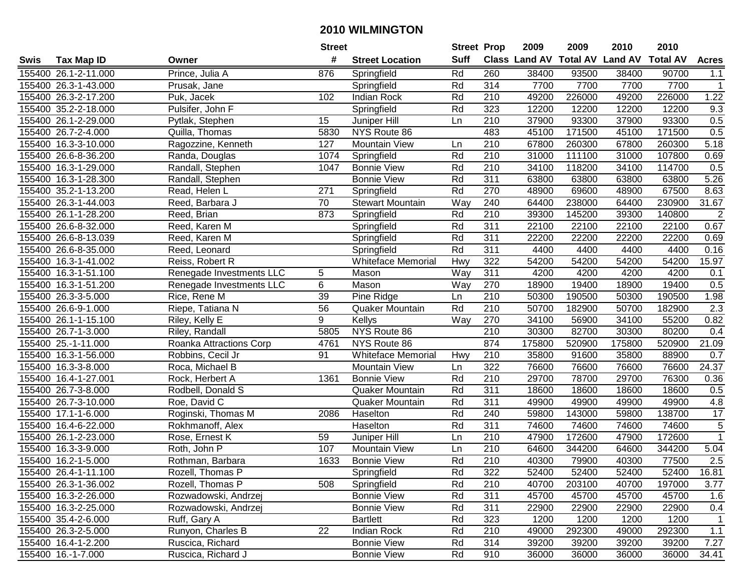| #<br><b>Suff</b><br><b>Class Land AV Total AV</b><br><b>Land AV</b><br><b>Total AV</b><br><b>Tax Map ID</b><br><b>Street Location</b><br><b>Acres</b><br>Swis<br>Owner<br>876<br>260<br>155400 26.1-2-11.000<br>Prince, Julia A<br>Springfield<br>Rd<br>38400<br>93500<br>38400<br>90700<br>1.1<br>314<br>7700<br>7700<br>155400 26.3-1-43.000<br>Springfield<br>Rd<br>7700<br>7700<br>Prusak, Jane<br>$\mathbf{1}$<br>1.22<br>155400 26.3-2-17.200<br>Puk, Jacek<br><b>Indian Rock</b><br>Rd<br>210<br>49200<br>226000<br>49200<br>226000<br>102<br>Rd<br>323<br>12200<br>12200<br>12200<br>12200<br>9.3<br>155400 35.2-2-18.000<br>Pulsifer, John F<br>Springfield<br>0.5<br>155400 26.1-2-29.000<br>15<br>210<br>37900<br>93300<br>37900<br>93300<br>Pytlak, Stephen<br>Juniper Hill<br>Ln<br>0.5<br>483<br>155400 26.7-2-4.000<br>Quilla, Thomas<br>NYS Route 86<br>45100<br>171500<br>45100<br>171500<br>5830<br>155400 16.3-3-10.000<br>210<br>67800<br>260300<br>67800<br>260300<br>5.18<br>Ragozzine, Kenneth<br>127<br><b>Mountain View</b><br>Ln<br>210<br>107800<br>Rd<br>31000<br>111100<br>31000<br>0.69<br>155400 26.6-8-36.200<br>1074<br>Randa, Douglas<br>Springfield<br>Randall, Stephen<br>Rd<br>$\overline{210}$<br>114700<br>0.5<br>155400 16.3-1-29.000<br><b>Bonnie View</b><br>34100<br>118200<br>34100<br>1047<br>$\overline{311}$<br>Rd<br>5.26<br>155400 16.3-1-28.300<br>Randall, Stephen<br><b>Bonnie View</b><br>63800<br>63800<br>63800<br>63800<br>Rd<br>270<br>67500<br>155400 35.2-1-13.200<br>Read, Helen L<br>271<br>Springfield<br>48900<br>69600<br>48900<br>8.63<br>155400 26.3-1-44.003<br>Reed, Barbara J<br>70<br><b>Stewart Mountain</b><br>240<br>64400<br>238000<br>64400<br>230900<br>31.67<br>Way<br>Rd<br>210<br>$\overline{2}$<br>155400 26.1-1-28.200<br>873<br>39300<br>145200<br>39300<br>140800<br>Reed, Brian<br>Springfield<br>Rd<br>311<br>0.67<br>155400 26.6-8-32.000<br>22100<br>22100<br>22100<br>22100<br>Reed, Karen M<br>Springfield<br>Rd<br>311<br>155400 26.6-8-13.039<br>22200<br>22200<br>22200<br>22200<br>0.69<br>Reed, Karen M<br>Springfield<br>Rd<br>311<br>4400<br>4400<br>4400<br>4400<br>0.16<br>155400 26.6-8-35.000<br>Springfield<br>Reed, Leonard<br>322<br>54200<br>54200<br>54200<br>15.97<br>155400 16.3-1-41.002<br><b>Whiteface Memorial</b><br>Hwy<br>54200<br>Reiss, Robert R<br>Way<br>311<br>Renegade Investments LLC<br>5<br>Mason<br>4200<br>4200<br>4200<br>4200<br>155400 16.3-1-51.100<br>0.1<br>6<br>0.5<br>155400 16.3-1-51.200<br>Renegade Investments LLC<br>Mason<br>Way<br>270<br>18900<br>19400<br>18900<br>19400<br>39<br>155400 26.3-3-5.000<br>Rice, Rene M<br>Pine Ridge<br>210<br>50300<br>190500<br>50300<br>190500<br>1.98<br>Ln<br>Rd<br>2.3<br>56<br>210<br>50700<br>182900<br>50700<br>182900<br>155400 26.6-9-1.000<br>Riepe, Tatiana N<br>Quaker Mountain<br>9<br>0.82<br>155400 26.1-1-15.100<br>Kellys<br>Way<br>270<br>34100<br>56900<br>34100<br>55200<br>Riley, Kelly E<br>NYS Route 86<br>210<br>0.4<br>155400 26.7-1-3.000<br>Riley, Randall<br>5805<br>30300<br>82700<br>30300<br>80200<br>NYS Route 86<br>874<br>21.09<br>155400 25.-1-11.000<br>4761<br>175800<br>520900<br>175800<br>520900<br>Roanka Attractions Corp<br>$\overline{210}$<br>91<br>35800<br>88900<br>0.7<br>155400 16.3-1-56.000<br><b>Whiteface Memorial</b><br>Hwy<br>91600<br>35800<br>Robbins, Cecil Jr<br>322<br>24.37<br>155400 16.3-3-8.000<br><b>Mountain View</b><br>76600<br>76600<br>76600<br>76600<br>Roca, Michael B<br>Ln<br>Rd<br>210<br>29700<br>29700<br>76300<br>155400 16.4-1-27.001<br>Rock, Herbert A<br>1361<br><b>Bonnie View</b><br>78700<br>0.36<br>Rd<br>311<br>155400 26.7-3-8.000<br>Rodbell, Donald S<br>18600<br>18600<br>18600<br>18600<br>0.5<br>Quaker Mountain<br>Rd<br>311<br>155400 26.7-3-10.000<br>Roe, David C<br>49900<br>49900<br>49900<br>4.8<br>Quaker Mountain<br>49900<br>Roginski, Thomas M<br>Rd<br>240<br>59800<br>138700<br>17<br>155400 17.1-1-6.000<br>Haselton<br>59800<br>143000<br>2086<br>$\overline{5}$<br>155400 16.4-6-22.000<br>Rd<br>311<br>74600<br>74600<br>74600<br>74600<br>Rokhmanoff, Alex<br>Haselton<br>$\mathbf{1}$<br>155400 26.1-2-23.000<br>59<br>210<br>47900<br>172600<br>47900<br>172600<br>Rose, Ernest K<br>Juniper Hill<br>Ln<br>$\overline{210}$<br>344200<br>5.04<br>155400 16.3-3-9.000<br>107<br><b>Mountain View</b><br>Ln<br>64600<br>344200<br>64600<br>Roth, John P<br>Rd<br>$\overline{210}$<br>2.5<br>155400 16.2-1-5.000<br>1633<br>40300<br>79900<br>40300<br>77500<br>Rothman, Barbara<br><b>Bonnie View</b><br>155400 26.4-1-11.100<br>Rozell, Thomas P<br>Springfield<br>Rd<br>322<br>52400<br>52400<br>52400<br>52400<br>16.81<br>155400 26.3-1-36.002<br>Rozell, Thomas P<br>508<br>Springfield<br>Rd<br>210<br>40700<br>203100<br>40700<br>197000<br>3.77<br>45700<br>45700<br>155400 16.3-2-26.000<br>Rozwadowski, Andrzej<br><b>Bonnie View</b><br>Rd<br>311<br>45700<br>45700<br>1.6<br>155400 16.3-2-25.000<br><b>Bonnie View</b><br>Rd<br>311<br>22900<br>22900<br>22900<br>Rozwadowski, Andrzej<br>22900<br>0.4<br>155400 35.4-2-6.000<br>Rd<br>323<br>Ruff, Gary A<br><b>Bartlett</b><br>1200<br>1200<br>1200<br>1200<br>$\mathbf{1}$<br>22<br>Rd<br>210<br>49000<br>292300<br>$1.1$<br>155400 26.3-2-5.000<br>Runyon, Charles B<br>Indian Rock<br>292300<br>49000<br>155400 16.4-1-2.200<br><b>Bonnie View</b><br>Rd<br>314<br>39200<br>39200<br>39200<br>39200<br>7.27<br>Ruscica, Richard<br>155400 16.-1-7.000<br>Ruscica, Richard J<br><b>Bonnie View</b><br>Rd<br>910<br>36000<br>36000<br>36000<br>34.41<br>36000 |  | <b>Street</b> |  | <b>Street Prop</b> | 2009 | 2009 | 2010 | 2010 |  |
|------------------------------------------------------------------------------------------------------------------------------------------------------------------------------------------------------------------------------------------------------------------------------------------------------------------------------------------------------------------------------------------------------------------------------------------------------------------------------------------------------------------------------------------------------------------------------------------------------------------------------------------------------------------------------------------------------------------------------------------------------------------------------------------------------------------------------------------------------------------------------------------------------------------------------------------------------------------------------------------------------------------------------------------------------------------------------------------------------------------------------------------------------------------------------------------------------------------------------------------------------------------------------------------------------------------------------------------------------------------------------------------------------------------------------------------------------------------------------------------------------------------------------------------------------------------------------------------------------------------------------------------------------------------------------------------------------------------------------------------------------------------------------------------------------------------------------------------------------------------------------------------------------------------------------------------------------------------------------------------------------------------------------------------------------------------------------------------------------------------------------------------------------------------------------------------------------------------------------------------------------------------------------------------------------------------------------------------------------------------------------------------------------------------------------------------------------------------------------------------------------------------------------------------------------------------------------------------------------------------------------------------------------------------------------------------------------------------------------------------------------------------------------------------------------------------------------------------------------------------------------------------------------------------------------------------------------------------------------------------------------------------------------------------------------------------------------------------------------------------------------------------------------------------------------------------------------------------------------------------------------------------------------------------------------------------------------------------------------------------------------------------------------------------------------------------------------------------------------------------------------------------------------------------------------------------------------------------------------------------------------------------------------------------------------------------------------------------------------------------------------------------------------------------------------------------------------------------------------------------------------------------------------------------------------------------------------------------------------------------------------------------------------------------------------------------------------------------------------------------------------------------------------------------------------------------------------------------------------------------------------------------------------------------------------------------------------------------------------------------------------------------------------------------------------------------------------------------------------------------------------------------------------------------------------------------------------------------------------------------------------------------------------------------------------------------------------------------------------------------------------------------------------------------------------------------------------------------------------------------------------------------------------------------------------------------------------------------------------------------------------------------------------------------------------------------------------------------------------------------------------------------------------------------------------------------------------------------------------------------------------------------------------------------------------------------------------------------------------------------------------------------------------------------------------------------------------------------------------------------------------------------------------------------------------------------------------------------------------------------------------|--|---------------|--|--------------------|------|------|------|------|--|
|                                                                                                                                                                                                                                                                                                                                                                                                                                                                                                                                                                                                                                                                                                                                                                                                                                                                                                                                                                                                                                                                                                                                                                                                                                                                                                                                                                                                                                                                                                                                                                                                                                                                                                                                                                                                                                                                                                                                                                                                                                                                                                                                                                                                                                                                                                                                                                                                                                                                                                                                                                                                                                                                                                                                                                                                                                                                                                                                                                                                                                                                                                                                                                                                                                                                                                                                                                                                                                                                                                                                                                                                                                                                                                                                                                                                                                                                                                                                                                                                                                                                                                                                                                                                                                                                                                                                                                                                                                                                                                                                                                                                                                                                                                                                                                                                                                                                                                                                                                                                                                                                                                                                                                                                                                                                                                                                                                                                                                                                                                                                                                                                                              |  |               |  |                    |      |      |      |      |  |
|                                                                                                                                                                                                                                                                                                                                                                                                                                                                                                                                                                                                                                                                                                                                                                                                                                                                                                                                                                                                                                                                                                                                                                                                                                                                                                                                                                                                                                                                                                                                                                                                                                                                                                                                                                                                                                                                                                                                                                                                                                                                                                                                                                                                                                                                                                                                                                                                                                                                                                                                                                                                                                                                                                                                                                                                                                                                                                                                                                                                                                                                                                                                                                                                                                                                                                                                                                                                                                                                                                                                                                                                                                                                                                                                                                                                                                                                                                                                                                                                                                                                                                                                                                                                                                                                                                                                                                                                                                                                                                                                                                                                                                                                                                                                                                                                                                                                                                                                                                                                                                                                                                                                                                                                                                                                                                                                                                                                                                                                                                                                                                                                                              |  |               |  |                    |      |      |      |      |  |
|                                                                                                                                                                                                                                                                                                                                                                                                                                                                                                                                                                                                                                                                                                                                                                                                                                                                                                                                                                                                                                                                                                                                                                                                                                                                                                                                                                                                                                                                                                                                                                                                                                                                                                                                                                                                                                                                                                                                                                                                                                                                                                                                                                                                                                                                                                                                                                                                                                                                                                                                                                                                                                                                                                                                                                                                                                                                                                                                                                                                                                                                                                                                                                                                                                                                                                                                                                                                                                                                                                                                                                                                                                                                                                                                                                                                                                                                                                                                                                                                                                                                                                                                                                                                                                                                                                                                                                                                                                                                                                                                                                                                                                                                                                                                                                                                                                                                                                                                                                                                                                                                                                                                                                                                                                                                                                                                                                                                                                                                                                                                                                                                                              |  |               |  |                    |      |      |      |      |  |
|                                                                                                                                                                                                                                                                                                                                                                                                                                                                                                                                                                                                                                                                                                                                                                                                                                                                                                                                                                                                                                                                                                                                                                                                                                                                                                                                                                                                                                                                                                                                                                                                                                                                                                                                                                                                                                                                                                                                                                                                                                                                                                                                                                                                                                                                                                                                                                                                                                                                                                                                                                                                                                                                                                                                                                                                                                                                                                                                                                                                                                                                                                                                                                                                                                                                                                                                                                                                                                                                                                                                                                                                                                                                                                                                                                                                                                                                                                                                                                                                                                                                                                                                                                                                                                                                                                                                                                                                                                                                                                                                                                                                                                                                                                                                                                                                                                                                                                                                                                                                                                                                                                                                                                                                                                                                                                                                                                                                                                                                                                                                                                                                                              |  |               |  |                    |      |      |      |      |  |
|                                                                                                                                                                                                                                                                                                                                                                                                                                                                                                                                                                                                                                                                                                                                                                                                                                                                                                                                                                                                                                                                                                                                                                                                                                                                                                                                                                                                                                                                                                                                                                                                                                                                                                                                                                                                                                                                                                                                                                                                                                                                                                                                                                                                                                                                                                                                                                                                                                                                                                                                                                                                                                                                                                                                                                                                                                                                                                                                                                                                                                                                                                                                                                                                                                                                                                                                                                                                                                                                                                                                                                                                                                                                                                                                                                                                                                                                                                                                                                                                                                                                                                                                                                                                                                                                                                                                                                                                                                                                                                                                                                                                                                                                                                                                                                                                                                                                                                                                                                                                                                                                                                                                                                                                                                                                                                                                                                                                                                                                                                                                                                                                                              |  |               |  |                    |      |      |      |      |  |
|                                                                                                                                                                                                                                                                                                                                                                                                                                                                                                                                                                                                                                                                                                                                                                                                                                                                                                                                                                                                                                                                                                                                                                                                                                                                                                                                                                                                                                                                                                                                                                                                                                                                                                                                                                                                                                                                                                                                                                                                                                                                                                                                                                                                                                                                                                                                                                                                                                                                                                                                                                                                                                                                                                                                                                                                                                                                                                                                                                                                                                                                                                                                                                                                                                                                                                                                                                                                                                                                                                                                                                                                                                                                                                                                                                                                                                                                                                                                                                                                                                                                                                                                                                                                                                                                                                                                                                                                                                                                                                                                                                                                                                                                                                                                                                                                                                                                                                                                                                                                                                                                                                                                                                                                                                                                                                                                                                                                                                                                                                                                                                                                                              |  |               |  |                    |      |      |      |      |  |
|                                                                                                                                                                                                                                                                                                                                                                                                                                                                                                                                                                                                                                                                                                                                                                                                                                                                                                                                                                                                                                                                                                                                                                                                                                                                                                                                                                                                                                                                                                                                                                                                                                                                                                                                                                                                                                                                                                                                                                                                                                                                                                                                                                                                                                                                                                                                                                                                                                                                                                                                                                                                                                                                                                                                                                                                                                                                                                                                                                                                                                                                                                                                                                                                                                                                                                                                                                                                                                                                                                                                                                                                                                                                                                                                                                                                                                                                                                                                                                                                                                                                                                                                                                                                                                                                                                                                                                                                                                                                                                                                                                                                                                                                                                                                                                                                                                                                                                                                                                                                                                                                                                                                                                                                                                                                                                                                                                                                                                                                                                                                                                                                                              |  |               |  |                    |      |      |      |      |  |
|                                                                                                                                                                                                                                                                                                                                                                                                                                                                                                                                                                                                                                                                                                                                                                                                                                                                                                                                                                                                                                                                                                                                                                                                                                                                                                                                                                                                                                                                                                                                                                                                                                                                                                                                                                                                                                                                                                                                                                                                                                                                                                                                                                                                                                                                                                                                                                                                                                                                                                                                                                                                                                                                                                                                                                                                                                                                                                                                                                                                                                                                                                                                                                                                                                                                                                                                                                                                                                                                                                                                                                                                                                                                                                                                                                                                                                                                                                                                                                                                                                                                                                                                                                                                                                                                                                                                                                                                                                                                                                                                                                                                                                                                                                                                                                                                                                                                                                                                                                                                                                                                                                                                                                                                                                                                                                                                                                                                                                                                                                                                                                                                                              |  |               |  |                    |      |      |      |      |  |
|                                                                                                                                                                                                                                                                                                                                                                                                                                                                                                                                                                                                                                                                                                                                                                                                                                                                                                                                                                                                                                                                                                                                                                                                                                                                                                                                                                                                                                                                                                                                                                                                                                                                                                                                                                                                                                                                                                                                                                                                                                                                                                                                                                                                                                                                                                                                                                                                                                                                                                                                                                                                                                                                                                                                                                                                                                                                                                                                                                                                                                                                                                                                                                                                                                                                                                                                                                                                                                                                                                                                                                                                                                                                                                                                                                                                                                                                                                                                                                                                                                                                                                                                                                                                                                                                                                                                                                                                                                                                                                                                                                                                                                                                                                                                                                                                                                                                                                                                                                                                                                                                                                                                                                                                                                                                                                                                                                                                                                                                                                                                                                                                                              |  |               |  |                    |      |      |      |      |  |
|                                                                                                                                                                                                                                                                                                                                                                                                                                                                                                                                                                                                                                                                                                                                                                                                                                                                                                                                                                                                                                                                                                                                                                                                                                                                                                                                                                                                                                                                                                                                                                                                                                                                                                                                                                                                                                                                                                                                                                                                                                                                                                                                                                                                                                                                                                                                                                                                                                                                                                                                                                                                                                                                                                                                                                                                                                                                                                                                                                                                                                                                                                                                                                                                                                                                                                                                                                                                                                                                                                                                                                                                                                                                                                                                                                                                                                                                                                                                                                                                                                                                                                                                                                                                                                                                                                                                                                                                                                                                                                                                                                                                                                                                                                                                                                                                                                                                                                                                                                                                                                                                                                                                                                                                                                                                                                                                                                                                                                                                                                                                                                                                                              |  |               |  |                    |      |      |      |      |  |
|                                                                                                                                                                                                                                                                                                                                                                                                                                                                                                                                                                                                                                                                                                                                                                                                                                                                                                                                                                                                                                                                                                                                                                                                                                                                                                                                                                                                                                                                                                                                                                                                                                                                                                                                                                                                                                                                                                                                                                                                                                                                                                                                                                                                                                                                                                                                                                                                                                                                                                                                                                                                                                                                                                                                                                                                                                                                                                                                                                                                                                                                                                                                                                                                                                                                                                                                                                                                                                                                                                                                                                                                                                                                                                                                                                                                                                                                                                                                                                                                                                                                                                                                                                                                                                                                                                                                                                                                                                                                                                                                                                                                                                                                                                                                                                                                                                                                                                                                                                                                                                                                                                                                                                                                                                                                                                                                                                                                                                                                                                                                                                                                                              |  |               |  |                    |      |      |      |      |  |
|                                                                                                                                                                                                                                                                                                                                                                                                                                                                                                                                                                                                                                                                                                                                                                                                                                                                                                                                                                                                                                                                                                                                                                                                                                                                                                                                                                                                                                                                                                                                                                                                                                                                                                                                                                                                                                                                                                                                                                                                                                                                                                                                                                                                                                                                                                                                                                                                                                                                                                                                                                                                                                                                                                                                                                                                                                                                                                                                                                                                                                                                                                                                                                                                                                                                                                                                                                                                                                                                                                                                                                                                                                                                                                                                                                                                                                                                                                                                                                                                                                                                                                                                                                                                                                                                                                                                                                                                                                                                                                                                                                                                                                                                                                                                                                                                                                                                                                                                                                                                                                                                                                                                                                                                                                                                                                                                                                                                                                                                                                                                                                                                                              |  |               |  |                    |      |      |      |      |  |
|                                                                                                                                                                                                                                                                                                                                                                                                                                                                                                                                                                                                                                                                                                                                                                                                                                                                                                                                                                                                                                                                                                                                                                                                                                                                                                                                                                                                                                                                                                                                                                                                                                                                                                                                                                                                                                                                                                                                                                                                                                                                                                                                                                                                                                                                                                                                                                                                                                                                                                                                                                                                                                                                                                                                                                                                                                                                                                                                                                                                                                                                                                                                                                                                                                                                                                                                                                                                                                                                                                                                                                                                                                                                                                                                                                                                                                                                                                                                                                                                                                                                                                                                                                                                                                                                                                                                                                                                                                                                                                                                                                                                                                                                                                                                                                                                                                                                                                                                                                                                                                                                                                                                                                                                                                                                                                                                                                                                                                                                                                                                                                                                                              |  |               |  |                    |      |      |      |      |  |
|                                                                                                                                                                                                                                                                                                                                                                                                                                                                                                                                                                                                                                                                                                                                                                                                                                                                                                                                                                                                                                                                                                                                                                                                                                                                                                                                                                                                                                                                                                                                                                                                                                                                                                                                                                                                                                                                                                                                                                                                                                                                                                                                                                                                                                                                                                                                                                                                                                                                                                                                                                                                                                                                                                                                                                                                                                                                                                                                                                                                                                                                                                                                                                                                                                                                                                                                                                                                                                                                                                                                                                                                                                                                                                                                                                                                                                                                                                                                                                                                                                                                                                                                                                                                                                                                                                                                                                                                                                                                                                                                                                                                                                                                                                                                                                                                                                                                                                                                                                                                                                                                                                                                                                                                                                                                                                                                                                                                                                                                                                                                                                                                                              |  |               |  |                    |      |      |      |      |  |
|                                                                                                                                                                                                                                                                                                                                                                                                                                                                                                                                                                                                                                                                                                                                                                                                                                                                                                                                                                                                                                                                                                                                                                                                                                                                                                                                                                                                                                                                                                                                                                                                                                                                                                                                                                                                                                                                                                                                                                                                                                                                                                                                                                                                                                                                                                                                                                                                                                                                                                                                                                                                                                                                                                                                                                                                                                                                                                                                                                                                                                                                                                                                                                                                                                                                                                                                                                                                                                                                                                                                                                                                                                                                                                                                                                                                                                                                                                                                                                                                                                                                                                                                                                                                                                                                                                                                                                                                                                                                                                                                                                                                                                                                                                                                                                                                                                                                                                                                                                                                                                                                                                                                                                                                                                                                                                                                                                                                                                                                                                                                                                                                                              |  |               |  |                    |      |      |      |      |  |
|                                                                                                                                                                                                                                                                                                                                                                                                                                                                                                                                                                                                                                                                                                                                                                                                                                                                                                                                                                                                                                                                                                                                                                                                                                                                                                                                                                                                                                                                                                                                                                                                                                                                                                                                                                                                                                                                                                                                                                                                                                                                                                                                                                                                                                                                                                                                                                                                                                                                                                                                                                                                                                                                                                                                                                                                                                                                                                                                                                                                                                                                                                                                                                                                                                                                                                                                                                                                                                                                                                                                                                                                                                                                                                                                                                                                                                                                                                                                                                                                                                                                                                                                                                                                                                                                                                                                                                                                                                                                                                                                                                                                                                                                                                                                                                                                                                                                                                                                                                                                                                                                                                                                                                                                                                                                                                                                                                                                                                                                                                                                                                                                                              |  |               |  |                    |      |      |      |      |  |
|                                                                                                                                                                                                                                                                                                                                                                                                                                                                                                                                                                                                                                                                                                                                                                                                                                                                                                                                                                                                                                                                                                                                                                                                                                                                                                                                                                                                                                                                                                                                                                                                                                                                                                                                                                                                                                                                                                                                                                                                                                                                                                                                                                                                                                                                                                                                                                                                                                                                                                                                                                                                                                                                                                                                                                                                                                                                                                                                                                                                                                                                                                                                                                                                                                                                                                                                                                                                                                                                                                                                                                                                                                                                                                                                                                                                                                                                                                                                                                                                                                                                                                                                                                                                                                                                                                                                                                                                                                                                                                                                                                                                                                                                                                                                                                                                                                                                                                                                                                                                                                                                                                                                                                                                                                                                                                                                                                                                                                                                                                                                                                                                                              |  |               |  |                    |      |      |      |      |  |
|                                                                                                                                                                                                                                                                                                                                                                                                                                                                                                                                                                                                                                                                                                                                                                                                                                                                                                                                                                                                                                                                                                                                                                                                                                                                                                                                                                                                                                                                                                                                                                                                                                                                                                                                                                                                                                                                                                                                                                                                                                                                                                                                                                                                                                                                                                                                                                                                                                                                                                                                                                                                                                                                                                                                                                                                                                                                                                                                                                                                                                                                                                                                                                                                                                                                                                                                                                                                                                                                                                                                                                                                                                                                                                                                                                                                                                                                                                                                                                                                                                                                                                                                                                                                                                                                                                                                                                                                                                                                                                                                                                                                                                                                                                                                                                                                                                                                                                                                                                                                                                                                                                                                                                                                                                                                                                                                                                                                                                                                                                                                                                                                                              |  |               |  |                    |      |      |      |      |  |
|                                                                                                                                                                                                                                                                                                                                                                                                                                                                                                                                                                                                                                                                                                                                                                                                                                                                                                                                                                                                                                                                                                                                                                                                                                                                                                                                                                                                                                                                                                                                                                                                                                                                                                                                                                                                                                                                                                                                                                                                                                                                                                                                                                                                                                                                                                                                                                                                                                                                                                                                                                                                                                                                                                                                                                                                                                                                                                                                                                                                                                                                                                                                                                                                                                                                                                                                                                                                                                                                                                                                                                                                                                                                                                                                                                                                                                                                                                                                                                                                                                                                                                                                                                                                                                                                                                                                                                                                                                                                                                                                                                                                                                                                                                                                                                                                                                                                                                                                                                                                                                                                                                                                                                                                                                                                                                                                                                                                                                                                                                                                                                                                                              |  |               |  |                    |      |      |      |      |  |
|                                                                                                                                                                                                                                                                                                                                                                                                                                                                                                                                                                                                                                                                                                                                                                                                                                                                                                                                                                                                                                                                                                                                                                                                                                                                                                                                                                                                                                                                                                                                                                                                                                                                                                                                                                                                                                                                                                                                                                                                                                                                                                                                                                                                                                                                                                                                                                                                                                                                                                                                                                                                                                                                                                                                                                                                                                                                                                                                                                                                                                                                                                                                                                                                                                                                                                                                                                                                                                                                                                                                                                                                                                                                                                                                                                                                                                                                                                                                                                                                                                                                                                                                                                                                                                                                                                                                                                                                                                                                                                                                                                                                                                                                                                                                                                                                                                                                                                                                                                                                                                                                                                                                                                                                                                                                                                                                                                                                                                                                                                                                                                                                                              |  |               |  |                    |      |      |      |      |  |
|                                                                                                                                                                                                                                                                                                                                                                                                                                                                                                                                                                                                                                                                                                                                                                                                                                                                                                                                                                                                                                                                                                                                                                                                                                                                                                                                                                                                                                                                                                                                                                                                                                                                                                                                                                                                                                                                                                                                                                                                                                                                                                                                                                                                                                                                                                                                                                                                                                                                                                                                                                                                                                                                                                                                                                                                                                                                                                                                                                                                                                                                                                                                                                                                                                                                                                                                                                                                                                                                                                                                                                                                                                                                                                                                                                                                                                                                                                                                                                                                                                                                                                                                                                                                                                                                                                                                                                                                                                                                                                                                                                                                                                                                                                                                                                                                                                                                                                                                                                                                                                                                                                                                                                                                                                                                                                                                                                                                                                                                                                                                                                                                                              |  |               |  |                    |      |      |      |      |  |
|                                                                                                                                                                                                                                                                                                                                                                                                                                                                                                                                                                                                                                                                                                                                                                                                                                                                                                                                                                                                                                                                                                                                                                                                                                                                                                                                                                                                                                                                                                                                                                                                                                                                                                                                                                                                                                                                                                                                                                                                                                                                                                                                                                                                                                                                                                                                                                                                                                                                                                                                                                                                                                                                                                                                                                                                                                                                                                                                                                                                                                                                                                                                                                                                                                                                                                                                                                                                                                                                                                                                                                                                                                                                                                                                                                                                                                                                                                                                                                                                                                                                                                                                                                                                                                                                                                                                                                                                                                                                                                                                                                                                                                                                                                                                                                                                                                                                                                                                                                                                                                                                                                                                                                                                                                                                                                                                                                                                                                                                                                                                                                                                                              |  |               |  |                    |      |      |      |      |  |
|                                                                                                                                                                                                                                                                                                                                                                                                                                                                                                                                                                                                                                                                                                                                                                                                                                                                                                                                                                                                                                                                                                                                                                                                                                                                                                                                                                                                                                                                                                                                                                                                                                                                                                                                                                                                                                                                                                                                                                                                                                                                                                                                                                                                                                                                                                                                                                                                                                                                                                                                                                                                                                                                                                                                                                                                                                                                                                                                                                                                                                                                                                                                                                                                                                                                                                                                                                                                                                                                                                                                                                                                                                                                                                                                                                                                                                                                                                                                                                                                                                                                                                                                                                                                                                                                                                                                                                                                                                                                                                                                                                                                                                                                                                                                                                                                                                                                                                                                                                                                                                                                                                                                                                                                                                                                                                                                                                                                                                                                                                                                                                                                                              |  |               |  |                    |      |      |      |      |  |
|                                                                                                                                                                                                                                                                                                                                                                                                                                                                                                                                                                                                                                                                                                                                                                                                                                                                                                                                                                                                                                                                                                                                                                                                                                                                                                                                                                                                                                                                                                                                                                                                                                                                                                                                                                                                                                                                                                                                                                                                                                                                                                                                                                                                                                                                                                                                                                                                                                                                                                                                                                                                                                                                                                                                                                                                                                                                                                                                                                                                                                                                                                                                                                                                                                                                                                                                                                                                                                                                                                                                                                                                                                                                                                                                                                                                                                                                                                                                                                                                                                                                                                                                                                                                                                                                                                                                                                                                                                                                                                                                                                                                                                                                                                                                                                                                                                                                                                                                                                                                                                                                                                                                                                                                                                                                                                                                                                                                                                                                                                                                                                                                                              |  |               |  |                    |      |      |      |      |  |
|                                                                                                                                                                                                                                                                                                                                                                                                                                                                                                                                                                                                                                                                                                                                                                                                                                                                                                                                                                                                                                                                                                                                                                                                                                                                                                                                                                                                                                                                                                                                                                                                                                                                                                                                                                                                                                                                                                                                                                                                                                                                                                                                                                                                                                                                                                                                                                                                                                                                                                                                                                                                                                                                                                                                                                                                                                                                                                                                                                                                                                                                                                                                                                                                                                                                                                                                                                                                                                                                                                                                                                                                                                                                                                                                                                                                                                                                                                                                                                                                                                                                                                                                                                                                                                                                                                                                                                                                                                                                                                                                                                                                                                                                                                                                                                                                                                                                                                                                                                                                                                                                                                                                                                                                                                                                                                                                                                                                                                                                                                                                                                                                                              |  |               |  |                    |      |      |      |      |  |
|                                                                                                                                                                                                                                                                                                                                                                                                                                                                                                                                                                                                                                                                                                                                                                                                                                                                                                                                                                                                                                                                                                                                                                                                                                                                                                                                                                                                                                                                                                                                                                                                                                                                                                                                                                                                                                                                                                                                                                                                                                                                                                                                                                                                                                                                                                                                                                                                                                                                                                                                                                                                                                                                                                                                                                                                                                                                                                                                                                                                                                                                                                                                                                                                                                                                                                                                                                                                                                                                                                                                                                                                                                                                                                                                                                                                                                                                                                                                                                                                                                                                                                                                                                                                                                                                                                                                                                                                                                                                                                                                                                                                                                                                                                                                                                                                                                                                                                                                                                                                                                                                                                                                                                                                                                                                                                                                                                                                                                                                                                                                                                                                                              |  |               |  |                    |      |      |      |      |  |
|                                                                                                                                                                                                                                                                                                                                                                                                                                                                                                                                                                                                                                                                                                                                                                                                                                                                                                                                                                                                                                                                                                                                                                                                                                                                                                                                                                                                                                                                                                                                                                                                                                                                                                                                                                                                                                                                                                                                                                                                                                                                                                                                                                                                                                                                                                                                                                                                                                                                                                                                                                                                                                                                                                                                                                                                                                                                                                                                                                                                                                                                                                                                                                                                                                                                                                                                                                                                                                                                                                                                                                                                                                                                                                                                                                                                                                                                                                                                                                                                                                                                                                                                                                                                                                                                                                                                                                                                                                                                                                                                                                                                                                                                                                                                                                                                                                                                                                                                                                                                                                                                                                                                                                                                                                                                                                                                                                                                                                                                                                                                                                                                                              |  |               |  |                    |      |      |      |      |  |
|                                                                                                                                                                                                                                                                                                                                                                                                                                                                                                                                                                                                                                                                                                                                                                                                                                                                                                                                                                                                                                                                                                                                                                                                                                                                                                                                                                                                                                                                                                                                                                                                                                                                                                                                                                                                                                                                                                                                                                                                                                                                                                                                                                                                                                                                                                                                                                                                                                                                                                                                                                                                                                                                                                                                                                                                                                                                                                                                                                                                                                                                                                                                                                                                                                                                                                                                                                                                                                                                                                                                                                                                                                                                                                                                                                                                                                                                                                                                                                                                                                                                                                                                                                                                                                                                                                                                                                                                                                                                                                                                                                                                                                                                                                                                                                                                                                                                                                                                                                                                                                                                                                                                                                                                                                                                                                                                                                                                                                                                                                                                                                                                                              |  |               |  |                    |      |      |      |      |  |
|                                                                                                                                                                                                                                                                                                                                                                                                                                                                                                                                                                                                                                                                                                                                                                                                                                                                                                                                                                                                                                                                                                                                                                                                                                                                                                                                                                                                                                                                                                                                                                                                                                                                                                                                                                                                                                                                                                                                                                                                                                                                                                                                                                                                                                                                                                                                                                                                                                                                                                                                                                                                                                                                                                                                                                                                                                                                                                                                                                                                                                                                                                                                                                                                                                                                                                                                                                                                                                                                                                                                                                                                                                                                                                                                                                                                                                                                                                                                                                                                                                                                                                                                                                                                                                                                                                                                                                                                                                                                                                                                                                                                                                                                                                                                                                                                                                                                                                                                                                                                                                                                                                                                                                                                                                                                                                                                                                                                                                                                                                                                                                                                                              |  |               |  |                    |      |      |      |      |  |
|                                                                                                                                                                                                                                                                                                                                                                                                                                                                                                                                                                                                                                                                                                                                                                                                                                                                                                                                                                                                                                                                                                                                                                                                                                                                                                                                                                                                                                                                                                                                                                                                                                                                                                                                                                                                                                                                                                                                                                                                                                                                                                                                                                                                                                                                                                                                                                                                                                                                                                                                                                                                                                                                                                                                                                                                                                                                                                                                                                                                                                                                                                                                                                                                                                                                                                                                                                                                                                                                                                                                                                                                                                                                                                                                                                                                                                                                                                                                                                                                                                                                                                                                                                                                                                                                                                                                                                                                                                                                                                                                                                                                                                                                                                                                                                                                                                                                                                                                                                                                                                                                                                                                                                                                                                                                                                                                                                                                                                                                                                                                                                                                                              |  |               |  |                    |      |      |      |      |  |
|                                                                                                                                                                                                                                                                                                                                                                                                                                                                                                                                                                                                                                                                                                                                                                                                                                                                                                                                                                                                                                                                                                                                                                                                                                                                                                                                                                                                                                                                                                                                                                                                                                                                                                                                                                                                                                                                                                                                                                                                                                                                                                                                                                                                                                                                                                                                                                                                                                                                                                                                                                                                                                                                                                                                                                                                                                                                                                                                                                                                                                                                                                                                                                                                                                                                                                                                                                                                                                                                                                                                                                                                                                                                                                                                                                                                                                                                                                                                                                                                                                                                                                                                                                                                                                                                                                                                                                                                                                                                                                                                                                                                                                                                                                                                                                                                                                                                                                                                                                                                                                                                                                                                                                                                                                                                                                                                                                                                                                                                                                                                                                                                                              |  |               |  |                    |      |      |      |      |  |
|                                                                                                                                                                                                                                                                                                                                                                                                                                                                                                                                                                                                                                                                                                                                                                                                                                                                                                                                                                                                                                                                                                                                                                                                                                                                                                                                                                                                                                                                                                                                                                                                                                                                                                                                                                                                                                                                                                                                                                                                                                                                                                                                                                                                                                                                                                                                                                                                                                                                                                                                                                                                                                                                                                                                                                                                                                                                                                                                                                                                                                                                                                                                                                                                                                                                                                                                                                                                                                                                                                                                                                                                                                                                                                                                                                                                                                                                                                                                                                                                                                                                                                                                                                                                                                                                                                                                                                                                                                                                                                                                                                                                                                                                                                                                                                                                                                                                                                                                                                                                                                                                                                                                                                                                                                                                                                                                                                                                                                                                                                                                                                                                                              |  |               |  |                    |      |      |      |      |  |
|                                                                                                                                                                                                                                                                                                                                                                                                                                                                                                                                                                                                                                                                                                                                                                                                                                                                                                                                                                                                                                                                                                                                                                                                                                                                                                                                                                                                                                                                                                                                                                                                                                                                                                                                                                                                                                                                                                                                                                                                                                                                                                                                                                                                                                                                                                                                                                                                                                                                                                                                                                                                                                                                                                                                                                                                                                                                                                                                                                                                                                                                                                                                                                                                                                                                                                                                                                                                                                                                                                                                                                                                                                                                                                                                                                                                                                                                                                                                                                                                                                                                                                                                                                                                                                                                                                                                                                                                                                                                                                                                                                                                                                                                                                                                                                                                                                                                                                                                                                                                                                                                                                                                                                                                                                                                                                                                                                                                                                                                                                                                                                                                                              |  |               |  |                    |      |      |      |      |  |
|                                                                                                                                                                                                                                                                                                                                                                                                                                                                                                                                                                                                                                                                                                                                                                                                                                                                                                                                                                                                                                                                                                                                                                                                                                                                                                                                                                                                                                                                                                                                                                                                                                                                                                                                                                                                                                                                                                                                                                                                                                                                                                                                                                                                                                                                                                                                                                                                                                                                                                                                                                                                                                                                                                                                                                                                                                                                                                                                                                                                                                                                                                                                                                                                                                                                                                                                                                                                                                                                                                                                                                                                                                                                                                                                                                                                                                                                                                                                                                                                                                                                                                                                                                                                                                                                                                                                                                                                                                                                                                                                                                                                                                                                                                                                                                                                                                                                                                                                                                                                                                                                                                                                                                                                                                                                                                                                                                                                                                                                                                                                                                                                                              |  |               |  |                    |      |      |      |      |  |
|                                                                                                                                                                                                                                                                                                                                                                                                                                                                                                                                                                                                                                                                                                                                                                                                                                                                                                                                                                                                                                                                                                                                                                                                                                                                                                                                                                                                                                                                                                                                                                                                                                                                                                                                                                                                                                                                                                                                                                                                                                                                                                                                                                                                                                                                                                                                                                                                                                                                                                                                                                                                                                                                                                                                                                                                                                                                                                                                                                                                                                                                                                                                                                                                                                                                                                                                                                                                                                                                                                                                                                                                                                                                                                                                                                                                                                                                                                                                                                                                                                                                                                                                                                                                                                                                                                                                                                                                                                                                                                                                                                                                                                                                                                                                                                                                                                                                                                                                                                                                                                                                                                                                                                                                                                                                                                                                                                                                                                                                                                                                                                                                                              |  |               |  |                    |      |      |      |      |  |
|                                                                                                                                                                                                                                                                                                                                                                                                                                                                                                                                                                                                                                                                                                                                                                                                                                                                                                                                                                                                                                                                                                                                                                                                                                                                                                                                                                                                                                                                                                                                                                                                                                                                                                                                                                                                                                                                                                                                                                                                                                                                                                                                                                                                                                                                                                                                                                                                                                                                                                                                                                                                                                                                                                                                                                                                                                                                                                                                                                                                                                                                                                                                                                                                                                                                                                                                                                                                                                                                                                                                                                                                                                                                                                                                                                                                                                                                                                                                                                                                                                                                                                                                                                                                                                                                                                                                                                                                                                                                                                                                                                                                                                                                                                                                                                                                                                                                                                                                                                                                                                                                                                                                                                                                                                                                                                                                                                                                                                                                                                                                                                                                                              |  |               |  |                    |      |      |      |      |  |
|                                                                                                                                                                                                                                                                                                                                                                                                                                                                                                                                                                                                                                                                                                                                                                                                                                                                                                                                                                                                                                                                                                                                                                                                                                                                                                                                                                                                                                                                                                                                                                                                                                                                                                                                                                                                                                                                                                                                                                                                                                                                                                                                                                                                                                                                                                                                                                                                                                                                                                                                                                                                                                                                                                                                                                                                                                                                                                                                                                                                                                                                                                                                                                                                                                                                                                                                                                                                                                                                                                                                                                                                                                                                                                                                                                                                                                                                                                                                                                                                                                                                                                                                                                                                                                                                                                                                                                                                                                                                                                                                                                                                                                                                                                                                                                                                                                                                                                                                                                                                                                                                                                                                                                                                                                                                                                                                                                                                                                                                                                                                                                                                                              |  |               |  |                    |      |      |      |      |  |
|                                                                                                                                                                                                                                                                                                                                                                                                                                                                                                                                                                                                                                                                                                                                                                                                                                                                                                                                                                                                                                                                                                                                                                                                                                                                                                                                                                                                                                                                                                                                                                                                                                                                                                                                                                                                                                                                                                                                                                                                                                                                                                                                                                                                                                                                                                                                                                                                                                                                                                                                                                                                                                                                                                                                                                                                                                                                                                                                                                                                                                                                                                                                                                                                                                                                                                                                                                                                                                                                                                                                                                                                                                                                                                                                                                                                                                                                                                                                                                                                                                                                                                                                                                                                                                                                                                                                                                                                                                                                                                                                                                                                                                                                                                                                                                                                                                                                                                                                                                                                                                                                                                                                                                                                                                                                                                                                                                                                                                                                                                                                                                                                                              |  |               |  |                    |      |      |      |      |  |
|                                                                                                                                                                                                                                                                                                                                                                                                                                                                                                                                                                                                                                                                                                                                                                                                                                                                                                                                                                                                                                                                                                                                                                                                                                                                                                                                                                                                                                                                                                                                                                                                                                                                                                                                                                                                                                                                                                                                                                                                                                                                                                                                                                                                                                                                                                                                                                                                                                                                                                                                                                                                                                                                                                                                                                                                                                                                                                                                                                                                                                                                                                                                                                                                                                                                                                                                                                                                                                                                                                                                                                                                                                                                                                                                                                                                                                                                                                                                                                                                                                                                                                                                                                                                                                                                                                                                                                                                                                                                                                                                                                                                                                                                                                                                                                                                                                                                                                                                                                                                                                                                                                                                                                                                                                                                                                                                                                                                                                                                                                                                                                                                                              |  |               |  |                    |      |      |      |      |  |
|                                                                                                                                                                                                                                                                                                                                                                                                                                                                                                                                                                                                                                                                                                                                                                                                                                                                                                                                                                                                                                                                                                                                                                                                                                                                                                                                                                                                                                                                                                                                                                                                                                                                                                                                                                                                                                                                                                                                                                                                                                                                                                                                                                                                                                                                                                                                                                                                                                                                                                                                                                                                                                                                                                                                                                                                                                                                                                                                                                                                                                                                                                                                                                                                                                                                                                                                                                                                                                                                                                                                                                                                                                                                                                                                                                                                                                                                                                                                                                                                                                                                                                                                                                                                                                                                                                                                                                                                                                                                                                                                                                                                                                                                                                                                                                                                                                                                                                                                                                                                                                                                                                                                                                                                                                                                                                                                                                                                                                                                                                                                                                                                                              |  |               |  |                    |      |      |      |      |  |
|                                                                                                                                                                                                                                                                                                                                                                                                                                                                                                                                                                                                                                                                                                                                                                                                                                                                                                                                                                                                                                                                                                                                                                                                                                                                                                                                                                                                                                                                                                                                                                                                                                                                                                                                                                                                                                                                                                                                                                                                                                                                                                                                                                                                                                                                                                                                                                                                                                                                                                                                                                                                                                                                                                                                                                                                                                                                                                                                                                                                                                                                                                                                                                                                                                                                                                                                                                                                                                                                                                                                                                                                                                                                                                                                                                                                                                                                                                                                                                                                                                                                                                                                                                                                                                                                                                                                                                                                                                                                                                                                                                                                                                                                                                                                                                                                                                                                                                                                                                                                                                                                                                                                                                                                                                                                                                                                                                                                                                                                                                                                                                                                                              |  |               |  |                    |      |      |      |      |  |
|                                                                                                                                                                                                                                                                                                                                                                                                                                                                                                                                                                                                                                                                                                                                                                                                                                                                                                                                                                                                                                                                                                                                                                                                                                                                                                                                                                                                                                                                                                                                                                                                                                                                                                                                                                                                                                                                                                                                                                                                                                                                                                                                                                                                                                                                                                                                                                                                                                                                                                                                                                                                                                                                                                                                                                                                                                                                                                                                                                                                                                                                                                                                                                                                                                                                                                                                                                                                                                                                                                                                                                                                                                                                                                                                                                                                                                                                                                                                                                                                                                                                                                                                                                                                                                                                                                                                                                                                                                                                                                                                                                                                                                                                                                                                                                                                                                                                                                                                                                                                                                                                                                                                                                                                                                                                                                                                                                                                                                                                                                                                                                                                                              |  |               |  |                    |      |      |      |      |  |
|                                                                                                                                                                                                                                                                                                                                                                                                                                                                                                                                                                                                                                                                                                                                                                                                                                                                                                                                                                                                                                                                                                                                                                                                                                                                                                                                                                                                                                                                                                                                                                                                                                                                                                                                                                                                                                                                                                                                                                                                                                                                                                                                                                                                                                                                                                                                                                                                                                                                                                                                                                                                                                                                                                                                                                                                                                                                                                                                                                                                                                                                                                                                                                                                                                                                                                                                                                                                                                                                                                                                                                                                                                                                                                                                                                                                                                                                                                                                                                                                                                                                                                                                                                                                                                                                                                                                                                                                                                                                                                                                                                                                                                                                                                                                                                                                                                                                                                                                                                                                                                                                                                                                                                                                                                                                                                                                                                                                                                                                                                                                                                                                                              |  |               |  |                    |      |      |      |      |  |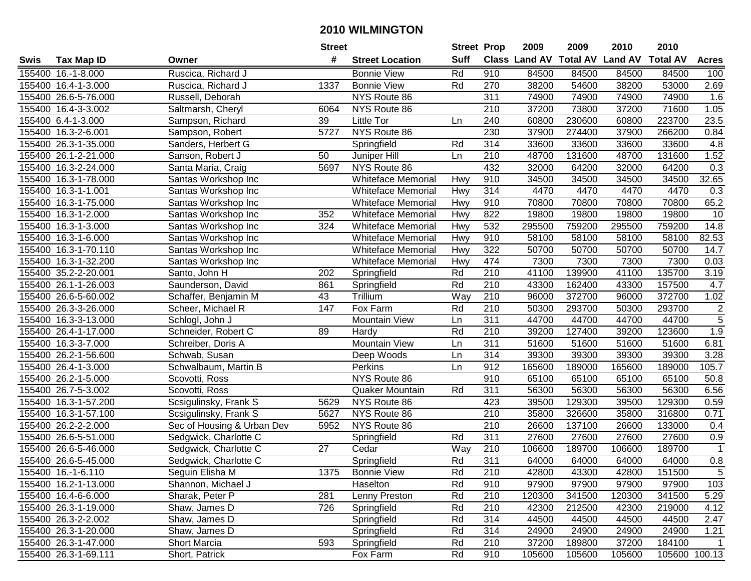| #<br><b>Suff</b><br><b>Class Land AV Total AV</b><br><b>Land AV</b><br><b>Total AV</b><br><b>Tax Map ID</b><br><b>Street Location</b><br><b>Acres</b><br>Swis<br>Owner<br>155400 16.-1-8.000<br>Ruscica, Richard J<br><b>Bonnie View</b><br>Rd<br>910<br>84500<br>84500<br>84500<br>84500<br>100<br>2.69<br>1337<br><b>Bonnie View</b><br>Rd<br>270<br>38200<br>54600<br>38200<br>53000<br>155400 16.4-1-3.000<br>Ruscica, Richard J<br>155400 26.6-5-76.000<br>NYS Route 86<br>311<br>74900<br>74900<br>74900<br>74900<br>1.6<br>Russell, Deborah<br>NYS Route 86<br>210<br>37200<br>37200<br>71600<br>1.05<br>155400 16.4-3-3.002<br>Saltmarsh, Cheryl<br>6064<br>73800<br>23.5<br>155400 6.4-1-3.000<br>Little Tor<br>240<br>60800<br>230600<br>60800<br>223700<br>Sampson, Richard<br>39<br>Ln<br>NYS Route 86<br>230<br>0.84<br>155400 16.3-2-6.001<br>Sampson, Robert<br>5727<br>37900<br>274400<br>37900<br>266200<br>314<br>33600<br>33600<br>33600<br>4.8<br>155400 26.3-1-35.000<br>Sanders, Herbert G<br>Springfield<br>Rd<br>33600<br>210<br>1.52<br>155400 26.1-2-21.000<br>50<br>48700<br>131600<br>48700<br>Sanson, Robert J<br>Juniper Hill<br>Ln<br>131600<br>NYS Route 86<br>432<br>32000<br>64200<br>0.3<br>155400 16.3-2-24.000<br>Santa Maria, Craig<br>5697<br>64200<br>32000<br>910<br>32.65<br>155400 16.3-1-78.000<br><b>Whiteface Memorial</b><br>34500<br>34500<br>34500<br>34500<br>Santas Workshop Inc<br>Hwy<br>314<br>4470<br>155400 16.3-1-1.001<br><b>Whiteface Memorial</b><br>4470<br>4470<br>4470<br>0.3<br>Santas Workshop Inc<br>Hwy<br>65.2<br>155400 16.3-1-75.000<br>Hwy<br>910<br>70800<br>70800<br>70800<br>70800<br>Santas Workshop Inc<br><b>Whiteface Memorial</b><br>352<br>Hwy<br>822<br>19800<br>19800<br>19800<br>19800<br>10<br>155400 16.3-1-2.000<br>Santas Workshop Inc<br><b>Whiteface Memorial</b><br>532<br>16.3-1-3.000<br><b>Whiteface Memorial</b><br>Hwy<br>295500<br>759200<br>295500<br>759200<br>14.8<br>155400<br>Santas Workshop Inc<br>324<br>Hwy<br>82.53<br><b>Whiteface Memorial</b><br>910<br>58100<br>58100<br>58100<br>58100<br>155400 16.3-1-6.000<br>Santas Workshop Inc<br><b>Whiteface Memorial</b><br>Hwy<br>322<br>50700<br>50700<br>50700<br>50700<br>14.7<br>155400 16.3-1-70.110<br>Santas Workshop Inc<br>7300<br>7300<br>7300<br>155400 16.3-1-32.200<br>Hwy<br>474<br>7300<br>0.03<br><b>Whiteface Memorial</b><br>Santas Workshop Inc<br>Rd<br>210<br>3.19<br>155400 35.2-2-20.001<br>202<br>41100<br>139900<br>135700<br>Santo, John H<br>Springfield<br>41100<br>155400 26.1-1-26.003<br>Saunderson, David<br>Rd<br>210<br>43300<br>162400<br>43300<br>157500<br>4.7<br>861<br>Springfield<br>43<br>Trillium<br>Way<br>210<br>96000<br>372700<br>96000<br>372700<br>1.02<br>155400 26.6-5-60.002<br>Schaffer, Benjamin M<br>$\overline{2}$<br>147<br>Fox Farm<br>Rd<br>210<br>50300<br>293700<br>293700<br>155400 26.3-3-26.000<br>50300<br>Scheer, Michael R<br>$\overline{5}$<br>311<br>155400 16.3-3-13.000<br><b>Mountain View</b><br>44700<br>44700<br>44700<br>44700<br>Schlogl, John J<br>Ln<br>1.9<br>Rd<br>210<br>123600<br>155400 26.4-1-17.000<br>Schneider, Robert C<br>89<br>Hardy<br>39200<br>127400<br>39200<br>311<br>6.81<br>16.3-3-7.000<br>Mountain View<br>51600<br>51600<br>51600<br>155400<br>Schreiber, Doris A<br>Ln<br>51600<br>314<br>39300<br>39300<br>39300<br>3.28<br>155400 26.2-1-56.600<br>Schwab, Susan<br>Ln<br>39300<br>Deep Woods<br>Perkins<br>912<br>Schwalbaum, Martin B<br>Ln<br>165600<br>189000<br>165600<br>189000<br>105.7<br>155400 26.4-1-3.000<br>910<br>65100<br>65100<br>155400 26.2-1-5.000<br>Scovotti, Ross<br>NYS Route 86<br>65100<br>65100<br>50.8<br>56300<br>56300<br>155400 26.7-5-3.002<br>Rd<br>311<br>56300<br>56300<br>6.56<br>Scovotti, Ross<br>Quaker Mountain<br>NYS Route 86<br>423<br>39500<br>129300<br>39500<br>129300<br>155400 16.3-1-57.200<br>Scsigulinsky, Frank S<br>5629<br>0.59<br>$\overline{210}$<br>155400 16.3-1-57.100<br>5627<br>NYS Route 86<br>35800<br>326600<br>35800<br>316800<br>0.71<br>Scsigulinsky, Frank S<br>NYS Route 86<br>$\overline{210}$<br>26600<br>137100<br>133000<br>155400 26.2-2-2.000<br>Sec of Housing & Urban Dev<br>5952<br>26600<br>0.4<br>27600<br>155400 26.6-5-51.000<br>Rd<br>311<br>27600<br>27600<br>27600<br>0.9<br>Sedgwick, Charlotte C<br>Springfield<br>$\overline{210}$<br>189700<br>155400 26.6-5-46.000<br>27<br>Way<br>106600<br>189700<br>106600<br>Sedgwick, Charlotte C<br>Cedar<br>$\mathbf 1$<br>Rd<br>311<br>0.8<br>Springfield<br>64000<br>64000<br>64000<br>64000<br>155400 26.6-5-45.000<br>Sedgwick, Charlotte C<br>155400 16.-1-6.110<br>Seguin Elisha M<br>1375<br><b>Bonnie View</b><br>Rd<br>210<br>42800<br>43300<br>42800<br>151500<br>5<br>103<br>155400 16.2-1-13.000<br>Shannon, Michael J<br>Haselton<br>Rd<br>910<br>97900<br>97900<br>97900<br>97900<br>281<br>341500<br>155400 16.4-6-6.000<br>Sharak, Peter P<br>Lenny Preston<br>Rd<br>210<br>120300<br>341500<br>120300<br>5.29<br>155400 26.3-1-19.000<br>726<br>Rd<br>210<br>42300<br>212500<br>42300<br>219000<br>4.12<br>Shaw, James D<br>Springfield<br>155400 26.3-2-2.002<br>Rd<br>314<br>Shaw, James D<br>Springfield<br>44500<br>44500<br>44500<br>44500<br>2.47<br>Rd<br>314<br>155400 26.3-1-20.000<br>Shaw, James D<br>Springfield<br>24900<br>24900<br>24900<br>24900<br>1.21<br>155400 26.3-1-47.000<br>593<br>Rd<br>210<br>37200<br>189800<br>37200<br>184100<br><b>Short Marcia</b><br>Springfield<br>155400 26.3-1-69.111<br>105600 100.13 |  |                | <b>Street</b> |          | <b>Street Prop</b> |     | 2009   | 2009   | 2010   | 2010 |  |
|------------------------------------------------------------------------------------------------------------------------------------------------------------------------------------------------------------------------------------------------------------------------------------------------------------------------------------------------------------------------------------------------------------------------------------------------------------------------------------------------------------------------------------------------------------------------------------------------------------------------------------------------------------------------------------------------------------------------------------------------------------------------------------------------------------------------------------------------------------------------------------------------------------------------------------------------------------------------------------------------------------------------------------------------------------------------------------------------------------------------------------------------------------------------------------------------------------------------------------------------------------------------------------------------------------------------------------------------------------------------------------------------------------------------------------------------------------------------------------------------------------------------------------------------------------------------------------------------------------------------------------------------------------------------------------------------------------------------------------------------------------------------------------------------------------------------------------------------------------------------------------------------------------------------------------------------------------------------------------------------------------------------------------------------------------------------------------------------------------------------------------------------------------------------------------------------------------------------------------------------------------------------------------------------------------------------------------------------------------------------------------------------------------------------------------------------------------------------------------------------------------------------------------------------------------------------------------------------------------------------------------------------------------------------------------------------------------------------------------------------------------------------------------------------------------------------------------------------------------------------------------------------------------------------------------------------------------------------------------------------------------------------------------------------------------------------------------------------------------------------------------------------------------------------------------------------------------------------------------------------------------------------------------------------------------------------------------------------------------------------------------------------------------------------------------------------------------------------------------------------------------------------------------------------------------------------------------------------------------------------------------------------------------------------------------------------------------------------------------------------------------------------------------------------------------------------------------------------------------------------------------------------------------------------------------------------------------------------------------------------------------------------------------------------------------------------------------------------------------------------------------------------------------------------------------------------------------------------------------------------------------------------------------------------------------------------------------------------------------------------------------------------------------------------------------------------------------------------------------------------------------------------------------------------------------------------------------------------------------------------------------------------------------------------------------------------------------------------------------------------------------------------------------------------------------------------------------------------------------------------------------------------------------------------------------------------------------------------------------------------------------------------------------------------------------------------------------------------------------------------------------------------------------------------------------------------------------------------------------------------------------------------------------------------------------------------------------------------------------------------------------------------------------------------------------------------------------------------------------------------------------------------------------------------------------|--|----------------|---------------|----------|--------------------|-----|--------|--------|--------|------|--|
|                                                                                                                                                                                                                                                                                                                                                                                                                                                                                                                                                                                                                                                                                                                                                                                                                                                                                                                                                                                                                                                                                                                                                                                                                                                                                                                                                                                                                                                                                                                                                                                                                                                                                                                                                                                                                                                                                                                                                                                                                                                                                                                                                                                                                                                                                                                                                                                                                                                                                                                                                                                                                                                                                                                                                                                                                                                                                                                                                                                                                                                                                                                                                                                                                                                                                                                                                                                                                                                                                                                                                                                                                                                                                                                                                                                                                                                                                                                                                                                                                                                                                                                                                                                                                                                                                                                                                                                                                                                                                                                                                                                                                                                                                                                                                                                                                                                                                                                                                                                                                                                                                                                                                                                                                                                                                                                                                                                                                                                                                                                                                            |  |                |               |          |                    |     |        |        |        |      |  |
|                                                                                                                                                                                                                                                                                                                                                                                                                                                                                                                                                                                                                                                                                                                                                                                                                                                                                                                                                                                                                                                                                                                                                                                                                                                                                                                                                                                                                                                                                                                                                                                                                                                                                                                                                                                                                                                                                                                                                                                                                                                                                                                                                                                                                                                                                                                                                                                                                                                                                                                                                                                                                                                                                                                                                                                                                                                                                                                                                                                                                                                                                                                                                                                                                                                                                                                                                                                                                                                                                                                                                                                                                                                                                                                                                                                                                                                                                                                                                                                                                                                                                                                                                                                                                                                                                                                                                                                                                                                                                                                                                                                                                                                                                                                                                                                                                                                                                                                                                                                                                                                                                                                                                                                                                                                                                                                                                                                                                                                                                                                                                            |  |                |               |          |                    |     |        |        |        |      |  |
|                                                                                                                                                                                                                                                                                                                                                                                                                                                                                                                                                                                                                                                                                                                                                                                                                                                                                                                                                                                                                                                                                                                                                                                                                                                                                                                                                                                                                                                                                                                                                                                                                                                                                                                                                                                                                                                                                                                                                                                                                                                                                                                                                                                                                                                                                                                                                                                                                                                                                                                                                                                                                                                                                                                                                                                                                                                                                                                                                                                                                                                                                                                                                                                                                                                                                                                                                                                                                                                                                                                                                                                                                                                                                                                                                                                                                                                                                                                                                                                                                                                                                                                                                                                                                                                                                                                                                                                                                                                                                                                                                                                                                                                                                                                                                                                                                                                                                                                                                                                                                                                                                                                                                                                                                                                                                                                                                                                                                                                                                                                                                            |  |                |               |          |                    |     |        |        |        |      |  |
|                                                                                                                                                                                                                                                                                                                                                                                                                                                                                                                                                                                                                                                                                                                                                                                                                                                                                                                                                                                                                                                                                                                                                                                                                                                                                                                                                                                                                                                                                                                                                                                                                                                                                                                                                                                                                                                                                                                                                                                                                                                                                                                                                                                                                                                                                                                                                                                                                                                                                                                                                                                                                                                                                                                                                                                                                                                                                                                                                                                                                                                                                                                                                                                                                                                                                                                                                                                                                                                                                                                                                                                                                                                                                                                                                                                                                                                                                                                                                                                                                                                                                                                                                                                                                                                                                                                                                                                                                                                                                                                                                                                                                                                                                                                                                                                                                                                                                                                                                                                                                                                                                                                                                                                                                                                                                                                                                                                                                                                                                                                                                            |  |                |               |          |                    |     |        |        |        |      |  |
|                                                                                                                                                                                                                                                                                                                                                                                                                                                                                                                                                                                                                                                                                                                                                                                                                                                                                                                                                                                                                                                                                                                                                                                                                                                                                                                                                                                                                                                                                                                                                                                                                                                                                                                                                                                                                                                                                                                                                                                                                                                                                                                                                                                                                                                                                                                                                                                                                                                                                                                                                                                                                                                                                                                                                                                                                                                                                                                                                                                                                                                                                                                                                                                                                                                                                                                                                                                                                                                                                                                                                                                                                                                                                                                                                                                                                                                                                                                                                                                                                                                                                                                                                                                                                                                                                                                                                                                                                                                                                                                                                                                                                                                                                                                                                                                                                                                                                                                                                                                                                                                                                                                                                                                                                                                                                                                                                                                                                                                                                                                                                            |  |                |               |          |                    |     |        |        |        |      |  |
|                                                                                                                                                                                                                                                                                                                                                                                                                                                                                                                                                                                                                                                                                                                                                                                                                                                                                                                                                                                                                                                                                                                                                                                                                                                                                                                                                                                                                                                                                                                                                                                                                                                                                                                                                                                                                                                                                                                                                                                                                                                                                                                                                                                                                                                                                                                                                                                                                                                                                                                                                                                                                                                                                                                                                                                                                                                                                                                                                                                                                                                                                                                                                                                                                                                                                                                                                                                                                                                                                                                                                                                                                                                                                                                                                                                                                                                                                                                                                                                                                                                                                                                                                                                                                                                                                                                                                                                                                                                                                                                                                                                                                                                                                                                                                                                                                                                                                                                                                                                                                                                                                                                                                                                                                                                                                                                                                                                                                                                                                                                                                            |  |                |               |          |                    |     |        |        |        |      |  |
|                                                                                                                                                                                                                                                                                                                                                                                                                                                                                                                                                                                                                                                                                                                                                                                                                                                                                                                                                                                                                                                                                                                                                                                                                                                                                                                                                                                                                                                                                                                                                                                                                                                                                                                                                                                                                                                                                                                                                                                                                                                                                                                                                                                                                                                                                                                                                                                                                                                                                                                                                                                                                                                                                                                                                                                                                                                                                                                                                                                                                                                                                                                                                                                                                                                                                                                                                                                                                                                                                                                                                                                                                                                                                                                                                                                                                                                                                                                                                                                                                                                                                                                                                                                                                                                                                                                                                                                                                                                                                                                                                                                                                                                                                                                                                                                                                                                                                                                                                                                                                                                                                                                                                                                                                                                                                                                                                                                                                                                                                                                                                            |  |                |               |          |                    |     |        |        |        |      |  |
|                                                                                                                                                                                                                                                                                                                                                                                                                                                                                                                                                                                                                                                                                                                                                                                                                                                                                                                                                                                                                                                                                                                                                                                                                                                                                                                                                                                                                                                                                                                                                                                                                                                                                                                                                                                                                                                                                                                                                                                                                                                                                                                                                                                                                                                                                                                                                                                                                                                                                                                                                                                                                                                                                                                                                                                                                                                                                                                                                                                                                                                                                                                                                                                                                                                                                                                                                                                                                                                                                                                                                                                                                                                                                                                                                                                                                                                                                                                                                                                                                                                                                                                                                                                                                                                                                                                                                                                                                                                                                                                                                                                                                                                                                                                                                                                                                                                                                                                                                                                                                                                                                                                                                                                                                                                                                                                                                                                                                                                                                                                                                            |  |                |               |          |                    |     |        |        |        |      |  |
|                                                                                                                                                                                                                                                                                                                                                                                                                                                                                                                                                                                                                                                                                                                                                                                                                                                                                                                                                                                                                                                                                                                                                                                                                                                                                                                                                                                                                                                                                                                                                                                                                                                                                                                                                                                                                                                                                                                                                                                                                                                                                                                                                                                                                                                                                                                                                                                                                                                                                                                                                                                                                                                                                                                                                                                                                                                                                                                                                                                                                                                                                                                                                                                                                                                                                                                                                                                                                                                                                                                                                                                                                                                                                                                                                                                                                                                                                                                                                                                                                                                                                                                                                                                                                                                                                                                                                                                                                                                                                                                                                                                                                                                                                                                                                                                                                                                                                                                                                                                                                                                                                                                                                                                                                                                                                                                                                                                                                                                                                                                                                            |  |                |               |          |                    |     |        |        |        |      |  |
|                                                                                                                                                                                                                                                                                                                                                                                                                                                                                                                                                                                                                                                                                                                                                                                                                                                                                                                                                                                                                                                                                                                                                                                                                                                                                                                                                                                                                                                                                                                                                                                                                                                                                                                                                                                                                                                                                                                                                                                                                                                                                                                                                                                                                                                                                                                                                                                                                                                                                                                                                                                                                                                                                                                                                                                                                                                                                                                                                                                                                                                                                                                                                                                                                                                                                                                                                                                                                                                                                                                                                                                                                                                                                                                                                                                                                                                                                                                                                                                                                                                                                                                                                                                                                                                                                                                                                                                                                                                                                                                                                                                                                                                                                                                                                                                                                                                                                                                                                                                                                                                                                                                                                                                                                                                                                                                                                                                                                                                                                                                                                            |  |                |               |          |                    |     |        |        |        |      |  |
|                                                                                                                                                                                                                                                                                                                                                                                                                                                                                                                                                                                                                                                                                                                                                                                                                                                                                                                                                                                                                                                                                                                                                                                                                                                                                                                                                                                                                                                                                                                                                                                                                                                                                                                                                                                                                                                                                                                                                                                                                                                                                                                                                                                                                                                                                                                                                                                                                                                                                                                                                                                                                                                                                                                                                                                                                                                                                                                                                                                                                                                                                                                                                                                                                                                                                                                                                                                                                                                                                                                                                                                                                                                                                                                                                                                                                                                                                                                                                                                                                                                                                                                                                                                                                                                                                                                                                                                                                                                                                                                                                                                                                                                                                                                                                                                                                                                                                                                                                                                                                                                                                                                                                                                                                                                                                                                                                                                                                                                                                                                                                            |  |                |               |          |                    |     |        |        |        |      |  |
|                                                                                                                                                                                                                                                                                                                                                                                                                                                                                                                                                                                                                                                                                                                                                                                                                                                                                                                                                                                                                                                                                                                                                                                                                                                                                                                                                                                                                                                                                                                                                                                                                                                                                                                                                                                                                                                                                                                                                                                                                                                                                                                                                                                                                                                                                                                                                                                                                                                                                                                                                                                                                                                                                                                                                                                                                                                                                                                                                                                                                                                                                                                                                                                                                                                                                                                                                                                                                                                                                                                                                                                                                                                                                                                                                                                                                                                                                                                                                                                                                                                                                                                                                                                                                                                                                                                                                                                                                                                                                                                                                                                                                                                                                                                                                                                                                                                                                                                                                                                                                                                                                                                                                                                                                                                                                                                                                                                                                                                                                                                                                            |  |                |               |          |                    |     |        |        |        |      |  |
|                                                                                                                                                                                                                                                                                                                                                                                                                                                                                                                                                                                                                                                                                                                                                                                                                                                                                                                                                                                                                                                                                                                                                                                                                                                                                                                                                                                                                                                                                                                                                                                                                                                                                                                                                                                                                                                                                                                                                                                                                                                                                                                                                                                                                                                                                                                                                                                                                                                                                                                                                                                                                                                                                                                                                                                                                                                                                                                                                                                                                                                                                                                                                                                                                                                                                                                                                                                                                                                                                                                                                                                                                                                                                                                                                                                                                                                                                                                                                                                                                                                                                                                                                                                                                                                                                                                                                                                                                                                                                                                                                                                                                                                                                                                                                                                                                                                                                                                                                                                                                                                                                                                                                                                                                                                                                                                                                                                                                                                                                                                                                            |  |                |               |          |                    |     |        |        |        |      |  |
|                                                                                                                                                                                                                                                                                                                                                                                                                                                                                                                                                                                                                                                                                                                                                                                                                                                                                                                                                                                                                                                                                                                                                                                                                                                                                                                                                                                                                                                                                                                                                                                                                                                                                                                                                                                                                                                                                                                                                                                                                                                                                                                                                                                                                                                                                                                                                                                                                                                                                                                                                                                                                                                                                                                                                                                                                                                                                                                                                                                                                                                                                                                                                                                                                                                                                                                                                                                                                                                                                                                                                                                                                                                                                                                                                                                                                                                                                                                                                                                                                                                                                                                                                                                                                                                                                                                                                                                                                                                                                                                                                                                                                                                                                                                                                                                                                                                                                                                                                                                                                                                                                                                                                                                                                                                                                                                                                                                                                                                                                                                                                            |  |                |               |          |                    |     |        |        |        |      |  |
|                                                                                                                                                                                                                                                                                                                                                                                                                                                                                                                                                                                                                                                                                                                                                                                                                                                                                                                                                                                                                                                                                                                                                                                                                                                                                                                                                                                                                                                                                                                                                                                                                                                                                                                                                                                                                                                                                                                                                                                                                                                                                                                                                                                                                                                                                                                                                                                                                                                                                                                                                                                                                                                                                                                                                                                                                                                                                                                                                                                                                                                                                                                                                                                                                                                                                                                                                                                                                                                                                                                                                                                                                                                                                                                                                                                                                                                                                                                                                                                                                                                                                                                                                                                                                                                                                                                                                                                                                                                                                                                                                                                                                                                                                                                                                                                                                                                                                                                                                                                                                                                                                                                                                                                                                                                                                                                                                                                                                                                                                                                                                            |  |                |               |          |                    |     |        |        |        |      |  |
|                                                                                                                                                                                                                                                                                                                                                                                                                                                                                                                                                                                                                                                                                                                                                                                                                                                                                                                                                                                                                                                                                                                                                                                                                                                                                                                                                                                                                                                                                                                                                                                                                                                                                                                                                                                                                                                                                                                                                                                                                                                                                                                                                                                                                                                                                                                                                                                                                                                                                                                                                                                                                                                                                                                                                                                                                                                                                                                                                                                                                                                                                                                                                                                                                                                                                                                                                                                                                                                                                                                                                                                                                                                                                                                                                                                                                                                                                                                                                                                                                                                                                                                                                                                                                                                                                                                                                                                                                                                                                                                                                                                                                                                                                                                                                                                                                                                                                                                                                                                                                                                                                                                                                                                                                                                                                                                                                                                                                                                                                                                                                            |  |                |               |          |                    |     |        |        |        |      |  |
|                                                                                                                                                                                                                                                                                                                                                                                                                                                                                                                                                                                                                                                                                                                                                                                                                                                                                                                                                                                                                                                                                                                                                                                                                                                                                                                                                                                                                                                                                                                                                                                                                                                                                                                                                                                                                                                                                                                                                                                                                                                                                                                                                                                                                                                                                                                                                                                                                                                                                                                                                                                                                                                                                                                                                                                                                                                                                                                                                                                                                                                                                                                                                                                                                                                                                                                                                                                                                                                                                                                                                                                                                                                                                                                                                                                                                                                                                                                                                                                                                                                                                                                                                                                                                                                                                                                                                                                                                                                                                                                                                                                                                                                                                                                                                                                                                                                                                                                                                                                                                                                                                                                                                                                                                                                                                                                                                                                                                                                                                                                                                            |  |                |               |          |                    |     |        |        |        |      |  |
|                                                                                                                                                                                                                                                                                                                                                                                                                                                                                                                                                                                                                                                                                                                                                                                                                                                                                                                                                                                                                                                                                                                                                                                                                                                                                                                                                                                                                                                                                                                                                                                                                                                                                                                                                                                                                                                                                                                                                                                                                                                                                                                                                                                                                                                                                                                                                                                                                                                                                                                                                                                                                                                                                                                                                                                                                                                                                                                                                                                                                                                                                                                                                                                                                                                                                                                                                                                                                                                                                                                                                                                                                                                                                                                                                                                                                                                                                                                                                                                                                                                                                                                                                                                                                                                                                                                                                                                                                                                                                                                                                                                                                                                                                                                                                                                                                                                                                                                                                                                                                                                                                                                                                                                                                                                                                                                                                                                                                                                                                                                                                            |  |                |               |          |                    |     |        |        |        |      |  |
|                                                                                                                                                                                                                                                                                                                                                                                                                                                                                                                                                                                                                                                                                                                                                                                                                                                                                                                                                                                                                                                                                                                                                                                                                                                                                                                                                                                                                                                                                                                                                                                                                                                                                                                                                                                                                                                                                                                                                                                                                                                                                                                                                                                                                                                                                                                                                                                                                                                                                                                                                                                                                                                                                                                                                                                                                                                                                                                                                                                                                                                                                                                                                                                                                                                                                                                                                                                                                                                                                                                                                                                                                                                                                                                                                                                                                                                                                                                                                                                                                                                                                                                                                                                                                                                                                                                                                                                                                                                                                                                                                                                                                                                                                                                                                                                                                                                                                                                                                                                                                                                                                                                                                                                                                                                                                                                                                                                                                                                                                                                                                            |  |                |               |          |                    |     |        |        |        |      |  |
|                                                                                                                                                                                                                                                                                                                                                                                                                                                                                                                                                                                                                                                                                                                                                                                                                                                                                                                                                                                                                                                                                                                                                                                                                                                                                                                                                                                                                                                                                                                                                                                                                                                                                                                                                                                                                                                                                                                                                                                                                                                                                                                                                                                                                                                                                                                                                                                                                                                                                                                                                                                                                                                                                                                                                                                                                                                                                                                                                                                                                                                                                                                                                                                                                                                                                                                                                                                                                                                                                                                                                                                                                                                                                                                                                                                                                                                                                                                                                                                                                                                                                                                                                                                                                                                                                                                                                                                                                                                                                                                                                                                                                                                                                                                                                                                                                                                                                                                                                                                                                                                                                                                                                                                                                                                                                                                                                                                                                                                                                                                                                            |  |                |               |          |                    |     |        |        |        |      |  |
|                                                                                                                                                                                                                                                                                                                                                                                                                                                                                                                                                                                                                                                                                                                                                                                                                                                                                                                                                                                                                                                                                                                                                                                                                                                                                                                                                                                                                                                                                                                                                                                                                                                                                                                                                                                                                                                                                                                                                                                                                                                                                                                                                                                                                                                                                                                                                                                                                                                                                                                                                                                                                                                                                                                                                                                                                                                                                                                                                                                                                                                                                                                                                                                                                                                                                                                                                                                                                                                                                                                                                                                                                                                                                                                                                                                                                                                                                                                                                                                                                                                                                                                                                                                                                                                                                                                                                                                                                                                                                                                                                                                                                                                                                                                                                                                                                                                                                                                                                                                                                                                                                                                                                                                                                                                                                                                                                                                                                                                                                                                                                            |  |                |               |          |                    |     |        |        |        |      |  |
|                                                                                                                                                                                                                                                                                                                                                                                                                                                                                                                                                                                                                                                                                                                                                                                                                                                                                                                                                                                                                                                                                                                                                                                                                                                                                                                                                                                                                                                                                                                                                                                                                                                                                                                                                                                                                                                                                                                                                                                                                                                                                                                                                                                                                                                                                                                                                                                                                                                                                                                                                                                                                                                                                                                                                                                                                                                                                                                                                                                                                                                                                                                                                                                                                                                                                                                                                                                                                                                                                                                                                                                                                                                                                                                                                                                                                                                                                                                                                                                                                                                                                                                                                                                                                                                                                                                                                                                                                                                                                                                                                                                                                                                                                                                                                                                                                                                                                                                                                                                                                                                                                                                                                                                                                                                                                                                                                                                                                                                                                                                                                            |  |                |               |          |                    |     |        |        |        |      |  |
|                                                                                                                                                                                                                                                                                                                                                                                                                                                                                                                                                                                                                                                                                                                                                                                                                                                                                                                                                                                                                                                                                                                                                                                                                                                                                                                                                                                                                                                                                                                                                                                                                                                                                                                                                                                                                                                                                                                                                                                                                                                                                                                                                                                                                                                                                                                                                                                                                                                                                                                                                                                                                                                                                                                                                                                                                                                                                                                                                                                                                                                                                                                                                                                                                                                                                                                                                                                                                                                                                                                                                                                                                                                                                                                                                                                                                                                                                                                                                                                                                                                                                                                                                                                                                                                                                                                                                                                                                                                                                                                                                                                                                                                                                                                                                                                                                                                                                                                                                                                                                                                                                                                                                                                                                                                                                                                                                                                                                                                                                                                                                            |  |                |               |          |                    |     |        |        |        |      |  |
|                                                                                                                                                                                                                                                                                                                                                                                                                                                                                                                                                                                                                                                                                                                                                                                                                                                                                                                                                                                                                                                                                                                                                                                                                                                                                                                                                                                                                                                                                                                                                                                                                                                                                                                                                                                                                                                                                                                                                                                                                                                                                                                                                                                                                                                                                                                                                                                                                                                                                                                                                                                                                                                                                                                                                                                                                                                                                                                                                                                                                                                                                                                                                                                                                                                                                                                                                                                                                                                                                                                                                                                                                                                                                                                                                                                                                                                                                                                                                                                                                                                                                                                                                                                                                                                                                                                                                                                                                                                                                                                                                                                                                                                                                                                                                                                                                                                                                                                                                                                                                                                                                                                                                                                                                                                                                                                                                                                                                                                                                                                                                            |  |                |               |          |                    |     |        |        |        |      |  |
|                                                                                                                                                                                                                                                                                                                                                                                                                                                                                                                                                                                                                                                                                                                                                                                                                                                                                                                                                                                                                                                                                                                                                                                                                                                                                                                                                                                                                                                                                                                                                                                                                                                                                                                                                                                                                                                                                                                                                                                                                                                                                                                                                                                                                                                                                                                                                                                                                                                                                                                                                                                                                                                                                                                                                                                                                                                                                                                                                                                                                                                                                                                                                                                                                                                                                                                                                                                                                                                                                                                                                                                                                                                                                                                                                                                                                                                                                                                                                                                                                                                                                                                                                                                                                                                                                                                                                                                                                                                                                                                                                                                                                                                                                                                                                                                                                                                                                                                                                                                                                                                                                                                                                                                                                                                                                                                                                                                                                                                                                                                                                            |  |                |               |          |                    |     |        |        |        |      |  |
|                                                                                                                                                                                                                                                                                                                                                                                                                                                                                                                                                                                                                                                                                                                                                                                                                                                                                                                                                                                                                                                                                                                                                                                                                                                                                                                                                                                                                                                                                                                                                                                                                                                                                                                                                                                                                                                                                                                                                                                                                                                                                                                                                                                                                                                                                                                                                                                                                                                                                                                                                                                                                                                                                                                                                                                                                                                                                                                                                                                                                                                                                                                                                                                                                                                                                                                                                                                                                                                                                                                                                                                                                                                                                                                                                                                                                                                                                                                                                                                                                                                                                                                                                                                                                                                                                                                                                                                                                                                                                                                                                                                                                                                                                                                                                                                                                                                                                                                                                                                                                                                                                                                                                                                                                                                                                                                                                                                                                                                                                                                                                            |  |                |               |          |                    |     |        |        |        |      |  |
|                                                                                                                                                                                                                                                                                                                                                                                                                                                                                                                                                                                                                                                                                                                                                                                                                                                                                                                                                                                                                                                                                                                                                                                                                                                                                                                                                                                                                                                                                                                                                                                                                                                                                                                                                                                                                                                                                                                                                                                                                                                                                                                                                                                                                                                                                                                                                                                                                                                                                                                                                                                                                                                                                                                                                                                                                                                                                                                                                                                                                                                                                                                                                                                                                                                                                                                                                                                                                                                                                                                                                                                                                                                                                                                                                                                                                                                                                                                                                                                                                                                                                                                                                                                                                                                                                                                                                                                                                                                                                                                                                                                                                                                                                                                                                                                                                                                                                                                                                                                                                                                                                                                                                                                                                                                                                                                                                                                                                                                                                                                                                            |  |                |               |          |                    |     |        |        |        |      |  |
|                                                                                                                                                                                                                                                                                                                                                                                                                                                                                                                                                                                                                                                                                                                                                                                                                                                                                                                                                                                                                                                                                                                                                                                                                                                                                                                                                                                                                                                                                                                                                                                                                                                                                                                                                                                                                                                                                                                                                                                                                                                                                                                                                                                                                                                                                                                                                                                                                                                                                                                                                                                                                                                                                                                                                                                                                                                                                                                                                                                                                                                                                                                                                                                                                                                                                                                                                                                                                                                                                                                                                                                                                                                                                                                                                                                                                                                                                                                                                                                                                                                                                                                                                                                                                                                                                                                                                                                                                                                                                                                                                                                                                                                                                                                                                                                                                                                                                                                                                                                                                                                                                                                                                                                                                                                                                                                                                                                                                                                                                                                                                            |  |                |               |          |                    |     |        |        |        |      |  |
|                                                                                                                                                                                                                                                                                                                                                                                                                                                                                                                                                                                                                                                                                                                                                                                                                                                                                                                                                                                                                                                                                                                                                                                                                                                                                                                                                                                                                                                                                                                                                                                                                                                                                                                                                                                                                                                                                                                                                                                                                                                                                                                                                                                                                                                                                                                                                                                                                                                                                                                                                                                                                                                                                                                                                                                                                                                                                                                                                                                                                                                                                                                                                                                                                                                                                                                                                                                                                                                                                                                                                                                                                                                                                                                                                                                                                                                                                                                                                                                                                                                                                                                                                                                                                                                                                                                                                                                                                                                                                                                                                                                                                                                                                                                                                                                                                                                                                                                                                                                                                                                                                                                                                                                                                                                                                                                                                                                                                                                                                                                                                            |  |                |               |          |                    |     |        |        |        |      |  |
|                                                                                                                                                                                                                                                                                                                                                                                                                                                                                                                                                                                                                                                                                                                                                                                                                                                                                                                                                                                                                                                                                                                                                                                                                                                                                                                                                                                                                                                                                                                                                                                                                                                                                                                                                                                                                                                                                                                                                                                                                                                                                                                                                                                                                                                                                                                                                                                                                                                                                                                                                                                                                                                                                                                                                                                                                                                                                                                                                                                                                                                                                                                                                                                                                                                                                                                                                                                                                                                                                                                                                                                                                                                                                                                                                                                                                                                                                                                                                                                                                                                                                                                                                                                                                                                                                                                                                                                                                                                                                                                                                                                                                                                                                                                                                                                                                                                                                                                                                                                                                                                                                                                                                                                                                                                                                                                                                                                                                                                                                                                                                            |  |                |               |          |                    |     |        |        |        |      |  |
|                                                                                                                                                                                                                                                                                                                                                                                                                                                                                                                                                                                                                                                                                                                                                                                                                                                                                                                                                                                                                                                                                                                                                                                                                                                                                                                                                                                                                                                                                                                                                                                                                                                                                                                                                                                                                                                                                                                                                                                                                                                                                                                                                                                                                                                                                                                                                                                                                                                                                                                                                                                                                                                                                                                                                                                                                                                                                                                                                                                                                                                                                                                                                                                                                                                                                                                                                                                                                                                                                                                                                                                                                                                                                                                                                                                                                                                                                                                                                                                                                                                                                                                                                                                                                                                                                                                                                                                                                                                                                                                                                                                                                                                                                                                                                                                                                                                                                                                                                                                                                                                                                                                                                                                                                                                                                                                                                                                                                                                                                                                                                            |  |                |               |          |                    |     |        |        |        |      |  |
|                                                                                                                                                                                                                                                                                                                                                                                                                                                                                                                                                                                                                                                                                                                                                                                                                                                                                                                                                                                                                                                                                                                                                                                                                                                                                                                                                                                                                                                                                                                                                                                                                                                                                                                                                                                                                                                                                                                                                                                                                                                                                                                                                                                                                                                                                                                                                                                                                                                                                                                                                                                                                                                                                                                                                                                                                                                                                                                                                                                                                                                                                                                                                                                                                                                                                                                                                                                                                                                                                                                                                                                                                                                                                                                                                                                                                                                                                                                                                                                                                                                                                                                                                                                                                                                                                                                                                                                                                                                                                                                                                                                                                                                                                                                                                                                                                                                                                                                                                                                                                                                                                                                                                                                                                                                                                                                                                                                                                                                                                                                                                            |  |                |               |          |                    |     |        |        |        |      |  |
|                                                                                                                                                                                                                                                                                                                                                                                                                                                                                                                                                                                                                                                                                                                                                                                                                                                                                                                                                                                                                                                                                                                                                                                                                                                                                                                                                                                                                                                                                                                                                                                                                                                                                                                                                                                                                                                                                                                                                                                                                                                                                                                                                                                                                                                                                                                                                                                                                                                                                                                                                                                                                                                                                                                                                                                                                                                                                                                                                                                                                                                                                                                                                                                                                                                                                                                                                                                                                                                                                                                                                                                                                                                                                                                                                                                                                                                                                                                                                                                                                                                                                                                                                                                                                                                                                                                                                                                                                                                                                                                                                                                                                                                                                                                                                                                                                                                                                                                                                                                                                                                                                                                                                                                                                                                                                                                                                                                                                                                                                                                                                            |  |                |               |          |                    |     |        |        |        |      |  |
|                                                                                                                                                                                                                                                                                                                                                                                                                                                                                                                                                                                                                                                                                                                                                                                                                                                                                                                                                                                                                                                                                                                                                                                                                                                                                                                                                                                                                                                                                                                                                                                                                                                                                                                                                                                                                                                                                                                                                                                                                                                                                                                                                                                                                                                                                                                                                                                                                                                                                                                                                                                                                                                                                                                                                                                                                                                                                                                                                                                                                                                                                                                                                                                                                                                                                                                                                                                                                                                                                                                                                                                                                                                                                                                                                                                                                                                                                                                                                                                                                                                                                                                                                                                                                                                                                                                                                                                                                                                                                                                                                                                                                                                                                                                                                                                                                                                                                                                                                                                                                                                                                                                                                                                                                                                                                                                                                                                                                                                                                                                                                            |  |                |               |          |                    |     |        |        |        |      |  |
|                                                                                                                                                                                                                                                                                                                                                                                                                                                                                                                                                                                                                                                                                                                                                                                                                                                                                                                                                                                                                                                                                                                                                                                                                                                                                                                                                                                                                                                                                                                                                                                                                                                                                                                                                                                                                                                                                                                                                                                                                                                                                                                                                                                                                                                                                                                                                                                                                                                                                                                                                                                                                                                                                                                                                                                                                                                                                                                                                                                                                                                                                                                                                                                                                                                                                                                                                                                                                                                                                                                                                                                                                                                                                                                                                                                                                                                                                                                                                                                                                                                                                                                                                                                                                                                                                                                                                                                                                                                                                                                                                                                                                                                                                                                                                                                                                                                                                                                                                                                                                                                                                                                                                                                                                                                                                                                                                                                                                                                                                                                                                            |  |                |               |          |                    |     |        |        |        |      |  |
|                                                                                                                                                                                                                                                                                                                                                                                                                                                                                                                                                                                                                                                                                                                                                                                                                                                                                                                                                                                                                                                                                                                                                                                                                                                                                                                                                                                                                                                                                                                                                                                                                                                                                                                                                                                                                                                                                                                                                                                                                                                                                                                                                                                                                                                                                                                                                                                                                                                                                                                                                                                                                                                                                                                                                                                                                                                                                                                                                                                                                                                                                                                                                                                                                                                                                                                                                                                                                                                                                                                                                                                                                                                                                                                                                                                                                                                                                                                                                                                                                                                                                                                                                                                                                                                                                                                                                                                                                                                                                                                                                                                                                                                                                                                                                                                                                                                                                                                                                                                                                                                                                                                                                                                                                                                                                                                                                                                                                                                                                                                                                            |  |                |               |          |                    |     |        |        |        |      |  |
|                                                                                                                                                                                                                                                                                                                                                                                                                                                                                                                                                                                                                                                                                                                                                                                                                                                                                                                                                                                                                                                                                                                                                                                                                                                                                                                                                                                                                                                                                                                                                                                                                                                                                                                                                                                                                                                                                                                                                                                                                                                                                                                                                                                                                                                                                                                                                                                                                                                                                                                                                                                                                                                                                                                                                                                                                                                                                                                                                                                                                                                                                                                                                                                                                                                                                                                                                                                                                                                                                                                                                                                                                                                                                                                                                                                                                                                                                                                                                                                                                                                                                                                                                                                                                                                                                                                                                                                                                                                                                                                                                                                                                                                                                                                                                                                                                                                                                                                                                                                                                                                                                                                                                                                                                                                                                                                                                                                                                                                                                                                                                            |  |                |               |          |                    |     |        |        |        |      |  |
|                                                                                                                                                                                                                                                                                                                                                                                                                                                                                                                                                                                                                                                                                                                                                                                                                                                                                                                                                                                                                                                                                                                                                                                                                                                                                                                                                                                                                                                                                                                                                                                                                                                                                                                                                                                                                                                                                                                                                                                                                                                                                                                                                                                                                                                                                                                                                                                                                                                                                                                                                                                                                                                                                                                                                                                                                                                                                                                                                                                                                                                                                                                                                                                                                                                                                                                                                                                                                                                                                                                                                                                                                                                                                                                                                                                                                                                                                                                                                                                                                                                                                                                                                                                                                                                                                                                                                                                                                                                                                                                                                                                                                                                                                                                                                                                                                                                                                                                                                                                                                                                                                                                                                                                                                                                                                                                                                                                                                                                                                                                                                            |  |                |               |          |                    |     |        |        |        |      |  |
|                                                                                                                                                                                                                                                                                                                                                                                                                                                                                                                                                                                                                                                                                                                                                                                                                                                                                                                                                                                                                                                                                                                                                                                                                                                                                                                                                                                                                                                                                                                                                                                                                                                                                                                                                                                                                                                                                                                                                                                                                                                                                                                                                                                                                                                                                                                                                                                                                                                                                                                                                                                                                                                                                                                                                                                                                                                                                                                                                                                                                                                                                                                                                                                                                                                                                                                                                                                                                                                                                                                                                                                                                                                                                                                                                                                                                                                                                                                                                                                                                                                                                                                                                                                                                                                                                                                                                                                                                                                                                                                                                                                                                                                                                                                                                                                                                                                                                                                                                                                                                                                                                                                                                                                                                                                                                                                                                                                                                                                                                                                                                            |  |                |               |          |                    |     |        |        |        |      |  |
|                                                                                                                                                                                                                                                                                                                                                                                                                                                                                                                                                                                                                                                                                                                                                                                                                                                                                                                                                                                                                                                                                                                                                                                                                                                                                                                                                                                                                                                                                                                                                                                                                                                                                                                                                                                                                                                                                                                                                                                                                                                                                                                                                                                                                                                                                                                                                                                                                                                                                                                                                                                                                                                                                                                                                                                                                                                                                                                                                                                                                                                                                                                                                                                                                                                                                                                                                                                                                                                                                                                                                                                                                                                                                                                                                                                                                                                                                                                                                                                                                                                                                                                                                                                                                                                                                                                                                                                                                                                                                                                                                                                                                                                                                                                                                                                                                                                                                                                                                                                                                                                                                                                                                                                                                                                                                                                                                                                                                                                                                                                                                            |  |                |               |          |                    |     |        |        |        |      |  |
|                                                                                                                                                                                                                                                                                                                                                                                                                                                                                                                                                                                                                                                                                                                                                                                                                                                                                                                                                                                                                                                                                                                                                                                                                                                                                                                                                                                                                                                                                                                                                                                                                                                                                                                                                                                                                                                                                                                                                                                                                                                                                                                                                                                                                                                                                                                                                                                                                                                                                                                                                                                                                                                                                                                                                                                                                                                                                                                                                                                                                                                                                                                                                                                                                                                                                                                                                                                                                                                                                                                                                                                                                                                                                                                                                                                                                                                                                                                                                                                                                                                                                                                                                                                                                                                                                                                                                                                                                                                                                                                                                                                                                                                                                                                                                                                                                                                                                                                                                                                                                                                                                                                                                                                                                                                                                                                                                                                                                                                                                                                                                            |  |                |               |          |                    |     |        |        |        |      |  |
|                                                                                                                                                                                                                                                                                                                                                                                                                                                                                                                                                                                                                                                                                                                                                                                                                                                                                                                                                                                                                                                                                                                                                                                                                                                                                                                                                                                                                                                                                                                                                                                                                                                                                                                                                                                                                                                                                                                                                                                                                                                                                                                                                                                                                                                                                                                                                                                                                                                                                                                                                                                                                                                                                                                                                                                                                                                                                                                                                                                                                                                                                                                                                                                                                                                                                                                                                                                                                                                                                                                                                                                                                                                                                                                                                                                                                                                                                                                                                                                                                                                                                                                                                                                                                                                                                                                                                                                                                                                                                                                                                                                                                                                                                                                                                                                                                                                                                                                                                                                                                                                                                                                                                                                                                                                                                                                                                                                                                                                                                                                                                            |  |                |               |          |                    |     |        |        |        |      |  |
|                                                                                                                                                                                                                                                                                                                                                                                                                                                                                                                                                                                                                                                                                                                                                                                                                                                                                                                                                                                                                                                                                                                                                                                                                                                                                                                                                                                                                                                                                                                                                                                                                                                                                                                                                                                                                                                                                                                                                                                                                                                                                                                                                                                                                                                                                                                                                                                                                                                                                                                                                                                                                                                                                                                                                                                                                                                                                                                                                                                                                                                                                                                                                                                                                                                                                                                                                                                                                                                                                                                                                                                                                                                                                                                                                                                                                                                                                                                                                                                                                                                                                                                                                                                                                                                                                                                                                                                                                                                                                                                                                                                                                                                                                                                                                                                                                                                                                                                                                                                                                                                                                                                                                                                                                                                                                                                                                                                                                                                                                                                                                            |  | Short, Patrick |               | Fox Farm | Rd                 | 910 | 105600 | 105600 | 105600 |      |  |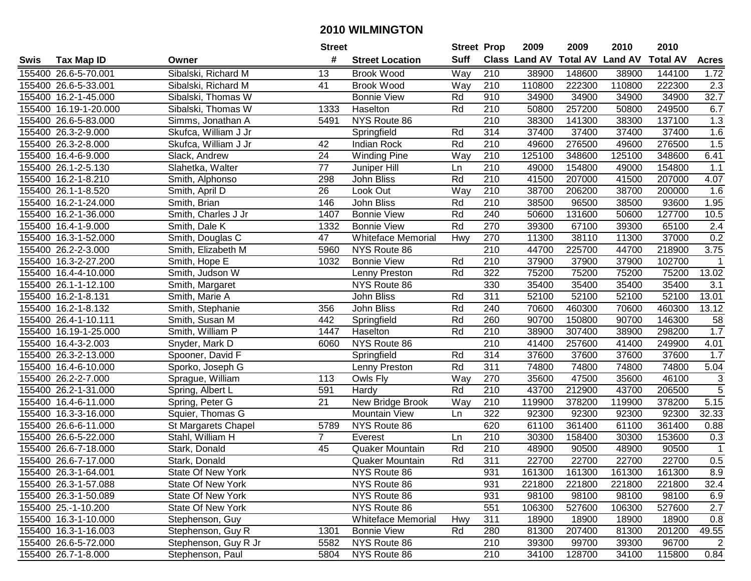|      |                       |                          | <b>Street</b>   |                           | <b>Street Prop</b> |                  | 2009          | 2009            | 2010           | 2010            |                           |
|------|-----------------------|--------------------------|-----------------|---------------------------|--------------------|------------------|---------------|-----------------|----------------|-----------------|---------------------------|
| Swis | <b>Tax Map ID</b>     | Owner                    | #               | <b>Street Location</b>    | <b>Suff</b>        |                  | Class Land AV | <b>Total AV</b> | <b>Land AV</b> | <b>Total AV</b> | <b>Acres</b>              |
|      | 155400 26.6-5-70.001  | Sibalski, Richard M      | 13              | <b>Brook Wood</b>         | Way                | 210              | 38900         | 148600          | 38900          | 144100          | 1.72                      |
|      | 155400 26.6-5-33.001  | Sibalski, Richard M      | 41              | <b>Brook Wood</b>         | Way                | 210              | 110800        | 222300          | 110800         | 222300          | 2.3                       |
|      | 155400 16.2-1-45.000  | Sibalski, Thomas W       |                 | <b>Bonnie View</b>        | Rd                 | 910              | 34900         | 34900           | 34900          | 34900           | 32.7                      |
|      | 155400 16.19-1-20.000 | Sibalski, Thomas W       | 1333            | Haselton                  | Rd                 | 210              | 50800         | 257200          | 50800          | 249500          | 6.7                       |
|      | 155400 26.6-5-83.000  | Simms, Jonathan A        | 5491            | NYS Route 86              |                    | 210              | 38300         | 141300          | 38300          | 137100          | 1.3                       |
|      | 155400 26.3-2-9.000   | Skufca, William J Jr     |                 | Springfield               | Rd                 | 314              | 37400         | 37400           | 37400          | 37400           | 1.6                       |
|      | 155400 26.3-2-8.000   | Skufca, William J Jr     | 42              | Indian Rock               | Rd                 | 210              | 49600         | 276500          | 49600          | 276500          | 1.5                       |
|      | 155400 16.4-6-9.000   | Slack, Andrew            | $\overline{24}$ | <b>Winding Pine</b>       | Way                | 210              | 125100        | 348600          | 125100         | 348600          | 6.41                      |
|      | 155400 26.1-2-5.130   | Slahetka, Walter         | $\overline{77}$ | Juniper Hill              | Ln                 | $\overline{210}$ | 49000         | 154800          | 49000          | 154800          | 1.1                       |
|      | 155400 16.2-1-8.210   | Smith, Alphonso          | 298             | John Bliss                | Rd                 | 210              | 41500         | 207000          | 41500          | 207000          | 4.07                      |
|      | 155400 26.1-1-8.520   | Smith, April D           | 26              | Look Out                  | Way                | 210              | 38700         | 206200          | 38700          | 200000          | 1.6                       |
|      | 155400 16.2-1-24.000  | Smith, Brian             | 146             | John Bliss                | Rd                 | 210              | 38500         | 96500           | 38500          | 93600           | 1.95                      |
|      | 155400 16.2-1-36.000  | Smith, Charles J Jr      | 1407            | <b>Bonnie View</b>        | Rd                 | 240              | 50600         | 131600          | 50600          | 127700          | 10.5                      |
|      | 155400 16.4-1-9.000   | Smith, Dale K            | 1332            | <b>Bonnie View</b>        | Rd                 | 270              | 39300         | 67100           | 39300          | 65100           | 2.4                       |
|      | 155400 16.3-1-52.000  | Smith, Douglas C         | 47              | <b>Whiteface Memorial</b> | Hwy                | 270              | 11300         | 38110           | 11300          | 37000           | 0.2                       |
|      | 155400 26.2-2-3.000   | Smith, Elizabeth M       | 5960            | NYS Route 86              |                    | 210              | 44700         | 225700          | 44700          | 218900          | 3.75                      |
|      | 155400 16.3-2-27.200  | Smith, Hope E            | 1032            | <b>Bonnie View</b>        | Rd                 | 210              | 37900         | 37900           | 37900          | 102700          |                           |
|      | 155400 16.4-4-10.000  | Smith, Judson W          |                 | Lenny Preston             | Rd                 | 322              | 75200         | 75200           | 75200          | 75200           | 13.02                     |
|      | 155400 26.1-1-12.100  | Smith, Margaret          |                 | NYS Route 86              |                    | 330              | 35400         | 35400           | 35400          | 35400           | 3.1                       |
|      | 155400 16.2-1-8.131   | Smith, Marie A           |                 | John Bliss                | Rd                 | 311              | 52100         | 52100           | 52100          | 52100           | 13.01                     |
|      | 155400 16.2-1-8.132   | Smith, Stephanie         | 356             | John Bliss                | Rd                 | 240              | 70600         | 460300          | 70600          | 460300          | 13.12                     |
|      | 155400 26.4-1-10.111  | Smith, Susan M           | 442             | Springfield               | Rd                 | 260              | 90700         | 150800          | 90700          | 146300          | 58                        |
|      | 155400 16.19-1-25.000 | Smith, William P         | 1447            | Haselton                  | Rd                 | 210              | 38900         | 307400          | 38900          | 298200          | 1.7                       |
|      | 155400 16.4-3-2.003   | Snyder, Mark D           | 6060            | NYS Route 86              |                    | 210              | 41400         | 257600          | 41400          | 249900          | 4.01                      |
|      | 155400 26.3-2-13.000  | Spooner, David F         |                 | Springfield               | Rd                 | 314              | 37600         | 37600           | 37600          | 37600           | 1.7                       |
|      | 155400 16.4-6-10.000  | Sporko, Joseph G         |                 | Lenny Preston             | Rd                 | 311              | 74800         | 74800           | 74800          | 74800           | 5.04                      |
|      | 155400 26.2-2-7.000   | Sprague, William         | 113             | Owls Fly                  | Way                | 270              | 35600         | 47500           | 35600          | 46100           | $\ensuremath{\mathsf{3}}$ |
|      | 155400 26.2-1-31.000  | Spring, Albert L         | 591             | Hardy                     | Rd                 | 210              | 43700         | 212900          | 43700          | 206500          | $\overline{5}$            |
|      | 155400 16.4-6-11.000  | Spring, Peter G          | $\overline{21}$ | New Bridge Brook          | Way                | 210              | 119900        | 378200          | 119900         | 378200          | 5.15                      |
|      | 155400 16.3-3-16.000  | Squier, Thomas G         |                 | <b>Mountain View</b>      | Ln                 | $\overline{322}$ | 92300         | 92300           | 92300          | 92300           | 32.33                     |
|      | 155400 26.6-6-11.000  | St Margarets Chapel      | 5789            | NYS Route 86              |                    | 620              | 61100         | 361400          | 61100          | 361400          | 0.88                      |
|      | 155400 26.6-5-22.000  | Stahl, William H         | $\overline{7}$  | Everest                   | Ln                 | 210              | 30300         | 158400          | 30300          | 153600          | 0.3                       |
|      | 155400 26.6-7-18.000  | Stark, Donald            | 45              | Quaker Mountain           | Rd                 | $\overline{210}$ | 48900         | 90500           | 48900          | 90500           | $\mathbf{1}$              |
|      | 155400 26.6-7-17.000  | Stark, Donald            |                 | <b>Quaker Mountain</b>    | Rd                 | 311              | 22700         | 22700           | 22700          | 22700           | 0.5                       |
|      | 155400 26.3-1-64.001  | State Of New York        |                 | NYS Route 86              |                    | 931              | 161300        | 161300          | 161300         | 161300          | 8.9                       |
|      | 155400 26.3-1-57.088  | State Of New York        |                 | NYS Route 86              |                    | 931              | 221800        | 221800          | 221800         | 221800          | 32.4                      |
|      | 155400 26.3-1-50.089  | <b>State Of New York</b> |                 | NYS Route 86              |                    | 931              | 98100         | 98100           | 98100          | 98100           | 6.9                       |
|      | 155400 25.-1-10.200   | State Of New York        |                 | NYS Route 86              |                    | 551              | 106300        | 527600          | 106300         | 527600          | 2.7                       |
|      | 155400 16.3-1-10.000  | Stephenson, Guy          |                 | <b>Whiteface Memorial</b> | Hwy                | 311              | 18900         | 18900           | 18900          | 18900           | 0.8                       |
|      | 155400 16.3-1-16.003  | Stephenson, Guy R        | 1301            | <b>Bonnie View</b>        | Rd                 | 280              | 81300         | 207400          | 81300          | 201200          | 49.55                     |
|      | 155400 26.6-5-72.000  | Stephenson, Guy R Jr     | 5582            | NYS Route 86              |                    | 210              | 39300         | 99700           | 39300          | 96700           | 2                         |
|      | 155400 26.7-1-8.000   | Stephenson, Paul         | 5804            | NYS Route 86              |                    | 210              | 34100         | 128700          | 34100          | 115800          | 0.84                      |
|      |                       |                          |                 |                           |                    |                  |               |                 |                |                 |                           |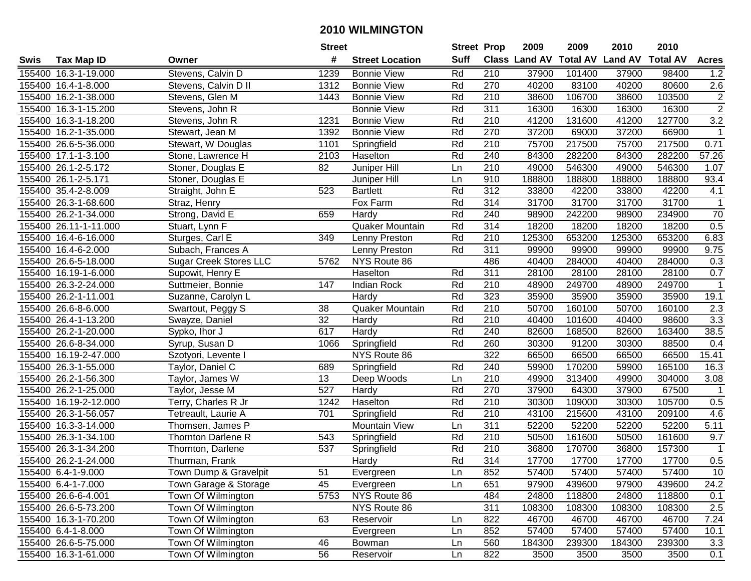|      |                       |                               | <b>Street</b>   |                        | <b>Street Prop</b> |                  | 2009                          | 2009   | 2010           | 2010            |                  |
|------|-----------------------|-------------------------------|-----------------|------------------------|--------------------|------------------|-------------------------------|--------|----------------|-----------------|------------------|
| Swis | <b>Tax Map ID</b>     | Owner                         | #               | <b>Street Location</b> | <b>Suff</b>        |                  | <b>Class Land AV Total AV</b> |        | <b>Land AV</b> | <b>Total AV</b> | <b>Acres</b>     |
|      | 155400 16.3-1-19.000  | Stevens, Calvin D             | 1239            | <b>Bonnie View</b>     | Rd                 | 210              | 37900                         | 101400 | 37900          | 98400           | 1.2              |
|      | 155400 16.4-1-8.000   | Stevens, Calvin D II          | 1312            | <b>Bonnie View</b>     | Rd                 | 270              | 40200                         | 83100  | 40200          | 80600           | 2.6              |
|      | 155400 16.2-1-38.000  | Stevens, Glen M               | 1443            | <b>Bonnie View</b>     | Rd                 | 210              | 38600                         | 106700 | 38600          | 103500          | $\overline{c}$   |
|      | 155400 16.3-1-15.200  | Stevens, John R               |                 | <b>Bonnie View</b>     | Rd                 | 311              | 16300                         | 16300  | 16300          | 16300           | $\overline{2}$   |
|      | 155400 16.3-1-18.200  | Stevens, John R               | 1231            | <b>Bonnie View</b>     | Rd                 | 210              | 41200                         | 131600 | 41200          | 127700          | $\overline{3.2}$ |
|      | 155400 16.2-1-35.000  | Stewart, Jean M               | 1392            | <b>Bonnie View</b>     | Rd                 | 270              | 37200                         | 69000  | 37200          | 66900           | $\mathbf{1}$     |
|      | 155400 26.6-5-36.000  | Stewart, W Douglas            | 1101            | Springfield            | Rd                 | 210              | 75700                         | 217500 | 75700          | 217500          | 0.71             |
|      | 155400 17.1-1-3.100   | Stone, Lawrence H             | 2103            | Haselton               | Rd                 | 240              | 84300                         | 282200 | 84300          | 282200          | 57.26            |
|      | 155400 26.1-2-5.172   | Stoner, Douglas E             | $\overline{82}$ | Juniper Hill           | Ln                 | $\overline{210}$ | 49000                         | 546300 | 49000          | 546300          | 1.07             |
|      | 155400 26.1-2-5.171   | Stoner, Douglas E             |                 | Juniper Hill           | Ln                 | 910              | 188800                        | 188800 | 188800         | 188800          | 93.4             |
|      | 155400 35.4-2-8.009   | Straight, John E              | 523             | <b>Bartlett</b>        | Rd                 | 312              | 33800                         | 42200  | 33800          | 42200           | 4.1              |
|      | 155400 26.3-1-68.600  | Straz, Henry                  |                 | Fox Farm               | Rd                 | 314              | 31700                         | 31700  | 31700          | 31700           | 1                |
|      | 155400 26.2-1-34.000  | Strong, David E               | 659             | Hardy                  | Rd                 | 240              | 98900                         | 242200 | 98900          | 234900          | 70               |
|      | 155400 26.11-1-11.000 | Stuart, Lynn F                |                 | Quaker Mountain        | Rd                 | 314              | 18200                         | 18200  | 18200          | 18200           | 0.5              |
|      | 155400 16.4-6-16.000  | Sturges, Carl E               | 349             | Lenny Preston          | Rd                 | 210              | 125300                        | 653200 | 125300         | 653200          | 6.83             |
|      | 155400 16.4-6-2.000   | Subach, Frances A             |                 | Lenny Preston          | Rd                 | 311              | 99900                         | 99900  | 99900          | 99900           | 9.75             |
|      | 155400 26.6-5-18.000  | <b>Sugar Creek Stores LLC</b> | 5762            | NYS Route 86           |                    | 486              | 40400                         | 284000 | 40400          | 284000          | 0.3              |
|      | 155400 16.19-1-6.000  | Supowit, Henry E              |                 | Haselton               | Rd                 | 311              | 28100                         | 28100  | 28100          | 28100           | 0.7              |
|      | 155400 26.3-2-24.000  | Suttmeier, Bonnie             | 147             | Indian Rock            | Rd                 | 210              | 48900                         | 249700 | 48900          | 249700          | $\mathbf 1$      |
|      | 155400 26.2-1-11.001  | Suzanne, Carolyn L            |                 | Hardy                  | Rd                 | 323              | 35900                         | 35900  | 35900          | 35900           | 19.1             |
|      | 155400 26.6-8-6.000   | Swartout, Peggy S             | 38              | Quaker Mountain        | Rd                 | 210              | 50700                         | 160100 | 50700          | 160100          | $\overline{2.3}$ |
|      | 155400 26.4-1-13.200  | Swayze, Daniel                | 32              | Hardy                  | Rd                 | 210              | 40400                         | 101600 | 40400          | 98600           | 3.3              |
|      | 155400 26.2-1-20.000  | Sypko, Ihor J                 | 617             | Hardy                  | Rd                 | 240              | 82600                         | 168500 | 82600          | 163400          | 38.5             |
|      | 155400 26.6-8-34.000  | Syrup, Susan D                | 1066            | Springfield            | Rd                 | 260              | 30300                         | 91200  | 30300          | 88500           | 0.4              |
|      | 155400 16.19-2-47.000 | Szotyori, Levente I           |                 | NYS Route 86           |                    | 322              | 66500                         | 66500  | 66500          | 66500           | 15.41            |
|      | 155400 26.3-1-55.000  | Taylor, Daniel C              | 689             | Springfield            | Rd                 | 240              | 59900                         | 170200 | 59900          | 165100          | 16.3             |
|      | 155400 26.2-1-56.300  | Taylor, James W               | 13              | Deep Woods             | Ln                 | 210              | 49900                         | 313400 | 49900          | 304000          | 3.08             |
|      | 155400 26.2-1-25.000  | Taylor, Jesse M               | 527             | Hardy                  | Rd                 | 270              | 37900                         | 64300  | 37900          | 67500           |                  |
|      | 155400 16.19-2-12.000 | Terry, Charles R Jr           | 1242            | Haselton               | Rd                 | 210              | 30300                         | 109000 | 30300          | 105700          | 0.5              |
|      | 155400 26.3-1-56.057  | Tetreault, Laurie A           | 701             | Springfield            | Rd                 | $\overline{210}$ | 43100                         | 215600 | 43100          | 209100          | 4.6              |
|      | 155400 16.3-3-14.000  | Thomsen, James P              |                 | <b>Mountain View</b>   | Ln                 | 311              | 52200                         | 52200  | 52200          | 52200           | 5.11             |
|      | 155400 26.3-1-34.100  | Thornton Darlene R            | 543             | Springfield            | Rd                 | 210              | 50500                         | 161600 | 50500          | 161600          | 9.7              |
|      | 155400 26.3-1-34.200  | Thornton, Darlene             | 537             | Springfield            | Rd                 | $\overline{210}$ | 36800                         | 170700 | 36800          | 157300          | $\overline{1}$   |
|      | 155400 26.2-1-24.000  | Thurman, Frank                |                 | Hardy                  | Rd                 | 314              | 17700                         | 17700  | 17700          | 17700           | 0.5              |
|      | 155400 6.4-1-9.000    | Town Dump & Gravelpit         | 51              | Evergreen              | Ln                 | 852              | 57400                         | 57400  | 57400          | 57400           | 10               |
|      | 155400 6.4-1-7.000    | Town Garage & Storage         | 45              | Evergreen              | Ln                 | 651              | 97900                         | 439600 | 97900          | 439600          | 24.2             |
|      | 155400 26.6-6-4.001   | Town Of Wilmington            | 5753            | NYS Route 86           |                    | 484              | 24800                         | 118800 | 24800          | 118800          | 0.1              |
|      | 155400 26.6-5-73.200  | Town Of Wilmington            |                 | NYS Route 86           |                    | 311              | 108300                        | 108300 | 108300         | 108300          | 2.5              |
|      | 155400 16.3-1-70.200  | Town Of Wilmington            | 63              | Reservoir              | Ln                 | 822              | 46700                         | 46700  | 46700          | 46700           | 7.24             |
|      | 155400 6.4-1-8.000    | Town Of Wilmington            |                 | Evergreen              | Ln                 | 852              | 57400                         | 57400  | 57400          | 57400           | 10.1             |
|      | 155400 26.6-5-75.000  | Town Of Wilmington            | 46              | Bowman                 | Ln                 | 560              | 184300                        | 239300 | 184300         | 239300          | 3.3              |
|      | 155400 16.3-1-61.000  | Town Of Wilmington            | 56              | Reservoir              | Ln                 | 822              | 3500                          | 3500   | 3500           | 3500            | 0.1              |
|      |                       |                               |                 |                        |                    |                  |                               |        |                |                 |                  |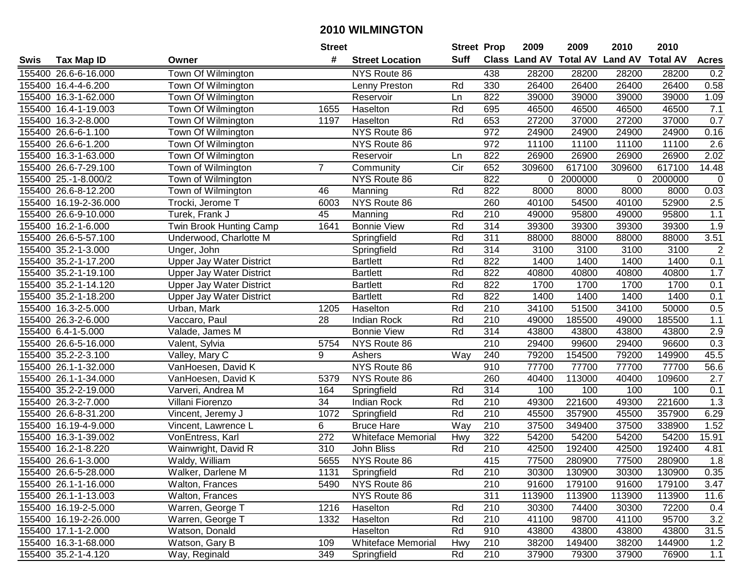|      |                       |                                 | <b>Street</b>    |                           |                   | <b>Street Prop</b> | 2009                          | 2009      | 2010           | 2010            |                  |
|------|-----------------------|---------------------------------|------------------|---------------------------|-------------------|--------------------|-------------------------------|-----------|----------------|-----------------|------------------|
| Swis | <b>Tax Map ID</b>     | Owner                           | #                | <b>Street Location</b>    | <b>Suff</b>       |                    | <b>Class Land AV Total AV</b> |           | <b>Land AV</b> | <b>Total AV</b> | <b>Acres</b>     |
|      | 155400 26.6-6-16.000  | Town Of Wilmington              |                  | NYS Route 86              |                   | 438                | 28200                         | 28200     | 28200          | 28200           | 0.2              |
|      | 155400 16.4-4-6.200   | Town Of Wilmington              |                  | Lenny Preston             | Rd                | 330                | 26400                         | 26400     | 26400          | 26400           | 0.58             |
|      | 155400 16.3-1-62.000  | Town Of Wilmington              |                  | Reservoir                 | Ln                | 822                | 39000                         | 39000     | 39000          | 39000           | 1.09             |
|      | 155400 16.4-1-19.003  | Town Of Wilmington              | 1655             | Haselton                  | Rd                | 695                | 46500                         | 46500     | 46500          | 46500           | 7.1              |
|      | 155400 16.3-2-8.000   | Town Of Wilmington              | 1197             | Haselton                  | Rd                | 653                | 27200                         | 37000     | 27200          | 37000           | 0.7              |
|      | 155400 26.6-6-1.100   | Town Of Wilmington              |                  | NYS Route 86              |                   | $\overline{972}$   | 24900                         | 24900     | 24900          | 24900           | 0.16             |
|      | 155400 26.6-6-1.200   | Town Of Wilmington              |                  | NYS Route 86              |                   | 972                | 11100                         | 11100     | 11100          | 11100           | $\overline{2.6}$ |
|      | 155400 16.3-1-63.000  | Town Of Wilmington              |                  | Reservoir                 | Ln                | 822                | 26900                         | 26900     | 26900          | 26900           | 2.02             |
|      | 155400 26.6-7-29.100  | Town of Wilmington              | $\overline{7}$   | Community                 | $\overline{C}$ ir | 652                | 309600                        | 617100    | 309600         | 617100          | 14.48            |
|      | 155400 25.-1-8.000/2  | Town of Wilmington              |                  | NYS Route 86              |                   | 822                |                               | 0 2000000 | 0              | 2000000         | $\boldsymbol{0}$ |
|      | 155400 26.6-8-12.200  | Town of Wilmington              | 46               | Manning                   | Rd                | 822                | 8000                          | 8000      | 8000           | 8000            | 0.03             |
|      | 155400 16.19-2-36.000 | Trocki, Jerome T                | 6003             | NYS Route 86              |                   | 260                | 40100                         | 54500     | 40100          | 52900           | 2.5              |
|      | 155400 26.6-9-10.000  | Turek, Frank J                  | 45               | Manning                   | Rd                | 210                | 49000                         | 95800     | 49000          | 95800           | 1.1              |
|      | 155400 16.2-1-6.000   | Twin Brook Hunting Camp         | 1641             | <b>Bonnie View</b>        | Rd                | 314                | 39300                         | 39300     | 39300          | 39300           | 1.9              |
|      | 155400 26.6-5-57.100  | Underwood, Charlotte M          |                  | Springfield               | Rd                | 311                | 88000                         | 88000     | 88000          | 88000           | 3.51             |
|      | 155400 35.2-1-3.000   | Unger, John                     |                  | Springfield               | Rd                | 314                | 3100                          | 3100      | 3100           | 3100            | $\overline{2}$   |
|      | 155400 35.2-1-17.200  | <b>Upper Jay Water District</b> |                  | <b>Bartlett</b>           | Rd                | 822                | 1400                          | 1400      | 1400           | 1400            | 0.1              |
|      | 155400 35.2-1-19.100  | <b>Upper Jay Water District</b> |                  | <b>Bartlett</b>           | Rd                | 822                | 40800                         | 40800     | 40800          | 40800           | 1.7              |
|      | 155400 35.2-1-14.120  | <b>Upper Jay Water District</b> |                  | <b>Bartlett</b>           | Rd                | 822                | 1700                          | 1700      | 1700           | 1700            | 0.1              |
|      | 155400 35.2-1-18.200  | <b>Upper Jay Water District</b> |                  | <b>Bartlett</b>           | Rd                | 822                | 1400                          | 1400      | 1400           | 1400            | 0.1              |
|      | 155400 16.3-2-5.000   | Urban, Mark                     | 1205             | Haselton                  | Rd                | 210                | 34100                         | 51500     | 34100          | 50000           | 0.5              |
|      | 155400 26.3-2-6.000   | Vaccaro, Paul                   | 28               | <b>Indian Rock</b>        | Rd                | 210                | 49000                         | 185500    | 49000          | 185500          | $1.1$            |
|      | 155400 6.4-1-5.000    | Valade, James M                 |                  | <b>Bonnie View</b>        | Rd                | 314                | 43800                         | 43800     | 43800          | 43800           | 2.9              |
|      | 155400 26.6-5-16.000  | Valent, Sylvia                  | 5754             | NYS Route 86              |                   | 210                | 29400                         | 99600     | 29400          | 96600           | 0.3              |
|      | 155400 35.2-2-3.100   | Valley, Mary C                  | 9                | Ashers                    | Way               | 240                | 79200                         | 154500    | 79200          | 149900          | 45.5             |
|      | 155400 26.1-1-32.000  | VanHoesen, David K              |                  | NYS Route 86              |                   | 910                | 77700                         | 77700     | 77700          | 77700           | 56.6             |
|      | 155400 26.1-1-34.000  | VanHoesen, David K              | 5379             | NYS Route 86              |                   | 260                | 40400                         | 113000    | 40400          | 109600          | 2.7              |
|      | 155400 35.2-2-19.000  | Varveri, Andrea M               | 164              | Springfield               | Rd                | 314                | 100                           | 100       | 100            | 100             | 0.1              |
|      | 155400 26.3-2-7.000   | Villani Fiorenzo                | 34               | <b>Indian Rock</b>        | Rd                | 210                | 49300                         | 221600    | 49300          | 221600          | 1.3              |
|      | 155400 26.6-8-31.200  | Vincent, Jeremy J               | 1072             | Springfield               | Rd                | 210                | 45500                         | 357900    | 45500          | 357900          | 6.29             |
|      | 155400 16.19-4-9.000  | Vincent, Lawrence L             | 6                | <b>Bruce Hare</b>         | Way               | 210                | 37500                         | 349400    | 37500          | 338900          | 1.52             |
|      | 155400 16.3-1-39.002  | VonEntress, Karl                | $\overline{272}$ | <b>Whiteface Memorial</b> | Hwy               | 322                | 54200                         | 54200     | 54200          | 54200           | 15.91            |
|      | 155400 16.2-1-8.220   | Wainwright, David R             | 310              | John Bliss                | Rd                | 210                | 42500                         | 192400    | 42500          | 192400          | 4.81             |
|      | 155400 26.6-1-3.000   | Waldy, William                  | 5655             | NYS Route 86              |                   | 415                | 77500                         | 280900    | 77500          | 280900          | 1.8              |
|      | 155400 26.6-5-28.000  | Walker, Darlene M               | 1131             | Springfield               | Rd                | 210                | 30300                         | 130900    | 30300          | 130900          | 0.35             |
|      | 155400 26.1-1-16.000  | Walton, Frances                 | 5490             | NYS Route 86              |                   | 210                | 91600                         | 179100    | 91600          | 179100          | 3.47             |
|      | 155400 26.1-1-13.003  | Walton, Frances                 |                  | NYS Route 86              |                   | 311                | 113900                        | 113900    | 113900         | 113900          | 11.6             |
|      | 155400 16.19-2-5.000  | Warren, George T                | 1216             | Haselton                  | Rd                | 210                | 30300                         | 74400     | 30300          | 72200           | 0.4              |
|      | 155400 16.19-2-26.000 | Warren, George T                | 1332             | Haselton                  | Rd                | 210                | 41100                         | 98700     | 41100          | 95700           | 3.2              |
|      | 155400 17.1-1-2.000   | Watson, Donald                  |                  | Haselton                  | Rd                | 910                | 43800                         | 43800     | 43800          | 43800           | 31.5             |
|      | 155400 16.3-1-68.000  | Watson, Gary B                  | 109              | <b>Whiteface Memorial</b> | Hwy               | 210                | 38200                         | 149400    | 38200          | 144900          | 1.2              |
|      | 155400 35.2-1-4.120   | Way, Reginald                   | 349              | Springfield               | Rd                | 210                | 37900                         | 79300     | 37900          | 76900           | 1.1              |
|      |                       |                                 |                  |                           |                   |                    |                               |           |                |                 |                  |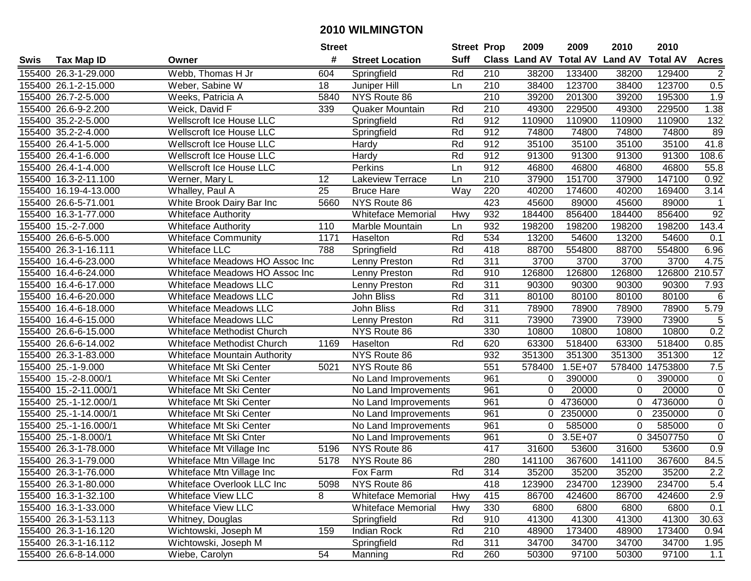|      |                       |                                 | <b>Street</b> |                           | <b>Street Prop</b> |                  | 2009                 | 2009            | 2010           | 2010            |                  |
|------|-----------------------|---------------------------------|---------------|---------------------------|--------------------|------------------|----------------------|-----------------|----------------|-----------------|------------------|
| Swis | <b>Tax Map ID</b>     | Owner                           | #             | <b>Street Location</b>    | <b>Suff</b>        |                  | <b>Class Land AV</b> | <b>Total AV</b> | <b>Land AV</b> | <b>Total AV</b> | <b>Acres</b>     |
|      | 155400 26.3-1-29.000  | Webb, Thomas H Jr               | 604           | Springfield               | Rd                 | 210              | 38200                | 133400          | 38200          | 129400          | $\overline{2}$   |
|      | 155400 26.1-2-15.000  | Weber, Sabine W                 | 18            | Juniper Hill              | Ln                 | 210              | 38400                | 123700          | 38400          | 123700          | 0.5              |
|      | 155400 26.7-2-5.000   | Weeks, Patricia A               | 5840          | NYS Route 86              |                    | 210              | 39200                | 201300          | 39200          | 195300          | 1.9              |
|      | 155400 26.6-9-2.200   | Weick, David F                  | 339           | Quaker Mountain           | Rd                 | 210              | 49300                | 229500          | 49300          | 229500          | 1.38             |
|      | 155400 35.2-2-5.000   | Wellscroft Ice House LLC        |               | Springfield               | Rd                 | 912              | 110900               | 110900          | 110900         | 110900          | $\overline{132}$ |
|      | 155400 35.2-2-4.000   | Wellscroft Ice House LLC        |               | Springfield               | Rd                 | 912              | 74800                | 74800           | 74800          | 74800           | 89               |
|      | 155400 26.4-1-5.000   | <b>Wellscroft Ice House LLC</b> |               | Hardy                     | Rd                 | 912              | 35100                | 35100           | 35100          | 35100           | 41.8             |
|      | 155400 26.4-1-6.000   | <b>Wellscroft Ice House LLC</b> |               | Hardy                     | Rd                 | 912              | 91300                | 91300           | 91300          | 91300           | 108.6            |
|      | 155400 26.4-1-4.000   | Wellscroft Ice House LLC        |               | Perkins                   | Ln                 | 912              | 46800                | 46800           | 46800          | 46800           | 55.8             |
|      | 155400 16.3-2-11.100  | Werner, Mary L                  | 12            | Lakeview Terrace          | Ln                 | 210              | 37900                | 151700          | 37900          | 147100          | 0.92             |
|      | 155400 16.19-4-13.000 | Whalley, Paul A                 | 25            | <b>Bruce Hare</b>         | Way                | 220              | 40200                | 174600          | 40200          | 169400          | 3.14             |
|      | 155400 26.6-5-71.001  | White Brook Dairy Bar Inc       | 5660          | NYS Route 86              |                    | 423              | 45600                | 89000           | 45600          | 89000           |                  |
|      | 155400 16.3-1-77.000  | Whiteface Authority             |               | <b>Whiteface Memorial</b> | Hwy                | 932              | 184400               | 856400          | 184400         | 856400          | 92               |
|      | 155400 15.-2-7.000    | Whiteface Authority             | 110           | Marble Mountain           | Ln                 | 932              | 198200               | 198200          | 198200         | 198200          | 143.4            |
|      | 155400 26.6-6-5.000   | <b>Whiteface Community</b>      | 1171          | Haselton                  | Rd                 | 534              | 13200                | 54600           | 13200          | 54600           | 0.1              |
|      | 155400 26.3-1-16.111  | <b>Whiteface LLC</b>            | 788           | Springfield               | Rd                 | 418              | 88700                | 554800          | 88700          | 554800          | 6.96             |
|      | 155400 16.4-6-23.000  | Whiteface Meadows HO Assoc Inc  |               | Lenny Preston             | Rd                 | $\overline{311}$ | 3700                 | 3700            | 3700           | 3700            | 4.75             |
|      | 155400 16.4-6-24.000  | Whiteface Meadows HO Assoc Inc  |               | Lenny Preston             | Rd                 | 910              | 126800               | 126800          | 126800         | 126800          | 210.57           |
|      | 155400 16.4-6-17.000  | <b>Whiteface Meadows LLC</b>    |               | Lenny Preston             | Rd                 | 311              | 90300                | 90300           | 90300          | 90300           | 7.93             |
|      | 155400 16.4-6-20.000  | <b>Whiteface Meadows LLC</b>    |               | John Bliss                | Rd                 | 311              | 80100                | 80100           | 80100          | 80100           | 6                |
|      | 155400 16.4-6-18.000  | <b>Whiteface Meadows LLC</b>    |               | John Bliss                | Rd                 | 311              | 78900                | 78900           | 78900          | 78900           | 5.79             |
|      | 155400 16.4-6-15.000  | <b>Whiteface Meadows LLC</b>    |               | Lenny Preston             | Rd                 | 311              | 73900                | 73900           | 73900          | 73900           | $\sqrt{5}$       |
|      | 155400 26.6-6-15.000  | Whiteface Methodist Church      |               | NYS Route 86              |                    | 330              | 10800                | 10800           | 10800          | 10800           | 0.2              |
|      | 155400 26.6-6-14.002  | Whiteface Methodist Church      | 1169          | Haselton                  | Rd                 | 620              | 63300                | 518400          | 63300          | 518400          | 0.85             |
|      | 155400 26.3-1-83.000  | Whiteface Mountain Authority    |               | NYS Route 86              |                    | 932              | 351300               | 351300          | 351300         | 351300          | 12               |
|      | 155400 25.-1-9.000    | Whiteface Mt Ski Center         | 5021          | NYS Route 86              |                    | 551              | 578400               | $1.5E + 07$     | 578400         | 14753800        | 7.5              |
|      | 155400 15.-2-8.000/1  | Whiteface Mt Ski Center         |               | No Land Improvements      |                    | 961              | 0                    | 390000          | 0              | 390000          | $\pmb{0}$        |
|      | 155400 15.-2-11.000/1 | Whiteface Mt Ski Center         |               | No Land Improvements      |                    | 961              | $\overline{0}$       | 20000           | $\Omega$       | 20000           | $\pmb{0}$        |
|      | 155400 25.-1-12.000/1 | Whiteface Mt Ski Center         |               | No Land Improvements      |                    | 961              |                      | 0 4736000       | 0              | 4736000         | $\overline{0}$   |
|      | 155400 25.-1-14.000/1 | Whiteface Mt Ski Center         |               | No Land Improvements      |                    | 961              | 0                    | 2350000         | 0              | 2350000         | $\mathbf 0$      |
|      | 155400 25.-1-16.000/1 | Whiteface Mt Ski Center         |               | No Land Improvements      |                    | 961              | 0                    | 585000          | $\Omega$       | 585000          | $\overline{0}$   |
|      | 155400 25.-1-8.000/1  | Whiteface Mt Ski Cnter          |               | No Land Improvements      |                    | 961              | 0                    | $3.5E+07$       |                | 0 34507750      | $\mathbf 0$      |
|      | 155400 26.3-1-78.000  | Whiteface Mt Village Inc        | 5196          | NYS Route 86              |                    | 417              | 31600                | 53600           | 31600          | 53600           | 0.9              |
|      | 155400 26.3-1-79.000  | Whiteface Mtn Village Inc       | 5178          | NYS Route 86              |                    | 280              | 141100               | 367600          | 141100         | 367600          | 84.5             |
|      | 155400 26.3-1-76.000  | Whiteface Mtn Village Inc       |               | Fox Farm                  | Rd                 | 314              | 35200                | 35200           | 35200          | 35200           | 2.2              |
|      | 155400 26.3-1-80.000  | Whiteface Overlook LLC Inc      | 5098          | NYS Route 86              |                    | 418              | 123900               | 234700          | 123900         | 234700          | 5.4              |
|      | 155400 16.3-1-32.100  | <b>Whiteface View LLC</b>       | 8             | <b>Whiteface Memorial</b> | Hwy                | 415              | 86700                | 424600          | 86700          | 424600          | 2.9              |
|      | 155400 16.3-1-33.000  | Whiteface View LLC              |               | <b>Whiteface Memorial</b> | Hwy                | 330              | 6800                 | 6800            | 6800           | 6800            | 0.1              |
|      | 155400 26.3-1-53.113  | Whitney, Douglas                |               | Springfield               | Rd                 | 910              | 41300                | 41300           | 41300          | 41300           | 30.63            |
|      | 155400 26.3-1-16.120  | Wichtowski, Joseph M            | 159           | Indian Rock               | Rd                 | 210              | 48900                | 173400          | 48900          | 173400          | 0.94             |
|      | 155400 26.3-1-16.112  | Wichtowski, Joseph M            |               | Springfield               | Rd                 | 311              | 34700                | 34700           | 34700          | 34700           | 1.95             |
|      | 155400 26.6-8-14.000  | Wiebe, Carolyn                  | 54            | Manning                   | Rd                 | 260              | 50300                | 97100           | 50300          | 97100           | 1.1              |
|      |                       |                                 |               |                           |                    |                  |                      |                 |                |                 |                  |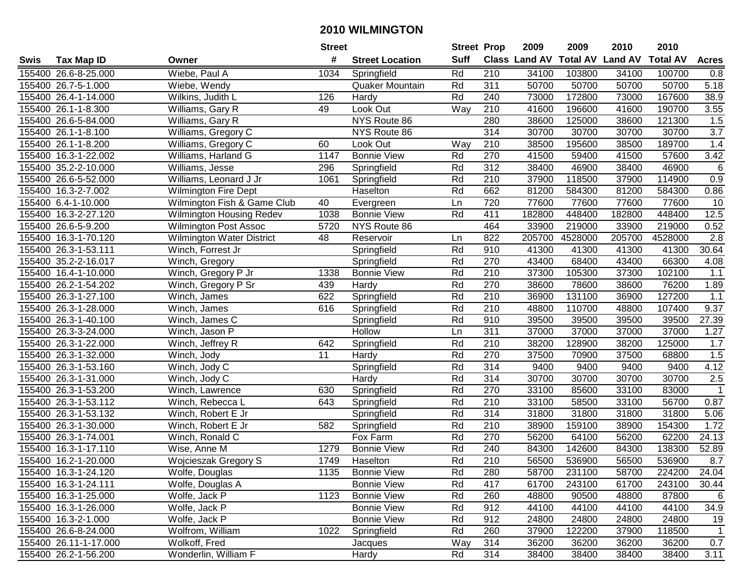|      |                       |                                  | <b>Street</b> |                        | <b>Street Prop</b> |                  | 2009          | 2009            | 2010           | 2010            |                  |
|------|-----------------------|----------------------------------|---------------|------------------------|--------------------|------------------|---------------|-----------------|----------------|-----------------|------------------|
| Swis | <b>Tax Map ID</b>     | Owner                            | #             | <b>Street Location</b> | <b>Suff</b>        |                  | Class Land AV | <b>Total AV</b> | <b>Land AV</b> | <b>Total AV</b> | <b>Acres</b>     |
|      | 155400 26.6-8-25.000  | Wiebe, Paul A                    | 1034          | Springfield            | Rd                 | 210              | 34100         | 103800          | 34100          | 100700          | 0.8              |
|      | 155400 26.7-5-1.000   | Wiebe, Wendy                     |               | Quaker Mountain        | Rd                 | 311              | 50700         | 50700           | 50700          | 50700           | 5.18             |
|      | 155400 26.4-1-14.000  | Wilkins, Judith L                | 126           | Hardy                  | Rd                 | 240              | 73000         | 172800          | 73000          | 167600          | 38.9             |
|      | 155400 26.1-1-8.300   | Williams, Gary R                 | 49            | Look Out               | Way                | 210              | 41600         | 196600          | 41600          | 190700          | 3.55             |
|      | 155400 26.6-5-84.000  | Williams, Gary R                 |               | NYS Route 86           |                    | 280              | 38600         | 125000          | 38600          | 121300          | 1.5              |
|      | 155400 26.1-1-8.100   | Williams, Gregory C              |               | NYS Route 86           |                    | 314              | 30700         | 30700           | 30700          | 30700           | $\overline{3.7}$ |
|      | 155400 26.1-1-8.200   | Williams, Gregory C              | 60            | Look Out               | Way                | 210              | 38500         | 195600          | 38500          | 189700          | 1.4              |
|      | 155400 16.3-1-22.002  | Williams, Harland G              | 1147          | <b>Bonnie View</b>     | Rd                 | 270              | 41500         | 59400           | 41500          | 57600           | 3.42             |
|      | 155400 35.2-2-10.000  | Williams, Jesse                  | 296           | Springfield            | Rd                 | 312              | 38400         | 46900           | 38400          | 46900           | $\,6$            |
|      | 155400 26.6-5-52.000  | Williams, Leonard J Jr           | 1061          | Springfield            | Rd                 | 210              | 37900         | 118500          | 37900          | 114900          | 0.9              |
|      | 155400 16.3-2-7.002   | <b>Wilmington Fire Dept</b>      |               | Haselton               | Rd                 | 662              | 81200         | 584300          | 81200          | 584300          | 0.86             |
|      | 155400 6.4-1-10.000   | Wilmington Fish & Game Club      | 40            | Evergreen              | Ln                 | 720              | 77600         | 77600           | 77600          | 77600           | 10               |
|      | 155400 16.3-2-27.120  | Wilmington Housing Redev         | 1038          | <b>Bonnie View</b>     | Rd                 | 411              | 182800        | 448400          | 182800         | 448400          | 12.5             |
|      | 155400 26.6-5-9.200   | <b>Wilmington Post Assoc</b>     | 5720          | NYS Route 86           |                    | 464              | 33900         | 219000          | 33900          | 219000          | 0.52             |
|      | 155400 16.3-1-70.120  | <b>Wilmington Water District</b> | 48            | Reservoir              | Ln                 | 822              | 205700        | 4528000         | 205700         | 4528000         | 2.8              |
|      | 155400 26.3-1-53.111  | Winch, Forrest Jr                |               | Springfield            | Rd                 | 910              | 41300         | 41300           | 41300          | 41300           | 30.64            |
|      | 155400 35.2-2-16.017  | Winch, Gregory                   |               | Springfield            | Rd                 | 270              | 43400         | 68400           | 43400          | 66300           | 4.08             |
|      | 155400 16.4-1-10.000  | Winch, Gregory P Jr              | 1338          | <b>Bonnie View</b>     | Rd                 | 210              | 37300         | 105300          | 37300          | 102100          | 1.1              |
|      | 155400 26.2-1-54.202  | Winch, Gregory P Sr              | 439           | Hardy                  | Rd                 | 270              | 38600         | 78600           | 38600          | 76200           | 1.89             |
|      | 155400 26.3-1-27.100  | Winch, James                     | 622           | Springfield            | Rd                 | 210              | 36900         | 131100          | 36900          | 127200          | 1.1              |
|      | 155400 26.3-1-28.000  | Winch, James                     | 616           | Springfield            | Rd                 | 210              | 48800         | 110700          | 48800          | 107400          | 9.37             |
|      | 155400 26.3-1-40.100  | Winch, James C                   |               | Springfield            | Rd                 | 910              | 39500         | 39500           | 39500          | 39500           | 27.39            |
|      | 155400 26.3-3-24.000  | Winch, Jason P                   |               | Hollow                 | Ln                 | 311              | 37000         | 37000           | 37000          | 37000           | 1.27             |
|      | 155400 26.3-1-22.000  | Winch, Jeffrey R                 | 642           | Springfield            | Rd                 | 210              | 38200         | 128900          | 38200          | 125000          | 1.7              |
|      | 155400 26.3-1-32.000  | Winch, Jody                      | 11            | Hardy                  | Rd                 | 270              | 37500         | 70900           | 37500          | 68800           | 1.5              |
|      | 155400 26.3-1-53.160  | Winch, Jody C                    |               | Springfield            | Rd                 | 314              | 9400          | 9400            | 9400           | 9400            | 4.12             |
|      | 155400 26.3-1-31.000  | Winch, Jody C                    |               | Hardy                  | Rd                 | 314              | 30700         | 30700           | 30700          | 30700           | 2.5              |
|      | 155400 26.3-1-53.200  | Winch, Lawrence                  | 630           | Springfield            | Rd                 | 270              | 33100         | 85600           | 33100          | 83000           | $\overline{1}$   |
|      | 155400 26.3-1-53.112  | Winch, Rebecca L                 | 643           | Springfield            | Rd                 | 210              | 33100         | 58500           | 33100          | 56700           | 0.87             |
|      | 155400 26.3-1-53.132  | Winch, Robert E Jr               |               | Springfield            | Rd                 | 314              | 31800         | 31800           | 31800          | 31800           | 5.06             |
|      | 155400 26.3-1-30.000  | Winch, Robert E Jr               | 582           | Springfield            | Rd                 | $\overline{210}$ | 38900         | 159100          | 38900          | 154300          | 1.72             |
|      | 155400 26.3-1-74.001  | Winch, Ronald C                  |               | Fox Farm               | Rd                 | 270              | 56200         | 64100           | 56200          | 62200           | 24.13            |
|      | 155400 16.3-1-17.110  | Wise, Anne M                     | 1279          | <b>Bonnie View</b>     | Rd                 | 240              | 84300         | 142600          | 84300          | 138300          | 52.89            |
|      | 155400 16.2-1-20.000  | Wojcieszak Gregory S             | 1749          | Haselton               | Rd                 | $\overline{210}$ | 56500         | 536900          | 56500          | 536900          | 8.7              |
|      | 155400 16.3-1-24.120  | Wolfe, Douglas                   | 1135          | <b>Bonnie View</b>     | Rd                 | 280              | 58700         | 231100          | 58700          | 224200          | 24.04            |
|      | 155400 16.3-1-24.111  | Wolfe, Douglas A                 |               | <b>Bonnie View</b>     | Rd                 | 417              | 61700         | 243100          | 61700          | 243100          | 30.44            |
|      | 155400 16.3-1-25.000  | Wolfe, Jack P                    | 1123          | <b>Bonnie View</b>     | Rd                 | 260              | 48800         | 90500           | 48800          | 87800           | 6                |
|      | 155400 16.3-1-26.000  | Wolfe, Jack P                    |               | <b>Bonnie View</b>     | Rd                 | 912              | 44100         | 44100           | 44100          | 44100           | 34.9             |
|      | 155400 16.3-2-1.000   | Wolfe, Jack P                    |               | <b>Bonnie View</b>     | Rd                 | 912              | 24800         | 24800           | 24800          | 24800           | 19               |
|      | 155400 26.6-8-24.000  | Wolfrom, William                 | 1022          | Springfield            | Rd                 | 260              | 37900         | 122200          | 37900          | 118500          | $\mathbf{1}$     |
|      | 155400 26.11-1-17.000 | Wolkoff, Fred                    |               | Jacques                | Way                | 314              | 36200         | 36200           | 36200          | 36200           | 0.7              |
|      | 155400 26.2-1-56.200  | Wonderlin, William F             |               | Hardy                  | Rd                 | 314              | 38400         | 38400           | 38400          | 38400           | 3.11             |
|      |                       |                                  |               |                        |                    |                  |               |                 |                |                 |                  |